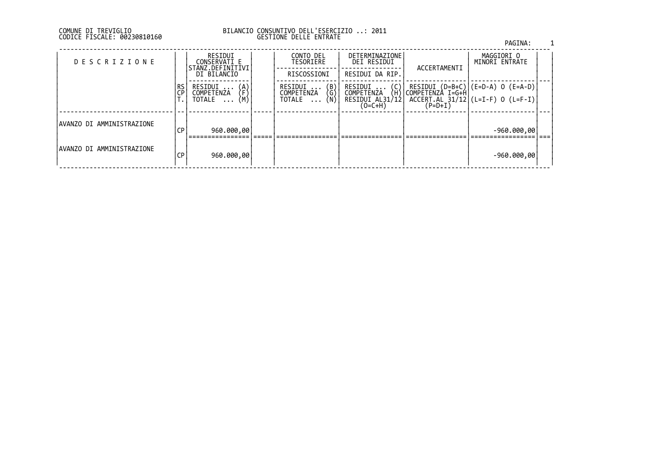### DI TREVIGLIO BILANCIO CONSUNTIVO DELL'ESERCIZIO ..: 2011 FISCALE: 00230810160 GESTIONE DELLE ENTRATE

|                            |            |                                                                 |                                                                                  |                                                |              | PAGINA:                                                 |  |
|----------------------------|------------|-----------------------------------------------------------------|----------------------------------------------------------------------------------|------------------------------------------------|--------------|---------------------------------------------------------|--|
| <b>DESCRIZIONE</b>         |            | RESIDUI<br>CONSERVATI E<br>STANZ.DEFINITIVI                     | CONTO DEL<br>TESORIERE                                                           | DETERMINAZIONE<br>DEI RESIDUI                  | ACCERTAMENTI | MAGGIORI O<br>MINORI ENTRATE                            |  |
|                            |            | DI BILANCIO                                                     | RISCOSSIONI                                                                      | RESIDUI DA RIP.                                |              |                                                         |  |
|                            | l RS<br>CP | RESIDUI<br>$\begin{pmatrix} A \\ F \end{pmatrix}$<br>COMPETENZA | $\begin{pmatrix} B \\ G \\ N \end{pmatrix}$<br>RESIDUI<br>$\cdots$<br>COMPETENZA | $(C)$ .<br>RESIDUI<br><b>COMPETENZA</b><br>(H) |              | RESIDUI (D=B+C) (E=D-A) O (E=A-D) <br> COMPETENZA I=G+H |  |
|                            |            | (M)<br><b>TOTALE</b>                                            | TOTALE                                                                           | RESIDUI AL31/12<br>$(O=C+H)$                   | $(P=D+I)$    | $ACCERT. AL 31/12$ $(L=I-F)$ 0 $(L=F-I)$                |  |
| IAVANZO DI AMMINISTRAZIONE | СP         | 960.000,00                                                      |                                                                                  |                                                |              | $-960.000,00$                                           |  |
|                            |            |                                                                 |                                                                                  |                                                |              |                                                         |  |
| IAVANZO DI AMMINISTRAZIONE | СP         | 960.000,00                                                      |                                                                                  |                                                |              | $-960.000,00$                                           |  |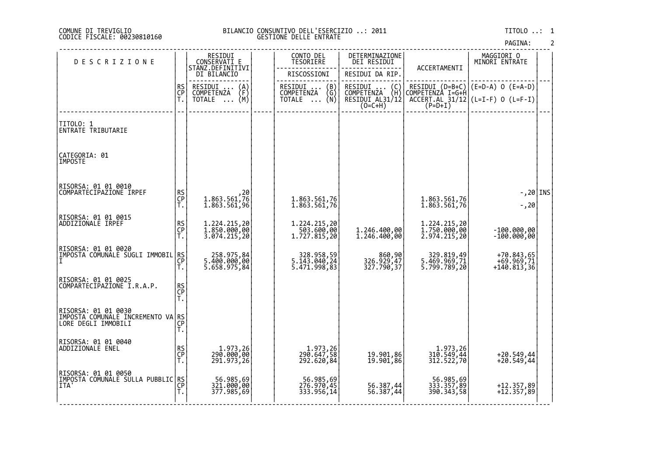#### DI TREVIGLIO BILANCIO CONSUNTIVO DELL'ESERCIZIO ..: 2011 TITOLO ..: 1 FISCALE: 00230810160 GESTIONE DELLE ENTRATE

| DESCRIZIONE                                                                     |                | RESIDUI<br>CONSERVATI E<br>STANZ.DEFINITIVI              | CONTO DEL<br>TESORIERE                          | DETERMINAZIONE<br>DEI RESIDUI                                    |                                                  | MAGGIORI 0<br>MINORI ENTRATE                              |  |
|---------------------------------------------------------------------------------|----------------|----------------------------------------------------------|-------------------------------------------------|------------------------------------------------------------------|--------------------------------------------------|-----------------------------------------------------------|--|
|                                                                                 |                | DI BILANCIO                                              | RISCOSSIONI                                     | RESIDUI DA RIP.                                                  | ACCERTAMENTI                                     |                                                           |  |
|                                                                                 | RS<br>CP<br>T. | RESIDUI<br>$\binom{A}{F}$<br>COMPETENZA<br>(М)<br>TOTALE | RESIDUI<br>(B)<br>COMPETENZA (G)<br>TOTALE  (N) | RESIDUI<br>(C)<br>COMPETENZA (H)<br>RESIDUI AL31/12<br>$(O=C+H)$ | RESIDUI (D=B+C)<br>COMPETENZA I=G+H<br>$(P=D+I)$ | (E=D-A) 0 (E=A-D)<br>$ACCERT. AL_31/12$ (L=I-F) 0 (L=F-I) |  |
| TITOLO: 1<br> ENTRATE TRIBUTARIE                                                |                |                                                          |                                                 |                                                                  |                                                  |                                                           |  |
| CATEGORIA: 01<br><b>IMPOSTE</b>                                                 |                |                                                          |                                                 |                                                                  |                                                  |                                                           |  |
| RISORSA: 01 01 0010<br>COMPARTECIPAZIONE IRPEF                                  | RS<br>CP<br>Ť. | 1.863.561,76<br>1.863.561,96                             | 1.863.561,76<br>1.863.561,76                    |                                                                  | 1.863.561,76<br>1.863.561,76                     | $-$ , 20 INS<br>$-1,20$                                   |  |
| RISORSA: 01 01 0015<br>ADDIZIONALE IRPEF                                        | RS<br>CP<br>Ť. | 1.224.215,20<br>1.850.000,00<br>3.074.215,20             | 1.224.215,20<br>503.600,00<br>1,727,815,20      | 1.246.400,00<br>1.246.400,00                                     | 1.224.215,20<br>1.750.000,00<br>2.974.215,20     | -100.000,00<br>100.000,00                                 |  |
| RISORSA: 01 01 0020<br> IMPOSTA COMUNALE SUGLI IMMOBIL RS                       | CP<br>Т.       | 258.975,84<br>5.400.000,00<br>5.658.975,84               | 328.958,59<br>5.143.040,24<br>5.471.998,83      | 860,90<br>326.929,47<br>327.790,37                               | 329.819,49<br>5.469.969,71<br>5.799.789,20       | $+70.843,65$<br>$+69.969,71$<br>$+140.813,36$             |  |
| RISORSA: 01 01 0025<br>COMPARTECIPAZIONE I.R.A.P.                               | RS<br>CP<br>Ť. |                                                          |                                                 |                                                                  |                                                  |                                                           |  |
| RISORSA: 01 01 0030<br>IMPOSTA COMUNALE INCREMENTO VA RS<br>LORE DEGLI IMMOBILI | Ť.             |                                                          |                                                 |                                                                  |                                                  |                                                           |  |
| RISORSA: 01 01 0040<br>ADDIZIONALE ENEL                                         | RS<br>CP<br>T. | 1.973,26<br>290.000,00<br>291.973,26                     | 1.973,26<br>290.647,58<br>292.620,84            | 19.901,86<br>19.901,86                                           | 1.973,26<br>310.549,44<br>312.522,70             | +20.549,44<br>+20.549,44                                  |  |
| RISORSA: 01 01 0050<br>IMPOSTA CŎMŪŇĀLĔ ŠŬLLA PUBBLIC RS<br> ITA'               | Ť.             | 56.985,69<br>321.000,00<br>377.985,69                    | 56.985,69<br>276.970,45<br>333.956,14           | 56.387,44<br>56.387,44                                           | 56.985,69<br>333.357,89<br>390.343,58            | $+12.357,89$<br>$+12.357,89$                              |  |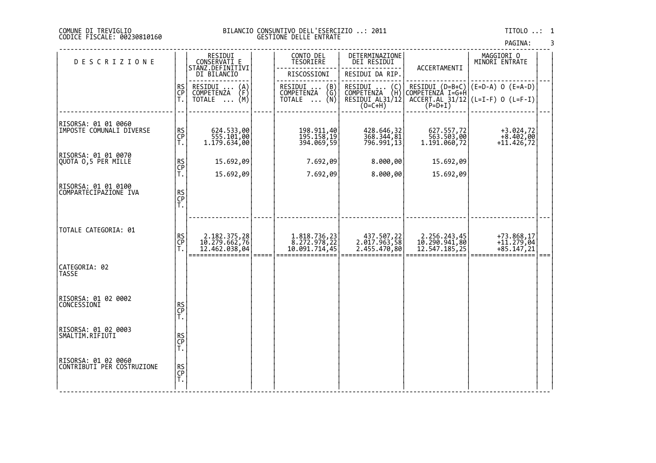#### DI TREVIGLIO BILANCIO CONSUNTIVO DELL'ESERCIZIO ..: 2011 TITOLO ..: 1 FISCALE: 00230810160 GESTIONE DELLE ENTRATE

| <b>DESCRIZIONE</b>                                 |                       | RESIDUI<br>CONSERVATI E                                         |      | CONTO DEL<br>TESORIERE                                                         | DETERMINAZIONE<br>DEI RESIDUI                                                                          | ACCERTAMENTI                                   | MAGGIORI 0<br>MINORI ENTRATE                                                                         |      |
|----------------------------------------------------|-----------------------|-----------------------------------------------------------------|------|--------------------------------------------------------------------------------|--------------------------------------------------------------------------------------------------------|------------------------------------------------|------------------------------------------------------------------------------------------------------|------|
|                                                    |                       | STANZ.DEFINITIVI<br>DI BILANCIO                                 |      | RISCOSSIONI                                                                    | RESIDUI DA RIP.                                                                                        |                                                |                                                                                                      |      |
|                                                    | <b>RS</b><br>CP<br>Ť. | RESIDUI<br>$\binom{A}{F}$<br><b>COMPETENZA</b><br>(M)<br>TOTALE |      | RESIDUI<br>$\binom{B}{G}$<br><b>COMPETENZA</b><br>TOTALE $\ldots$ (N)          | RESIDUI<br>$\begin{pmatrix} C \\ H \end{pmatrix}$<br><b>COMPETENZA</b><br>RESIDUI AL31/12<br>$(0=C+H)$ | COMPETENZÀ I=G+H                               | RESIDUI $(D=B+C)$ $(E=D-A)$ 0 $(E=A-D)$<br>$\overline{ACCERT.AL}$ 31/12 (L=I-F) 0 (L=F-I)<br>(P=D+I) |      |
| RISORSA: 01 01 0060<br>IMPOSTE COMUNALI DIVERSE    | <b>RS</b><br>CP<br>T. | 624.533,00<br>555.101,00<br>1.179.634,00                        |      | 198.911,40<br>195.158,19<br>394.069,59                                         | 428.646,32<br>368.344,81<br>796.991,13                                                                 | 627.557,72<br>563.503,00<br>1.191.060,72       | $+3.024,72$<br>$+8.402,00$<br>$+11.426,72$                                                           |      |
| RISORSA: 01 01 0070<br>QUOTA 0,5 PER MILLE         | RS<br>CP<br>T.        | 15.692,09                                                       |      | 7.692,09                                                                       | 8.000,00                                                                                               | 15.692,09                                      |                                                                                                      |      |
| RISORSA: 01 01 0100<br>COMPARTECIPAZIONE IVA       | RS<br>CP<br>T.        | 15.692,09                                                       |      | 7.692,09                                                                       | 8.000,00                                                                                               | 15.692,09                                      |                                                                                                      |      |
| TOTALE CATEGORIA: 01                               | RS<br>CP<br>T.        | 2.182.375,28<br>10.279.662,76<br>12.462.038,04                  | ==== | $\begin{matrix} 1.818.736, 23 \\ 8.272.978, 22 \\ 10.091.714, 45 \end{matrix}$ | 437.507,22<br>2.017.963,58<br>2.455.470,80                                                             | 2.256.243,45<br>10.290.941,80<br>12.547.185,25 | +73.868,17<br>$+11.279,04$<br>+85.147,21                                                             | $==$ |
| CATEGORIA: 02<br><b>TASSE</b>                      |                       |                                                                 |      |                                                                                |                                                                                                        |                                                |                                                                                                      |      |
| RISORSA: 01 02 0002<br>CONCESSIONI                 | RS<br>CP<br>T.        |                                                                 |      |                                                                                |                                                                                                        |                                                |                                                                                                      |      |
| RISORSA: 01 02 0003<br>SMALTIM.RIFIUTI             | RS<br>CP<br>T.        |                                                                 |      |                                                                                |                                                                                                        |                                                |                                                                                                      |      |
| RISORSA: 01 02 0060<br> CONTRIBUTI PER COSTRUZIONE | RS<br>CP<br>T.        |                                                                 |      |                                                                                |                                                                                                        |                                                |                                                                                                      |      |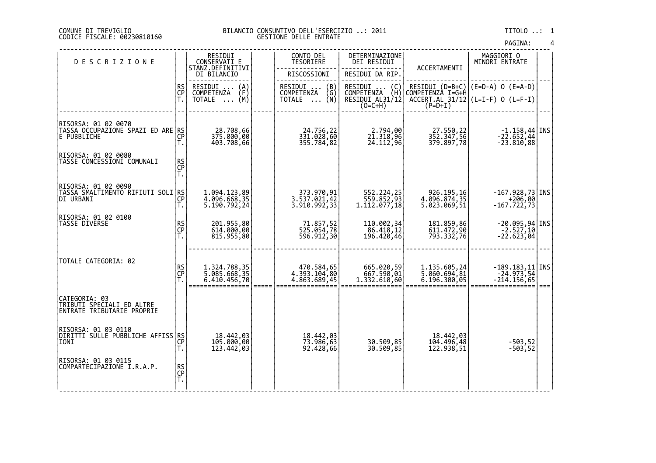#### DI TREVIGLIO BILANCIO CONSUNTIVO DELL'ESERCIZIO ..: 2011 TITOLO ..: 1 FISCALE: 00230810160 GESTIONE DELLE ENTRATE

| <b>DESCRIZIONE</b>                                                       |                       | RESIDUI<br>CONSERVATI E                                         | CONTO DEL<br>TESORIERE                                   | DETERMINAZIONE<br>DEI RESIDUI                                                                   |                                                  | MAGGIORI 0<br>MINORI ENTRATE                                  |      |
|--------------------------------------------------------------------------|-----------------------|-----------------------------------------------------------------|----------------------------------------------------------|-------------------------------------------------------------------------------------------------|--------------------------------------------------|---------------------------------------------------------------|------|
|                                                                          |                       | STANZ.DEFINITIVI<br>DI BILANCIO                                 | RISCOSSIONI                                              | RESIDUI DA RIP.                                                                                 | ACCERTAMENTI                                     |                                                               |      |
|                                                                          | <b>RS</b><br>CP<br>Ť. | RESIDUI<br>$\binom{A}{F}$<br><b>COMPETENZA</b><br>(M)<br>TOTALE | RESIDUI<br>$\binom{B}{G}$<br>COMPETENZA<br>∖Ñ)<br>TOTALE | RESIDUI<br>$\begin{pmatrix} C \\ H \end{pmatrix}$<br>COMPETENZA<br>RESIDUI AL31/12<br>$(O=C+H)$ | RESIDUI (D=B+C)<br>COMPETENZÀ I=G+H<br>$(P=D+I)$ | $(E=D-A)$ O $(E=A-D)$<br>$ACCERT. AL_31/12$ (L=I-F) 0 (L=F-I) |      |
| RISORSA: 01 02 0070<br>TASSA OCCUPAZIONE SPAZI ED ARE RS<br>E PUBBLICHE  | CP<br>T.              | 28.708,66<br>375.000,00<br>403.708,66                           | 24.756,22<br>331.028,60<br>355.784,82                    | 2.794,00<br>21.318,96<br>24.112,96                                                              | 27.550,22<br>352.347,56<br>379.897,78            | $-1.158,44$ INS<br>$-22.652,44$<br>$-23.810,88$               |      |
| RISORSA: 01 02 0080<br>TASSE CONCESSIONI COMUNALI                        | RS<br>CP<br>T.        |                                                                 |                                                          |                                                                                                 |                                                  |                                                               |      |
| RISORSA: 01 02 0090<br> TĀŠŠA SMALTIMĒNTO RIFIUTI SOLI RS<br> DI URBANI  | T.                    | 1.094.123,89<br>4.096.668,35<br>5.190.792,24                    | 373.970,91<br>3.537.021,42<br>3.910.992,33               | 552.224,25<br>559.852,93<br>1.112.077,18                                                        | 926.195,16<br>4.096.874,35<br>5.023.069,51       | $-167.928,73$ INS<br>$+206,00$<br>$-167.722,73$               |      |
| RISORSA: 01 02 0100<br>TASSE DIVERSE                                     | RS<br>CP<br>T.        | 201.955,80<br>614.000,00<br>815.955,80                          | 71.857,52<br>525.054,78<br>596.912,30                    | 110.002,34<br>86.418,12<br>196.420,46                                                           | 181.859,86<br>793.332,76                         | $-20.095,94$ INS<br>$-2.527,10$<br>-22.623,04                 |      |
| TOTALE CATEGORIA: 02                                                     | RS<br>CP<br>Ť.        | 1.324.788,35<br>5.085.668,35<br>6.410.456,70                    | 470.584,65<br>4.393.104,80<br>4.863.689,45               | 665.020,59<br>667.590,01<br>1.332.610,60                                                        | 1.135.605,24<br>5.060.694,81<br>6.196.300,05     | $-189.183, 11$ INS<br>$-24.973,54$<br>$-214.156,65$           | $==$ |
| CATEGORIA: 03<br>TRIBUTI SPECIALI ED ALTRE<br>ENTRATE TRIBUTARIE PROPRIE |                       |                                                                 |                                                          |                                                                                                 |                                                  |                                                               |      |
| RISORSA: 01 03 0110<br> DIRITTI SULLE PUBBLICHE AFFISS RS<br> IONI<br> - |                       | 18.442,03<br>105.000,00<br>123.442,03                           | 18.442,03<br>73.986,63<br>92.428,66                      | 30.509,85<br>30.509,85                                                                          | 18.442,03<br>104.496,48<br>122.938,51            | 52, 503-<br>52, 503-                                          |      |
| RISORSA: 01 03 0115<br>COMPARTECIPAZIONE I.R.A.P.                        | RS<br>CP<br>T.        |                                                                 |                                                          |                                                                                                 |                                                  |                                                               |      |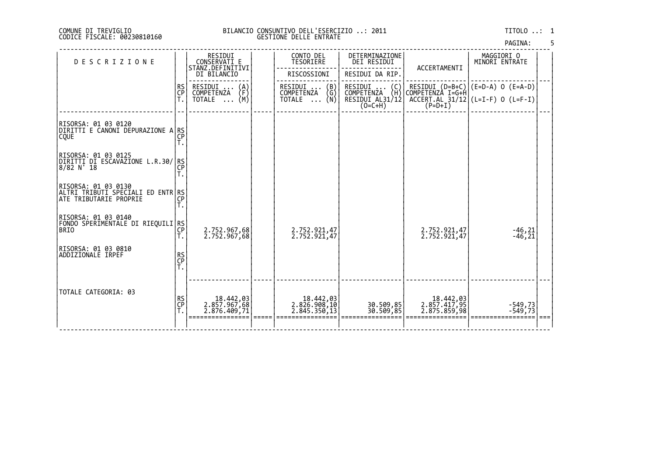#### DI TREVIGLIO BILANCIO CONSUNTIVO DELL'ESERCIZIO ..: 2011 TITOLO ..: 1 FISCALE: 00230810160 GESTIONE DELLE ENTRATE

| PAGINA: |  |
|---------|--|
|         |  |

| <b>DESCRIZIONE</b>                                                       |                | RESIDUI<br>CONSERVATI E<br>STANZ.DEFINITIVI<br>DI BILANCIO                      | CONTO DEL<br>TESORIERE<br>RISCOSSIONI                          | DETERMINAZIONE<br>DEI RESIDUI<br>RESIDUI DA RIP.                             | ACCERTAMENTI                                | MAGGIORI O<br>MINORI ENTRATE                                                                  |  |
|--------------------------------------------------------------------------|----------------|---------------------------------------------------------------------------------|----------------------------------------------------------------|------------------------------------------------------------------------------|---------------------------------------------|-----------------------------------------------------------------------------------------------|--|
|                                                                          | RS<br>CP       | RESIDUI<br>$\binom{A}{F}$<br><b>COMPETENZA</b><br>$\overline{NOTALE} \dots (M)$ | RESIDUI<br>COMPETENZA<br>$\binom{B}{G}$<br>TOTALE $\ldots$ (N) | RESIDUI<br>COMPETENZA<br>$\binom{H}{0}$<br>$\begin{bmatrix}$ RESIDUI AL31/12 | $(P=D+I)$                                   | RESIDUI (D=B+C) (E=D-A) O (E=A-D)<br>COMPETENZA I=G+H <br>$ACCERI.AL_31/12$ (L=I-F) 0 (L=F-I) |  |
| RISORSA: 01 03 0120<br>DIRITTI E CANONI DEPURAZIONE A RS <br><b>CQUE</b> | T <sub>1</sub> |                                                                                 |                                                                |                                                                              |                                             |                                                                                               |  |
| RISORSA: 01 03 0125<br> DIRITTI DI EŠČAVAZIONE L.R.30/ RS<br> 8/82 N' 18 | T.             |                                                                                 |                                                                |                                                                              |                                             |                                                                                               |  |
| RISORSA: 01 03 0130                                                      |                |                                                                                 |                                                                |                                                                              |                                             |                                                                                               |  |
| RISORSA: 01 03 0140<br> FONDO SPERIMENTALE DI RIEQUILI RS<br> BRIO       | Ť.             | 2.752.967,68<br>2.752.967,68                                                    | 2.752.921,47<br>2.752.921,47                                   |                                                                              | 2.752.921,47<br>2.752.921,47                | $-46, 21$<br>$-46, 21$                                                                        |  |
| RISORSA: 01 03 0810<br>ADDIZIONALE IRPEF                                 | RS<br>CP<br>T. |                                                                                 |                                                                |                                                                              |                                             |                                                                                               |  |
| TOTALE CATEGORIA: 03                                                     | RS<br>CP<br>T. | 18.442,03<br>2.857.967,68<br>2.876.409,71                                       | 442,03, 18.442<br> 2.826.908,10<br>2.845.350,13                | 30.509,85<br>30.509,85                                                       | 18.442,03<br> 2.857.417,95<br> 2.875.859,98 | -549,73<br>-549,73                                                                            |  |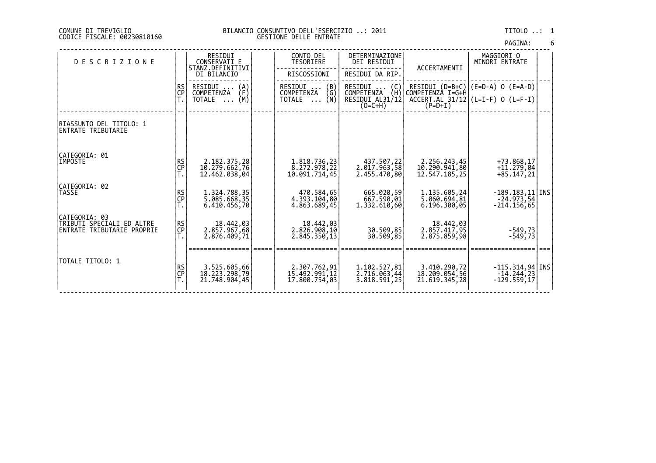#### DI TREVIGLIO BILANCIO CONSUNTIVO DELL'ESERCIZIO ..: 2011 TITOLO ..: 1 FISCALE: 00230810160 GESTIONE DELLE ENTRATE

| PAGINA: |  |
|---------|--|
|         |  |

| <b>DESCRIZIONE</b>                                                       |                | RESIDUI<br>CONSERVATI E<br>STANZ.DEFINITIVI<br>DI BILANCIO    | CONTO DEL<br>TESORIERE<br>RISCOSSIONI                    | DETERMINAZIONE<br>DEI RESIDUI<br>RESIDUI DA RIP.                   | ACCERTAMENTI                                    | MAGGIORI O<br>MINORI ENTRATE                                                    |  |
|--------------------------------------------------------------------------|----------------|---------------------------------------------------------------|----------------------------------------------------------|--------------------------------------------------------------------|-------------------------------------------------|---------------------------------------------------------------------------------|--|
|                                                                          | RS<br>CP       | RESIDUI<br>$\{A\}$<br>COMPETENZA<br>(M)<br>TOTALE<br>$\cdots$ | $\binom{B}{G}$<br>RESIDUI<br>COMPETENZA<br>(N)<br>TOTALE | RESIDUI<br>$\{C_H\}$<br>COMPETENZA<br>RESIDUI AL31/12<br>$(O=C+H)$ | COMPETENZA I=G+H<br>$(P=D+I)$                   | RESIDUI $(D=B+C)$ $(E=D-A)$ O $(E=A-D)$<br>$ACCERT. AL 31/12 (L=I-F) 0 (L=F-I)$ |  |
| RIASSUNTO DEL TITOLO: 1<br>ENTRATE TRIBUTARIE                            |                |                                                               |                                                          |                                                                    |                                                 |                                                                                 |  |
| CATEGORIA: 01<br>IMPOSTE                                                 | RS<br>CP       | 2.182.375,28<br>10.279.662,76<br>12.462.038,04                | 1.818.736,23<br>8.272.978,22<br>10.091.714,45            | 22, 437.507<br> 2.017.963,58<br>2.455.470,80                       | 2.256.243,45<br>10.290.941,80<br>12.547.185,25  | +73.868,17<br>$+11.279,04$<br>$+85.147,21$                                      |  |
| CATEGORIA: 02<br>TASSE                                                   | RS<br>CP       | 1.324.788,35<br>5.085.668,35<br>6.410.456,70                  | 470.584,65<br>4.393.104,80<br>4.863.689,45               | 665.020,59<br>667.590,01<br>1.332.610,60                           | 1.135.605, 24<br>5.060.694, 81<br>6.196.300,05  | $-189.183, 11$ TNS<br>$-24.973,54$<br>$-214.156,65$                             |  |
| CATEGORIA: 03<br>TRIBUTI SPECIALI ED ALTRE<br>ENTRATE TRIBUTARIE PROPRIE | RS<br>CP<br>T. | 18.442,03<br>2.857.967,68<br>2.876.409,71                     | 18.442,03<br>2.826.908,10<br>2.845.350,13                | 30.509,85<br>30.509,85                                             | 442,03, 18.442<br> 2.857.417,95<br>2.875.859,98 | $-549,73$<br>$-549,73$                                                          |  |
| TOTALE TITOLO: 1                                                         | RS<br>CP<br>T. | 3.525.605,66<br>18.223.298,79<br>21.748.904,45                | 2.307.762,91<br>15.492.991,12<br>17.800.754,03           | 1.102.527,81<br>2.716.063,44<br>3.818.591,25                       | 3.410.290,72<br>18.209.054,56<br>21.619.345,28  | $-115.314,94$ INS<br>$-14.244,23$<br>$-129.559,17$                              |  |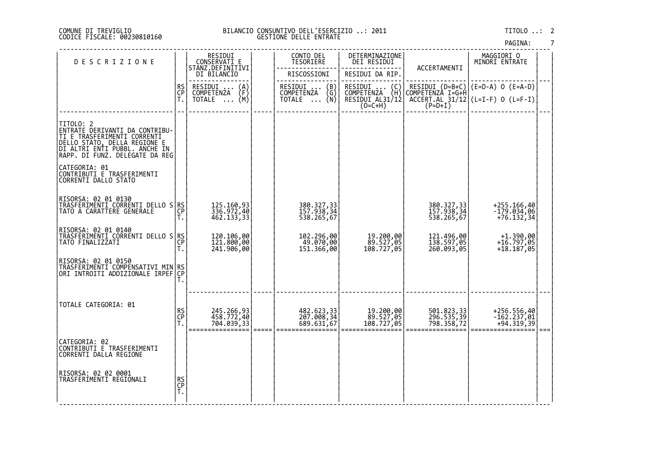#### DI TREVIGLIO BILANCIO CONSUNTIVO DELL'ESERCIZIO ..: 2011 TITOLO ..: 2 FISCALE: 00230810160 GESTIONE DELLE ENTRATE

| <b>DESCRIZIONE</b>                                                                                                                                                            |                | RESIDUI<br>CONSERVATI E<br>STANZ.DEFINITIVI    |      | CONTO DEL<br>TESORIERE                 | DETERMINAZIONE<br>DEI RESIDUI                                   | ACCERTAMENTI                           | MAGGIORI 0<br>MINORI ENTRATE                                                               |      |
|-------------------------------------------------------------------------------------------------------------------------------------------------------------------------------|----------------|------------------------------------------------|------|----------------------------------------|-----------------------------------------------------------------|----------------------------------------|--------------------------------------------------------------------------------------------|------|
|                                                                                                                                                                               |                | DI BILANCIO                                    |      | RISCOSSIONI                            | RESIDUI DA RIP.                                                 |                                        |                                                                                            |      |
|                                                                                                                                                                               | RS<br>CP       | RESIDUI<br>$\binom{A}{F}$<br><b>COMPETENZA</b> |      | (B)<br>RESIDUI<br><b>COMPETENZA</b>    | RESIDUI<br>$\begin{pmatrix} C \\ H \end{pmatrix}$<br>COMPETENZA |                                        | RESIDUI (D=B+C) (E=D-A) O (E=A-D)<br>COMPETENZA I=G+H<br>ACCEŖĪ.AL_31/12 (L=I-F) O (L=F-I) |      |
|                                                                                                                                                                               | T.             | $\overline{NOTALE} \dots (M)$                  |      | $\binom{G}{N}$<br>TOTALE               | RESIDUI AL31/12<br>$(O=C+H)$                                    | $(P=D+I)$                              |                                                                                            |      |
|                                                                                                                                                                               |                |                                                |      |                                        |                                                                 |                                        |                                                                                            |      |
| TITOLO: 2<br>ENTRATE DERIVANTI DA CONTRIBU-<br>TI E TRASFERIMENTI CORRENTI<br>DELLO STATO, DELLA REGIONE E<br>DI ALTRI ENTI PUBBL, ANCHE IN<br>RAPP. DI FUNZ. DELEGATE DA REG |                |                                                |      |                                        |                                                                 |                                        |                                                                                            |      |
| CATEGORIA: 01<br>CONTRIBUTI E TRASFERIMENTI<br>CORRENTI DALLO STATO                                                                                                           |                |                                                |      |                                        |                                                                 |                                        |                                                                                            |      |
| RISORSA: 02 01 0130<br> TRASFERIMENTI CORRENTI DELLO S RS<br> TATO A CARATTERE GENERALE         CP                                                                            | T.             | 125.160,93<br>336.972,40<br>462.133,33         |      | 380.327,33<br>157.938,34<br>538.265,67 |                                                                 | 380.327,33<br>157.938,34<br>538.265,67 | +255.166,40<br>-179.034,06<br>$+76.132,34$                                                 |      |
| RISORSA: 02 01 0140<br>TRASFERIMENTI CORRENTI DELLO S RS<br>TATO FINALIZZATI                                                                                                  | СP<br>Ť.       | 120.106,00<br>121.800,00<br>241.906,00         |      | 102.296,00<br>49.070,00<br>151.366,00  | 19.200,00<br>89.527,05<br>108.727,05                            | 121.496,00<br>138.597,05<br>260.093,05 | +1.390,00<br>+16.797,05<br>$+18.187,05$                                                    |      |
| RISORSA: 02 01 0150<br>TRAŠFERIMENTI COMPENSATIVI MIN RS<br> ORI INTROITI ADDIZIONALE IRPEF CP                                                                                |                |                                                |      |                                        |                                                                 |                                        |                                                                                            |      |
| TOTALE CATEGORIA: 01                                                                                                                                                          | RS<br>CP<br>T. | 245.266,93<br>458.772,40<br>704.039,33         |      | 482.623,33<br>207.008,34<br>689.631,67 | 19.200,00<br>89.527,05<br>108.727,05                            | 501.823,33<br>296.535,39<br>798.358,72 | +256.556,40<br>-162.237,01<br>+94.319,39                                                   |      |
| CATEGORIA: 02<br>CONTRIBUTI E TRASFERIMENTI<br>CORRENTI DALLA REGIONE                                                                                                         |                |                                                | ==== |                                        |                                                                 |                                        |                                                                                            | $==$ |
| RISORSA: 02 02 0001<br>TRASFERIMENTI REGIONALI                                                                                                                                | RS<br>CP<br>T. |                                                |      |                                        |                                                                 |                                        |                                                                                            |      |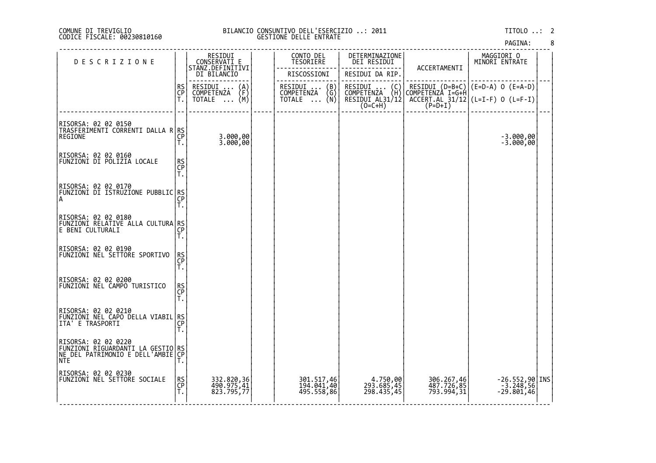### DI TREVIGLIO BILANCIO CONSUNTIVO DELL'ESERCIZIO ..: 2011 TITOLO ..: 2 FISCALE: 00230810160 GESTIONE DELLE ENTRATE

| <b>DESCRIZIONE</b>                                                                                     |                      | RESIDUI<br>CONSERVATI E                        | CONTO DEL<br>TESORIERE                        | DETERMINAZIONE<br>DEI RESIDUI                                                        |                                        | MAGGIORI O<br>MINORI ENTRATE                    |  |
|--------------------------------------------------------------------------------------------------------|----------------------|------------------------------------------------|-----------------------------------------------|--------------------------------------------------------------------------------------|----------------------------------------|-------------------------------------------------|--|
|                                                                                                        |                      | STANZ.DEFINITIVI<br>DI BILANCIO                | RISCOSSIONI                                   | RESIDUI DA RIP.                                                                      | ACCERTAMENTI                           |                                                 |  |
|                                                                                                        | RS<br>CP             | RESIDUI<br>$\binom{A}{F}$<br><b>COMPETENZA</b> | RESIDUI  (B)<br>COMPETENZA (G)<br>TOTALE  (N) | RESIDUI<br>$\left(\begin{smallmatrix} 0 \\ H \end{smallmatrix}\right)$<br>COMPETENZA | $RESIDUI (D=B+C)$<br>COMPETENZA I=G+H  | $(E=D-A)$ O $(E=A-D)$                           |  |
|                                                                                                        | T.                   | (M)<br>TOTALE                                  |                                               | RESIDUI AL31/12<br>$(0=CHH)$                                                         | $(P=D+I)$                              | $ACCERT.AL$ 31/12 (L=I-F) 0 (L=F-I)             |  |
| RISORSA: 02 02 0150<br>TRASFERIMENTI CORRENTI DALLA R RS<br>REGIONE                                    | <b>CP</b>            | 3.000,00                                       |                                               |                                                                                      |                                        | $-3.000,00$                                     |  |
| RISORSA: 02 02 0160<br>FUNZIONI DI POLIZIA LOCALE                                                      | T.<br>RS<br>CP<br>Ť. | 3.000,00                                       |                                               |                                                                                      |                                        | $-3.000,00$                                     |  |
| RISORSA: 02 02 0170<br> FUNŽIONI DI ISTRUŽIONE PUBBLIC RS<br> A                                        | T.                   |                                                |                                               |                                                                                      |                                        |                                                 |  |
| RISORSA: 02 02 0180<br>FUNZIONI RELATIVE ALLA CULTURA RS<br>E BENI CULTURALI                           | Τ.                   |                                                |                                               |                                                                                      |                                        |                                                 |  |
| RISORSA: 02 02 0190<br> FUNZIONI NEL SETTORE SPORTIVO                                                  | RS<br>CP<br>Ť.       |                                                |                                               |                                                                                      |                                        |                                                 |  |
| RISORSA: 02.02.0200<br>FUNZIONI NEL CAMPO TURISTICO                                                    | RS<br>CP<br>T.       |                                                |                                               |                                                                                      |                                        |                                                 |  |
| RISORSA: 02 02 0210<br> FUNZIONI NEL CAPO DELLA VIABIL RS<br> ITA' E TRASPORTI                         | Τ.                   |                                                |                                               |                                                                                      |                                        |                                                 |  |
| RISORSA: 02 02 0220<br> FUNZIONI RIGUARDANTI LA GESTIO RS<br> NE_DEL PATRIMONIO E DELL'AMBIE CP<br>NTE | Τ.                   |                                                |                                               |                                                                                      |                                        |                                                 |  |
| RISORSA: 02 02 0230<br> FUNZIONI NEL SETTORE SOCIALE                                                   | RS<br>CP<br>T.       | 332.820, 36<br>490.975, 41<br>823.795,77       | 301.517,46<br>194.041,40<br>495.558,86        | 4.750,00<br>45,453.695<br>298.435,45                                                 | 306.267,46<br>487.726,85<br>793.994,31 | $-26.552,90$ INS<br>$-3.248,56$<br>$-29.801,46$ |  |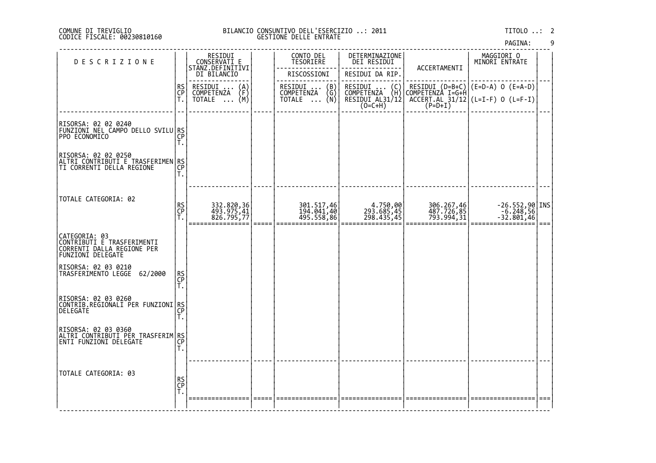#### DI TREVIGLIO BILANCIO CONSUNTIVO DELL'ESERCIZIO ..: 2011 TITOLO ..: 2 FISCALE: 00230810160 GESTIONE DELLE ENTRATE

| <b>DESCRIZIONE</b>                                                                               |                | RESIDUI<br>CONSERVATI E                                               |       | CONTO DEL<br>TESORIERE                        | DETERMINAZIONE<br>DEI RESIDUI                                       |                                        | MAGGIORI O<br>MINORI ENTRATE                                                                 |      |
|--------------------------------------------------------------------------------------------------|----------------|-----------------------------------------------------------------------|-------|-----------------------------------------------|---------------------------------------------------------------------|----------------------------------------|----------------------------------------------------------------------------------------------|------|
|                                                                                                  |                | STANZ.DEFINITIVI<br>DI BILANCIO                                       |       | RISCOSSIONI                                   | RESIDUI DA RIP.                                                     | ACCERTAMENTI                           |                                                                                              |      |
|                                                                                                  | RS<br>CP<br>Ť. | RESIDUI<br>$\binom{A}{F}$<br><b>COMPETENZA</b><br>TOTALE $\ldots$ (M) |       | RESIDUI  (B)<br>COMPETENZA (G)<br>TOTALE  (N) | RESIDUI<br>(C)<br>∖H)<br>COMPETENZA<br>RESIDUI AL31/12<br>$(0=C+H)$ | $(P=D+I)$                              | RESIDUI (D=B+C) (E=D-A) O (E=A-D)<br>COMPETENZA I=G+H<br>  ACCEŖĪ.AL_31/12 (L=I-F) O (L=F-I) |      |
| RISORSA: 02 02 0240<br>FUNZIONI NEL CAMPO DELLO SVILU RS<br>PPO ECONOMICO                        | CP<br>Τ.       |                                                                       |       |                                               |                                                                     |                                        |                                                                                              |      |
| RISORSA: 02 02 0250<br> ALTRI CONTRIBUTI E TRASFERIMEN RS<br> TI CORRENTI DELLA REGIONE          | T.             |                                                                       |       |                                               |                                                                     |                                        |                                                                                              |      |
| TOTALE CATEGORIA: 02                                                                             | RS<br>CP<br>Τ. | 332.820,36<br>493.975,41<br>826.795,77                                |       | 301.517,46<br>194.041,40<br>495.558,86        | 4.750,00<br>45,45,45,45<br>298.435,45                               | 306.267,46<br>487.726,85<br>793.994,31 | -26.552,90 INS<br>-6.248,56<br>-32.801,46                                                    | $==$ |
| CATEGORIA: 03<br>CONTRIBUTI E TRASFERIMENTI<br>CORRENTI DALLA REGIONE PER                        |                |                                                                       |       |                                               |                                                                     |                                        |                                                                                              |      |
| RISORSA: 02 03 0210<br>62/2000<br>TRASFERIMENTO LEGGE                                            | RS<br>CP<br>T. |                                                                       |       |                                               |                                                                     |                                        |                                                                                              |      |
| RISORSA: 02 03 0260<br> CONTRIB REGIONALI PER FUNZIONI RS <br> CONTRIB REGIONALI PER FUNZIONI CP | T.             |                                                                       |       |                                               |                                                                     |                                        |                                                                                              |      |
| RISORSA: 02 03 0360<br>ALTRI CONTRIBUTI PER TRASFERIM RS                                         | Τ.             |                                                                       |       |                                               |                                                                     |                                        |                                                                                              |      |
| TOTALE CATEGORIA: 03                                                                             | RS<br>CP<br>T. |                                                                       |       |                                               |                                                                     |                                        |                                                                                              |      |
|                                                                                                  |                | =========                                                             | ===== |                                               |                                                                     |                                        |                                                                                              |      |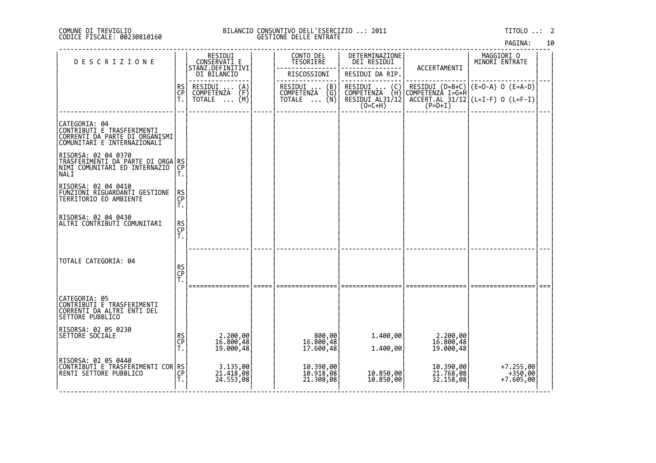### DI TREVIGLIO BILANCIO CONSUNTIVO DELL'ESERCIZIO ..: 2011 TITOLO ..: 2 FISCALE: 00230810160 GESTIONE DELLE ENTRATE

| <b>DESCRIZIONE</b>                                                                                           |                | RESIDUI<br>CONSERVATI E                                  | CONTO DEL<br>TESORIERE                                                                        | DETERMINAZIONE<br>DEI RESIDUI                                     | ACCERTAMENTI                          | MAGGIORI O<br>MINORI ENTRATE                                                                                        |  |
|--------------------------------------------------------------------------------------------------------------|----------------|----------------------------------------------------------|-----------------------------------------------------------------------------------------------|-------------------------------------------------------------------|---------------------------------------|---------------------------------------------------------------------------------------------------------------------|--|
|                                                                                                              |                | STANZ.DEFINITIVI<br>DI BILANCIO                          | RISCOSSIONI                                                                                   | RESIDUI DA RIP.                                                   |                                       |                                                                                                                     |  |
|                                                                                                              | RS<br>CP<br>T. | RESIDUI<br>$\binom{A}{F}$<br>COMPETENZA<br>(M)<br>TOTALE | RESIDUI<br>$\binom{\mathsf{B}}{\mathsf{G}}$<br>COMPETENZA<br>(Ñ)<br><b>TOTALE</b><br>$\cdots$ | RESIDUI<br>$\binom{C}{H}$<br><b>COMPETENZA</b><br>RESIDUI AL31/12 | $RESIDUI (D=B+C)$<br>COMPETENZA I=G+H | l(E=D-A) 0 (E=A-D)                                                                                                  |  |
|                                                                                                              |                | $\ddots$                                                 |                                                                                               | $(O=C+H)$                                                         |                                       | $\left[\begin{array}{cc} \text{ACCERT.AL} & 31/12 \\ \text{ACCERT.AL} & 31/12 \end{array}\right]$ (L=I-F) 0 (L=F-I) |  |
| CATEGORIA: 04<br>CONTRIBUTI E TRASFERIMENTI<br>CORRENTI DA PARTE DI ORGANISMI<br>COMUNITARI E INTERNAZIONALI |                |                                                          |                                                                                               |                                                                   |                                       |                                                                                                                     |  |
| RISORSA: 02 04 0370<br>TRĀŠFĒRIMĒNTI DĀ PĀRTE DI ORGA RS<br> NIMI COMUNITARI ED INTERNAZIO  CP<br>NALI       | Τ.             |                                                          |                                                                                               |                                                                   |                                       |                                                                                                                     |  |
| RISORSA: 02 04 0410<br>FUNZIONI RIGUARDANTI GESTIONE<br>TERRITORIO ED AMBIENTE                               | RS<br>CP<br>T. |                                                          |                                                                                               |                                                                   |                                       |                                                                                                                     |  |
| RISORSA: 02 04 0430<br>ALTRI CONTRIBUTI COMUNITARI                                                           | RS<br>CP<br>T. |                                                          |                                                                                               |                                                                   |                                       |                                                                                                                     |  |
| TOTALE CATEGORIA: 04                                                                                         | RS<br>CP<br>T. | ================                                         |                                                                                               |                                                                   |                                       |                                                                                                                     |  |
| CATEGORIA: 05<br>CONTRIBUTI E TRASFERIMENTI<br>CORRENTI DA ALTRI ENTI DEL<br>SETTORE PUBBLICO                |                |                                                          |                                                                                               |                                                                   |                                       |                                                                                                                     |  |
| RISORSA: 02 05 0230<br>SETTORE SOCIALE                                                                       | RS<br>CP<br>T. | 2.200,00<br>16.800,48<br>19.000,48                       | 800,00<br>16.800,48<br>17.600,48                                                              | 1.400,00<br>1.400,00                                              | 2.200,00<br>16.800,48<br>19.000,48    |                                                                                                                     |  |
| RISORSA: 02 05 0440<br>CONTRIBUTI E TRASFERIMENTI COR RS<br>RENTI SETTORE PUBBLICO                           | CP<br>T.       | 3.135,00<br>21.418,08<br>24.553,08                       | 10.390,00<br>10.918,08<br>21.308,08                                                           | 10.850,00<br>10.850,00                                            | 10.390,00<br>21.768,08<br>32.158,08   | $+7.255,00$<br>$+350,00$<br>$+7.605,00$                                                                             |  |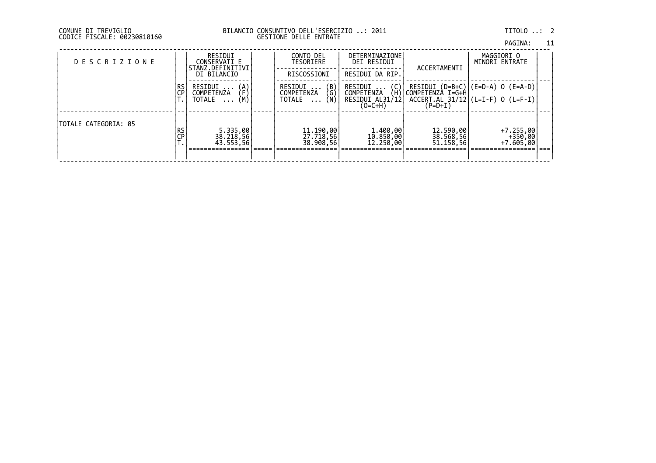| 2011 |  |  |  |
|------|--|--|--|
|      |  |  |  |

# DI TREVIGLIO BILANCIO CONSUNTIVO DELL'ESERCIZIO ..: 2011 TITOLO ..: 2 FISCALE: 00230810160 GESTIONE DELLE ENTRATE

| <b>DESCRIZIONE</b>   |                 | RESIDUI<br>CONSERVATI E<br>STANZ.DEFINITIVI<br>DI BILANCIO                  | CONTO DEL<br>TESORIERE<br>RISCOSSIONI                                                      | DETERMINAZIONE<br>DEI RESIDUI<br>RESIDUI DA RIP.                           | ACCERTAMENTI                        | MAGGIORI O<br>MINORI ENTRATE                                                 |  |
|----------------------|-----------------|-----------------------------------------------------------------------------|--------------------------------------------------------------------------------------------|----------------------------------------------------------------------------|-------------------------------------|------------------------------------------------------------------------------|--|
|                      | RS<br>СP        | $\binom{A}{F}$<br>RESIDUI<br>COMPETENZA<br>(M)<br><b>TOTALE</b><br>$\cdots$ | RESIDUI<br>$\begin{pmatrix} B \\ G \\ N \end{pmatrix}$<br>$\cdots$<br>COMPETENZA<br>TOTALE | (C)<br>(H)<br>RESIDUI<br><b>COMPETENZA</b><br>RESIDUI AL31/12<br>$(O=C+H)$ | COMPETENZA I=G+H<br>(P=D+I)         | RESIDUI (D=B+C) $ (E=D-A)$ O (E=A-D)<br>$ACCERT. AL 31/12$ (L=I-F) 0 (L=F-I) |  |
| TOTALE CATEGORIA: 05 | <b>RS</b><br>ÇP | 5.335,00<br>38.218,56<br>43.553,56                                          | 11.190,00<br>27.718,56<br>38.908,56                                                        | 1.400,00<br> 10.850,00<br> 12.250,00                                       | 12.590,00<br>38.568,56<br>51.158,56 | $+7.255,00$<br>$+350,00$<br>$+7.605,00$                                      |  |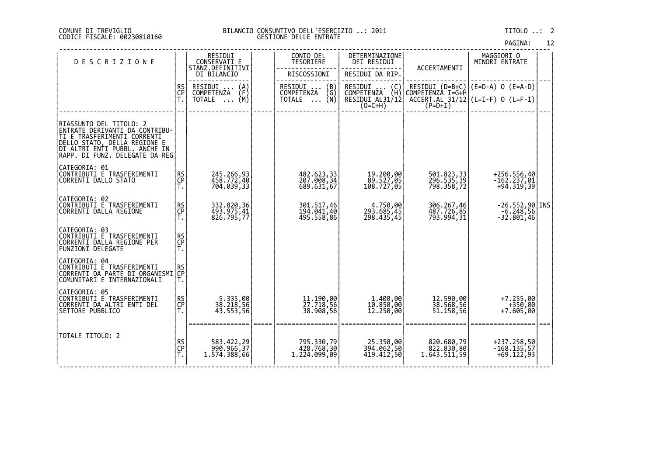#### DI TREVIGLIO BILANCIO CONSUNTIVO DELL'ESERCIZIO ..: 2011 TITOLO ..: 2 FISCALE: 00230810160 GESTIONE DELLE ENTRATE

| PAGINA: |  |
|---------|--|
|         |  |

| <b>DESCRIZIONE</b>                                                                                                                                                                           |                | RESIDUI<br>CONSERVATI E<br>STANZ.DEFINITIVI              | CONTO DEL<br>TESORIERE                                  | DETERMINAZIONE<br>DEI RESIDUI                       | ACCERTAMENTI                             | MAGGIORI 0<br>MINORI ENTRATE                                                                  |  |
|----------------------------------------------------------------------------------------------------------------------------------------------------------------------------------------------|----------------|----------------------------------------------------------|---------------------------------------------------------|-----------------------------------------------------|------------------------------------------|-----------------------------------------------------------------------------------------------|--|
|                                                                                                                                                                                              |                | DI BILANCIO                                              | RISCOSSIONI                                             | RESIDUI DA RIP.                                     |                                          |                                                                                               |  |
|                                                                                                                                                                                              | RS<br>CP<br>Ť. | RESIDUI<br>$\binom{A}{F}$<br>COMPETENZA<br>(M)<br>TOTALE | RESIDUI<br>I<br>ENŻA (G)<br>(N)<br>COMPETENZA<br>TOTALE | RESIDUI  (C) <br>COMPETENZA (H) <br>RESIDUI AL31/12 |                                          | RESIDUI (D=B+C) (E=D-A) 0 (E=A-D)<br>COMPETENZA I=G+H<br>$ACCERT. AL 31/12$ (L=I-F) 0 (L=F-I) |  |
|                                                                                                                                                                                              |                |                                                          |                                                         | $(0=C+H)$                                           | $(P=D+I)$                                |                                                                                               |  |
| RIASSUNTO DEL TITOLO: 2<br>ENTRATE DERIVANTI DA CONTRIBU-<br>TI E TRASFERIMENTI CORRENTI<br>DELLO STATO, DELLA REGIONE E<br> DI ALTRI ENTI PUBBL, ANCHE IN<br>RAPP. DI FUNZ. DELEGATE DA REG |                |                                                          |                                                         |                                                     |                                          |                                                                                               |  |
| CATEGORIA: 01<br>CONTRIBUTI E TRASFERIMENTI<br>CORRENTI DALLO STATO                                                                                                                          | RS<br>CP<br>T. | 245.266,93<br>458.772,40<br>704.039,33                   | 482.623,33<br>207.008,34<br>689.631,67                  | 19.200,00<br>89.527,05<br>108.727,05                | 501.823,33<br>296.535,39<br>798.358,72   | +256.556,40<br>-162.237,01<br>$+94.319,39$                                                    |  |
| CATEGORIA: 02<br>CONTRIBUTI E TRASFERIMENTI<br>CORRENTI DALLA REGIONE                                                                                                                        | RS<br>CP<br>T. | 332.820,36<br>493.975,41<br>826.795,77                   | 301.517,46<br>194.041,40<br>495.558,86                  | 4.750,00<br>293.685,45<br>298.435,45                | 306.267,46<br>487.726,85<br>793.994,31   | $-26.552,90$ <i>INS</i><br>$-6.248,56$<br>$-32.801,46$                                        |  |
| CATEGORIA: 03<br>CONTRIBUTI E TRASFERIMENTI<br>CORRENTI DALLA REGIONE PER<br>FUNZIONI DELEGATE                                                                                               | RS<br>CP<br>T. |                                                          |                                                         |                                                     |                                          |                                                                                               |  |
| CATEGORIA: 04<br>CONTRIBUTI E TRASFERIMENTI<br>CORRENTI DA PARTE DI ORGANISMI<br>COMUNITARI E INTERNAZIONALI                                                                                 | RS<br>CP<br>T. |                                                          |                                                         |                                                     |                                          |                                                                                               |  |
| CATEGORIA: 05<br> <br> CONTRIBUTI E TRASFERIMENTI<br> CORRENTI DA ALTRI ENTI DEL<br>SETTORE PUBBLICO                                                                                         | RS<br>CP<br>T. | 5.335,00<br>38.218,56<br>43.553,56                       | 11.190,00<br>27.718,56<br>38.908,56                     | 1.400,00<br>10.850,00<br>12.250,00                  | 12.590,00<br>38.568,56<br>51.158,56      | +7.255,00<br>+350,00<br>+7.605,00                                                             |  |
| TOTALE TITOLO: 2                                                                                                                                                                             | RS<br>CP<br>Ť. | 583.422,29<br>990.966,37<br>1.574.388,66                 | 795.330,79<br>428.768,30<br>1.224.099,09                | 25.350,00<br>394.062,50<br>419.412,50               | 820.680,79<br>822.830,80<br>1.643.511,59 | +237.258,50<br>-168.135,57<br>$+69.122,93$                                                    |  |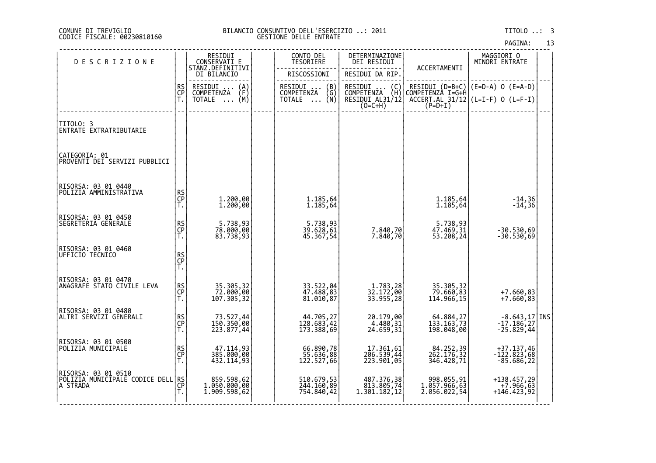#### DI TREVIGLIO BILANCIO CONSUNTIVO DELL'ESERCIZIO ..: 2011 TITOLO ..: 3 FISCALE: 00230810160 GESTIONE DELLE ENTRATE

| <b>DESCRIZIONE</b>                                                |                | RESIDUI<br>CONSERVATI E<br>STANZ.DEFINITIVI                    | CONTO DEL<br>TESORIERE                                                         | DETERMINAZIONE<br>DEI RESIDUI                                                                          |                                            | MAGGIORI 0<br>MINORI ENTRATE                                                               |  |
|-------------------------------------------------------------------|----------------|----------------------------------------------------------------|--------------------------------------------------------------------------------|--------------------------------------------------------------------------------------------------------|--------------------------------------------|--------------------------------------------------------------------------------------------|--|
|                                                                   |                | DI BILANCIO                                                    | RISCOSSIONI                                                                    | RESIDUI DA RIP.                                                                                        | ACCERTAMENTI                               |                                                                                            |  |
|                                                                   | RS<br>CP<br>Ť. | RESIDUI<br>$\binom{A}{F}$<br>COMPETENZA<br>TOTALE $\ldots$ (M) | RESIDUI<br>$\begin{pmatrix} B \\ G \\ N \end{pmatrix}$<br>COMPETENZA<br>TOTALE | RESIDUI<br>$\begin{pmatrix} C \\ H \end{pmatrix}$<br><b>COMPETENZA</b><br>RESIDUI AL31/12<br>$(O=C+H)$ | $(P=D+I)$                                  | RESIDUI (D=B+C) (E=D-A) O (E=A-D)<br>COMPETENZA I=G+H<br>ACCEŖĪ.AL_31/12 (L=I-F) O (L=F-I) |  |
| TITOLO: 3<br>ENTRATE EXTRATRIBUTARIE                              |                |                                                                |                                                                                |                                                                                                        |                                            |                                                                                            |  |
| CATEGORIA: 01<br>PROVENTI DEI SERVIZI PUBBLICI                    |                |                                                                |                                                                                |                                                                                                        |                                            |                                                                                            |  |
| RISORSA: 03 01 0440<br>POLIZIA AMMINISTRATIVA                     | RS<br>CP<br>T. | 1.200,00<br>1.200,00                                           | 1.185,64<br>1.185,64                                                           |                                                                                                        | 1.185,64<br>1.185,64                       | $-14,36$<br>$-14,36$                                                                       |  |
| RISORSA: 03 01 0450<br>SEGRETERIA GENERALE                        | RS<br>CP<br>T. | 5.738,93<br>78.000,00<br>83.738,93                             | 5.738,93<br>39.628,61<br>45.367,54                                             | 7.840,70<br>7.840,70                                                                                   | 5.738,93<br>47.469,31<br>53.208,24         | -30.530,69<br>-30.530,69                                                                   |  |
| RISORSA: 03 01 0460<br>UFFICIO TECNICO                            | RS<br>CP<br>T. |                                                                |                                                                                |                                                                                                        |                                            |                                                                                            |  |
| RISORSA: 03 01 0470<br>ANAGRAFE STATO CIVILE LEVA                 | RS<br>CP<br>T. | 35.305,32<br>72.000,00<br>107.305,32                           | 33.522,04<br>47.488,83<br>81.010,87                                            | 1.783,28<br>32.172,00<br>33.955,28                                                                     | 35.305,32<br>79.660,83<br>114.966,15       | +7.660,83<br>+7.660,83                                                                     |  |
| RISORSA: 03 01 0480<br>ALTRI SERVIZI GENERALI                     | RS<br>CP<br>T. | 73.527,44<br>150.350,00<br>223.877,44                          | 44.705,27<br>128.683,42<br>173.388,69                                          | 20.179,00<br>4.480,31<br>24.659,31                                                                     | 64.884,27<br>133.163,73<br>198.048,00      | $-8.643, 17$ INS<br>$-17.186, 27$<br>$-25.829,44$                                          |  |
| RISORSA: 03 01 0500<br>POLIZIA MUNICIPALE                         | RS<br>CP<br>T. | 47.114,93<br>385.000,00<br>432.114,93                          | 66.890,78<br>55.636,88<br>122.527,66                                           | 17.361,61<br>206.539,44<br>223.901,05                                                                  | 84.252,39<br>262.176,32<br>346.428,71      | +37.137,46<br>-122.823,68<br>$-85.686;22$                                                  |  |
| RISORSA: 03 01 0510<br> POLIZIA MUNICIPALE CODICE DELL RS <br> CP | Τ.             | 859.598,62<br>1.050.000,00<br>1.909.598,62                     | 510.679,53<br>244.160,89<br>754.840,42                                         | 487.376,38<br>813.805,74<br>1.301.182,12                                                               | 998.055,91<br>1.057.966,63<br>2.056.022,54 | +138.457,29<br>+7.966,63<br>$+146.423,92$                                                  |  |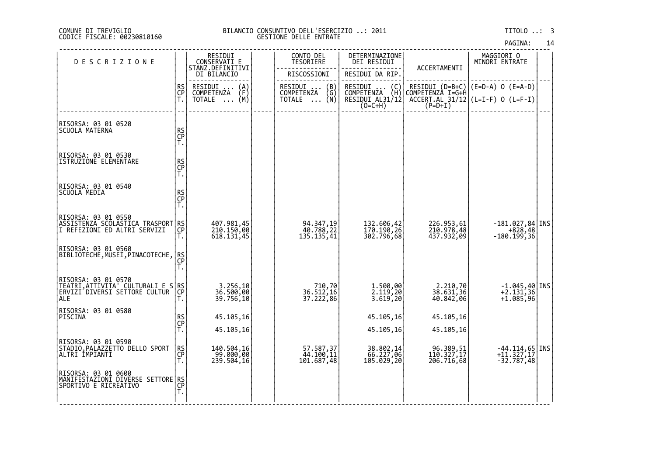#### DI TREVIGLIO BILANCIO CONSUNTIVO DELL'ESERCIZIO ..: 2011 TITOLO ..: 3 FISCALE: 00230810160 GESTIONE DELLE ENTRATE

| <b>DESCRIZIONE</b>                                                                                              |                 | RESIDUI<br>CONSERVATI E<br>STANZ.DEFINITIVI          | CONTO DEL<br>TESORIERE                                               | DETERMINAZIONE<br>DEI RESIDUI                                                        | ACCERTAMENTI                           | MAGGIORI O<br>MINORI ENTRATE                                                               |  |
|-----------------------------------------------------------------------------------------------------------------|-----------------|------------------------------------------------------|----------------------------------------------------------------------|--------------------------------------------------------------------------------------|----------------------------------------|--------------------------------------------------------------------------------------------|--|
|                                                                                                                 |                 | DI BILANCIO                                          | RISCOSSIONI                                                          | RESIDUI DA RIP.                                                                      |                                        |                                                                                            |  |
|                                                                                                                 | RS<br>CP        | RESIDUI<br>$\binom{A}{F}$<br><b>COMPETENZA</b>       | $\begin{pmatrix} B \\ G \\ N \end{pmatrix}$<br>RESIDUI<br>COMPETENZA | RESIDUI<br>$\left(\begin{smallmatrix} C \\ H \end{smallmatrix}\right)$<br>COMPETENZA |                                        | RESIDUI (D=B+C) (E=D-A) O (E=A-D)<br>COMPETENZA I=G+H<br>ACCEŖĪ.AL_31/12 (L=I-F) O (L=F-I) |  |
|                                                                                                                 | Ť.              | (M)<br>TOTALE                                        | TOTALE                                                               | RESIDUI AL31/12<br>$(0=C+H)$                                                         | $(P=D+I)$                              |                                                                                            |  |
| RISORSA: 03 01 0520                                                                                             |                 |                                                      |                                                                      |                                                                                      |                                        |                                                                                            |  |
| SCUOLA MATERNA                                                                                                  | RS<br>CP<br>T.  |                                                      |                                                                      |                                                                                      |                                        |                                                                                            |  |
| RISORSA: 03 01 0530                                                                                             |                 |                                                      |                                                                      |                                                                                      |                                        |                                                                                            |  |
| ISTRUZIONE ELEMENTARE                                                                                           | RS<br>CP<br>T.  |                                                      |                                                                      |                                                                                      |                                        |                                                                                            |  |
| RISORSA: 03 01 0540                                                                                             |                 |                                                      |                                                                      |                                                                                      |                                        |                                                                                            |  |
| SCUOLA MEDIA                                                                                                    | RS<br>CP<br>T.  |                                                      |                                                                      |                                                                                      |                                        |                                                                                            |  |
| RISORSA: 03 01 0550                                                                                             |                 |                                                      |                                                                      |                                                                                      |                                        |                                                                                            |  |
| ASSISTENZĂ SČŌLĂŠTICA TRASPORT RS<br> I REFEZIONI ED ALTRI SERVIZI  CP<br> T                                    |                 | 407.981,45<br>210.150,00<br>618.131,45               | 94.347,19<br>40.788,22<br>135.135,41                                 | 132.606,42<br>170.190,26<br>302.796,68                                               | 226.953,61<br>210.978,48<br>437.932,09 | $-181.027,84$ INS<br>$-1828,48$<br>180.199,36                                              |  |
| RISORSA: 03 01 0560                                                                                             |                 |                                                      |                                                                      |                                                                                      |                                        |                                                                                            |  |
| BIBLIOTECHE, MUSEI, PINACOTECHE,                                                                                | <b>RS</b><br>CP |                                                      |                                                                      |                                                                                      |                                        |                                                                                            |  |
| RISORSA: 03 01 0570<br> TEATRI,ATTIVITA' CULTURALI E S <sup> </sup> RS <br> TEATRI,ATTIVITA' CFTTORE CULTUR  CP |                 |                                                      |                                                                      |                                                                                      |                                        |                                                                                            |  |
| <b>ALE</b>                                                                                                      |                 | 3.256,10<br>36.500,00<br>39.756,10                   | 710,70<br>36.512,16<br>37.222,86                                     | 1.500,00<br>2.119,20<br>3.619,20                                                     | 2.210,70<br>38.631,36<br>40.842,06     | $\begin{array}{c} -1.045,40 \ +2.131,36 \end{array}$ INS<br>$+1.085,96$                    |  |
| RISORSA: 03 01 0580<br>PISCINA                                                                                  |                 | 45.105,16                                            |                                                                      | 45.105,16                                                                            | 45.105,16                              |                                                                                            |  |
|                                                                                                                 | RS<br>CP<br>T.  | 45.105,16                                            |                                                                      | 45.105,16                                                                            | 45.105,16                              |                                                                                            |  |
| RISORSA: 03 01 0590<br> STADIO,PALAZZETTO DELLO SPORT                                                           |                 |                                                      |                                                                      |                                                                                      |                                        |                                                                                            |  |
| ALTRI <i>IMPIANTI</i>                                                                                           | RS<br>CP<br>T.  | 140.504,16<br>$\frac{1}{99.000}$ , 00<br>239.504, 16 | 57.587,37<br>44.100,11<br>101.687,48                                 | 38.802,14<br>66.227,06<br>105.029,20                                                 | 96.389,51<br>110.327,17<br>206.716,68  | $-44.114,65$ INS<br>$+11.327,17$<br>$-32.787,48$                                           |  |
| RISORSA: 03 01 0600<br> MANIFESTAZIONI DIVERSE SETTORE RS<br> SPORTIVO E RICREATIVO                             |                 |                                                      |                                                                      |                                                                                      |                                        |                                                                                            |  |
|                                                                                                                 | Ť.              |                                                      |                                                                      |                                                                                      |                                        |                                                                                            |  |
|                                                                                                                 |                 |                                                      |                                                                      |                                                                                      |                                        |                                                                                            |  |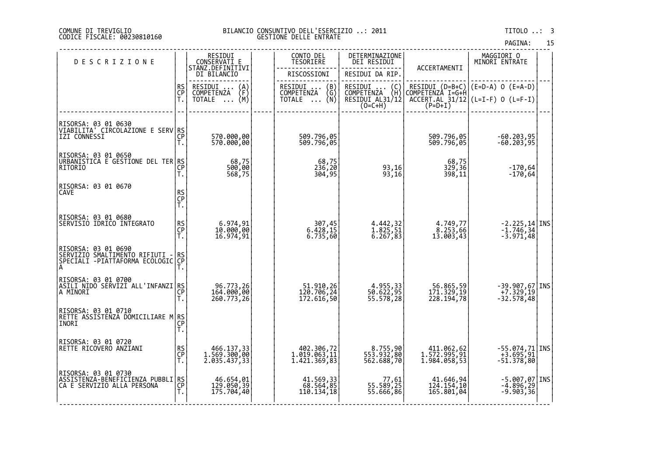#### DI TREVIGLIO BILANCIO CONSUNTIVO DELL'ESERCIZIO ..: 2011 TITOLO ..: 3 FISCALE: 00230810160 GESTIONE DELLE ENTRATE

| PAGINA: | 15 |
|---------|----|

| <b>DESCRIZIONE</b>                                                                                                                   |                       | RESIDUI<br>CONSERVATI E<br>STANZ.DEFINITIVI | CONTO DEL<br><b>TESORIERE</b>              | DETERMINAZIONE<br>DEI RESIDUI                                   | ACCERTAMENTI                               | MAGGIORI 0<br>MINORI ENTRATE                                               |  |
|--------------------------------------------------------------------------------------------------------------------------------------|-----------------------|---------------------------------------------|--------------------------------------------|-----------------------------------------------------------------|--------------------------------------------|----------------------------------------------------------------------------|--|
|                                                                                                                                      |                       | DI BILANCIO                                 | RISCOSSIONI                                | RESIDUI DA RIP.                                                 |                                            |                                                                            |  |
|                                                                                                                                      | RS<br>CP              | RESIDUI<br>COMPETENZA<br>$\binom{A}{F}$     | RESIDUI  (B)<br>COMPETENZA (G)             | RESIDUI<br>$\begin{pmatrix} C \\ H \end{pmatrix}$<br>COMPETENZA | RESIDUI (D=B+C)<br>  COMPETENZA I=G+H      | (E=D-A) 0 (E=A-D)                                                          |  |
|                                                                                                                                      | Ť.                    | (M)<br>TOTALE<br>$\cdots$                   | ∖ŭ}<br><b>TOTALE</b><br>$\cdots$           | RESIDUI AL31/12<br>$(0=C+H)$                                    |                                            | $\overline{ACCERT.AL}$ 31/12 (L=I-F) 0 (L=F-I)<br>(P=D+I)                  |  |
| RISORSA: 03 01 0630<br>VIABILITA' CIRCOLAZIONE E SERV RS<br>IZI CONNESSI                                                             | CP<br>Ť.              | 570.000,00<br>570.000,00                    | 509.796,05<br>509.796,05                   |                                                                 | 509.796,05<br>509.796,05                   | -60.203,95<br>-60.203,95                                                   |  |
| RISORSA: 03 01 0650<br>URBANISTICA E GESTIONE DEL TER RS<br><b>RITORIO</b>                                                           | СP<br>T.              | 68,75<br>500,00<br>568,75                   | 68,75<br>236,20<br>304,95                  | 93,16<br>93,16                                                  | 68,75<br>329,36<br>398,11                  | $-170,64$<br>$-170,64$                                                     |  |
| RISORSA: 03 01 0670<br>CAVE                                                                                                          | RS<br>CP<br>T.        |                                             |                                            |                                                                 |                                            |                                                                            |  |
| RISORSA: 03 01 0680<br>SERVISIO IDRICO INTEGRATO                                                                                     | RS<br>CP<br>T.        | 6.974,91<br>10.000,00<br>16.974,91          | 307,45<br>6.428,15<br>6.735,60             | 4.442,32<br>1.825,51<br>6.267,83                                | 4.749,77<br>8.253,66<br>13.003,43          | $\begin{bmatrix} -2.225, 14 \\ -1.746, 34 \\ -3.971, 48 \end{bmatrix}$ INS |  |
| RISORSA: 03 01 0690<br>SERVIZIO SMALTIMENTO RIFIUTI -<br>SERVIZIO ŠMALTIMENTO RIFIUTI - RS<br>SPECIALI -PIATTAFORMA ECOLOGIC CP<br>А |                       |                                             |                                            |                                                                 |                                            |                                                                            |  |
| RISORSA: 03 01 0700<br> ASILI NIDO SERVIZI ALL'INFANZI <br>A MINORI                                                                  | RS<br>CP<br>T.        | 96.773,26<br>164.000,00<br>260.773,26       | 51.910,26<br>120.706,24<br>172.616,50      | 4.955,33<br>50.622,95<br>55.578,28                              | 56.865,59<br>171.329,19<br>228.194,78      | $-39.907,67$ INS<br>+7.329,19<br>$-32.578,48$                              |  |
| RISORSA: 03 01 0710<br>RETTE ASSISTENZA DOMICILIARE M RS<br>INORI                                                                    | Ť.                    |                                             |                                            |                                                                 |                                            |                                                                            |  |
| RISORSA: 03 01 0720<br>RETTE RICOVERO ANZIANI                                                                                        | <b>RS</b><br>CP<br>T. | 466.137,33<br>1.569.300,00<br>2.035.437,33  | 402.306,72<br>1.019.063,11<br>1.421.369,83 | 8.755,90<br>553.932,80<br>562.688,70                            | 411.062,62<br>1.572.995,91<br>1.984.058,53 | -55.074,71 INS<br>+3.695,91<br>-51.378,80                                  |  |
| RISORSA: 03 01 0730<br> ASSISTENZA-BENEFICIENZA PUBBLI RS <br> ASSISTENTITIO ALLA PERSONA                                            | Ť.                    | 46.654,01<br>129.050,39<br>175.704,40       | 41.569,33<br>68.564,85<br>110.134,18       | 61, 77<br>55.589, 55<br>55.666,86                               | 41.646,94<br>124.154,10<br>165.801,04      | $-5.007,07$ INS<br>$-4.896,29$<br>$-9.903,36$                              |  |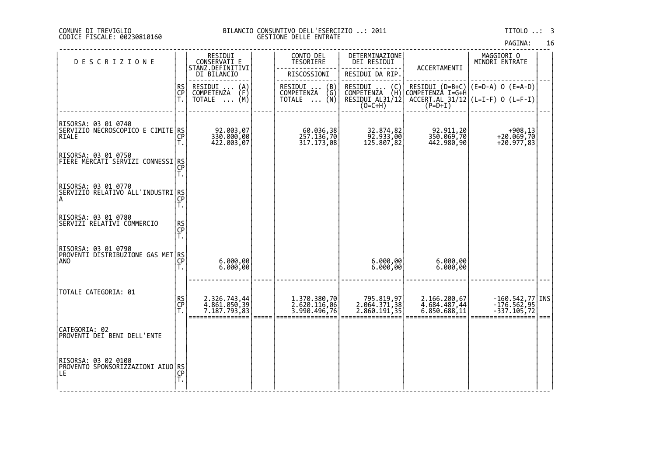#### DI TREVIGLIO BILANCIO CONSUNTIVO DELL'ESERCIZIO ..: 2011 TITOLO ..: 3 FISCALE: 00230810160 GESTIONE DELLE ENTRATE

| <b>DESCRIZIONE</b>                                                       |                | RESIDUI<br>CONSERVATI E<br>STANZ.DEFINITIVI  |                     | CONTO DEL<br>TESORIERE                                          | DETERMINAZIONE<br>DEI RESIDUI              | ACCERTAMENTI                 | MAGGIORI 0<br>MINORI ENTRATE                                       |      |
|--------------------------------------------------------------------------|----------------|----------------------------------------------|---------------------|-----------------------------------------------------------------|--------------------------------------------|------------------------------|--------------------------------------------------------------------|------|
|                                                                          |                | DI BILANCIO                                  |                     | RISCOSSIONI                                                     | RESIDUI DA RIP.                            |                              |                                                                    |      |
|                                                                          | RS<br>CP<br>T. | RESIDUI<br>$\{A\}$<br>COMPETENZA             |                     | RESIDUI<br>$\begin{pmatrix} B \\ G \end{pmatrix}$<br>COMPETENZA | RESIDUI<br>(C)<br>∖H)<br>COMPETENZA        | COMPETENZA I=G+H             |                                                                    |      |
|                                                                          |                | TOTALE  (M)                                  |                     | (N)<br>TOTALE                                                   | RESIDUI AL31/12<br>$(0=C+H)$               |                              | $\widetilde{\text{ACCERT}}$ .AL 31/12 (L=I-F) O (L=F-I)<br>(P=D+I) |      |
| RISORSA: 03 01 0740<br>SERVIZIO NECROSCOPICO E CIMITE RS<br><b>RIALE</b> |                | 92.003,07                                    |                     | 60.036,38                                                       | 32.874,82<br>92.933,00<br>125.807,82       | 92.911,20                    | 4908,13<br>20.069,70<br>20.977,83+                                 |      |
|                                                                          | CP<br>T.       | 330.000,00<br>422.003,07                     |                     | 257.136,70<br>317.173,08                                        |                                            | 350.069,70<br>442.980,90     |                                                                    |      |
| RISORSA: 03 01 0750<br> FIERE MERCATI SERVIZI CONNESSI RS <br> CP        | T.             |                                              |                     |                                                                 |                                            |                              |                                                                    |      |
| RISORSA: 03 01 0770<br>SERVIŽIO ŘELĂTIVO ALL'INDUSTRI RS<br> A<br> -     |                |                                              |                     |                                                                 |                                            |                              |                                                                    |      |
| RISORSA: 03 01 0780<br>SERVIZI RELATIVI COMMERCIO                        | RS<br>CP<br>T. |                                              |                     |                                                                 |                                            |                              |                                                                    |      |
| RISORSA: 03 01 0790<br>PROVENTI DISTRIBUZIONE GAS MET RS<br><b>ANO</b>   | CP<br>T.       | 6.000,00<br>6.000,00                         |                     |                                                                 | 6.000,00<br>6.000,00                       | 6.000,00<br>6.000,00         |                                                                    |      |
| TOTALE CATEGORIA: 01                                                     |                |                                              |                     |                                                                 |                                            | 2.166.200,67<br>4.684.487,44 |                                                                    |      |
|                                                                          | RS<br>CP<br>T. | 2.326.743,44<br>4.861.050,39<br>7.187.793,83 |                     | 1.370.380,70<br>2.620.116,06<br>3.990.496,76                    | 795.819,97<br>2.064.371,38<br>2.860.191,35 | 6.850.688,11                 | -160.542,77 INS<br>-176.562,95 <br>-337.105,72                     |      |
| CATEGORIA: 02<br>PROVENTI DEI BENI DELL'ENTE                             |                |                                              | $=$ $=$ $=$ $=$ $=$ |                                                                 |                                            |                              |                                                                    | $==$ |
| RISORSA: 03 02 0100<br> PROVENTO SPONSORIZZAZIONI AIUO RS<br>LE          | CP<br>T.       |                                              |                     |                                                                 |                                            |                              |                                                                    |      |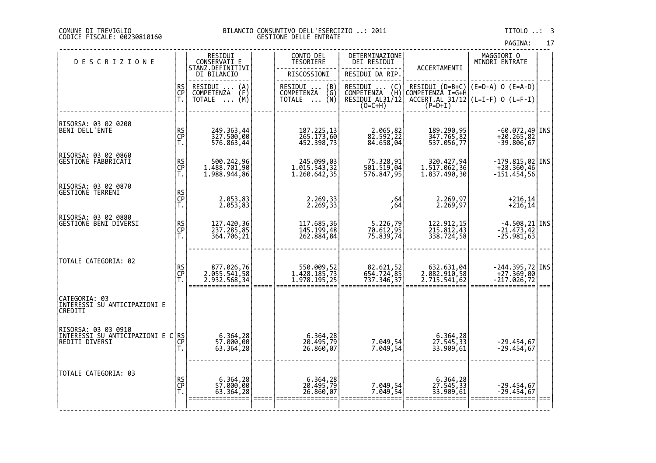#### COMUNE DI TREVIGLIO BILANCIO CONSUNTIVO DELL'ESERCIZIO ..: 2011 TITOLO ..: 3 CODICE FISCALE: 00230810160 GESTIONE DELLE ENTRATE

| PAGINA: |  |
|---------|--|
|         |  |

|                                                                         |                |                                                                      |                                               |                                                                                                                             |                                                                                                                                            | PAGINA:                                                                               | 17 |
|-------------------------------------------------------------------------|----------------|----------------------------------------------------------------------|-----------------------------------------------|-----------------------------------------------------------------------------------------------------------------------------|--------------------------------------------------------------------------------------------------------------------------------------------|---------------------------------------------------------------------------------------|----|
| <b>DESCRIZIONE</b>                                                      |                | RESIDUI<br>CONSERVATI_E<br>STANZ.DEFINITIVI                          | CONTO DEL<br><b>TESORIERE</b>                 | DETERMINAZIONE<br>DEI RESIDUI                                                                                               | ACCERTAMENTI                                                                                                                               | MAGGIORI 0<br>MINORI ENTRATE                                                          |    |
|                                                                         |                | DI BILANCIO                                                          | RISCOSSIONI                                   | RESIDUI DA RIP.                                                                                                             |                                                                                                                                            |                                                                                       |    |
|                                                                         | RS<br>CP<br>T. | RESIDUI<br>COMPETENZA<br>$\binom{A}{F}$<br>(M)<br>TOTALE<br>$\ldots$ | RESIDUI  (B)<br>COMPETENZA (G)<br>TOTALE  (N) | RESIDUI<br>$\left(\begin{smallmatrix} C \\ H \end{smallmatrix}\right)$<br><b>COMPETENZA</b><br>RESIDUI AL31/12<br>$(0=C+H)$ | RESIDUI (D=B+C)<br>COMPETENZA I=G+H<br>$\left[\begin{smallmatrix} 2 & 1 & 1 \\ 1 & 2 & 3 \\ 2 & 3 & 5 \end{smallmatrix}\right]$<br>(P=D+I) | $(E=D-A)$ 0 $(E=A-D)$<br>$(L=I-F)$ 0 $(L=F-I)$                                        |    |
| RISORSA: 03 02 0200<br>BENI DELL'ENTE                                   | RS<br>CP<br>T. | 249.363,44<br>327.500,00<br>576.863,44                               | 187.225,13<br>265.173,60<br>452.398,73        | 2.065,82<br>82.592,22<br>84.658,04                                                                                          | 189.290,95<br>347.765,82<br>537.056,77                                                                                                     | $-60.072,49$ INS<br>+20.265,82<br>$-39.806,67$                                        |    |
| RISORSA: 03 02 0860<br>GESTIONE FABBRICATI                              | RS<br>CP<br>T. | 500.242,96<br>1.488.701,90<br>1.988.944,86                           | 245.099,03<br>1.015.543,32<br>1.260.642,35    | 75.328,91<br>501.519,04<br>576.847,95                                                                                       | 320.427,94<br>1.517.062,36<br>1.837.490,30                                                                                                 | $-179.815,02$ INS<br>$+28.360,46$<br>$-151.454,56$                                    |    |
| RISORSA: 03 02 0870<br><b>GESTIONE TERRENI</b>                          | RS<br>CP<br>T. | 2.053,83<br>2.053,83                                                 | 2.269,33<br>2.269,33                          | ,64<br>,64                                                                                                                  | 2.269,97<br>2.269,97                                                                                                                       | $+216, 14$<br>$+216,14$                                                               |    |
| RISORSA: 03 02 0880<br>GESTIONE BENI DIVERSI                            | RS<br>CP<br>T. | 127.420,36<br>237.285,85<br>364.706,21                               | 117.685,36<br>145.199,48<br>262.884,84        | 5.226,79<br>70.612,95<br>75.839,74                                                                                          | 122.912,15<br>215.812,43<br>338.724,58                                                                                                     | $\begin{bmatrix} -4.508, 21   \text{INS} \\ -21.473, 42 \\ -25.981, 63 \end{bmatrix}$ |    |
| TOTALE CATEGORIA: 02                                                    | RS<br>CP<br>T. | 877.026,76<br>2.055.541,58<br>2.932.568,34                           | 550.009,52<br>1.428.185,73<br>1.978.195,25    | 82.621,52<br>654.724,85<br>737.346,37                                                                                       | 632.631,04<br>2.082.910,58<br>2.715.541,62                                                                                                 | -244.395,72 INS<br>+27.369,00<br>-217.026,72                                          |    |
| CATEGORIA: 03<br>INTERESSI SU ANTICIPAZIONI E<br>CREDITI                |                |                                                                      |                                               |                                                                                                                             |                                                                                                                                            |                                                                                       |    |
| RISORSA: 03 03 0910<br>INTERESSI SU ANTICIPAZIONI E C<br>REDITI DIVERSI | RS<br>CP<br>T. | 6.364,28<br>57.000,00<br>63.364,28                                   | 6.364,28<br>20.495,79<br>26.860,07            | 7.049,54<br>7.049,54                                                                                                        | 6.364,28<br>27.545,33<br>33.909,61                                                                                                         | -29.454,67<br>-29.454,67                                                              |    |
| TOTALE CATEGORIA: 03                                                    | RS<br>CP<br>T. | 6.364,28<br>57.000,00<br>63.364,28                                   | $6.364, 28$<br>20.495,79<br>26.860,07         | 7.049,54<br>7.049,54                                                                                                        | 6.364,28<br>27.545,33<br>33.909,61                                                                                                         | $-29.454,67$<br>$-29.454,67$                                                          |    |
|                                                                         |                |                                                                      |                                               |                                                                                                                             |                                                                                                                                            |                                                                                       |    |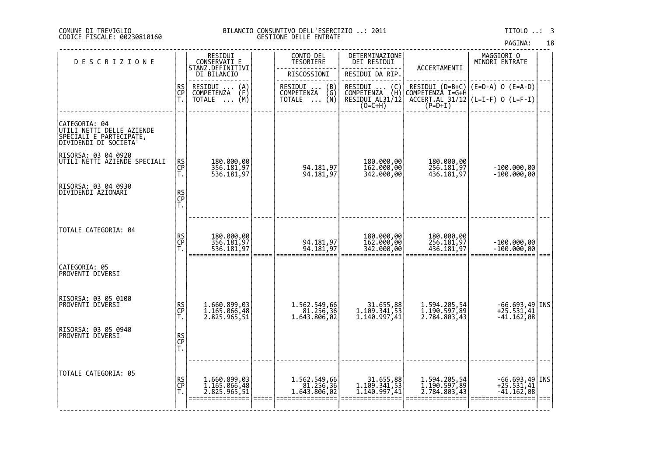#### DI TREVIGLIO BILANCIO CONSUNTIVO DELL'ESERCIZIO ..: 2011 TITOLO ..: 3 FISCALE: 00230810160 GESTIONE DELLE ENTRATE

|                                                                       |                |                                                                        |      |                                               |                                           |                                              | <b>PAGINA:</b>                                                                                                      |      |
|-----------------------------------------------------------------------|----------------|------------------------------------------------------------------------|------|-----------------------------------------------|-------------------------------------------|----------------------------------------------|---------------------------------------------------------------------------------------------------------------------|------|
| <b>DESCRIZIONE</b>                                                    |                | RESIDUI<br>CONSERVATI E<br>STANZ.DEFINITIVI                            |      | CONTO DEL<br>TESORIERE                        | DETERMINAZIONE<br>DEI RESIDUI             | ACCERTAMENTI                                 | MAGGIORI O<br>MINORI ENTRATE                                                                                        |      |
|                                                                       |                | DI BILANCIO                                                            |      | RISCOSSIONI                                   | RESIDUI DA RIP.                           |                                              |                                                                                                                     |      |
|                                                                       | RS<br>CP<br>T. | RESIDUI<br>COMPETENZA<br>RESIDUI  (A)<br>COMPETENZA (F)<br>TOTALE  (M) |      | RESIDUI  (B)<br>COMPETENZA (G)<br>TOTALE  (N) | RESIDUI<br>COMPETENZA<br>$\binom{C}{H}$   | RESIDUI (D=B+C)<br>COMPETENZA I=G+H          | $(E=D-A)$ O $(E=A-D)$                                                                                               |      |
|                                                                       |                |                                                                        |      |                                               | RESIDUI AL31/12<br>$(0=C+H)$              |                                              | $\left[\begin{array}{cc} \text{ACCERT.AL} & 31/12 \\ \text{ACCERT.AL} & 31/12 \end{array}\right]$ (L=I-F) 0 (L=F-I) |      |
| CATEGORIA: 04<br>UTILI NETTI DELLE AZIENDE<br>SPECIALI E PARTECIPATE, |                |                                                                        |      |                                               |                                           |                                              |                                                                                                                     |      |
| RISORSA: 03 04 0920<br> UTILI NETTI AZIENDE SPECIALI                  | RS<br>CP<br>T. | 180.000,00<br>356.181,97<br>536.181,97                                 |      | 94.181,97<br>94.181,97                        | 180.000,00<br>162.000,00<br>342.000,00    | 180.000,00<br>256.181,97<br>436.181,97       | $-100.000,00$<br>$-100.000,00$                                                                                      |      |
| RISORSA: 03 04 0930<br>DIVIDENDI AZIONARI                             | RS<br>CP<br>T. |                                                                        |      |                                               |                                           |                                              |                                                                                                                     |      |
| TOTALE CATEGORIA: 04                                                  | RS<br>CP<br>T. | 180.000,00<br>356.181,97<br>536.181,97                                 | ==== | 94.181,97<br>94.181,97                        | 180.000,00<br>162.000,00<br>342.000,00    | 180.000,00<br>256.181,97<br>436.181,97       | -100.000,00<br>100.000,00                                                                                           | $==$ |
| CATEGORIA: 05<br>PROVENTI DIVERSI                                     |                |                                                                        |      |                                               |                                           |                                              |                                                                                                                     |      |
| RISORSA: 03 05 0100<br>PROVENTI DIVERSI                               | RS<br>CP<br>T. | 1.660.899,03<br>1.165.066,48<br>2.825.965,51                           |      | 1.562.549,66<br>81.256,36<br>1.643.806,02     | 31.655,88<br>1.109.341,53<br>1.140.997,41 | 1.594.205,54<br>1.190.597,89<br>2.784.803,43 | $-66.693,49$ INS<br>+25.531,41<br>$-41.162,08$                                                                      |      |
| RISORSA: 03 05 0940<br>PROVENTI DIVERSI                               | RS<br>CP<br>T. |                                                                        |      |                                               |                                           |                                              |                                                                                                                     |      |
| TOTALE CATEGORIA: 05                                                  | RS<br>CP<br>T. | 1.660.899,03<br>1.165.066,48<br>2.825.965,51                           |      | 1.562.549,66<br>81.256, 36<br>1.643.806,02    | 31.655,88<br>1.109.341,53<br>1.140.997,41 | 1.594.205,54<br>1.190.597,89<br>2.784.803,43 | $-66.693,49$ INS<br>+25.531,41<br>$-41.162,08$                                                                      |      |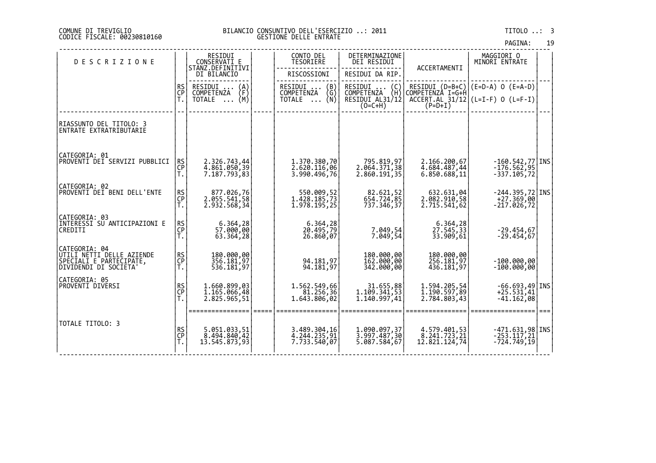#### DI TREVIGLIO BILANCIO CONSUNTIVO DELL'ESERCIZIO ..: 2011 TITOLO ..: 3 FISCALE: 00230810160 GESTIONE DELLE ENTRATE

‐‐‐‐‐‐‐‐‐‐‐‐‐‐‐‐‐‐‐‐‐‐‐‐‐‐‐‐‐‐‐‐‐‐‐‐‐‐‐‐‐‐‐‐‐‐‐‐‐‐‐‐‐‐‐‐‐‐‐‐‐‐‐‐‐‐‐‐‐‐‐‐‐‐‐‐‐‐‐‐‐‐‐‐‐‐‐‐‐‐‐‐‐‐‐‐‐‐‐‐‐‐‐‐‐‐‐‐‐‐‐‐‐‐‐‐‐‐‐‐‐‐‐‐‐‐‐‐‐

19

|                                                                              |                       |                                                                      |                                                             |                                                                                    |                                              | PAGINA:                                                                         | 19   |
|------------------------------------------------------------------------------|-----------------------|----------------------------------------------------------------------|-------------------------------------------------------------|------------------------------------------------------------------------------------|----------------------------------------------|---------------------------------------------------------------------------------|------|
| <b>DESCRIZIONE</b>                                                           |                       | RESIDUI<br>CONSERVATI E<br>STANZ.DEFINITIVI                          | CONTO DEL<br>TESORIERE                                      | DETERMINAZIONE<br>DEI RESIDUI                                                      | ACCERTAMENTI                                 | MAGGIORI O<br>MINORI ENTRATE                                                    |      |
|                                                                              |                       | DI BILANCIO                                                          | RISCOSSIONI                                                 | RESIDUI DA RIP.                                                                    |                                              |                                                                                 |      |
|                                                                              | <b>RS</b><br>CP<br>T. | RESIDUI<br>$\{A\}$<br><b>COMPETENZA</b><br>(M)<br>TOTALE<br>$\cdots$ | RESIDUI<br>(B)<br><b>COMPETENZA</b><br>(G)<br>TOTALE<br>(N) | RESIDUI<br>$\begin{pmatrix} 0 \\ H \end{pmatrix}$<br>COMPETENZA<br>RESIDUI AL31/12 | COMPETENZÀ I=G+H                             | RESIDUI $(D=B+C)$ $(E=D-A)$ O $(E=A-D)$<br>$ACCERT. AL 31/12 (L=I-F) 0 (L=F-I)$ |      |
|                                                                              |                       |                                                                      |                                                             | $(0=C+H)$                                                                          | $(P=D+I)$                                    |                                                                                 |      |
| RIASSUNTO DEL TITOLO: 3<br>ENTRATE EXTRATRIBUTARIE                           |                       |                                                                      |                                                             |                                                                                    |                                              |                                                                                 |      |
|                                                                              |                       |                                                                      |                                                             |                                                                                    |                                              |                                                                                 |      |
| CATEGORIA: 01<br>PROVENTI DEI SERVIZI PUBBLICI                               | RS<br>CP<br>T.        | 2.326.743,44<br>4.861.050,39<br>7.187.793,83                         | 1.370.380,70<br>2.620.116,06<br>3.990.496,76                | 795.819,97<br>2.064.371,38<br>2.860.191,35                                         | 2.166.200,67<br>4.684.487,44<br>6.850.688,11 | $-160.542,77$ INS<br>$-176.562,95$<br>$-337.105,72$                             |      |
| CATEGORIA: 02<br>PROVENTI DEI BENI DELL'ENTE                                 | RS<br>CP              | 877.026,76<br>$2.\overline{0}55.\overline{5}41,58$                   | 550.009,52<br>1.428.185,73                                  | 82.621,52<br>654.724,85                                                            | 632.631,04<br>$2.\overline{082}.910,58$      | $-244.395,72$ INS<br>$+27.369,00$                                               |      |
|                                                                              | T.                    | 2.932.568,34                                                         | 1.978.195,25                                                | 737.346,37                                                                         | 2.715.541,62                                 | $-217.026,72$                                                                   |      |
| CATEGORIA: 03<br>INTERESSI SU ANTICIPAZIONI E<br>CREDITI                     | RS<br>CP<br>T.        | 6.364,28<br>57.000,00<br>63.364,28                                   | 6.364,28<br>20.495,79<br>26.860,07                          | 7.049,54<br>7.049,54                                                               | 6.364,28<br>27.545,33<br>33.909,61           | $-29.454,67$<br>$-29.454,67$                                                    |      |
| CATEGORIA: 04                                                                |                       |                                                                      |                                                             |                                                                                    |                                              |                                                                                 |      |
| UTILI NETTI DELLE AZIENDE<br>SPECIALI E PARTECIPATE,<br>DIVIDENDI DI SOCIETA | RS<br>CP<br>T.        | 180.000,00<br>356.181,97<br>536.181,97                               | 94.181,97<br>94.181,97                                      | 180.000,00<br>162.000,00<br>342.000,00                                             | 180.000,00<br>256.181,97<br>436.181,97       | $-100.000,00$<br>$-100.000,00$                                                  |      |
| CATEGORIA: 05<br><b>PROVENTI DIVERSI</b>                                     | RS<br>CP<br>T.        | 1.660.899,03<br>1.165.066,48                                         | 1.562.549,66<br>81.256, 36                                  | 31.655,88<br>1.109.341,53                                                          | 1.594.205,54<br>1.190.597,89                 | $-66.693,49$ INS<br>$+25.531,41$                                                |      |
|                                                                              |                       | 2.825.965,51                                                         | 1.643.806,02                                                | 1.140.997,41                                                                       | 2.784.803,43                                 | $-41.162,08$                                                                    |      |
|                                                                              |                       |                                                                      |                                                             |                                                                                    |                                              |                                                                                 | $==$ |
| TOTALE TITOLO: 3                                                             |                       | 5.051.033,51                                                         | 3.489.304,16                                                | 1.090.097,37                                                                       | 4.579.401,53                                 | $-471.631,98$ INS                                                               |      |
|                                                                              | RS<br>CP<br>T.        | 8.494.840,42<br>13.545.873,93                                        | 4.244.235,91<br>7.733.540,07                                | 3.997.487,30<br>5.087.584,67                                                       | 8.241.723,21<br>12.821.124,74                | $-253.117,21$<br>$-724.749,19$                                                  |      |
|                                                                              |                       |                                                                      |                                                             |                                                                                    |                                              |                                                                                 |      |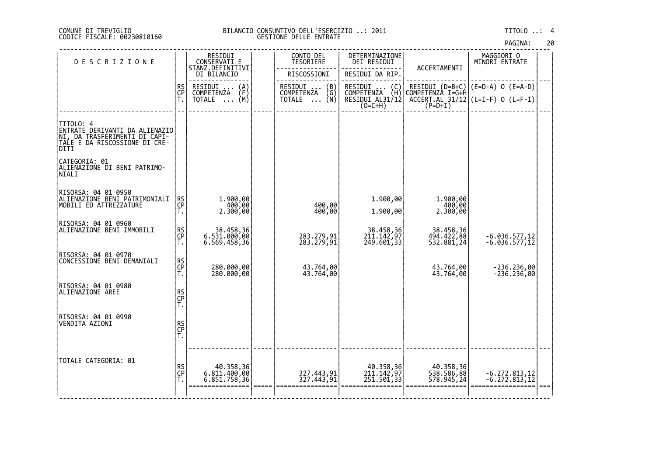#### DI TREVIGLIO BILANCIO CONSUNTIVO DELL'ESERCIZIO ..: 2011 TITOLO ..: 4 FISCALE: 00230810160 GESTIONE DELLE ENTRATE

| <b>DESCRIZIONE</b>                                                                                                    |                | RESIDUI<br>CONSERVATI E<br>STANZ.DEFINITIVI              | CONTO DEL<br>TESORIERE                        | DETERMINAZIONE<br>DEI RESIDUI                  | ACCERTAMENTI                          | MAGGIORI O<br>MINORI ENTRATE         |  |
|-----------------------------------------------------------------------------------------------------------------------|----------------|----------------------------------------------------------|-----------------------------------------------|------------------------------------------------|---------------------------------------|--------------------------------------|--|
|                                                                                                                       |                | DI BILANCIO                                              | RISCOSSIONI                                   | RESIDUI DA RIP.                                |                                       |                                      |  |
|                                                                                                                       | RS<br>CP<br>Ť. | RESIDUI<br>$\binom{A}{F}$<br>COMPETENZA<br>(M)<br>TOTALE | RESIDUI  (B)<br>COMPETENZA (G)<br>TOTALE  (N) | RESIDUI<br>$\binom{C}{H}$<br><b>COMPETENZA</b> | RESIDUI (D=B+C)<br> COMPETENZA I=G+H  | (E=D-A) 0 (E=A-D)                    |  |
|                                                                                                                       |                |                                                          |                                               | RESIDUI AL31/12<br>$(O=C+H)$                   | $(P=D+I)$                             | $ACCER$ T.AL_31/12 (L=I-F) 0 (L=F-I) |  |
| TITOLO: 4<br>ENTRATE DERIVANTI DA ALIENAZIO<br>NI, DA TRASFERIMENTI DI CAPI-<br>TALE E DA RISCOSSIONE DI CRE-<br>DITI |                |                                                          |                                               |                                                |                                       |                                      |  |
| CATEGORIA: 01<br>ALIENAZIONE DI BENI PATRIMO-<br>İNIALI                                                               |                |                                                          |                                               |                                                |                                       |                                      |  |
| RISORSA: 04 01 0950<br> ALIENAZIONE_ <u>BENI_PATRI</u> MONIALI<br>MOBILI ED ATTREZZATURE                              | RS<br>CP<br>T. | 1.900,00<br>400,00<br>2.300,00                           | 400,00<br>400,00                              | 1.900,00<br>1.900,00                           | 1.900,00<br>400,00<br>2.300,00        |                                      |  |
| RISORSA: 04 01 0960<br> ALIENAZIONE BENI IMMOBILI                                                                     | RS<br>CP<br>Ť. | 38.458,36<br>6.531.000,00<br>6.569.458,36                | 283.279,91<br>283.279,91                      | 38.458,36<br>211.142,97<br>249.601,33          | 38.458,36<br>494.422,88<br>532.881,24 | $-6.036.577,12$<br>$-6.036.577,12$   |  |
| RISORSA: 04 01 0970<br>CONCESSIONE BENI DEMANIALI                                                                     | RS<br>CP<br>T. | 280.000,00<br>280.000,00                                 | 43.764,00<br>43.764,00                        |                                                | 43.764,00<br>43.764,00                | $-236.236,00$<br>$-236.236,00$       |  |
| RISORSA: 04 01 0980<br>ALIENAZIONE AREE                                                                               | RS<br>CP<br>T. |                                                          |                                               |                                                |                                       |                                      |  |
| RISORSA: 04 01 0990<br>VENDITA AZIONI                                                                                 | RS<br>CP<br>T. |                                                          |                                               |                                                |                                       |                                      |  |
| TOTALE CATEGORIA: 01                                                                                                  | RS<br>CP<br>T. | 40.358,36<br>6.811.400,00<br>6.851.758,36                | 327.443,91<br>327.443,91                      | 40.358,36<br>211.142,97<br>251.501,33          | 40.358,36<br>538.586,88<br>578.945,24 | -6.272.813,12<br>-6.272.813,12       |  |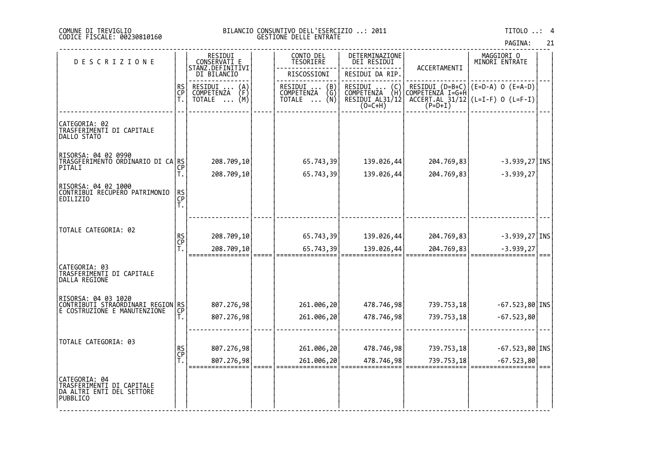#### COMUNE DI TREVIGLIO BILANCIO CONSUNTIVO DELL'ESERCIZIO ..: 2011 TITOLO ..: 4 CODICE FISCALE: 00230810160 GESTIONE DELLE ENTRATE

| PAGINA: |  | 21 |
|---------|--|----|
|         |  |    |

| <b>DESCRIZIONE</b>                                                                           |                      | RESIDUI<br>CONSERVATI E<br>STANZ.DEFINITIVI<br>DI BILANCIO | CONTO DEL<br>TESORIERE<br>RISCOSSIONI | DETERMINAZIONE<br>DEI RESIDUI<br>RESIDUI DA RIP | ACCERTAMENTI                                                                                                    | MAGGIORI 0<br>MINORI ENTRATE |  |
|----------------------------------------------------------------------------------------------|----------------------|------------------------------------------------------------|---------------------------------------|-------------------------------------------------|-----------------------------------------------------------------------------------------------------------------|------------------------------|--|
|                                                                                              | RS<br>CP<br>T.       | RESIDUI<br>COMPETENZA<br>(A)<br>(F)                        | RESIDUI<br>COMPETENZA<br>(B)<br>(G)   | RESIDUI<br>COMPETENZA<br>(C)<br>(H)             | RESIDUI (D=B+C)<br>COMPETENZA I=G+H                                                                             | $(E=D-A)$ O $(E=A-D)$        |  |
|                                                                                              |                      | (M)<br>TOTALE<br>$\ddots$                                  | TOTALE<br>(N)<br>$\cdots$             | RESIDUI AL31/12<br>$(O=C+H)$                    | $\left[\begin{array}{cc} \text{ACCERT.AL} & \text{31/12} \\ \text{ACCERT.AL} & \text{31/12} \end{array}\right]$ | $(L=I-F)$ O $(L=F-I)$        |  |
| CATEGORIA: 02<br>TRASFERIMENTI DI CAPITALE<br>DALLO STATO                                    |                      |                                                            |                                       |                                                 |                                                                                                                 |                              |  |
| RISORSA: 04 02 0990<br>TRASGFERIMENTO ORDINARIO DI CA RS<br>PITALI                           |                      | 208.709,10                                                 | 65.743,39                             | 139.026,44                                      | 204.769,83                                                                                                      | $-3.939,27$ INS              |  |
| RISORSA: 04 02 1000<br>CONTRIBUI RECUPERO PATRIMONIO<br>EDILIZIO                             | Т.<br>RS<br>CP<br>T. | 208.709,10                                                 | 65.743,39                             | 139.026,44                                      | 204.769,83                                                                                                      | $-3.939, 27$                 |  |
|                                                                                              |                      |                                                            |                                       |                                                 |                                                                                                                 |                              |  |
| TOTALE CATEGORIA: 02                                                                         | RS<br>CP<br>T.       | 208.709,10                                                 | 65.743,39                             | 139.026,44                                      | 204.769,83                                                                                                      | $-3.939,27$ INS              |  |
|                                                                                              |                      | 208.709,10<br>===========                                  | 65.743,39                             | 139.026,44                                      | 204.769,83                                                                                                      | $-3.939, 27$<br>:=======     |  |
| CATEGORIA: 03<br>TRASFERIMENTI DI CAPITALE<br>DALLA REGIONE                                  |                      |                                                            |                                       |                                                 |                                                                                                                 |                              |  |
| RISORSA: 04 03 1020<br>CONTRIBUTI STRAORDINARI REGION RS<br>E COSTRUZIONE E MANUTENZIONE CP  |                      | 807.276,98                                                 | 261.006,20                            | 478.746,98                                      | 739.753,18                                                                                                      | $-67.523,80$ INS             |  |
|                                                                                              |                      | 807.276,98                                                 | 261.006,20                            | 478.746,98                                      | 739.753,18                                                                                                      | $-67.523,80$                 |  |
| TOTALE CATEGORIA: 03                                                                         |                      |                                                            |                                       |                                                 |                                                                                                                 |                              |  |
|                                                                                              | RS<br>CP<br>T.       | 807.276,98                                                 | 261.006,20                            | 478.746,98                                      | 739.753,18                                                                                                      | $-67.523,80$ INS             |  |
|                                                                                              |                      | 807.276,98                                                 | 261.006,20                            | 478.746,98                                      | 739.753,18                                                                                                      | $-67.523,80$                 |  |
| CATEGORIA: 04<br> TRASFERIM <u>ENTI DI CAPITALE</u><br>DA ALTRI ENTI DEL SETTORE<br>PUBBLICO |                      |                                                            |                                       |                                                 |                                                                                                                 |                              |  |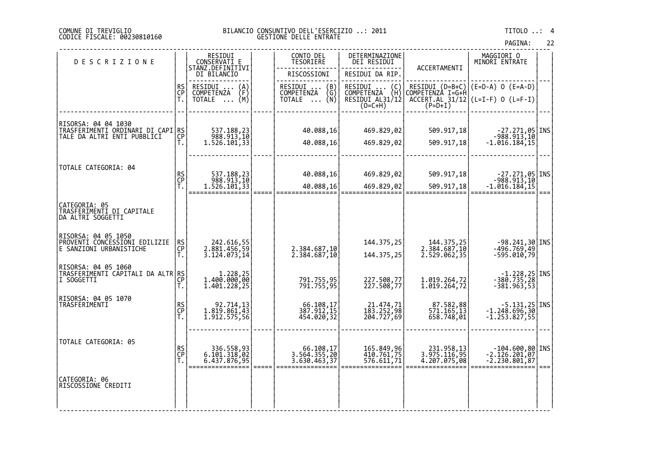#### COMUNE DI TREVIGLIO BILANCIO CONSUNTIVO DELL'ESERCIZIO ..: 2011 TITOLO ..: 4 CODICE FISCALE: 00230810160 GESTIONE DELLE ENTRATE

| PAGINA: |  |
|---------|--|

|                                               |                                                          |                                                                                                                                     |                                                          |                                                                         |                                                      | PAGINA:                                                                                 | 22                                                                                                                                                                                     |
|-----------------------------------------------|----------------------------------------------------------|-------------------------------------------------------------------------------------------------------------------------------------|----------------------------------------------------------|-------------------------------------------------------------------------|------------------------------------------------------|-----------------------------------------------------------------------------------------|----------------------------------------------------------------------------------------------------------------------------------------------------------------------------------------|
|                                               |                                                          |                                                                                                                                     | CONTO DEL<br><b>TESORIERE</b>                            | DETERMINAZIONE<br>DEI RESIDUI                                           |                                                      | MAGGIORI 0<br>MINORI ENTRATE                                                            |                                                                                                                                                                                        |
|                                               | DI BILANCIO                                              |                                                                                                                                     | RISCOSSIONI                                              | RESIDUI DA RIP.                                                         |                                                      |                                                                                         |                                                                                                                                                                                        |
| RS<br>CP<br>Ť.                                | RESIDUI<br>COMPETENZA<br>$\binom{A}{F}$<br>(M)<br>TOTALE |                                                                                                                                     | RESIDUI<br>COMPETENZA<br>$\binom{B}{G}$<br>(N)<br>TOTALE | RESIDUI<br>$\binom{C}{H}$<br>COMPETENZA<br>RESIDUI AL31/12<br>$(0=C+H)$ | COMPETENZA I=G+H<br>$(P=D+I)$                        | $(E=D-A)$ O $(E=A-D)$                                                                   |                                                                                                                                                                                        |
| TRASFERIMENTI ORDINARI DI CAPI RS<br>СP       |                                                          |                                                                                                                                     | 40.088,16                                                |                                                                         | 509.917,18                                           | $-27.271,05$ INS                                                                        |                                                                                                                                                                                        |
|                                               |                                                          |                                                                                                                                     |                                                          |                                                                         |                                                      |                                                                                         |                                                                                                                                                                                        |
|                                               |                                                          |                                                                                                                                     | 40.088,16                                                |                                                                         | 509.917,18                                           |                                                                                         |                                                                                                                                                                                        |
|                                               |                                                          |                                                                                                                                     | 40.088,16                                                | 469.829,02                                                              | 509.917,18                                           |                                                                                         |                                                                                                                                                                                        |
|                                               |                                                          |                                                                                                                                     |                                                          |                                                                         |                                                      |                                                                                         | $==$                                                                                                                                                                                   |
| RS<br>CP<br>Τ.                                | 242.616,55<br>2.881.456,59<br>3.124.073,14               |                                                                                                                                     | 2.384.687,10<br>2.384.687,10                             | 144.375,25<br>144.375,25                                                |                                                      | -98.241,30 INS<br>-496.769,49<br>-595.010,79                                            |                                                                                                                                                                                        |
| TRASFERIMENTI CAPITALI DA ALTR RS<br>ĈP<br>Τ. | 1.228,25<br>1.400.000,00<br>1.401.228,25                 |                                                                                                                                     | 791.755,95<br>791.755,95                                 | 227.508,77<br>227.508,77                                                | 1.019.264,72<br>1.019.264,72                         | $\begin{array}{c} -1.228,25   \text{INS}   \\ -380.735,28   \\ -381.963,53 \end{array}$ |                                                                                                                                                                                        |
| RS<br>CP<br>T.                                | 92.714,13<br>1.819.861,43<br>1.912.575,56                |                                                                                                                                     | 66.108,17<br>387.912,15<br>454.020,32                    | 21.474,71<br>183.252,98<br>204.727,69                                   | 87.582,88<br>571.165,13<br>658.748,01                | $-5.131,25$ INS<br>$-1.248.696,30$<br>$-1.253.827,55$                                   |                                                                                                                                                                                        |
| RS<br>CP                                      | 336.558,93<br>6.101.318,02<br>6.437.876,95               |                                                                                                                                     | 66.108,17<br>3.564.355,20<br>3.630.463,37                | 410.761,75<br>576.611,71                                                | 231.958,13<br>3.975.116,95<br>4.207.075,08           | $-104.600, 80$ INS<br>$-2.126.201,07$<br>$-2.230.801,87$                                |                                                                                                                                                                                        |
|                                               |                                                          |                                                                                                                                     |                                                          |                                                                         |                                                      |                                                                                         |                                                                                                                                                                                        |
|                                               | Ť.<br>RS<br>CP<br>T.                                     | RESIDUI<br>CONSERVATI E<br>STANZ.DEFINITIVI<br>537.188,23<br>988.913,10<br>1.526.101,33<br>537.188,23<br>988.913,10<br>1.526.101,33 |                                                          | 40.088,16                                                               | 469.829,02<br>469.829,02<br>469.829,02<br>165.849,96 | ACCERTAMENTI<br>509.917,18                                                              | RESIDUI (D=B+C)<br>$ACCERT.AL_31/12$ $(L=I-F) 0 (L=F-I)$<br>988.913,10<br>1.016.184,15<br>-27.271,05 INS<br>-988.913,10<br>-1.016.184,15<br>144.375,25<br>2.384.687,10<br>2.529.062,35 |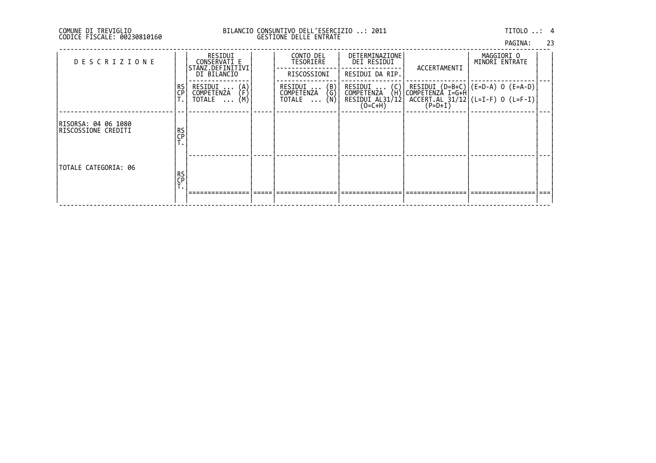## DI TREVIGLIO BILANCIO CONSUNTIVO DELL'ESERCIZIO ..: 2011 TITOLO ..: 4 FISCALE: 00230810160 GESTIONE DELLE ENTRATE

| PAGINA: |  | 23 |
|---------|--|----|
|         |  |    |

| <b>DESCRIZIONE</b>                         |                 | RESIDUI<br>CONSERVATI E<br>STANZ.DEFINITIVI | CONTO DEL<br>TESORIERE                                                      | DETERMINAZIONE<br>DEI RESIDUI  | ACCERTAMENTI | MAGGIORI O<br>MINORI ENTRATE                                           |  |
|--------------------------------------------|-----------------|---------------------------------------------|-----------------------------------------------------------------------------|--------------------------------|--------------|------------------------------------------------------------------------|--|
|                                            |                 | DI BILANCIO                                 | RISCOSSIONI                                                                 | RESIDUI DA RIP.                |              |                                                                        |  |
|                                            | RS<br>CP        | $\{A\}$<br>RESIDUI<br>COMPETENZA            | $\begin{pmatrix} B \\ G \\ N \end{pmatrix}$<br>RESIDUI<br><b>COMPETENZA</b> | RESIDUI  (C)<br>COMPETENZA (H) |              | RESIDUI (D=B+C) (E=D-A) O (E=A-D) <br> COMPETENZA I=G+H                |  |
|                                            |                 | (M)<br>TOTALE<br>$\cdots$                   | TOTALE                                                                      | RESIDUI AL31/12<br>$(O=C+H)$   |              | $\overline{ACCERT.AL}$ $\overline{31712}$ (L=I-F) 0 (L=F-I)<br>(P=D+I) |  |
| RISORSA: 04 06 1080<br>RISCOSSIONE CREDITI | RS<br>CP<br>. . |                                             |                                                                             |                                |              |                                                                        |  |
| TOTALE CATEGORIA: 06                       |                 |                                             |                                                                             |                                |              |                                                                        |  |
|                                            | RS<br>CP        |                                             |                                                                             |                                |              |                                                                        |  |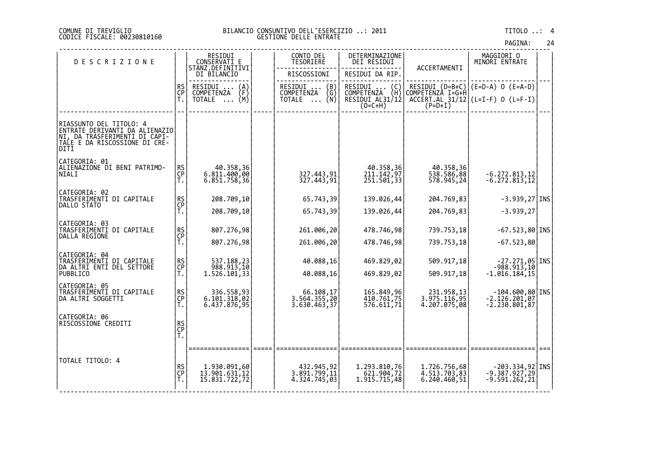#### DI TREVIGLIO BILANCIO CONSUNTIVO DELL'ESERCIZIO ..: 2011 TITOLO ..: 4 FISCALE: 00230810160 GESTIONE DELLE ENTRATE

| <b>DESCRIZIONE</b>                                                                                                                            |                       | RESIDUI<br>CONSERVATI E                                                   | CONTO DEL<br>TESORIERE                                     | DETERMINAZIONE<br>DEI RESIDUI                                              |                                              | MAGGIORI 0<br>MINORI ENTRATE                                                                                                                                   |  |
|-----------------------------------------------------------------------------------------------------------------------------------------------|-----------------------|---------------------------------------------------------------------------|------------------------------------------------------------|----------------------------------------------------------------------------|----------------------------------------------|----------------------------------------------------------------------------------------------------------------------------------------------------------------|--|
|                                                                                                                                               |                       | STANZ.DEFINITIVI<br>DI BILANCIO                                           | RISCOSSIONI                                                | RESIDUI DA RIP.                                                            | ACCERTAMENTI                                 |                                                                                                                                                                |  |
|                                                                                                                                               | <b>RS</b><br>CP<br>Ť. | RESIDUI<br>$\binom{A}{F}$<br>COMPETENZA<br>$\overline{TOTALE} \ldots$ (M) | RESIDUI<br>(B)<br>COMPETENZA<br>(G)<br>TOTALE $\ldots$ (N) | RESIDUI<br>(C)<br><b>COMPETENZA</b><br>(H)<br>RESIDUI AL31/12<br>$(O=C+H)$ | RESIDUI (D=B+C)<br>COMPETENZÀ I=G+H          | $(C = D - A)$ (E=A-D)<br>$\left[\begin{array}{cc} \widehat{ACCERT.AL} & \overline{3}1\overline{7}12 \\ \widehat{P} = D+I \end{array}\right]$ (L=I-F) 0 (L=F-I) |  |
| RIASSUNTO DEL TITOLO: 4<br>ENTRATE DERIVANTI DA ALIENAZIO<br> NI, DA TRASFERIMÊNTI DI CAPI-<br> T <u>ALE</u> E DA RISCOSSIONE DI CRE-<br>DITI |                       |                                                                           |                                                            |                                                                            |                                              |                                                                                                                                                                |  |
| CATEGORIA: 01<br>ALIENAZIONE DI BENI PATRIMO-<br>INIALI                                                                                       | RS<br>CP<br>T.        | 40.358,36<br>6.811.400,00<br>6.851.758,36                                 | 327.443,91<br>327.443,91                                   | 40.358,36<br>211.142,97<br>251.501,33                                      | 40.358,36<br>538.586,88                      | $-6.272.813, 12$<br>$-6.272.813, 12$                                                                                                                           |  |
| CATEGORIA: 02<br>TRASFERIMENTI DI CAPITALE<br>DALLO STATO                                                                                     | RS<br>CP<br>T.        | 208.709,10                                                                | 65.743,39                                                  | 139.026,44                                                                 | 204.769,83                                   | $-3.939, 27$ INS                                                                                                                                               |  |
| CATEGORIA: 03<br>TRASFERIMENTI DI CAPITALE<br>DALLA REGIONE                                                                                   | RS<br>CP<br>T.        | 208.709,10<br>807.276,98                                                  | 65.743,39<br>261.006,20                                    | 139.026,44<br>478.746,98                                                   | 204.769,83<br>739.753,18                     | $-3.939, 27$<br>$-67.523,80$ INS                                                                                                                               |  |
|                                                                                                                                               |                       | 807.276,98                                                                | 261.006,20                                                 | 478.746,98                                                                 | 739.753,18                                   | $-67.523,80$                                                                                                                                                   |  |
| CATEGORIA: 04<br>TRASFERIMENTI DI CAPITALE<br>DA ALTRI ENTI DEL SETTORE<br><b>PUBBLICO</b>                                                    | RS<br>CP<br>T.        | 537.188,23<br>988.913,10<br>1.526.101,33                                  | 40.088,16<br>40.088,16                                     | 469.829,02<br>469.829,02                                                   | 509.917,18<br>509.917,18                     | -27.271,05 INS<br>-988.913,10<br>$-1.016.184,15$                                                                                                               |  |
| CATEGORIA: 05<br> TRASFERIMENTI DI CAPITALE<br>DA ALTRI SOGGETTI                                                                              | <b>RS</b><br>CP<br>Ť. | 336.558,93<br>6.101.318,02<br>6.437.876,95                                | 66.108,17<br>3.564.355,20<br>3.630.463,37                  | 165.849,96<br>410.761,75<br>576.611,71                                     | 231.958,13<br>3.975.116,95<br>4.207.075,08   | $-104.600,80$ INS<br>$-2.\overline{126}.201,\overline{07}$<br>-2.230.801,87                                                                                    |  |
| CATEGORIA: 06<br>RISCOSSIONE CREDITI                                                                                                          | RS<br>CP<br>T.        |                                                                           |                                                            |                                                                            |                                              |                                                                                                                                                                |  |
| TOTALE TITOLO: 4                                                                                                                              | <b>RS</b><br>CP<br>T. | 1.930.091,60<br>13.901.631,12<br>15.831.722,72                            | 432.945,92<br>3.891.799,11<br>4.324.745,03                 | 1.293.810,76<br>621.904,72<br>1.915.715,48                                 | 1.726.756,68<br>4.513.703,83<br>6.240.460,51 | $-203.334,92$ INS<br>$-9.387.927,29$<br>$-9.591.262,21$                                                                                                        |  |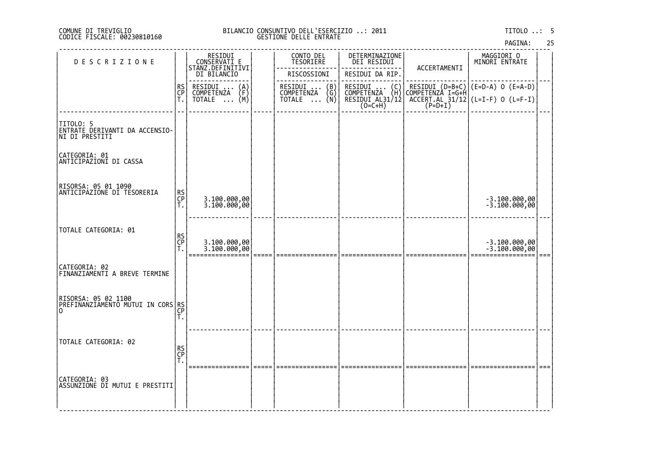### DI TREVIGLIO BILANCIO CONSUNTIVO DELL'ESERCIZIO ..: 2011 TITOLO ..: 5 FISCALE: 00230810160 GESTIONE DELLE ENTRATE

| <b>DESCRIZIONE</b>                                             |                | RESIDUI<br>CONSERVATI E<br>STANZ.DEFINITIVI   | CONTO DEL<br>TESORIERE                        | DETERMINAZIONE<br>DEI RESIDUI                                                        | ACCERTAMENTI | MAGGIORI O<br>MINORI ENTRATE                                                                                         |      |
|----------------------------------------------------------------|----------------|-----------------------------------------------|-----------------------------------------------|--------------------------------------------------------------------------------------|--------------|----------------------------------------------------------------------------------------------------------------------|------|
|                                                                |                | DI BILANCIO                                   | RISCOSSIONI                                   | RESIDUI DA RIP.                                                                      |              |                                                                                                                      |      |
|                                                                | RS<br>CP<br>T. | RESIDUI  (A)<br>COMPETENZA (F)<br>TOTALE  (M) | RESIDUI  (B)<br>COMPETENZA (G)<br>TOTALE  (N) | RESIDUI  (C)<br>COMPETENZA (H)                                                       |              | RESIDUI (D=B+C) (E=D-A) O (E=A-D)<br>COMPETENZA I=G+H (                                                              |      |
|                                                                |                |                                               |                                               | $\begin{array}{c}\n\overline{\text{RESIDUI ALS1}/12} \\ (0=\text{C+H})\n\end{array}$ |              | $\left[\begin{array}{cc} \text{ACCERT. AL} & 31/12 \\ \text{CCERT. AL} & 31/12 \end{array}\right]$ (L=I-F) 0 (L=F-I) |      |
| TITOLO: 5<br>ENTRATE DERIVANTI DA ACCENSIO-<br> NI DI PRESTITI |                |                                               |                                               |                                                                                      |              |                                                                                                                      |      |
| CATEGORIA: 01<br> ANTICIPAZIONI DI CASSA                       |                |                                               |                                               |                                                                                      |              |                                                                                                                      |      |
| RISORSA: 05 01 1090<br> ANTICIPAZIONE DI TESORERIA             | RS<br>CP<br>T. | 3.100.000,00<br>3.100.000,00                  |                                               |                                                                                      |              | $-3.100.000,00$<br>$-3.100.000,00$                                                                                   |      |
| TOTALE CATEGORIA: 01                                           | RS<br>CP<br>T. | 3.100.000,00<br>3.100.000,00                  |                                               |                                                                                      |              | -3.100.000,00<br>-3.100.000,00                                                                                       | $==$ |
| CATEGORIA: 02<br> FINANZIAMENTI A BREVE TERMINE                |                |                                               |                                               |                                                                                      |              |                                                                                                                      |      |
| RISORSA: 05 02 1100<br>PREFINANZIAMENTO MUTUI IN CORS RS       | Τ.             |                                               |                                               |                                                                                      |              |                                                                                                                      |      |
| TOTALE CATEGORIA: 02                                           | RS<br>CP<br>T. |                                               |                                               |                                                                                      |              |                                                                                                                      |      |
| CATEGORIA: 03<br> ASSUNZIONE DI MUTUI E PRESTITI               |                | ================                              |                                               |                                                                                      |              |                                                                                                                      |      |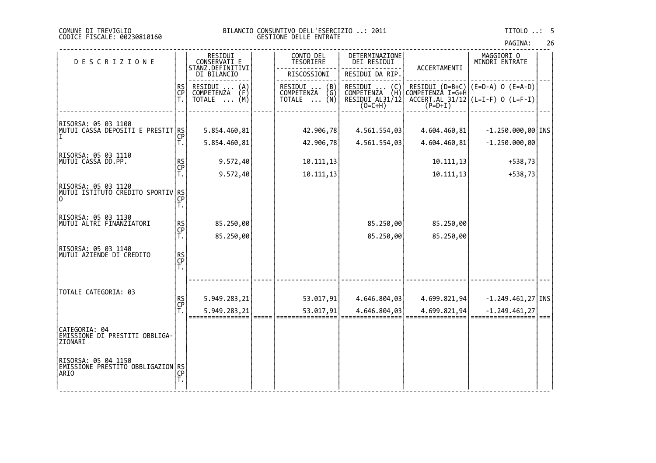#### DI TREVIGLIO BILANCIO CONSUNTIVO DELL'ESERCIZIO ..: 2011 TITOLO ..: 5 FISCALE: 00230810160 GESTIONE DELLE ENTRATE

| <b>DESCRIZIONE</b>                                                |                       | RESIDUI<br>CONSERVATI E                                         | CONTO DEL<br>TESORIERE                                         | DETERMINAZIONE<br>DEI RESIDUI                                            |                              | MAGGIORI 0<br>MINORI ENTRATE                                                                                                                                                   |  |
|-------------------------------------------------------------------|-----------------------|-----------------------------------------------------------------|----------------------------------------------------------------|--------------------------------------------------------------------------|------------------------------|--------------------------------------------------------------------------------------------------------------------------------------------------------------------------------|--|
|                                                                   |                       | STANZ.DEFINITIVI<br>DI BILANCIO                                 | RISCOSSIONI                                                    | RESIDUI DA RIP.                                                          | ACCERTAMENTI                 |                                                                                                                                                                                |  |
|                                                                   | <b>RS</b><br>CP<br>T. | RESIDUI<br>$\binom{A}{F}$<br><b>COMPETENZA</b><br>(M)<br>TOTALE | RESIDUI<br>$\binom{B}{G}$<br>COMPETENZA<br>TOTALE $\ldots$ (N) | RESIDUI<br>(C)<br><b>COMPETENZA</b><br>(Ĥ)<br>RESIDUI AL31/12<br>(O=C+H) | COMPETENZA I=G+H             | RESIDUI $(D=B+C)$ $(E=D-A)$ O $(E=A-D)$<br>$\left[\begin{array}{cc} \widehat{ACCERT.AL} & \overline{3}1\overline{7}12\\ \widehat{P} = D+I \end{array}\right](L=I-F)$ 0 (L=F-I) |  |
| RISORSA: 05 03 1100<br> MUTUI CASSA DEPOSITI E PRESTIT RS         | CP<br>Т.              | 5.854.460,81<br>5.854.460,81                                    | 42.906,78<br>42.906,78                                         | 4.561.554,03<br>4.561.554,03                                             | 4.604.460,81<br>4.604.460,81 | $-1.250.000,00$ INS<br>$-1.250.000,00$                                                                                                                                         |  |
| RISORSA: 05 03 1110<br> MUTUI CASSA DD.PP.                        | RS<br>CP<br>T.        | 9.572,40<br>9.572,40                                            | 10.111,13<br>10.111,13                                         |                                                                          | 10.111,13<br>10.111,13       | $+538,73$<br>$+538,73$                                                                                                                                                         |  |
| RISORSA: 05 03 1120<br>MUTUI ISTITUTO CREDITO SPORTIV RS<br> O    | T.                    |                                                                 |                                                                |                                                                          |                              |                                                                                                                                                                                |  |
| RISORSA: 05 03 1130<br>MUTUI ALTRI FINANZIATORI                   | RS<br>CP<br>T.        | 85.250,00<br>85.250,00                                          |                                                                | 85.250,00<br>85.250,00                                                   | 85.250,00<br>85.250,00       |                                                                                                                                                                                |  |
| RISORSA: 05 03 1140<br> MUTUI AZIENDE DI CREDITO                  | RS<br>CP<br>T.        |                                                                 |                                                                |                                                                          |                              |                                                                                                                                                                                |  |
| TOTALE CATEGORIA: 03                                              | RS<br>CP<br>T.        | 5.949.283,21<br>5.949.283,21                                    | 53.017,91<br>53.017,91                                         | 4.646.804,03<br>4.646.804,03                                             | 4.699.821,94<br>4.699.821,94 | $-1.249.461,27$ INS<br>$-1.249.461,27$                                                                                                                                         |  |
| CATEGORIA: 04<br>EMISSIONE DI PRESTITI OBBLIGA-<br>ZIONARI        |                       |                                                                 |                                                                |                                                                          |                              |                                                                                                                                                                                |  |
| RISORSA: 05 04 1150<br> EMISSIONE PRESTITO OBBLIGAZION RS<br>ARIO | CP <sub>T</sub>       |                                                                 |                                                                |                                                                          |                              |                                                                                                                                                                                |  |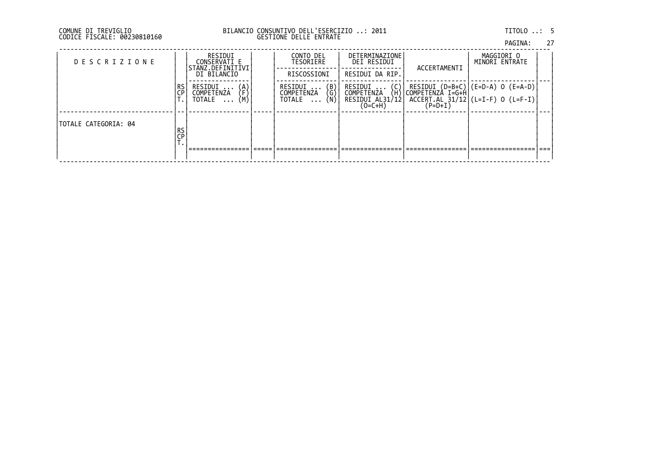## DI TREVIGLIO BILANCIO CONSUNTIVO DELL'ESERCIZIO ..: 2011 TITOLO ..: 5 FISCALE: 00230810160 GESTIONE DELLE ENTRATE

| PAGINA: | 27 |
|---------|----|
|         |    |

| <b>DESCRIZIONE</b>   |                             | RESIDUI<br>CONSERVATI E<br>'STANZ.DEFINITIVI <br>DI BILANCIO            | CONTO DEL<br>TESORIERE<br>RISCOSSIONI                                          | DETERMINAZIONE<br>DEI RESIDUI<br>RESIDUI DA RIP.                           | ACCERTAMENTI | MAGGIORI O<br>MINORI ENTRATE                                                                     |  |
|----------------------|-----------------------------|-------------------------------------------------------------------------|--------------------------------------------------------------------------------|----------------------------------------------------------------------------|--------------|--------------------------------------------------------------------------------------------------|--|
|                      | l RS<br>CF                  | RESIDUI<br>(A)<br>(F)<br>COMPETENZA<br>(M)<br><b>TOTALE</b><br>$\cdots$ | RESIDUI<br>$\begin{pmatrix} B \\ G \\ N \end{pmatrix}$<br>COMPETENZA<br>TOTALE | (C)<br>(H)<br>RESIDUI<br><b>COMPETENZA</b><br>RESIDUI AL31/12<br>$(O=C+H)$ | $(P=D+I)$    | RESIDUI (D=B+C) (E=D-A) O (E=A-D) <br> COMPETENZA I=G+H <br>$ACCERT. AL 31/12$ (L=I-F) 0 (L=F-I) |  |
| TOTALE CATEGORIA: 04 | <b>RS</b><br>$\overline{C}$ |                                                                         |                                                                                |                                                                            |              |                                                                                                  |  |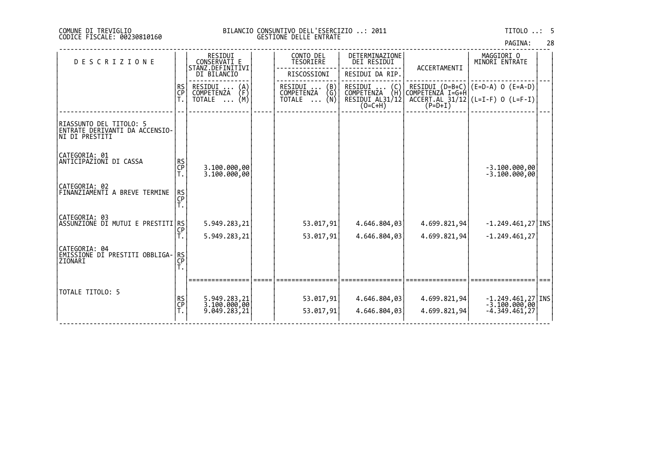#### DI TREVIGLIO BILANCIO CONSUNTIVO DELL'ESERCIZIO ..: 2011 TITOLO ..: 5 FISCALE: 00230810160 GESTIONE DELLE ENTRATE

| PAGINA: | 28 |
|---------|----|
|         |    |

| <b>DESCRIZIONE</b>                                                            |                       | RESIDUI<br>CONSERVATI E<br>STANZ.DEFINITIVI                          | CONTO DEL<br>TESORIERE                                                      | DETERMINAZIONE<br>DEI RESIDUI                          | ACCERTAMENTI | MAGGIORI O<br>MINORI ENTRATE                                                               |  |
|-------------------------------------------------------------------------------|-----------------------|----------------------------------------------------------------------|-----------------------------------------------------------------------------|--------------------------------------------------------|--------------|--------------------------------------------------------------------------------------------|--|
|                                                                               |                       | DI BILANCIO                                                          | RISCOSSIONI                                                                 | RESIDUI DA RIP.                                        |              |                                                                                            |  |
|                                                                               | RS<br>CP              | RESIDUI<br>$\binom{A}{F}$<br>COMPETENZA<br>(M)<br>TOTALE<br>$\ddots$ | RESIDUI<br>$\binom{B}{G}$<br>COMPETENZA<br><b>TOTALE</b><br>(N)<br>$\cdots$ | UMPETĒNZA<br>RESIDUI AL31/12  <br>(O=C+H)<br>--------- | $(P=D+I)$    | RESIDUI (D=B+C) (E=D-A) O (E=A-D)<br>COMPETENZA I=G+H<br>ACCERT.AL_31/12 (L=I-F) O (L=F-I) |  |
| RIASSUNTO DEL TITOLO: 5<br> ENTRATE DERIVANTI DA ACCENSIO-<br>INI DI PRESTITI |                       |                                                                      |                                                                             |                                                        |              |                                                                                            |  |
| CATEGORIA: 01<br>ANTICIPAZIONI DI CASSA                                       | RS<br>CP              | 3.100.000,00<br>3.100.000,00                                         |                                                                             |                                                        |              | $-3.100.000,00$<br>$-3.100.000,00$                                                         |  |
| CATEGORIA: 02<br>FINANZIAMENTI A BREVE TERMINE                                | RS<br>CP              |                                                                      |                                                                             |                                                        |              |                                                                                            |  |
| CATEGORIA: 03<br> ASSUNŽIONĖ DI MUTUI E PRESTITI RS<br> CP                    |                       | 5.949.283,21                                                         | 53.017,91                                                                   | 4.646.804,03                                           | 4.699.821,94 | $-1.249.461,27$ INS                                                                        |  |
|                                                                               |                       | 5.949.283,21                                                         | 53.017,91                                                                   | 4.646.804,03                                           | 4.699.821,94 | $-1.249.461,27$                                                                            |  |
| CATEGORIA: 04<br>EMISSIONE DI PRESTITI OBBLIGA-<br>ZIONARI                    | <b>RS</b><br>CP<br>T. |                                                                      |                                                                             |                                                        |              |                                                                                            |  |
| TOTALE TITOLO: 5                                                              |                       |                                                                      |                                                                             |                                                        |              |                                                                                            |  |
|                                                                               | RS<br>CP              | 5.949.283,21<br>3.100.000,00<br>9.049.283,21                         | 53.017,91                                                                   | 4.646.804,03                                           | 4.699.821,94 | $-1.249.461,27$ INS<br>$-3.\overline{100}.\overline{000}, \overline{00}$<br>-4.349.461,27  |  |
|                                                                               |                       |                                                                      | 53.017,91                                                                   | 4.646.804,03                                           | 4.699.821,94 |                                                                                            |  |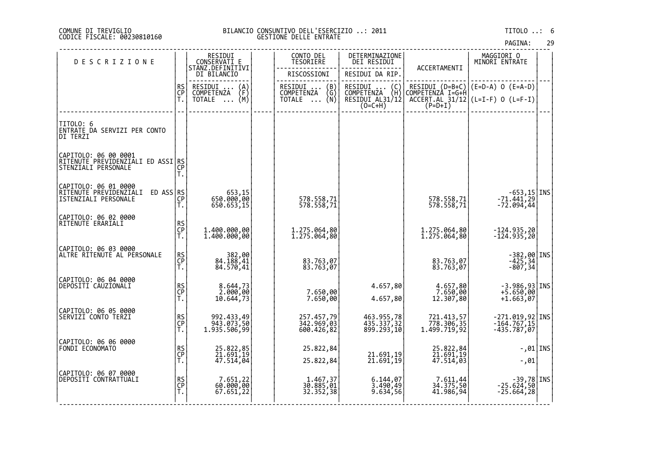#### DI TREVIGLIO BILANCIO CONSUNTIVO DELL'ESERCIZIO ..: 2011 TITOLO ..: 6 FISCALE: 00230810160 GESTIONE DELLE ENTRATE

| <b>DESCRIZIONE</b>                                                                         |                | RESIDUI<br>CONSERVATI E<br>STANZ.DEFINITIVI              | CONTO DEL<br>TESORIERE                                                                            | DETERMINAZIONE<br>DEI RESIDUI                                                                       |                                          | MAGGIORI 0<br>MINORI ENTRATE                                                               |  |
|--------------------------------------------------------------------------------------------|----------------|----------------------------------------------------------|---------------------------------------------------------------------------------------------------|-----------------------------------------------------------------------------------------------------|------------------------------------------|--------------------------------------------------------------------------------------------|--|
|                                                                                            |                | DI BILANCIO                                              | RISCOSSIONI                                                                                       | RESIDUI DA RIP.                                                                                     | ACCERTAMENTI                             |                                                                                            |  |
|                                                                                            | RS<br>CP<br>T. | RESIDUI<br>$\binom{A}{F}$<br>COMPETENZA<br>(M)<br>TOTALE | RESIDUI<br>$\begin{pmatrix} B \\ G \\ N \end{pmatrix}$<br>COMPETENZA<br><b>TOTALE</b><br>$\cdots$ | RESIDUI<br>$\begin{pmatrix} C \\ H \end{pmatrix}$<br>COMPETENZA (H)<br>RESIDUI AL31/12<br>$(O=C+H)$ | $(P=D+I)$                                | RESIDUI (D=B+C) (E=D-A) O (E=A-D)<br>COMPETENZA I=G+H<br>ACCEŖĪ.AL_31/12 (L=I-F) O (L=F-I) |  |
| TITOLO: 6<br>ENTRATE DA SERVIZI PER CONTO<br>DI TERZI                                      |                |                                                          |                                                                                                   |                                                                                                     |                                          |                                                                                            |  |
| CAPITOLO: 06 00 0001<br> RITENUTE PREVIDENZIALI ED ASSI RS <br> CP                         | T.             |                                                          |                                                                                                   |                                                                                                     |                                          |                                                                                            |  |
| CAPITOLO: 06 01 0000<br>RITENUTE PREVIDENZIALI<br>ED ASS RS<br><b>ISTENZIALI PERSONALE</b> | Τ.             | 653,15<br>650.000,00<br>650.653,15                       | 578.558,71<br>578.558,71                                                                          |                                                                                                     | 578.558,71<br>578.558,71                 | $\begin{bmatrix} -653,15 \\ -71.441,29 \end{bmatrix}$ INS<br>$-72.094,44$                  |  |
| CAPITOLO: 06 02 0000<br>RITENUTE ERARIALI                                                  | RS<br>CP<br>T. | 1.400.000,00<br>1.400.000,00                             | 1.275.064,80<br>1.275.064,80                                                                      |                                                                                                     | 1.275.064,80<br>1.275.064,80             | -124.935,20<br>-124.935,20                                                                 |  |
| CAPITOLO: 06 03 0000<br>ALTRE RITENUTE AL PERSONALE                                        | RS<br>CP<br>T. | 382,00<br>84.188,41<br>84.570,41                         | 83.763,07<br>83.763,07                                                                            |                                                                                                     | 83.763,07<br>83.763,07                   | $-382,00$ INS<br>-425,34<br>-807,34                                                        |  |
| CAPITOLO: 06 04 0000<br>DEPOSITI CAUZIONALI                                                | RS<br>CP<br>T. | 8.644,73<br>2.000,00<br>10.644,73                        | 7.650,00<br>7.650,00                                                                              | 4.657,80<br>4.657,80                                                                                | 4.657,80<br>7.650,00<br>12.307,80        | $-3.986,93$ INS<br>+5.650,00<br>$+1.663,07$                                                |  |
| CAPITOLO: 06 05 0000<br>SERVIZI CONTO TERZI                                                | RS<br>CP<br>T. | 992.433,49<br>943.073,50<br>1.935.506,99                 | 257.457,79<br>342.969,03<br>600.426, 82                                                           | 463.955,78<br>435.337,32<br>899.293,10                                                              | 721.413,57<br>778.306,35<br>1.499.719,92 | -271.019,92 INS<br>-164.767,15<br>-435.787,07                                              |  |
| CAPITOLO: 06 06 0000<br>FONDI ECONOMATO                                                    | RS<br>CP<br>T. | 25.822,85<br>21.691,19<br>47.514,04                      | 25.822,84<br>25.822,84                                                                            | 21.691,19<br>21.691,19                                                                              | 25.822,84<br>21.691,19<br>47.514,03      | $-0.01$ TNS<br>$-0.01$                                                                     |  |
| CAPITOLO: 06 07 0000<br>DEPOSITI CONTRATTUALI                                              | RS<br>CP<br>T. | 7.651,22<br>60.000,00<br>67.651,22                       | 1.467,37<br>30.885,01<br>32.352,38                                                                | 6.144,07<br>3.490,49<br>9.634,56                                                                    | 7.611,44<br>34.375,50<br>41.986,94       | $-39,78$ INS<br>-25.624,50<br>$-25.664, 28$                                                |  |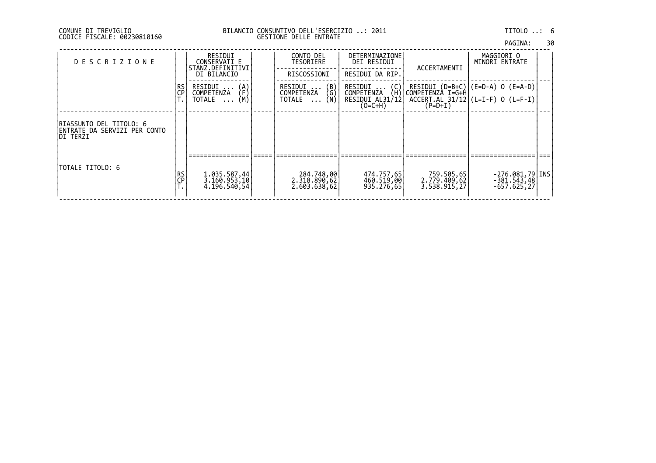### DI TREVIGLIO BILANCIO CONSUNTIVO DELL'ESERCIZIO ..: 2011 TITOLO ..: 6 FISCALE: 00230810160 GESTIONE DELLE ENTRATE

|  | PAGINA: | 30 |
|--|---------|----|
|  |         |    |

| <b>DESCRIZIONE</b>                                                    |               | RESIDUI<br>CONSERVATI E<br>STANZ.DEFINITIVI  | CONTO DEL<br>TESORIERE                                               | DETERMINAZIONE<br>DEI RESIDUI                | ACCERTAMENTI                                | MAGGIORI O<br>MINORI ENTRATE                            |  |
|-----------------------------------------------------------------------|---------------|----------------------------------------------|----------------------------------------------------------------------|----------------------------------------------|---------------------------------------------|---------------------------------------------------------|--|
|                                                                       |               | DI BILANCIO                                  | RISCOSSIONI                                                          | RESIDUI DA RIP.                              |                                             |                                                         |  |
|                                                                       | RS<br>CP<br>T | RESIDUI<br>$\{A\}$<br>COMPETENZA             | $\begin{pmatrix} B \\ G \\ N \end{pmatrix}$<br>RESIDUI<br>COMPETENZA | RESIDUI  (C)<br>COMPETENZA (H)<br>COMPETENZA |                                             | RESIDUI (D=B+C) (E=D-A) O (E=A-D) <br> COMPETENZA I=G+H |  |
|                                                                       |               | (M)<br>TOTALE                                | TOTALE                                                               | RESIDUI AL31/12<br>$(O=C+H)$                 | $(P=D+I)$                                   | $ACCERT.AL 31/12$ $(L=I-F) 0 (L=F-I)$                   |  |
|                                                                       |               |                                              |                                                                      |                                              |                                             |                                                         |  |
| IRIASSUNTO DEL TITOLO: 6<br>ENTRATE DA SERVIZI PER CONTO<br>IDI TERZI |               |                                              |                                                                      |                                              |                                             |                                                         |  |
|                                                                       |               |                                              |                                                                      |                                              |                                             |                                                         |  |
|                                                                       |               |                                              |                                                                      |                                              |                                             |                                                         |  |
| TOTALE TITOLO: 6                                                      | RS<br>CP      | 1.035.587,44<br>3.160.953,10<br>4.196.540,54 | 284.748,00<br> 2.318.890,62<br>2.603.638,62                          | 474.757,65<br>460.519,00<br>935.276,65       | 759,505,65<br> 2.779.409,62<br>3.538.915,27 | $-276.081,79$ INS<br>$-381.543,48$<br>$-657.625,27$     |  |
|                                                                       |               |                                              |                                                                      |                                              |                                             |                                                         |  |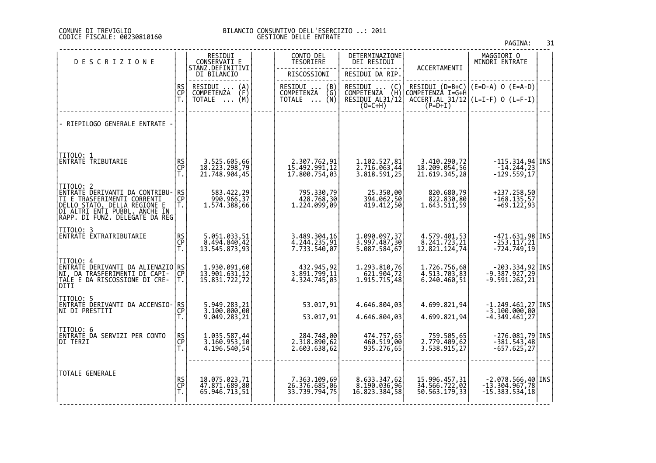#### DI TREVIGLIO BILANCIO CONSUNTIVO DELL'ESERCIZIO ..: 2011 FISCALE: 00230810160 GESTIONE DELLE ENTRATE

|                                                                                                                                                                                                 |                            |                                                                                            |                                                                                                                              |                                                                                                                      |                                                  | PAGINA:                                                                                                 | 31 |
|-------------------------------------------------------------------------------------------------------------------------------------------------------------------------------------------------|----------------------------|--------------------------------------------------------------------------------------------|------------------------------------------------------------------------------------------------------------------------------|----------------------------------------------------------------------------------------------------------------------|--------------------------------------------------|---------------------------------------------------------------------------------------------------------|----|
| <b>DESCRIZIONE</b>                                                                                                                                                                              |                            | RESIDUI<br>CONSERVATI E<br>STANZ.DEFINITIVI                                                | CONTO DEL<br><b>TESORIERE</b>                                                                                                | DETERMINAZIONE<br>DEI RESIDUI                                                                                        | ACCERTAMENTI                                     | MAGGIORI O<br>MINORI ENTRATE                                                                            |    |
|                                                                                                                                                                                                 |                            | DI BILANCIO                                                                                | RISCOSSIONI                                                                                                                  | RESIDUI DA RIP.                                                                                                      |                                                  |                                                                                                         |    |
|                                                                                                                                                                                                 | RS<br>CP<br>T.             | RESIDUI<br>COMPETENZA<br>$\begin{Bmatrix} A \\ F \\ M \end{Bmatrix}$<br>TOTALE<br>$\cdots$ | RESIDUI<br>$\begin{pmatrix} B \\ G \end{pmatrix}$<br><b>COMPETENZA</b><br>$\overline{\text{N}}$<br><b>TOTALE</b><br>$\cdots$ | RESIDUI<br>COMPETENZA<br>$\left(\begin{smallmatrix} 0 \\ H \end{smallmatrix}\right)$<br>RESIDUI AL31/12<br>$(0=C+H)$ | RESIDUI (D=B+C)<br>COMPETENZA I=G+H<br>$(P=D+I)$ | $(E=D-A)$ O $(E=A-D)$<br>$ACCERT. AL_31/12$ (L=I-F) 0 (L=F-I)                                           |    |
| - RIEPILOGO GENERALE ENTRATE -                                                                                                                                                                  |                            |                                                                                            |                                                                                                                              |                                                                                                                      |                                                  |                                                                                                         |    |
| TITOLO: 1<br>ENTRATE TRIBUTARIE                                                                                                                                                                 | RS<br>CP<br>T.             | 3.525.605,66<br>18.223.298,79<br>21.748.904,45                                             | 2.307.762,91<br>15.492.991,12<br>17.800.754,03                                                                               | 1.102.527,81<br>2.716.063,44<br>3.818.591,25                                                                         | 3.410.290,72<br>18.209.054,56<br>21.619.345,28   | $\left[\begin{array}{c} -115.314, 94 \\ -14.244, 23 \end{array}\right]$ INS<br>$-1\overline{2}9.559,17$ |    |
| TITOLO: 2<br><u> ENTRATE DERIVANTI DA CONTRI</u> BU- <b> </b><br>TI E TRASFERIMENTI CORRENTI<br>DELLO STATO, DELLA REGIONE E<br>DI ALTRI ENTI PUBBL. ANCHE IN<br>RAPP. DI FUNZ. DELEGATE DA REG | RS<br>CP<br>Τ.             | 583.422,29<br>990.966,37<br>1.574.388,66                                                   | 795.330,79<br>428.768,30<br>1.224.099,09                                                                                     | 25.350,00<br>394.062,50<br>419.412,50                                                                                | 820.680,79<br>822.830,80<br>1.643.511,59         | +237.258,50<br>-168.135,57<br>+69.122,93                                                                |    |
| TITOLO: 3<br>ENTRATE EXTRATRIBUTARIE                                                                                                                                                            | RS<br>CP<br>Τ.             | 5.051.033,51<br>8.494.840,42<br>13.545.873,93                                              | 3.489.304,16<br>4.244.235,91<br>7.733.540,07                                                                                 | 1.090.097,37<br>3.997.487,30<br>5.087.584,67                                                                         | 4.579.401,53<br>8.241.723,21<br>12.821.124,74    | $-471.631,98$ INS<br>-253.117,21<br>-724.749,19                                                         |    |
| TITOLO: 4<br>ENTRATE DERIVANTI DA ALIENAZIO RS<br>NI, DA TRASFERIMENTI DI CAPI-<br>TALE E DA RISCOSSIONE DI CRE-<br>DITI                                                                        | СP<br>T.                   | 1.930.091,60<br>13.901.631,12<br>15.831.722,72                                             | 432.945,92<br>3.891.799,11<br>4.324.745,03                                                                                   | 1.293.810,76<br>621.904,72<br>1.915.715,48                                                                           | 1.726.756,68<br>4.513.703,83<br>6.240.460,51     | -203.334,92 INS<br>-9.387.927,29<br>$-9.591.262,21$                                                     |    |
| <br> ENTRATE_DERIVANTI DA ACCENSIO- <br>NI DI PRESTITI                                                                                                                                          | R <sub>S</sub><br>CP<br>T. | 5.949.283,21<br>3.100.000,00<br>9.049.283,21                                               | 53.017,91<br>53.017,91                                                                                                       | 4.646.804,03<br>4.646.804,03                                                                                         | 4.699.821,94<br>4.699.821,94                     | $-1.249.461,27$ INS<br>$-3.100.000,00$<br>$-4.349.461,27$                                               |    |
| TITOLO: 6<br>ENTRATE DA SERVIZI PER CONTO<br>DI TERZI                                                                                                                                           | RS<br>CP<br>T.             | 1.035.587,44<br>3.160.953,10<br>4.196.540,54                                               | 284.748,00<br>2.318.890,62<br>2.603.638,62                                                                                   | 474.757,65<br>460.519,00<br>935.276,65                                                                               | 759.505,65<br>2.779.409,62<br>3.538.915,27       | $-276.081,79$ INS<br>-381.543,48<br>657.625,27                                                          |    |
| TOTALE GENERALE                                                                                                                                                                                 | RS<br>CP<br>T.             | 18.075.023,71<br>47.871.689,80<br>65.946.713,51                                            | 7.363.109,69<br>26.376.685,06<br>33.739.794,75                                                                               | 8.633.347,62<br>8.190.036,96<br>16.823.384,58                                                                        | 15.996.457,31<br>34.566.722,02<br>50.563.179,33  | $-2.078.566,40$ INS<br>$-13.304.967,78$<br>$-15.383.534,18$                                             |    |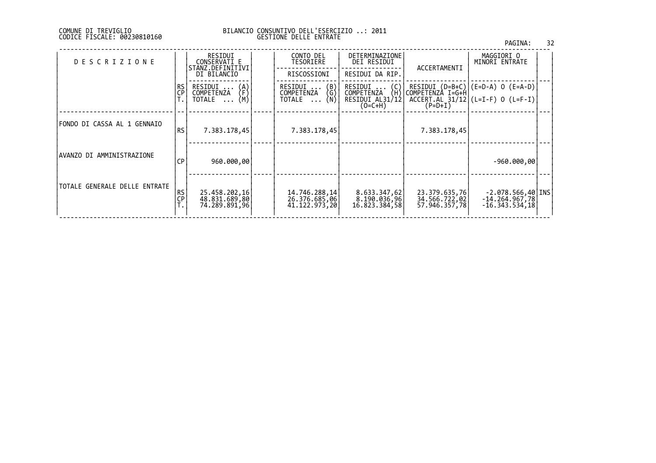#### COMUNE DI TREVIGLIO BILANCIO CONSUNTIVO DELL'ESERCIZIO ..: 2011 CODICE FISCALE: 00230810160 GESTIONE DELLE ENTRATE

|                               |                 |                                                 |                                                 |                                               |                                                 | PAGINA:                                                                              | 32 |
|-------------------------------|-----------------|-------------------------------------------------|-------------------------------------------------|-----------------------------------------------|-------------------------------------------------|--------------------------------------------------------------------------------------|----|
| <b>DESCRIZIONE</b>            |                 | RESIDUI<br>CONSERVATI E<br>STANZ.DEFINITIVI     | CONTO DEL<br>TESORIERE                          | DETERMINAZIONE<br>DEI RESIDUI                 | ACCERTAMENTI                                    | MAGGIORI O<br>MINORI ENTRATE                                                         |    |
|                               |                 | DI BILANCIO                                     | RISCOSSIONI                                     | RESIDUI DA RIP.                               |                                                 |                                                                                      |    |
|                               | RS<br>ÇP        | RESIDUI<br>$\binom{A}{F}$<br>COMPETENZA         | RESIDUI  (B)<br>COMPETENZA (G)<br>TOTALE  (N)   |                                               |                                                 | RESIDUI : (C)  RESIDUI (D=B+C) (E=D-A) O (E=A-D) <br>COMPETENZA (H) COMPETENZA I=G+H |    |
|                               |                 | (M)<br>TOTALE                                   |                                                 | RESIDUI AL31/12<br>$(O=C+H)$                  | (P=D+I)                                         | $ACCERT. AL$ 31/12 (L=I-F) 0 (L=F-I)                                                 |    |
| FONDO DI CASSA AL 1 GENNAIO   | <b>RS</b>       | 7.383.178,45                                    | 7.383.178,45                                    |                                               | 7.383.178.45                                    |                                                                                      |    |
| AVANZO DI AMMINISTRAZIONE     | СP              | 960.000,00                                      |                                                 |                                               |                                                 | $-960.000,00$                                                                        |    |
| TOTALE GENERALE DELLE ENTRATE | <b>RS</b><br>CP | 25.458.202,16<br>48.831.689,80<br>74.289.891,96 | 14.746.288,14<br>26.376.685,06<br>41.122.973,20 | 8.633.347,62<br>8.190.036,96<br>16.823.384,58 | 23.379.635,76<br>34.566.722,02<br>57.946.357,78 | -2.078.566,40 INS <br>-14.264.967,78 <br>$-16.343.534,18$                            |    |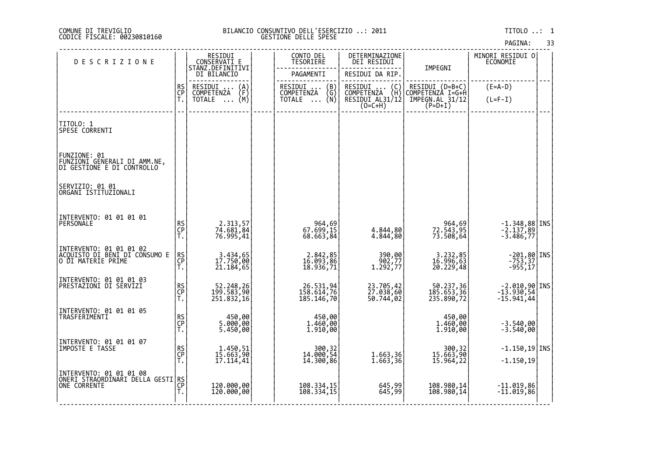#### DI TREVIGLIO BILANCIO CONSUNTIVO DELL'ESERCIZIO ..: 2011 TITOLO ..: 1 FISCALE: 00230810160 GESTIONE DELLE SPESE

| <b>DESCRIZIONE</b>                                                             |                | RESIDUI<br>CONSERVATI E                 | CONTO DEL<br><b>TESORIERE</b>         | DETERMINAZIONE<br>DEI RESIDUI                                          |                                               | MINORI RESIDUI 0<br>ECONOMIE                                                   |  |
|--------------------------------------------------------------------------------|----------------|-----------------------------------------|---------------------------------------|------------------------------------------------------------------------|-----------------------------------------------|--------------------------------------------------------------------------------|--|
|                                                                                |                | STANZ.DEFINITIVI<br>DI BILANCIO         | PAGAMENTI                             | RESIDUI DA RIP.                                                        | IMPEGNI                                       |                                                                                |  |
|                                                                                | RS<br>CP<br>T. | RESIDUI<br>COMPETENŻA<br>$\binom{A}{F}$ | RESIDUI  (B)<br>COMPETENZA (G)        | RESIDUI<br>$\begin{pmatrix} C \\ H \end{pmatrix}$<br><b>COMPETENZA</b> | RESIDUI (D=B+C)<br>COMPETENZA I=G+H           | $(E=A-D)$                                                                      |  |
|                                                                                |                | (M)<br><b>TOTALE</b><br>$\cdots$        | (Ñ)<br><b>TOTALE</b><br>$\cdots$      | RESIDUI AL31/12<br>$(0=C+H)$                                           | $\tilde{\texttt{IMPEGN.AL}}$ 31/12<br>(P=D+I) | $(L=F-I)$                                                                      |  |
| <b>TITOLO: 1</b><br>SPESE CORRENTI                                             |                |                                         |                                       |                                                                        |                                               |                                                                                |  |
| FUNZIONE: 01<br> FUNZIONI GENERALI DI AMM.NE,<br> DI GESTIONE E DI CONTROLLO   |                |                                         |                                       |                                                                        |                                               |                                                                                |  |
| SERVIZIO: 01 01<br>ORGANI ISTITUZIONALI                                        |                |                                         |                                       |                                                                        |                                               |                                                                                |  |
| INTERVENTO: 01 01 01 01<br>PERSONALE                                           | RS<br>CP<br>T. | 2.313,57<br>74.681,84<br>76.995,41      | 964,69<br>51,699,15<br>68.663,84      | 4.844,80<br>4.844,80                                                   | 964,69<br>72.543,95<br>73.508,64              | $\begin{array}{c} -1.348,88 \ \hline -2.137,89 \end{array}$ INS<br>$-3.486,77$ |  |
| INTERVENTO: 01 01 01 02<br>ACQUISTO DI BENI DI CONSUMO E<br>O DI MATERIE PRIME | RS<br>CP<br>T. | 3.434,65<br>17.750,00<br>21.184,65      | 2.842,85<br>16.093,86<br>18.936,71    | 390,00<br>$902,77$<br>1.292,77                                         | 3.232,85<br>16.996,63<br>20.229,48            | $-201,80$ INS<br>-753,37<br>-955,17                                            |  |
| INTERVENTO: 01 01 01 03<br>PRESTAZIONI DI SERVIZI                              | RS<br>CP<br>T. | 52.248,26<br>199.583,90<br>251.832,16   | 26.531,94<br>158.614,76<br>185.146,70 | 23.705,42<br>27.038,60<br>50.744,02                                    | 50.237,36<br>185.653,36<br>235.890,72         | $-2.010,90$ INS<br>$-13.930,54$<br>$-15.941,44$                                |  |
| INTERVENTO: 01 01 01 05<br>TRASFERIMENTI                                       | RS<br>CP<br>T. | 450,00<br>5.000,00<br>5.450,00          | 450,00<br>1.460,00<br>1.910,00        |                                                                        | 450,00<br>1.460,00<br>1.910,00                | -3.540,00<br>-3.540,00                                                         |  |
| INTERVENTO: 01 01 01 07<br>IMPOSTE E TASSE                                     | RS<br>CP<br>T. | 1.450,51<br>15.663,90<br>17.114,41      | 300,32<br>14.000,54<br>14.300,86      | 1.663,36<br>1.663,36                                                   | 300,32<br>15.663,90<br>15.964,22              | $-1.150, 19$ INS<br>$-1.150, 19$                                               |  |
| INTERVENTO: 01 01 01 08<br> ONERI STRAORDINARI DELLA GESTI RS<br> ONE CORRENTE | Ť.             | 120.000,00<br>120.000,00                | 108.334,15<br>108.334,15              | 645,99<br>645,99                                                       | 108.980,14<br>108.980,14                      | $-11.019,86$<br>$-11.019,86$                                                   |  |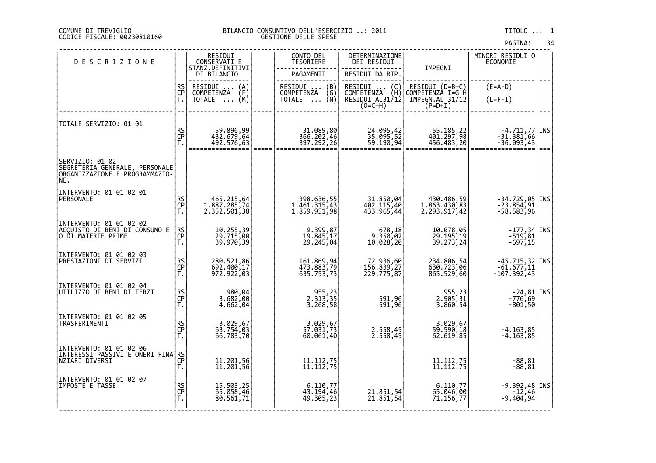#### DI TREVIGLIO BILANCIO CONSUNTIVO DELL'ESERCIZIO ..: 2011 TITOLO ..: 1 FISCALE: 00230810160 GESTIONE DELLE SPESE

| <b>DESCRIZIONE</b>                                                                          |                | RESIDUI<br>CONSERVATI E                                                     |                 | CONTO DEL<br><b>TESORIERE</b>                                      | DETERMINAZIONE<br>DEI RESIDUI                                                      |                                                                              | MINORI RESIDUI 0<br>ECONOMIE                                             |       |
|---------------------------------------------------------------------------------------------|----------------|-----------------------------------------------------------------------------|-----------------|--------------------------------------------------------------------|------------------------------------------------------------------------------------|------------------------------------------------------------------------------|--------------------------------------------------------------------------|-------|
|                                                                                             |                | STANZ.DEFINITIVI<br>DI BILANCIO                                             |                 | PAGAMENTI                                                          | RESIDUI DA RIP.                                                                    | IMPEGNI                                                                      |                                                                          |       |
|                                                                                             | RS<br>CP<br>T. | RESIDUI<br>COMPETENZA<br>$\binom{A}{F}$<br>(M)<br><b>TOTALE</b><br>$\ldots$ |                 | RESIDUI  (B)<br>COMPETENZA (G)<br>(Ñ)<br><b>TOTALE</b><br>$\cdots$ | RESIDUI<br>COMPETENZA<br>$\begin{pmatrix} C \\ H \end{pmatrix}$<br>RESIDUI AL31/12 | RESIDUI (D=B+C)<br>COMPETENZA I=G+H<br>$\tilde{I}$ MPEGN.AL 31/12<br>(P=D+I) | $(E=A-D)$<br>$(L=F-I)$                                                   |       |
|                                                                                             |                |                                                                             |                 |                                                                    | $(0=C+H)$                                                                          |                                                                              |                                                                          |       |
| TOTALE SERVIZIO: 01 01                                                                      |                |                                                                             |                 |                                                                    |                                                                                    |                                                                              |                                                                          |       |
|                                                                                             | RS<br>CP<br>T. | 59.896,99<br>432.679,64<br>492.576,63                                       |                 | 31.089,80<br>366.202,46<br>397.292,26                              | 24.095,42<br>35.095,52<br>59.190,94                                                | 55.185,22<br>401.297,98<br>456.483,20                                        | $\begin{bmatrix} -4.711, 77 \\ -31.381, 66 \\ -36.093, 43 \end{bmatrix}$ |       |
|                                                                                             |                | ================                                                            | $=$ $=$ $=$ $=$ | ================                                                   |                                                                                    | =====                                                                        |                                                                          | l === |
| SERVIZIO: 01 02<br> SEGRETERIA GENERALE, PERSONALE<br>ORGANIZZAZIONE E PRÓGRAMMAZIO-<br>NE. |                |                                                                             |                 |                                                                    |                                                                                    |                                                                              |                                                                          |       |
| INTERVENTO: 01 01 02 01<br> PERSONALE                                                       |                |                                                                             |                 |                                                                    |                                                                                    |                                                                              |                                                                          |       |
|                                                                                             | RS<br>CP<br>T. | 465.215,64<br>1.887.285,74<br>2.352.501,38                                  |                 | 398.636,55<br>1.461.315,43<br>1.859.951,98                         | 31.850,04<br>402.115,40<br>433.965,44                                              | 430.486,59<br>1.863.430,83<br>2.293.917,42                                   | -34.729,05 INS<br>-23.854,91<br>-58.583,96                               |       |
| INTERVENTO: 01 01 02 02<br> ACQUISTO DI BENI DI CONSUMO E<br> O DI MATERIE PRIME            |                |                                                                             |                 |                                                                    |                                                                                    |                                                                              |                                                                          |       |
|                                                                                             | RS<br>CP<br>Ť. | 10.255,39<br>29.715,00<br>39.970,39                                         |                 | 9.399,87<br>19.845,17<br>29.245,04                                 | 678,18<br>9.350,02<br>10.028,20                                                    | 10.078,05<br>29.195,19<br>39.273,24                                          | $-177,34$ INS<br>$-519,81$<br>$-697,15$                                  |       |
| INTERVENTO: 01 01 02 03                                                                     |                |                                                                             |                 |                                                                    |                                                                                    |                                                                              |                                                                          |       |
| PRESTAZIONI DI SERVIZI                                                                      | RS<br>CP<br>T. | 280.521,86<br>692.400,17<br>972.922.03                                      |                 | 161.869,94<br>473.883,79<br>635.753,73                             | 72.936,60<br>156.839,27<br>229.775,87                                              | 234.806,54<br>630.723,06<br>865.529,60                                       | -45.715,32 INS<br>-61.677,11<br>-107.392,43                              |       |
| INTERVENTO: 01 01 02 04<br>UTILIZZO DI BENI DI TERZI                                        |                |                                                                             |                 |                                                                    |                                                                                    |                                                                              |                                                                          |       |
|                                                                                             | RS<br>CP<br>T. | 980,04<br>3.682,00<br>4.662,04                                              |                 | 955,23<br>2.313,35<br>3.268,58                                     | 591,96<br>591,96                                                                   | 955,23<br>  965,31<br>  3.860,54                                             | -24,81 INS<br>-776,69<br>-801,50                                         |       |
| INTERVENTO: 01 01 02 05                                                                     |                |                                                                             |                 |                                                                    |                                                                                    |                                                                              |                                                                          |       |
| TRASFERIMENTI                                                                               | RS<br>CP<br>T. | 3.029,67<br>63.754,03<br>66.783,70                                          |                 | 3.029,67<br>57.031,73                                              | 2.558,45                                                                           | 3.029,67<br>59.590,18<br>62.619,85                                           | $-4.163,85$                                                              |       |
| INTERVENTO: 01 01 02 06                                                                     |                |                                                                             |                 | 60.061,40                                                          | 2.558,45                                                                           |                                                                              | $-4.163,85$                                                              |       |
| INTERESSI PASSIVI E ONERI FINA<br>NZIARI DIVERSI                                            | RS<br>CP<br>T. | 11.201,56<br>11.201,56                                                      |                 | 11.112,75<br>11.112,75                                             |                                                                                    | 11.112,75<br>11.112,75                                                       | $-88,81$<br>$-88,81$                                                     |       |
|                                                                                             |                |                                                                             |                 |                                                                    |                                                                                    |                                                                              |                                                                          |       |
| INTERVENTO: 01 01 02 07<br>IMPOSTE E TASSE                                                  | RS<br>CP<br>T. | 15.503,25<br>65.058,46                                                      |                 | 6.110,77<br>43.194,46                                              |                                                                                    | 6.110,77<br>65.046,00<br>71.156,77                                           | $\begin{bmatrix} -9.392,48 \\ -12,46 \\ -9.404,94 \end{bmatrix}$ INS     |       |
|                                                                                             |                | 80.561,71                                                                   |                 | 49.305,23                                                          | 21.851,54<br>21.851,54                                                             |                                                                              |                                                                          |       |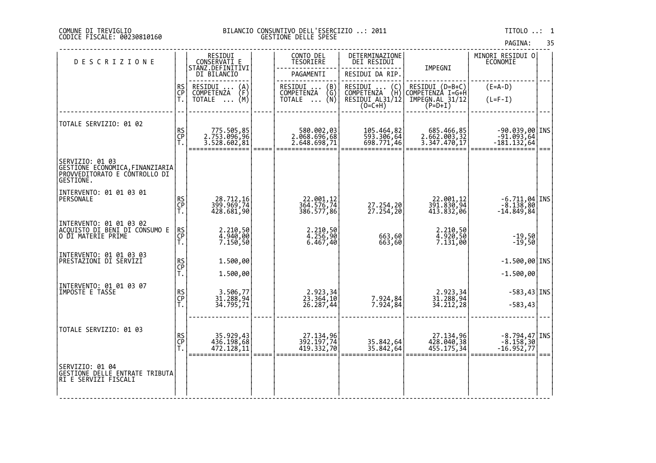#### DI TREVIGLIO BILANCIO CONSUNTIVO DELL'ESERCIZIO ..: 2011 TITOLO ..: 1 FISCALE: 00230810160 GESTIONE DELLE SPESE

| <b>DESCRIZIONE</b>                                                                                 |                | RESIDUI<br>CONSERVATI E                                                     | CONTO DEL<br><b>TESORIERE</b>                                                                     | DETERMINAZIONE<br>DEI RESIDUI                                                                                        |                                                                     | MINORI RESIDUI 0<br>ECONOMIE                                                |      |
|----------------------------------------------------------------------------------------------------|----------------|-----------------------------------------------------------------------------|---------------------------------------------------------------------------------------------------|----------------------------------------------------------------------------------------------------------------------|---------------------------------------------------------------------|-----------------------------------------------------------------------------|------|
|                                                                                                    |                | STANZ.DEFINITIVI<br>DI BILANCIO                                             | PAGAMENTI                                                                                         | RESIDUI DA RIP.                                                                                                      | IMPEGNI                                                             |                                                                             |      |
|                                                                                                    | RS<br>CP<br>Ť. | RESIDUI<br>$\binom{A}{F}$<br>COMPETENZA<br>(M)<br><b>TOTALE</b><br>$\cdots$ | RESIDUI<br>$\begin{pmatrix} B \\ G \\ N \end{pmatrix}$<br>COMPETENZA<br><b>TOTALE</b><br>$\cdots$ | RESIDUI<br>$\left(\begin{smallmatrix} C \\ H \end{smallmatrix}\right)$<br>COMPETENZA<br>RESIDUI AL31/12<br>$(O=C+H)$ | RESIDUI (D=B+C)<br>COMPETENZA I=G+H<br>IMPEGN.AL_31/12<br>$(P=D+I)$ | $(E=A-D)$<br>$(L=F-I)$                                                      |      |
| TOTALE SERVIZIO: 01 02                                                                             | RS<br>CP<br>T. | 85, 775.585<br>96, 996, 753.2<br>3.528.602,81                               | 580.002,03<br>2.068.696,68<br>2.648.698,71                                                        | 105.464,82<br>593.306,64<br>698.771,46                                                                               | 85, 685.466<br>2.662.003, 32<br>3.347.470,17                        | -90.039,00 INS<br>$-91.093,64$<br>$-181.132,64$                             | $==$ |
| SERVIZIO: 01 03<br> GESTIONE EČŌNŎMICA,FINANZIARIA <br> PROVVEDITORATO E CONTROLLO DI<br>GESTIONE. |                |                                                                             |                                                                                                   |                                                                                                                      |                                                                     |                                                                             |      |
| INTERVENTO: 01 01 03 01<br>PERSONALE                                                               | RS<br>CP<br>T. | 28.712,16<br>399.969,74<br>428.681,90                                       | 22.001,12<br>364.576,74<br>386.577,86                                                             | 27.254,20<br>27.254,20                                                                                               | 22.001,12<br>391.830,94<br>413.832,06                               | $\begin{bmatrix} -6.711, 04 \\ -8.138, 80 \\ -14.849, 84 \end{bmatrix}$ INS |      |
| INTERVENTO: 01 01 03 02<br> ACQUISTO_DI_BENI_DI CONSUMO E<br>O DI MATERIE PRIME                    | RS<br>CP<br>T. | 2.210,50<br>4.940,00<br>7.150,50                                            | 2.210,50<br>4.256,90<br>6.467,40                                                                  | 663,60<br>663,60                                                                                                     | 2.210,50<br>4.920,50<br>7.131,00                                    | $-19,50$<br>$-19,50$                                                        |      |
| INTERVENTO: 01 01 03 03<br>PRESTAZIONI DI SERVIZI                                                  | RS<br>CP<br>T. | 1.500,00<br>1.500,00                                                        |                                                                                                   |                                                                                                                      |                                                                     | $-1.500,00$ INS<br>$-1.500,00$                                              |      |
| INTERVENTO: 01 01 03 07<br>IMPOSTE E TASSE                                                         | RS<br>CP<br>T. | 3.506,77<br>31.288,94<br>34.795,71                                          | 2.923, 34<br>23.364, 10<br>26.287, 44                                                             | 7.924,84<br>7.924,84                                                                                                 | 2.923, 34<br>31.288, 94<br>34.212, 28                               | $-583,43$   INS<br>$-583,43$                                                |      |
| TOTALE SERVIZIO: 01 03                                                                             | RS<br>CP<br>T. | 35.929,43<br>436.198,68<br>472.128,11                                       | 27.134,96<br>392.197,74<br>419.332,70                                                             | 35.842,64<br>35.842,64                                                                                               | 27.134,96<br>428.040,38<br>455.175,34                               | -8.794,47 INS<br>-8.158,30<br>-16.952,77                                    |      |
| SERVIZIO: 01 04<br>GESTIONE DELLE ENTRATE TRIBUTA<br>RI E SERVIZI FISCALI                          |                |                                                                             |                                                                                                   |                                                                                                                      |                                                                     |                                                                             |      |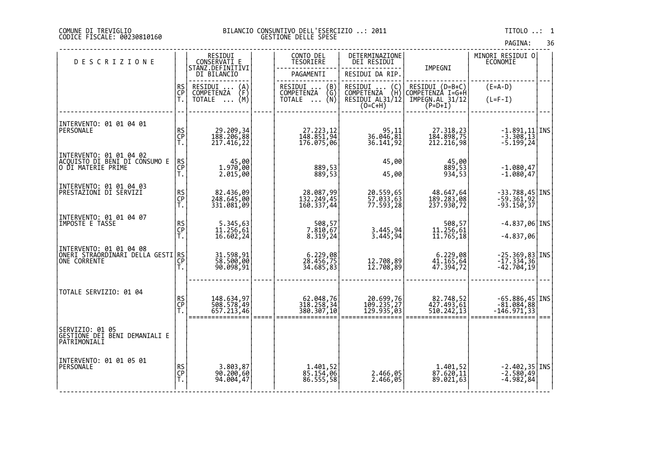#### DI TREVIGLIO BILANCIO CONSUNTIVO DELL'ESERCIZIO ..: 2011 TITOLO ..: 1 FISCALE: 00230810160 GESTIONE DELLE SPESE

| <b>DESCRIZIONE</b>                                                               |                | RESIDUI<br>CONSERVATI E                 |      | CONTO DEL<br>TESORIERE                | DETERMINAZIONE<br>DEI RESIDUI                                                        |                                       | MINORI RESIDUI 0<br><b>ECONOMIE</b>                                                     |     |
|----------------------------------------------------------------------------------|----------------|-----------------------------------------|------|---------------------------------------|--------------------------------------------------------------------------------------|---------------------------------------|-----------------------------------------------------------------------------------------|-----|
|                                                                                  |                | STANZ.DEFINITIVI<br>DI BILANCIO         |      | PAGAMENTI                             | RESIDUI DA RIP.                                                                      | IMPEGNI                               |                                                                                         |     |
|                                                                                  | RS<br>CP       | RESIDUI<br>$\binom{A}{F}$<br>COMPETENZA |      | RESIDUI<br>(B)<br>(Ğ)<br>COMPETENZA   | RESIDUI<br>$\left(\begin{smallmatrix} C \\ H \end{smallmatrix}\right)$<br>COMPETENZA | RESIDUI (D=B+C)<br>COMPETENZÀ I=G+H   | $(E=A-D)$                                                                               |     |
|                                                                                  | Ť.             | (M)<br>TOTALE                           |      | (Ñ)<br><b>TOTALE</b><br>$\cdots$      | RESIDUI AL31/12<br>$(O=C+H)$                                                         | IMPEGN.AL 31/12<br>$(P=D+I)$          | $(L=F-I)$                                                                               |     |
|                                                                                  |                |                                         |      |                                       |                                                                                      |                                       |                                                                                         |     |
| INTERVENTO: 01 01 04 01<br>PERSONALE                                             | RS<br>CP<br>T. | 29.209,34<br>188.206,88<br>217.416,22   |      | 27.223,12<br>148.851,94<br>176.075,06 | 95,11<br>36.046,81<br>36.141,92                                                      | 27.318,23                             | $-1.891, 11$ INS                                                                        |     |
|                                                                                  |                |                                         |      |                                       |                                                                                      | 184.898,75<br>212.216,98              | $-3.308, 13$<br>$-5.199, 24$                                                            |     |
| INTERVENTO: 01 01 04 02<br> ACQUISTO DI BĒNI DI CŎÑSUMO E<br> O DI MATERIE PRIME |                |                                         |      |                                       | 45,00                                                                                |                                       |                                                                                         |     |
|                                                                                  | RS<br>CP<br>T. | 45,00<br>1.970,00<br>2.015,00           |      | 889,53<br>889,53                      | 45,00                                                                                | 45,00<br>889,53<br>934,53             | $-1.080, 47$<br>$-1.080, 47$                                                            |     |
| INTERVENTO: 01 01 04 03<br>PRESTAZIONI DI SERVIZI                                |                |                                         |      |                                       |                                                                                      |                                       |                                                                                         |     |
|                                                                                  | RS<br>CP<br>T. | 82.436,09<br>248.645,00<br>331.081,09   |      | 28.087,99<br>132.249,45<br>160.337,44 | 20.559,65<br>57.033,63<br>77.593,28                                                  | 48.647,64<br>189.283,08<br>237.930,72 | $-33.788,45$ INS<br>$-59.361,92$<br>$-93.150,37$                                        |     |
| INTERVENTO: 01 01 04 07                                                          |                |                                         |      |                                       |                                                                                      |                                       |                                                                                         |     |
| IMPOSTE E TASSE                                                                  | RS<br>CP<br>T. | 5.345,63<br>11.256,61<br>16.602,24      |      | 508,57<br>7.810,67<br>8.319,24        | 3.445,94<br>3.445,94                                                                 | 508,57<br>11.256,61<br>11.765,18      | $-4.837,06$ INS                                                                         |     |
|                                                                                  |                |                                         |      |                                       |                                                                                      |                                       | $-4.837,06$                                                                             |     |
| INTERVENTO: 01 01 04 08<br> ONERI STRAORDINARI DELLA GESTI RS<br> CP             |                | 31.598,91<br>58.500,00<br>90.098,91     |      | 6.229,08<br>28.456,75<br>34.685,83    | 12.708,89                                                                            | 6.229,08<br>41.165,64<br>47.394,72    | $\begin{bmatrix} -25.369, 83   \text{INS} \\ -17.334, 36   \ -42.704, 19 \end{bmatrix}$ |     |
|                                                                                  | Ť.             |                                         |      |                                       | 12.708,89                                                                            |                                       |                                                                                         |     |
| TOTALE SERVIZIO: 01 04                                                           |                |                                         |      |                                       |                                                                                      |                                       |                                                                                         |     |
|                                                                                  | RS<br>CP<br>T. | 148.634,97<br>508.578,49                |      | 62.048,76<br>318.258,34<br>380.307,10 | 20.699,76<br>109.235,27                                                              | 82.748,52<br>427.493,61<br>510.242,13 | $-65.886,45$ INS<br>$-81.084,88$                                                        |     |
|                                                                                  |                | 657.213,46                              | ===: |                                       | 129.935,03                                                                           |                                       | -146.971,33                                                                             | === |
| SERVIZIO: 01 05<br>GESTIONE DEI BENI DEMANIALI E<br>PATRIMONIALI                 |                |                                         |      |                                       |                                                                                      |                                       |                                                                                         |     |
|                                                                                  |                |                                         |      |                                       |                                                                                      |                                       |                                                                                         |     |
| INTERVENTO: 01 01 05 01<br>PERSONALE                                             |                | 3.803,87<br>90.200,60                   |      |                                       |                                                                                      | 1.401,52<br>87.620,11                 | $-2.402,35$ INS<br>$-2.580,49$                                                          |     |
|                                                                                  | RS<br>CP<br>T. | 94.004,47                               |      | 1.401,52<br>85.154,06<br>86.555,58    | 2.466,05<br>2.466,05                                                                 | 89.021,63                             | $-4.982,84$                                                                             |     |
|                                                                                  |                |                                         |      |                                       |                                                                                      |                                       |                                                                                         |     |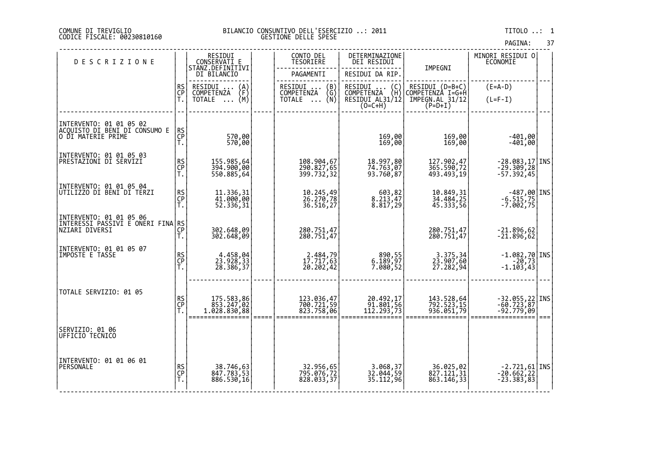|  | PAGINA: | 37 |  |
|--|---------|----|--|
|  |         |    |  |

|                                                            |                |                                                            |       |                                                                               |                                         |                                        | PAGINA:                                                                          | 37   |
|------------------------------------------------------------|----------------|------------------------------------------------------------|-------|-------------------------------------------------------------------------------|-----------------------------------------|----------------------------------------|----------------------------------------------------------------------------------|------|
| <b>DESCRIZIONE</b>                                         |                | RESIDUI<br>CONSERVATI E<br>STANZ.DEFINITIVI<br>DI BILANCIO |       | CONTO DEL<br>TESORIERE                                                        | DETERMINAZIONE<br>DEI RESIDUI           | IMPEGNI                                | MINORI RESIDUI O<br>ECONOMIE                                                     |      |
|                                                            |                |                                                            |       | PAGAMENTI                                                                     | RESIDUI DA RIP.                         |                                        |                                                                                  |      |
|                                                            | RS<br>CP<br>T. | RESIDUI<br>$\binom{A}{F}$<br><b>COMPETENZA</b>             |       | RESIDUI<br>(B)<br><b>COMPETENZA</b><br>$\binom{\bar{\mathsf{G}}}{\mathsf{N}}$ | RESIDUI<br>$\binom{C}{H}$<br>COMPETENZA | RESIDUI (D=B+C)<br>COMPETENZA I=G+H    | $(E=A-D)$                                                                        |      |
|                                                            |                | (M)<br>TOTALE                                              |       | TOTALE<br>$\cdots$                                                            | RESIDUI AL31/12<br>$(O=C+H)$            | IMPEGN.AL 31/12<br>$(P=D+I)$           | $(L=F-I)$                                                                        |      |
| INTERVENTO: 01 01 05 02                                    |                |                                                            |       |                                                                               |                                         |                                        |                                                                                  |      |
| ACQUISTO DI BENI DI CONSUMO E<br>O DI MATERIE PRIME        | RS<br>CP<br>T. | 570,00<br>570,00                                           |       |                                                                               | 169,00<br>169,00                        | 169,00<br>169,00                       | $-401,00$<br>$-401,00$                                                           |      |
| INTERVENTO: 01 01 05 03                                    |                |                                                            |       |                                                                               |                                         |                                        |                                                                                  |      |
| PRESTAZIONI DI SERVIZI                                     | RS<br>CP<br>T. | 155.985,64<br>394.900,00<br>550.885,64                     |       | 108.904,67<br>290.827,65<br>399.732,32                                        | 18.997,80<br>74.763,07<br>93.760,87     | 127.902,47<br>365.590,72<br>493.493,19 | $-28.083, 17$ TMS<br>$-29.309, 28$<br>$-57.392,45$                               |      |
| INTERVENTO: 01 01 05 04                                    |                |                                                            |       |                                                                               |                                         |                                        |                                                                                  |      |
| UTILIZZO DI BENI DI TERZI                                  | RS<br>CP<br>T. | 11.336,31<br>41.000,00                                     |       | 10.245,49<br>26.270,78                                                        | 603,82<br>8.213,47                      | 10.849,31<br>34.484,25<br>45.333,56    | $-487,00$ INS<br>$-6.515,75$                                                     |      |
| INTERVENTO: 01 01 05 06                                    |                | 52.336,31                                                  |       | 36.516,27                                                                     | 8.817,29                                |                                        | $-7.002,75$                                                                      |      |
| ÎNTÊRÊSSÎ PASSIVÎ Ê ONÊRI FINA RS<br>NZIARI DIVERSI<br> T. |                | 302.648,09<br>302.648,09                                   |       | 280.751,47<br>280.751,47                                                      |                                         | 280.751,47<br>280.751,47               | $-21.896,62$<br>$-21.896,62$                                                     |      |
|                                                            |                |                                                            |       |                                                                               |                                         |                                        |                                                                                  |      |
| INTERVENTO: 01 01 05 07<br>IMPOSTE E TASSE                 | RS<br>CP<br>T. | 4.458,04<br>23.928,33<br>28.386,37                         |       | 2.484,79<br>17.717,63                                                         | 890,55<br>6.189,97<br>7.080,52          | 3.375,34<br>23.907,60                  | $-1.082,70$ INS<br>$-20,73$<br>-1.103,43                                         |      |
|                                                            |                |                                                            |       | 20.202,42                                                                     |                                         | 27.282,94                              |                                                                                  |      |
| TOTALE SERVIZIO: 01 05                                     |                |                                                            |       |                                                                               |                                         |                                        |                                                                                  |      |
|                                                            | RS<br>CP<br>T. | 175.583,86<br>853.247,02<br>1.028.830,88                   |       | 123.036,47<br>700.721,59<br>823.758,06                                        | 20.492,17<br>91.801,56<br>112.293,73    | 143.528,64<br>792.523,15<br>936.051,79 | -32.055,22 INS<br>-60.723,87<br>-92.779,09                                       |      |
|                                                            |                | ================                                           | ===== |                                                                               |                                         |                                        |                                                                                  | $==$ |
| SERVIZIO: 01 06<br>UFFICIO TECNICO                         |                |                                                            |       |                                                                               |                                         |                                        |                                                                                  |      |
|                                                            |                |                                                            |       |                                                                               |                                         |                                        |                                                                                  |      |
| INTERVENTO: 01 01 06 01<br>PERSONALE                       |                | 38.746,63<br>847.783,53                                    |       | 32.956,65<br>795.076,72                                                       | 3.068,37<br>32.044,59                   | 36.025,02<br>827.121,31                |                                                                                  |      |
|                                                            | RS<br>CP<br>T. | 886.530,16                                                 |       | 828.033,37                                                                    | 35.112,96                               | 863.146,33                             | $\begin{array}{c} -2.721,61   \text{INS} \\ -20.662,22   -23.383,83 \end{array}$ |      |
|                                                            |                |                                                            |       |                                                                               |                                         |                                        |                                                                                  |      |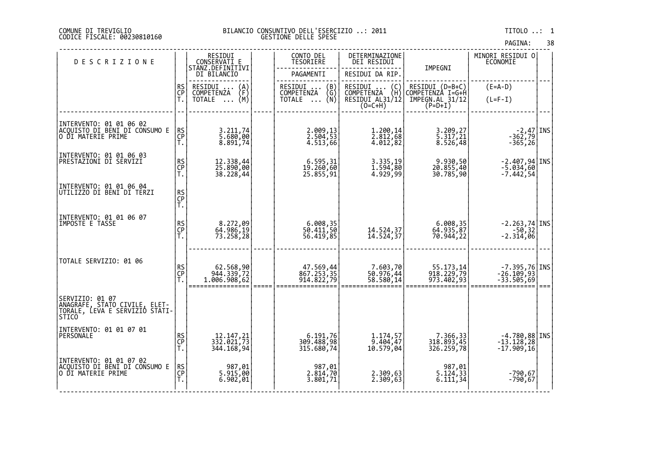#### COMUNE DI TREVIGLIO BILANCIO CONSUNTIVO DELL'ESERCIZIO ..: 2011 TITOLO ..: 1 CODICE FISCALE: 00230810160 GESTIONE DELLE SPESE

| <b>DESCRIZIONE</b>                                                                           |                | RESIDUI<br>CONSERVATI E                               | CONTO DEL<br><b>TESORIERE</b>                                    | DETERMINAZIONE<br>DEI RESIDUI       | IMPEGNI                               | MINORI RESIDUI O<br>ECONOMIE                                                  |      |
|----------------------------------------------------------------------------------------------|----------------|-------------------------------------------------------|------------------------------------------------------------------|-------------------------------------|---------------------------------------|-------------------------------------------------------------------------------|------|
|                                                                                              |                | STĀNZ.DEFINĪTĪVI<br>DI BILANCIO                       | PAGAMENTI                                                        | RESIDUI DA RIP.                     |                                       |                                                                               |      |
|                                                                                              |                | RESIDUI<br>$\binom{A}{F}$                             | RESIDUI<br>(B)<br>$\cdots$                                       | RESIDUI<br>COMPETENZA<br>(C)        | RESIDUI (D=B+C)<br>COMPETENZA I=G+H   | $(E=A-D)$                                                                     |      |
|                                                                                              | RS<br>CP<br>T. | <b>COMPETENZA</b><br>(M)<br><b>TOTALE</b><br>$\ddots$ | <b>COMPETENZA</b><br>$\binom{G}{N}$<br><b>TOTALE</b><br>$\cdots$ | (H)<br>RESIDUI AL31/12<br>$(O=C+H)$ | IMPEGN.AL 31/12<br>$(P=D+I)$          | $(L=F-I)$                                                                     |      |
|                                                                                              |                |                                                       |                                                                  |                                     |                                       |                                                                               |      |
| INTERVENTO: 01 01 06 02<br> ACQUISTO DI BENI DI CONSUMO E<br>O DI MATERIE PRIME              | RS<br>CP<br>T. | 3.211,74<br>5.680,00<br>8.891,74                      | 2.009,13<br>2.504,53<br>4.513,66                                 | 1.200,14<br>2.812,68<br>4.012,82    | 3.209,27<br>5.317, 21<br>8.526,48     | $\left[\begin{array}{c} -2,47 \\ -362,79 \\ -365,26 \end{array}\right]$       |      |
| INTERVENTO: 01 01 06 03<br>PRESTAZIONI DI SERVIZI                                            | RS<br>CP<br>T. | 12.338,44<br>25.890,00<br>38.228,44                   | 6.595,31<br>19.260,60<br>25.855,91                               | 3.335,19<br>1.594,80<br>4.929,99    | 9.930,50<br>20.855,40<br>30.785,90    | -2.407,94 INS<br>-5.034,60  <br>$-7.442, 54$                                  |      |
| INTERVENTO: 01 01 06 04<br>UTILIZZO DI BENI DI TERZI                                         | RS<br>CP<br>T. |                                                       |                                                                  |                                     |                                       |                                                                               |      |
| INTERVENTO: 01 01 06 07<br>IMPOSTE E TASSE                                                   | RS<br>CP<br>T. | 8.272,09<br>64.986,19<br>73.258,28                    | 6.008,35<br>50.411,50<br>56.419,85                               | 14.524,37<br>14.524,37              | 6.008,35<br>64.935,87<br>70.944,22    | $-2.263,74$ INS<br>$-50,32$<br>$-2.314,06$                                    |      |
|                                                                                              |                |                                                       |                                                                  |                                     |                                       |                                                                               |      |
| TOTALE SERVIZIO: 01 06                                                                       | RS<br>CP<br>T. | 62.568,90<br>944.339,72<br>1.006.908,62               | 47.569,44<br>867.253,35<br>914.822,79                            | 7.603,70<br>50.976,44<br>58.580,14  | 55.173,14<br>918.229,79<br>973.402,93 | $\begin{bmatrix} -7.395, 76 \\ -26.109, 93 \end{bmatrix}$ INS<br>$-33.505,69$ | $==$ |
| SERVIZIO: 01 07<br> ANAGRAFE, STAIO CIVILE, ELET-<br>TORALE, LEVA E SERVIZIO STATI-<br>STICO |                |                                                       |                                                                  |                                     |                                       |                                                                               |      |
| INTERVENTO: 01 01 07 01<br>PERSONALE                                                         | RS<br>CP<br>T. | 12.147,21<br>332.021,73<br>344.168,94                 | 6.191,76<br>309.488,98<br>315.680,74                             | 1.174,57<br>9.404,47<br>10.579,04   | 7.366,33<br>318.893,45<br>326.259,78  | $-4.780,88$ INS<br>$-13.128,28$<br>$-17.909,16$                               |      |
| INTERVENTO: 01 01 07 02<br>ACQUISTO DI BENI DI CONSUMO E<br>O DI MATERIE PRIME               | RS<br>CP<br>T. | 987,01<br> 90,215.9<br>6.902,01                       | 987,01<br>2.814,70<br>$\overline{3}.\overline{8}01,71$           | 2.309,63<br>2.309,63                | 987,01<br>5.124,33<br>6.111, 34       | $-790,67$<br>$-790,67$                                                        |      |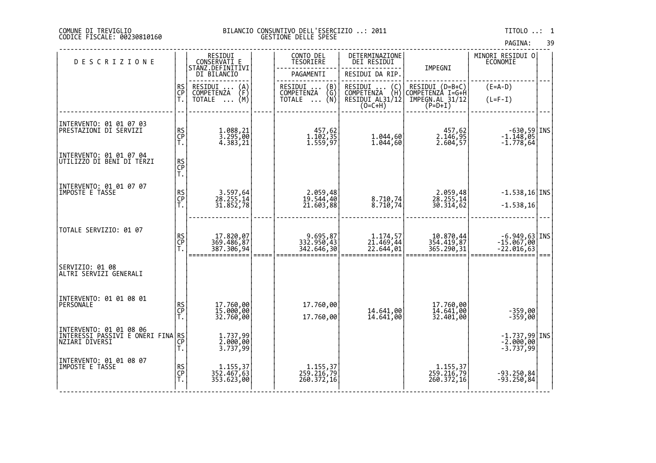# DI TREVIGLIO BILANCIO CONSUNTIVO DELL'ESERCIZIO ..: 2011 TITOLO ..: 1 FISCALE: 00230810160 GESTIONE DELLE SPESE

| <b>DESCRIZIONE</b>                                                                       |                | RESIDUI<br>CONSERVATI E                        | CONTO DEL<br><b>TESORIERE</b>          | DETERMINAZIONE<br>DEI RESIDUI                                                        |                                        | MINORI RESIDUI 0<br><b>ECONOMIE</b>                  |      |
|------------------------------------------------------------------------------------------|----------------|------------------------------------------------|----------------------------------------|--------------------------------------------------------------------------------------|----------------------------------------|------------------------------------------------------|------|
|                                                                                          |                | STANZ.DEFINITIVI<br>DI BILANCIO                | PAGAMENTI                              | RESIDUI DA RIP.                                                                      | IMPEGNI                                |                                                      |      |
|                                                                                          | RS<br>CP       | RESIDUI<br>$\binom{A}{F}$<br><b>COMPETENZA</b> | RESIDUI<br>(B)<br>(Ğ'<br>COMPETENZA    | RESIDUI<br>$\left(\begin{smallmatrix} C \\ H \end{smallmatrix}\right)$<br>COMPETENZA | RESIDUI (D=B+C)<br>COMPETENZÀ I=G+H    | $(E=A-D)$                                            |      |
|                                                                                          | Ť.             | (M)<br>TOTALE                                  | ∖Ñ)<br><b>TOTALE</b><br>$\cdots$       | RESIDUI AL31/12<br>$(0=C+H)$                                                         | IMPEGN.AL 31/12<br>$(P=D+I)$           | $(L=F-I)$                                            |      |
| INTERVENTO: 01 01 07 03<br> PRESTAZIONI DI SERVIZI                                       | RS<br>CP<br>T. | 1.088,21<br>3.295,00<br>4.383,21               | 457,62<br>1.102,35<br>1.559,97         | 1.044,60<br>1.044,60                                                                 | 457,62<br>2.146,95<br>2.604,57         | $-630,59$ <i>INS</i><br>$-1.148, 05$<br>$-1.778, 64$ |      |
| INTERVENTO: 01 01 07 04<br>UTILIZZO DI BENI DI TERZI                                     | RS<br>CP<br>T. |                                                |                                        |                                                                                      |                                        |                                                      |      |
| INTERVENTO: 01 01 07 07<br>IMPOSTE E TASSE                                               | RS<br>CP<br>T. | 3.597,64<br>28.255,14<br>31.852,78             | 2.059,48<br>19.544,40<br>21.603,88     | 8.710,74<br>8.710,74                                                                 | 2.059,48<br>28.255,14<br>30.314,62     | $-1.538,16$ INS<br>$-1.538,16$                       |      |
| TOTALE SERVIZIO: 01 07                                                                   | RS<br>CP<br>T. | 17.820,07<br>369.486,87<br>387.306,94          | 9.695,87<br> 332.950,43<br> 342.646,30 | 1.174,57<br>21.469,44<br>22.644,01                                                   | 10.870,44<br>354.419,87<br>365.290,31  | $-6.949,63$ INS<br>-15.067,00<br>-22.016,63          | $==$ |
| SERVIZIO: 01 08<br>ALTRI SERVIZI ĞENERALI                                                |                |                                                |                                        |                                                                                      |                                        |                                                      |      |
| INTERVENTO: 01 01 08 01<br>PERSONALE                                                     | RS<br>CP<br>T. | 17.760,00<br>15.000,00<br>32.760,00            | 17.760,00<br>17.760,00                 | 14.641,00<br>14.641,00                                                               | 17.760,00<br>14.641,00<br>32.401,00    | -359,00<br>-359,00                                   |      |
| INTERVENTO: 01 01 08 06<br>ÎNTERESSI PASSIVÎ E ONERI FINA RS<br>  NZIARI DIVERSI<br>  T. |                | 1.737,99<br>2.000,00<br>3.737,99               |                                        |                                                                                      |                                        | -1.737,99 INS<br>-2.000,00<br>-3.737,99              |      |
| INTERVENTO: 01 01 08 07<br>IMPOSTE E TASSE                                               | RS<br>CP<br>T. | 1.155,37<br>352.467,63<br>353.623,00           | 1.155,37<br>259.216,79<br>260.372,16   |                                                                                      | 1.155, 37<br>259.216, 79<br>260.372,16 | -93.250,84<br>-93.250,84                             |      |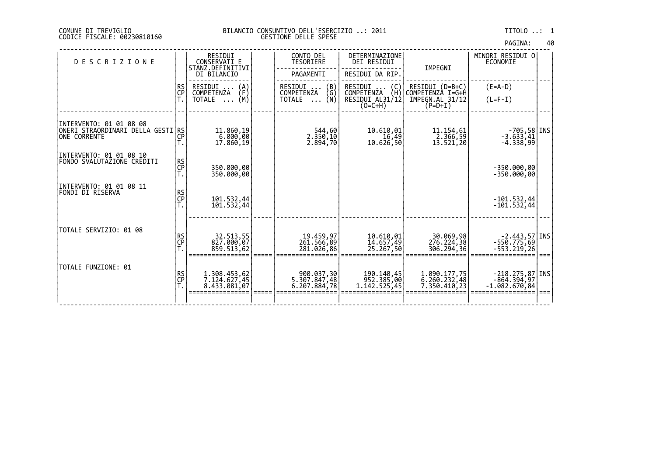| PAGINA: | 40 |
|---------|----|
|         |    |

| <b>DESCRIZIONE</b>                                  |                | RESIDUI<br>CONSERVATI E<br>STANZ.DEFINITIVI | CONTO DEL<br>TESORIERE                  | DETERMINAZIONE<br>DEI RESIDUI           | IMPEGNI                             | MINORI RESIDUI 0<br><b>ECONOMIE</b> |  |
|-----------------------------------------------------|----------------|---------------------------------------------|-----------------------------------------|-----------------------------------------|-------------------------------------|-------------------------------------|--|
|                                                     |                | DI BILANCIO                                 | PAGAMENTI                               | RESIDUI DA RIP.                         |                                     |                                     |  |
|                                                     | RS<br>CP       | RESIDUI<br>(A)<br>(F)<br>COMPETENZA         | RESIDUI<br>COMPETENZA<br>$\binom{B}{G}$ | RESIDUI<br>$\binom{C}{H}$<br>COMPETENZA | RESIDUI (D=B+C)<br>COMPETENZÀ I=G+H | $(E=A-D)$                           |  |
|                                                     |                | (M)<br>TOTALE<br>$\cdots$                   | (N)<br>TOTALE<br>$\cdots$               | RESIDUI AL31/12<br>$(O=C+H)$            | IMPEGN.AL 31/12<br>$(P=D+I)$        | $(L=F-I)$                           |  |
| INTERVENTO: 01 01 08 08                             |                |                                             |                                         |                                         |                                     |                                     |  |
| ONERI STRAORDINARI DELLA GESTI RS <br>IONE CORRENTE | CP<br>T.       | 11.860,19<br>6.000,00                       | 544,60<br>2.350, 10                     | 10.610,01<br>16,49                      | 11.154,61<br>2.366,59               | $-705,58$   INS<br>$-3.633,41$      |  |
| INTERVENTO: 01 01 08 10                             |                | 17.860,19                                   | $\overline{2.894,70}$                   | 10.626,50                               | 13.521,20                           | $-4.338,99$                         |  |
| <b>FONDO SVALUTAZIONE CREDITI</b>                   | RS<br>CP<br>T. | 350.000,00                                  |                                         |                                         |                                     | $-350.000,00$                       |  |
| INTERVENTO: 01 01 08 11                             |                | 350.000,00                                  |                                         |                                         |                                     | $-350.000,00$                       |  |
| FONDI DI RISERVA                                    | RS<br>CP       | 101.532.44                                  |                                         |                                         |                                     | $-101.532,44$                       |  |
|                                                     |                | 101.532,44                                  |                                         |                                         |                                     | $-101.532,44$                       |  |
| TOTALE SERVIZIO: 01 08                              |                |                                             |                                         |                                         |                                     |                                     |  |
|                                                     | RS<br>CP<br>T. | 32.513,55<br>827.000,07                     | 19.459,97<br>261.566,89                 | 10.610.01<br>14.657,49                  | 30.069,98<br>276.224,38             | $-2.443,57$ INS<br>$-550.775,69$    |  |
|                                                     |                | 859.513,62                                  | 281.026,86                              | 25.267,50                               | 306.294,36                          | -553.219,26                         |  |
| TOTALE FUNZIONE: 01                                 |                | 1.308.453,62                                | 900.037,30                              | 190.140,45                              | 1.090.177,75                        | $-218.275,87$   INS                 |  |
|                                                     | RS<br>CP<br>T. | 7.124.627,45<br>8.433.081,07                | 5.307.847,48<br>6.207.884,78            | 952.385,00<br>1.142.525,45              | 6.260.232,48<br>7.350.410,23        | $-864.394,97$<br>$-1.082.670,84$    |  |
|                                                     |                |                                             |                                         |                                         |                                     |                                     |  |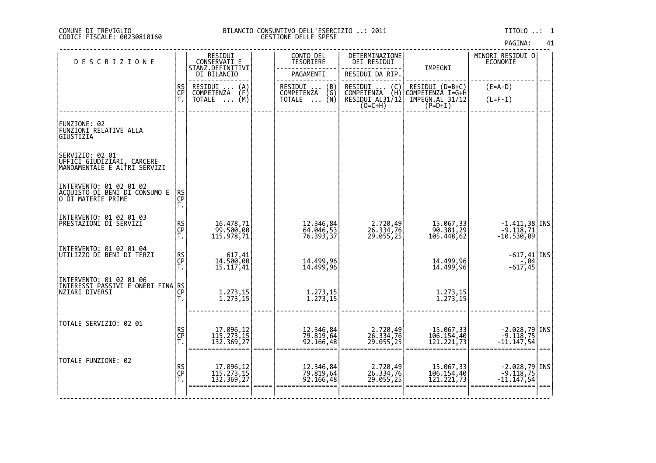| PAGINA: |  |  |  | 41 |
|---------|--|--|--|----|
|---------|--|--|--|----|

| <b>DESCRIZIONE</b>                                                              |                | RESIDUI<br>CONSERVATI_E                                                | CONTO DEL<br>TESORIERE                       | DETERMINAZIONE<br>DEI RESIDUI                  |                                                                            | MINORI RESIDUI 0<br>ECONOMIE                                                                 |  |
|---------------------------------------------------------------------------------|----------------|------------------------------------------------------------------------|----------------------------------------------|------------------------------------------------|----------------------------------------------------------------------------|----------------------------------------------------------------------------------------------|--|
|                                                                                 |                | STANZ.DEFINITIVI<br>DI BILANCIO                                        | PAGAMENTI                                    | RESIDUI DA RIP                                 | IMPEGNI                                                                    |                                                                                              |  |
|                                                                                 | RS<br>CP<br>T. | RESIDUI<br>$\begin{Bmatrix} A \\ F \\ (M) \end{Bmatrix}$<br>COMPETENZA | RESIDUI<br>.<br>NŻA (G)<br>(N)<br>COMPETENZA | RESIDUI<br>(C)                                 | RESIDUI (D=B+C)<br>COMPETENZA I=G+H<br>IMPEGN.AL 31/12                     | $(E=A-D)$                                                                                    |  |
|                                                                                 |                | TOTALE                                                                 | <b>TOTALE</b>                                | COMPETENZA (H)<br>RESIDUI AL31/12<br>$(O=C+H)$ | $(P=D+I)$                                                                  | $(L=F-I)$                                                                                    |  |
| FUNZIONE: 02<br>FUNZIONI RELATIVE ALLA<br>GIUSTIZIA                             |                |                                                                        |                                              |                                                |                                                                            |                                                                                              |  |
| SERVIZIO: 02 01<br>UFFICI GIUDIZIARI, CARCERE<br>MANDAMENTALE E ALTRI SERVIZI   |                |                                                                        |                                              |                                                |                                                                            |                                                                                              |  |
| INTERVENTO: 01 02 01 02<br> ACQUISTO_DI_BENI_DI CONSUMO E<br>O DI MATERIE PRIME | RS<br>CP<br>T. |                                                                        |                                              |                                                |                                                                            |                                                                                              |  |
| INTERVENTO: 01 02 01 03<br>PRESTAZIONI DI SERVIZI                               | RS<br>CP<br>T. | 16.478,71<br>99.500,00<br>115.978,71                                   | 12.346,84<br>64.046,53<br>76.393,37          | 2.720,49<br>26.334,76<br>29.055,25             | 15.067,33<br>90.381,29<br>105.448,62                                       | $\begin{bmatrix} -1.411, 38 \\ -9.118, 71 \\ -10.530, 09 \end{bmatrix}$ INS                  |  |
| INTERVENTO: 01 02 01 04<br>UTILIZZO DI BENI DI TERZI                            | RS<br>CP<br>T. | $617,41$<br>14.500,00<br>15.117,41                                     | 14.499,96<br>14.499,96                       |                                                | 14.499,96<br>14.499,96                                                     | $-617, 41$ INS<br>04, -<br>45, 617-                                                          |  |
| INTERVENTO: 01 02 01 06<br> INTERESSI PASSIVI E ONERI FINA RS<br> CP <br> T.    |                | 1.273,15<br>1.273,15                                                   | 1.273,15<br>$\overline{1.273,15}$            |                                                | 1.273,15<br>1.273,15                                                       |                                                                                              |  |
| TOTALE SERVIZIO: 02 01                                                          | RS<br>CP<br>T. | 17.096,12<br>115.273,15<br>132.369,27                                  | 12.346,84<br>79.819,64<br>92.166,48          | 2.720,49<br>26.334,76<br>29.055,25             | 15.067,33<br>106.154,40<br>$\bar{1}\bar{2}\bar{1}.\bar{2}\bar{2}1\bar{1}3$ | $\begin{array}{c} -2.028,79   \text{INS} \\ -9.118,75   \text{--} \\ -11.147,54 \end{array}$ |  |
| TOTALE FUNZIONE: 02                                                             | RS<br>CP<br>T. | 17.096,12<br>115.273,15<br>132.369,27                                  | 12.346,84<br>79.819,64<br>92.166,48          | 2.720,49<br>26.334,76<br>29.055,25             | 15.067,33<br>106.154,40<br>121.221,73                                      | $\begin{array}{c} -2.028,79   \text{INS}   \\ -9.118,75   \\ -11.147,54 \end{array}$         |  |
|                                                                                 |                |                                                                        |                                              |                                                |                                                                            |                                                                                              |  |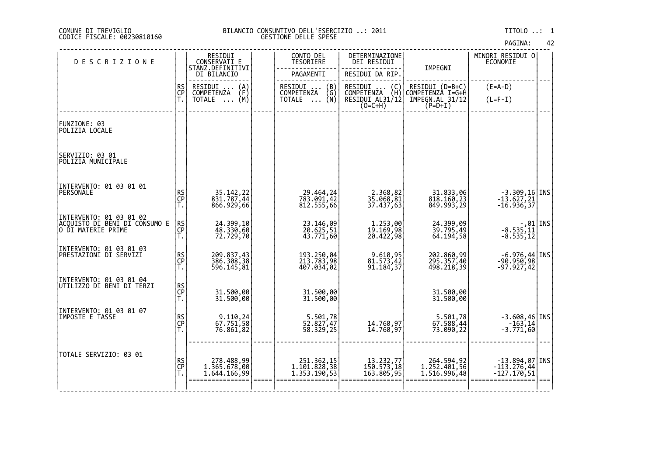| PAGINA: | 42 |
|---------|----|
|---------|----|

| <b>DESCRIZIONE</b>                                                             |                | RESIDUI<br>CONSERVATI E                        | CONTO DEL<br>TESORIERE                                             | DETERMINAZIONE<br>DEI RESIDUI                     |                                            | MINORI RESIDUI O<br><b>ECONOMIE</b>                                              |      |
|--------------------------------------------------------------------------------|----------------|------------------------------------------------|--------------------------------------------------------------------|---------------------------------------------------|--------------------------------------------|----------------------------------------------------------------------------------|------|
|                                                                                |                | STANZ.DEFINITIVI<br>DI BILANCIO                | PAGAMENTI                                                          | RESIDUI DA RIP                                    | IMPEGNI                                    |                                                                                  |      |
|                                                                                | RS<br>CP<br>T. | RESIDUI<br>$\binom{A}{F}$<br><b>COMPETENZA</b> | RESIDUI  (B)<br>COMPETENZA (G)<br>TOTALE  (N)                      | RESIDUI  (C)<br>COMPETENZA (H)<br>RESIDUI AL31/12 | RESIDUI (D=B+C)<br>COMPETENZA I=G+H        | $(E=A-D)$                                                                        |      |
|                                                                                |                | (M)<br>TOTALE                                  |                                                                    | $(0=C+H)$                                         | IMPEGN.AL 31/12<br>$(P=D+I)$               | $(L=F-I)$                                                                        |      |
| FUNZIONE: 03<br>POLIZIA LOCALE                                                 |                |                                                |                                                                    |                                                   |                                            |                                                                                  |      |
| SERVIZIO: 03 01<br> POLIZIA MUNICIPALE                                         |                |                                                |                                                                    |                                                   |                                            |                                                                                  |      |
| INTERVENTO: 01 03 01 01<br>PERSONALE                                           | RS<br>CP<br>T. | 35.142,22<br>831.787,44<br>866.929,66          | 29.464,24<br>783.091,42<br>812.555,66                              | 2.368,82<br>35.068,81<br>37.437,63                | 31.833,06<br>818.160,23<br>849.993,29      | $-3.309,16$ INS<br>$-13.627,21$<br>$-16.936,37$                                  |      |
| INTERVENTO: 01 03 01 02<br>ACQUISTO DI BENI DI CONSUMO E<br>O DI MATERIE PRIME | RS<br>CP<br>T. | 24.399,10<br>48.330,60<br>72.729,70            | 23.146,09<br>20.625,51<br>43.771,60                                | 1.253,00<br>19.169,98<br>20.422,98                | 24.399,09<br>39.795,49<br>64.194,58        | 01   INS<br> -8.535,11<br> -8.535,12                                             |      |
| INTERVENTO: 01 03 01 03<br> PRESTAZIONI DI SERVIZI                             | RS<br>CP<br>T. | 209.837,43<br>386.308,38                       | 193.250,04<br>213.783,98<br>407.034,02                             | 9.610,95<br>81.573,42<br>91.184,37                | 202.860,99<br>295.357,40<br>498.218,39     | -6.976,44 INS<br>-90.950,98<br>-97.927,42                                        |      |
| INTERVENTO: 01 03 01 04<br>UTILIZZO DI BENI DI TERZI                           | RS<br>CP<br>T. | 31.500,00<br>31.500,00                         | 31.500,00<br>31.500,00                                             |                                                   | 31.500,00<br>31.500,00                     |                                                                                  |      |
| INTERVENTO: 01 03 01 07<br>IMPOSTE E TASSE                                     | RS<br>CP<br>T. | 9.110,24<br>67.751,58<br>76.861,82             | 5.501,78<br>52.827,47<br>58.329,25                                 | 14.760,97<br>14.760,97                            | 5.501,78<br>67.588,44<br>73.090,22         | $-3.608, 46$ INS<br>$-163,14$<br>$-3.771,60$                                     |      |
| TOTALE SERVIZIO: 03 01                                                         | RS<br>CP<br>T. | 278.488,99<br>1.365.678,00<br>1.644.166,99     | 251.362,15<br>1.101.828,38<br>$1.\overline{3}53.\overline{1}90,53$ | 13.232,77<br>150.573,18<br>163.805,95             | 264.594,92<br>1.252.401,56<br>1.516.996,48 | $\begin{bmatrix} -13.894, 07 \\ -113.276, 44 \end{bmatrix}$ INS<br>$-127.170,51$ | $==$ |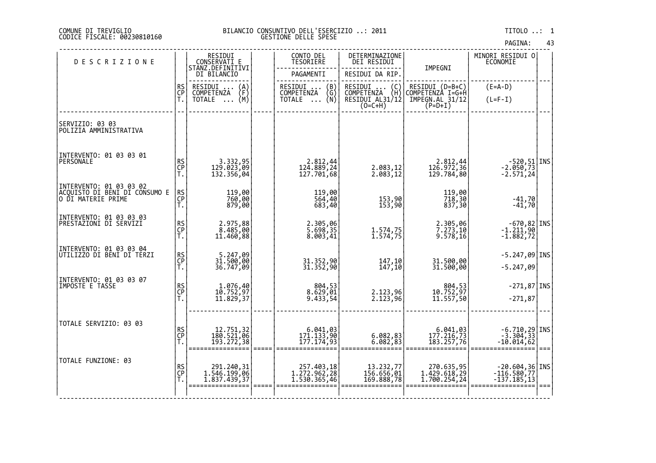# DI TREVIGLIO BILANCIO CONSUNTIVO DELL'ESERCIZIO ..: 2011 TITOLO ..: 1 FISCALE: 00230810160 GESTIONE DELLE SPESE

| <b>DESCRIZIONE</b>                                                              |                | RESIDUI<br>CONSERVATI E                                              | CONTO DEL<br><b>TESORIERE</b>                                                              | DETERMINAZIONE<br>DEI RESIDUI                                  |                                                                        | MINORI RESIDUI 0<br>ECONOMIE                                                |      |
|---------------------------------------------------------------------------------|----------------|----------------------------------------------------------------------|--------------------------------------------------------------------------------------------|----------------------------------------------------------------|------------------------------------------------------------------------|-----------------------------------------------------------------------------|------|
|                                                                                 |                | STANZ.DEFINITIVI<br>DI BILANCIO                                      | PAGAMENTI                                                                                  | RESIDUI DA RIP.                                                | IMPEGNI                                                                |                                                                             |      |
|                                                                                 | RS<br>CP<br>T. | RESIDUI<br>$\binom{A}{F}$<br>COMPETENZA<br>(M)<br>TOTALE<br>$\cdots$ | RESIDUI<br>COMPETENZA<br>$\begin{pmatrix} B \\ G \\ N \end{pmatrix}$<br>TOTALE<br>$\cdots$ | RESIDUI  (C)<br>COMPETENZA (H)<br>RESIDUI AL31/12<br>$(O=C+H)$ | RESIDUI (D=B+C)<br>COMPETENZA I=G+H<br>IMPEGN.AL 31/12<br>$(P=D+I)$    | $(E=A-D)$<br>$(L=F-I)$                                                      |      |
| SERVIZIO: 03 03<br>POLIZIA AMMINISTRATIVA                                       |                |                                                                      |                                                                                            |                                                                |                                                                        |                                                                             |      |
| INTERVENTO: 01 03 03 01<br>PERSONALE                                            | RS<br>CP<br>T. | 3.332,95<br>129.023,09<br>132.356,04                                 | 2.812,44<br>124.889,24<br>127.701,68                                                       | 2.083,12<br>2.083,12                                           | 2.812,44<br>126.972,36<br>129.784,80                                   | -520,51 INS<br>-2.050,73<br>-2.571,24                                       |      |
| INTERVENTO: 01 03 03 02<br> ACQUISTO_DI_BENI_DI CONSUMO E<br>O DI MATERIE PRIME | RS<br>CP<br>T. | 119,00<br>760,00<br>879,00                                           | 119,00<br>564,40<br>683,40                                                                 | 153,90<br>153,90                                               | 119,00<br>718,30<br>837,30                                             | $-41,70$<br>$-4\overline{1}$ , 70                                           |      |
| INTERVENTO: 01 03 03 03<br>PRESTAZIONI DI SERVIZI                               | RS<br>CP<br>T. | 2.975,88<br>8.485,00<br>11.460,88                                    | 2.305,06<br>5.698,35<br>8.003,41                                                           | 1.574,75<br>1.574,75                                           | 2.305,06<br>7.273,10<br>9.578,16                                       | $\begin{bmatrix} -670, 82 \\ -1.211, 90 \\ -1.882, 72 \end{bmatrix}$ INS    |      |
| INTERVENTO: 01 03 03 04<br>UTILIZZO DI BENI DI TERZI                            | RS<br>CP<br>T. | 5.247,09<br>31.500,00<br>36.747,09                                   | 31.352,90<br>31.352,90                                                                     | 147,10<br>147,10                                               | 31.500,00<br>31.500,00                                                 | $-5.247,09$ INS<br>$-5.247,09$                                              |      |
| INTERVENTO: 01 03 03 07<br>IMPOSTE E TASSE                                      | RS<br>CP<br>T. | 1.076,40<br>10.752,97<br>11.829,37                                   | 804,53<br>8.629,01<br>9.433,54                                                             | 2.123,96<br>2.123,96                                           | 804,53<br>10.752,97<br>11.557,50                                       | $-271,87$ INS<br>$-271,87$                                                  |      |
| TOTALE SERVIZIO: 03 03                                                          | RS<br>CP<br>T. | 12.751,32<br>180.521,06<br>193.272,38                                | 6.041,03<br> 171.133,90<br> 177.174,93                                                     | 6.082,83<br>6.082, 83                                          | $\begin{array}{c} 6.041, 03 \\ 177.216, 73 \\ 183.257, 76 \end{array}$ | $\begin{bmatrix} -6.710, 29 \\ -3.304, 33 \\ -10.014, 62 \end{bmatrix}$ INS | $==$ |
| TOTALE FUNZIONE: 03                                                             | RS<br>CP<br>T. | 291.240,31<br>1.546.199,06<br>1.837.439,37                           | 257.403,18<br>1.272.962,28<br>1.530.365,46                                                 | 13.232,77<br>156.656,01<br>169.888,78                          | 270.635,95<br>1.429.618,29<br>1.700.254,24                             | $-20.604, 36$ INS<br>-116.580,77<br>-137.185,13                             |      |
|                                                                                 |                |                                                                      |                                                                                            |                                                                |                                                                        |                                                                             |      |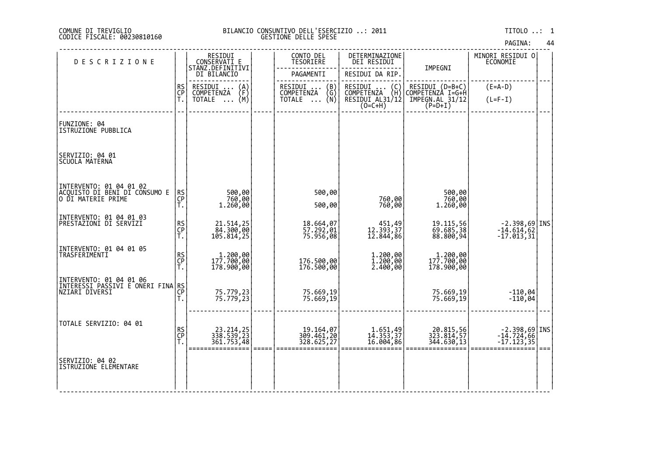| PAGINA: | 44 |
|---------|----|
|         |    |

| <b>DESCRIZIONE</b>                                                               |                | RESIDUI<br>CONSERVATI E<br>STANZ.DEFINITIVI |  | CONTO DEL<br><b>TESORIERE</b>                  | DETERMINAZIONE<br>DEI RESIDUI                    |                                       | MINORI RESIDUI 0<br><b>ECONOMIE</b>             |  |
|----------------------------------------------------------------------------------|----------------|---------------------------------------------|--|------------------------------------------------|--------------------------------------------------|---------------------------------------|-------------------------------------------------|--|
|                                                                                  |                | DI BILANCIO                                 |  | PAGAMENTI                                      | RESIDUI DA RIP.                                  | IMPEGNI                               |                                                 |  |
|                                                                                  | RS<br>CP       | RESIDUI<br>$\binom{A}{F}$<br>COMPETENZA     |  | RESIDUI<br>(B)<br>NŻA (G)<br>(N)<br>COMPETENZA | RESIDUI (C)<br>COMPETENZA (H)<br>RESIDUI AL31/12 | RESIDUI (D=B+C)<br>COMPETENZÀ I=G+H   | $(E=A-D)$                                       |  |
|                                                                                  | Ť.             | (M)<br>TOTALE                               |  | TOTALE                                         | $(0=C+H)$                                        | IMPEGN.AL 31/12<br>$(P=D+I)$          | $(L=F-I)$                                       |  |
| FUNZIONE: 04<br>ISTRUZIONE PUBBLICA                                              |                |                                             |  |                                                |                                                  |                                       |                                                 |  |
| SERVIZIO: 04 01<br><b>SCUOLA MATERNA</b>                                         |                |                                             |  |                                                |                                                  |                                       |                                                 |  |
| INTERVENTO: 01 04 01 02<br> ACQUISTO DI BENI DI CONSUMO E<br> O DI MATERIE PRIME | RS<br>CP<br>T. | 500,00<br>760,00<br>1.260,00                |  | 500,00<br>500,00                               | 760,00<br>760,00                                 | 500,00<br>760,00<br>1.260,00          |                                                 |  |
| INTERVENTO: 01 04 01 03<br>PRESTAZIONI DI SERVIZI                                | RS<br>CP<br>T. | 21.514,25<br>84.300,00<br>105.814,25        |  | 18.664,07<br>57.292,01<br>75.956,08            | 451,49<br>12.393,37<br>12.844,86                 | 19.115,56<br>69.685,38<br>88.800,94   | $-2.398,69$ INS<br>$-14.614,62$<br>$-17.013,31$ |  |
| INTERVENTO: 01 04 01 05<br>TRASFERIMENTI                                         | RS<br>CP<br>T. | 1.200,00<br>177.700,00<br>178.900,00        |  | 176.500,00<br>176.500,00                       | 1.200,00<br>1.200,00<br>2.400,00                 | 1.200,00<br>177.700,00<br>178.900,00  |                                                 |  |
| INTERVENTO: 01 04 01 06<br> INTERESSI PASSIVI E ONERI FINA RS <br> CP            | T.             | 75.779,23<br>75.779,23                      |  | 75.669,19<br>75.669,19                         |                                                  | 75.669,19<br>75.669,19                | $-110,04$<br>$-110,04$                          |  |
| TOTALE SERVIZIO: 04 01                                                           | RS<br>CP<br>T. | 23.214,25<br>338.539,23<br>361.753,48       |  | 19.164,07<br>309.461,20<br>328.625,27          | 1.651,49<br>14.353,37<br>16.004,86               | 20.815,56<br>323.814,57<br>344.630,13 | $-2.398,69$ INS<br>$-14.724,66$<br>$-17.123,35$ |  |
| SERVIZIO: 04 02<br>ISTRUZIONE ELEMENTARE                                         |                |                                             |  |                                                |                                                  |                                       |                                                 |  |
|                                                                                  |                |                                             |  |                                                |                                                  |                                       |                                                 |  |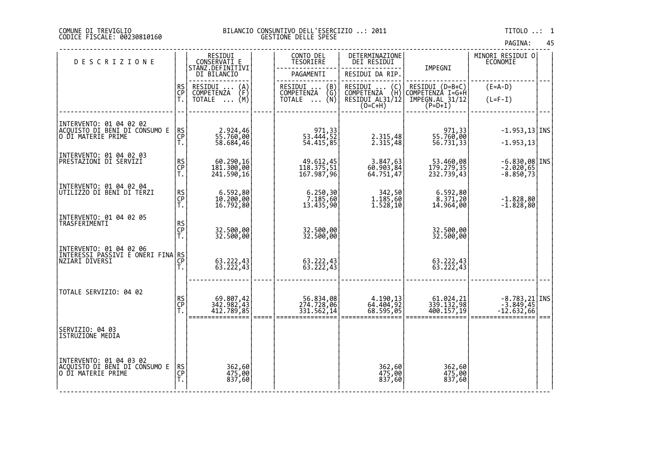| PAGINA: |  | 45 |  |
|---------|--|----|--|
|         |  |    |  |

| <b>DESCRIZIONE</b>                                        |                | RESIDUI<br>CONSERVATI E<br>STANZ.DEFINITIVI    |        | CONTO DEL<br>TESORIERE                                          | DETERMINAZIONE<br>DEI RESIDUI                     |                                       | MINORI RESIDUI O<br><b>ECONOMIE</b>                                    |      |
|-----------------------------------------------------------|----------------|------------------------------------------------|--------|-----------------------------------------------------------------|---------------------------------------------------|---------------------------------------|------------------------------------------------------------------------|------|
|                                                           |                | DI BILANCIO                                    |        | PAGAMENTI                                                       | RESIDUI DA RIP.                                   | IMPEGNI                               |                                                                        |      |
|                                                           | RS<br>CP<br>T. | RESIDUI<br>$\binom{A}{F}$<br><b>COMPETENZA</b> |        | RESIDUI<br>$\begin{pmatrix} B \\ G \end{pmatrix}$<br>COMPETENZA | RESIDUI  (C)<br>COMPETENZA (H)<br>RESIDUI AL31/12 | RESIDUI (D=B+C)<br>COMPETENZA I=G+H   | $(E=A-D)$                                                              |      |
|                                                           |                | (M)<br>TOTALE                                  |        | (Ñ)<br>TOTALE                                                   | $(0=C+H)$                                         | IMPEGN.AL 31/12<br>$(P=D+I)$          | $(L=F-I)$                                                              |      |
|                                                           |                |                                                |        |                                                                 |                                                   |                                       |                                                                        |      |
| INTERVENTO: 01 04 02 02<br> ACQUISTO DI BENI DI CONSUMO E |                |                                                |        |                                                                 |                                                   |                                       | $-1.953, 13$ INS                                                       |      |
| O DI MATERIE PRIME                                        | RS<br>CP<br>T. | 2.924,46<br>55.760,00<br>58.684,46             |        | 971, 33<br>  53. 444, 52<br>  54. 415, 85                       | 2.315,48<br>2.315,48                              | 971, 33<br>55. 760, 00<br>56. 731, 33 | $-1.953, 13$                                                           |      |
| INTERVENTO: 01 04 02 03                                   |                |                                                |        |                                                                 |                                                   |                                       |                                                                        |      |
| <b>PRESTAZIONI DI SERVIZI</b>                             | RS<br>CP<br>T. | 60.290,16<br>181.300,00                        |        | 49.612,45<br>118.375,51                                         | 3.847,63<br>60.903,84                             | 53.460,08<br>179.279,35               | $-6.830,08$ INS<br>$-2.020,65$                                         |      |
|                                                           |                | 241.590,16                                     |        | 167.987,96                                                      | 64.751,47                                         | 232.739,43                            | $-8.850,73$                                                            |      |
| INTERVENTO: 01 04 02 04<br>UTILIZZO DI BENI DI TERZI      |                |                                                |        |                                                                 | 342,50<br>1.185,60                                |                                       |                                                                        |      |
|                                                           | RS<br>CP<br>T. | 6.592,80<br>10.200,00<br>16.792,80             |        | 6.250,30<br>7.185,60<br>13.435,90                               | 1.528,10                                          | 6.592,80<br>8.371,20<br>14.964,00     | $-1.828,80$<br>$-1.828,80$                                             |      |
| INTERVENTO: 01 04 02 05<br>TRASFERIMENTI                  |                |                                                |        |                                                                 |                                                   |                                       |                                                                        |      |
|                                                           | RS<br>CP<br>T. | 32.500,00<br>32.500,00                         |        | 32.500,00<br>32.500,00                                          |                                                   | 32.500,00<br>32.500,00                |                                                                        |      |
|                                                           |                |                                                |        |                                                                 |                                                   |                                       |                                                                        |      |
|                                                           |                |                                                |        |                                                                 |                                                   |                                       |                                                                        |      |
|                                                           |                | 63.222,43<br>63.222,43                         |        | 63.222,43<br>63.222,43                                          |                                                   | 63.222,43<br>63.222,43                |                                                                        |      |
|                                                           |                |                                                |        |                                                                 |                                                   |                                       |                                                                        |      |
| TOTALE SERVIZIO: 04 02                                    |                |                                                |        |                                                                 | 4.190,13<br>64.404,92                             |                                       | $\begin{array}{c} -8.783, 21   \text{INS} \\ -3.849, 45   \end{array}$ |      |
|                                                           | RS<br>CP<br>T. | 69.807,42<br>342.982,43<br>412.789,85          |        | 56.834,08<br>274.728,06<br>331.562,14                           | 68.595,05                                         | 61.024,21<br>339.132,98<br>400.157,19 | $-12.632,66$                                                           |      |
|                                                           |                |                                                | $====$ |                                                                 |                                                   |                                       |                                                                        | $==$ |
| SERVIZIO: 04 03<br><b>ISTRUZIONE MEDIA</b>                |                |                                                |        |                                                                 |                                                   |                                       |                                                                        |      |
|                                                           |                |                                                |        |                                                                 |                                                   |                                       |                                                                        |      |
| INTERVENTO: 01 04 03 02<br> ACQUISTO_DI_BENI_DI CONSUMO E |                |                                                |        |                                                                 |                                                   |                                       |                                                                        |      |
| O DI MATERIE PRIME                                        | RS<br>CP<br>T. | 362,60<br>475,00<br>837,60                     |        |                                                                 | 362,60<br>475,00<br>837,60                        | 362,60<br>475,00<br>837,60            |                                                                        |      |
|                                                           |                |                                                |        |                                                                 |                                                   |                                       |                                                                        |      |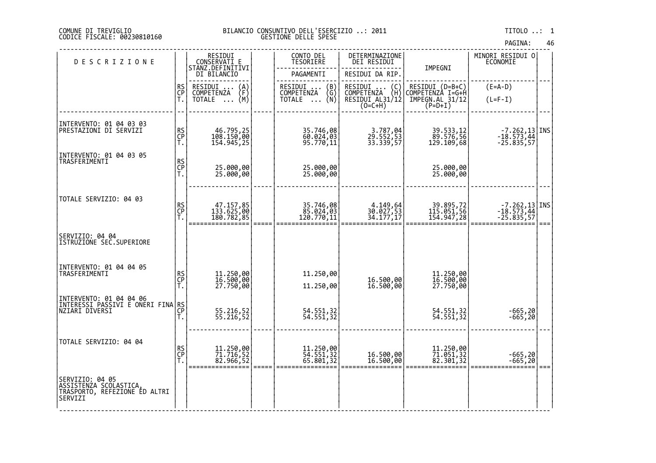|  | <b>\GINA:</b> |  | 46 |  |
|--|---------------|--|----|--|
|  |               |  |    |  |

|                                                                                                      |                |                                             |                                         |                                                                          |                                                  | PAGINA:                                                                        | 46   |
|------------------------------------------------------------------------------------------------------|----------------|---------------------------------------------|-----------------------------------------|--------------------------------------------------------------------------|--------------------------------------------------|--------------------------------------------------------------------------------|------|
| <b>DESCRIZIONE</b>                                                                                   |                | RESIDUI<br>CONSERVATI E<br>STANZ.DEFINITIVI | CONTO DEL<br><b>TESORIERE</b>           | DETERMINAZIONE<br>DEI RESIDUI                                            | IMPEGNI                                          | MINORI RESIDUI O<br>ECONOMIE                                                   |      |
|                                                                                                      |                | DI BILANCIO                                 | PAGAMENTI                               | RESIDUI DA RIP.                                                          |                                                  |                                                                                |      |
|                                                                                                      | RS<br>CP       | RESIDUI<br>COMPETENZA<br>$\binom{A}{F}$     | RESIDUI<br>COMPETENZA<br>$\binom{B}{G}$ | RESIDUI .<br>$\left(\begin{smallmatrix} 0 \\ H \end{smallmatrix}\right)$ | RESIDUI (D=B+C)                                  | $(E=A-D)$                                                                      |      |
|                                                                                                      | Ť.             | (M)<br><b>TOTALE</b><br>$\cdots$            | (Ñ)<br><b>TOTALE</b><br>$\cdots$        | COMPETENZA<br>RESIDUI AL31/12<br>$(0=C+H)$                               | COMPETENZA I=G+H<br>IMPEGN.AL 31/12<br>$(P=D+I)$ | $(L=F-I)$                                                                      |      |
|                                                                                                      |                |                                             |                                         |                                                                          |                                                  |                                                                                |      |
| INTERVENTO: 01 04 03 03<br>PRESTAZIONI DI SERVIZI                                                    | RS<br>CP<br>T. | 46.795,25<br>108.150,00<br>154.945,25       | 35.746,08<br>60.024,03<br>95.770,11     | 3.787,04<br>29.552,53<br>33.339,57                                       | 39.533,12<br>89.576,56<br>129.109,68             | $\begin{array}{c} -7.262,13   \text{INS} -18.573,44 \\ -25.835,57 \end{array}$ |      |
|                                                                                                      |                |                                             |                                         |                                                                          |                                                  |                                                                                |      |
| INTERVENTO: 01 04 03 05<br>TRASFERIMENTI                                                             |                |                                             |                                         |                                                                          |                                                  |                                                                                |      |
|                                                                                                      | RS<br>CP<br>T. | 25.000,00<br>25.000,00                      | 25.000,00<br>25.000,00                  |                                                                          | 25.000,00<br>25.000,00                           |                                                                                |      |
|                                                                                                      |                |                                             |                                         |                                                                          |                                                  |                                                                                |      |
| TOTALE SERVIZIO: 04 03                                                                               |                |                                             |                                         |                                                                          |                                                  |                                                                                |      |
|                                                                                                      | RS<br>CP<br>T. | 47.157,85<br>133.625,00<br>180.782,85       | 35.746,08<br>85.024,03<br>120.770,11    | 4.149,64<br>30.027,53<br>34.177,17                                       | 39.895,72<br>115.051,56<br>154.947,28            | -7.262,13 INS<br>-18.573,44<br>-25.835,57                                      |      |
|                                                                                                      |                |                                             |                                         |                                                                          |                                                  |                                                                                | $==$ |
| SERVIZIO: 04 04<br>ISTRUZIONE SEC.SUPERIORE                                                          |                |                                             |                                         |                                                                          |                                                  |                                                                                |      |
|                                                                                                      |                |                                             |                                         |                                                                          |                                                  |                                                                                |      |
| INTERVENTO: 01 04 04 05                                                                              |                |                                             |                                         |                                                                          |                                                  |                                                                                |      |
| TRASFERIMENTI                                                                                        | RS<br>CP<br>T. | 11.250,00<br>16.500,00<br>27.750,00         | 11.250,00                               |                                                                          | 11.250,00<br>16.500,00<br>27.750,00              |                                                                                |      |
|                                                                                                      |                |                                             | 11.250,00                               | 16.500,00<br>16.500,00                                                   |                                                  |                                                                                |      |
| INTERVENTO: 01 04 04 06<br> INTERESSI PASSIVI E ONERI FINA RS <br> INTERESSI PASSIVI E ONERI FINA RS |                |                                             |                                         |                                                                          |                                                  |                                                                                |      |
|                                                                                                      | Ť.             | 55.216,52<br>55.216,52                      | 54.551,32<br>54.551,32                  |                                                                          | 54.551,32<br>54.551,32                           | -665,20<br>665,20                                                              |      |
|                                                                                                      |                |                                             |                                         |                                                                          |                                                  |                                                                                |      |
| TOTALE SERVIZIO: 04 04                                                                               |                |                                             |                                         |                                                                          |                                                  |                                                                                |      |
|                                                                                                      | RS<br>CP<br>Ť. | 11.250,00<br>71.716,52<br>82.966,52         | 11.250,00<br>54.551,32                  | 16.500,00                                                                | 11.250,00<br>71.051,32                           | -665,20<br>-665,20                                                             |      |
|                                                                                                      |                |                                             | 65.801,32                               | 16.500,00                                                                | 82.301,32                                        |                                                                                | $==$ |
| SERVIZIO: 04 05                                                                                      |                |                                             |                                         |                                                                          |                                                  |                                                                                |      |
| ASSISTĒNZA SCŎLASTICA,<br> TRASPORTO, REFEZIONE ED ALTRI<br>SERVIZI                                  |                |                                             |                                         |                                                                          |                                                  |                                                                                |      |
|                                                                                                      |                |                                             |                                         |                                                                          |                                                  |                                                                                |      |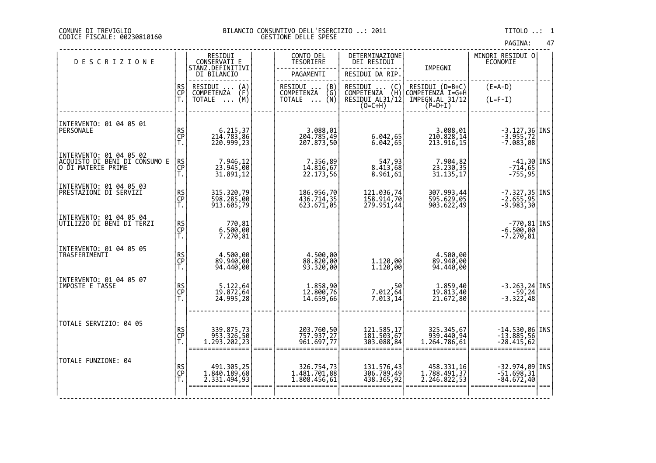|  | PAGINA: | 47 |
|--|---------|----|
|  |         |    |

| <b>DESCRIZIONE</b>                                                              |                | RESIDUI<br>CONSERVATI E                                  | CONTO DEL<br>TESORIERE                          | DETERMINAZIONE<br>DEI RESIDUI                                     |                                                                     | MINORI RESIDUI O<br>ECONOMIE                                   |      |
|---------------------------------------------------------------------------------|----------------|----------------------------------------------------------|-------------------------------------------------|-------------------------------------------------------------------|---------------------------------------------------------------------|----------------------------------------------------------------|------|
|                                                                                 |                | STANZ.DEFINITIVI<br>DI BILANCIO                          | PAGAMENTI                                       | RESIDUI DA RIP.                                                   | IMPEGNI                                                             |                                                                |      |
|                                                                                 | RS<br>CP<br>T. | RESIDUI<br>$\binom{A}{F}$<br>COMPETENZA<br>(M)<br>TOTALE | RESIDUI<br>(B)<br>COMPETENZA (G)<br>TOTALE  (N) | RESIDUI  (C) <br>COMPETENZA (H) <br>RESIDUI AL31/12 <br>$(0=C+H)$ | RESIDUI (D=B+C)<br>COMPETENZA I=G+H<br>IMPEGN.AL 31/12<br>$(P=D+I)$ | $(E=A-D)$<br>$(L=F-I)$                                         |      |
| INTERVENTO: 01 04 05 01<br>PERSONALE                                            | RS<br>CP<br>T. | 6.215,37<br>214.783,86<br>220.999,23                     | 3.088,01<br>204.785,49<br>207.873,50            | 6.042,65<br>6.042,65                                              | 3.088,01<br>210.828,14<br>213.916,15                                | -3.127,36 INS<br>-3.955,72<br>-7.083,08                        |      |
| INTERVENTO: 01 04 05 02<br> ACQUISTO_DI_BENI_DI CONSUMO E<br>O DI MATERIE PRIME | RS<br>CP<br>T. | 7.946,12<br>23.945,00<br>31.891,12                       | 7.356,89<br>14.816,67<br>22.173,56              | 547,93<br>8.413,68<br>8.961,61                                    | 7.904,82<br>23.230,35<br>31.135,17                                  | $-41,30$ INS<br>$-714,65$<br>$-755,95$                         |      |
| INTERVENTO: 01 04 05 03<br>PRESTAZIONI DI SERVIZI                               | RS<br>CP<br>T. | 315.320,79<br>598.285,00<br>913.605,79                   | 186.956,70<br>436.714,35<br>623.671,05          | 121.036,74<br>158.914,70<br>279.951,44                            | 307.993,44<br>595.629,05<br>903.622,49                              | $-7.327,35$ INS<br>$-2.655,95$<br>$-9.983,30$                  |      |
| INTERVENTO: 01 04 05 04<br>UTILIZZO DI BENI DI TERZI                            | RS<br>CP<br>T. | 770,81<br>6.500,00<br>7.270,81                           |                                                 |                                                                   |                                                                     | -770,81 INS<br>-6.500,00<br>$-7.270,81$                        |      |
| INTERVENTO: 01 04 05 05<br>TRASFERIMENTI                                        | RS<br>CP<br>T. | 4.500,00<br>89.940,00<br>94.440,00                       | 4.500,00<br>88.820,00<br>93.320,00              | 1.120,00<br>1.120,00                                              | 4.500,00<br>89.940,00<br>94.440,00                                  |                                                                |      |
| INTERVENTO: 01 04 05 07<br>IMPOSTE E TASSE                                      | RS<br>CP<br>T. | 5.122,64<br>19.872,64<br>24.995,28                       | 1.858,90<br>12.800,76<br>14.659,66              | ,50<br> 54,912,64<br>$7.\overline{013},\overline{14}$             | 1.859,40<br>19.813,40<br>21.672,80                                  | $\begin{array}{c} -3.263,24 \ \end{array}$ INS<br>$-3.322, 48$ |      |
| TOTALE SERVIZIO: 04 05                                                          | RS<br>CP<br>T. | 339.875,73<br>  953.326,50<br>  1.293.202,23             | 203.760,50<br>757.937,27<br>961.697,77          | 121.585,17<br>181.503,67<br>303.088,84                            | 325.345,67<br>939.440,94<br>1.264.786,61                            | $-14.530,06$ INS<br>$-13.885,56$<br>$-28.415,62$               | $==$ |
| TOTALE FUNZIONE: 04                                                             | RS<br>CP<br>T. | 491.305,25<br>1.840.189,68<br>2.331.494,93               | 326.754,73<br>1.481.701,88<br>1.808.456,61      | 131.576,43<br>306.789,49<br>438.365,92                            | 458.331,16<br>1.788.491,37<br>2.246.822,53                          | $-32.974,09$ INS<br>$-51.698,31$<br>$-84.672,40$               | $==$ |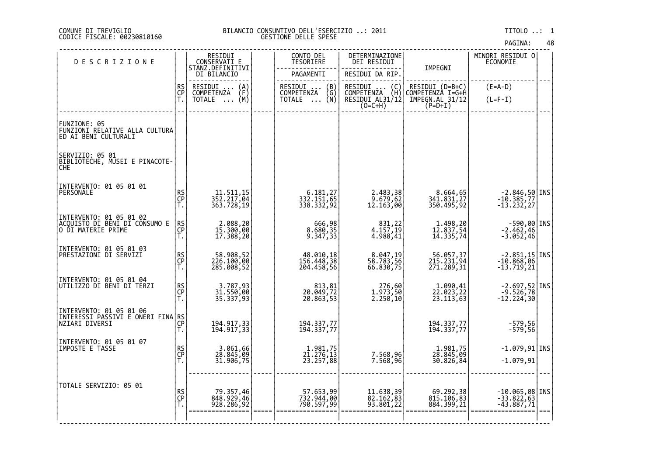# DI TREVIGLIO BILANCIO CONSUNTIVO DELL'ESERCIZIO ..: 2011 TITOLO ..: 1 FISCALE: 00230810160 GESTIONE DELLE SPESE

| <b>DESCRIZIONE</b>                                                                                         |                | RESIDUI<br>CONSERVATI E<br>STANZ.DEFINITIVI                          | CONTO DEL<br><b>TESORIERE</b>                                        | DETERMINAZIONE<br>DEI RESIDUI           | IMPEGNI                               | MINORI RESIDUI 0<br>ECONOMIE                                              |      |
|------------------------------------------------------------------------------------------------------------|----------------|----------------------------------------------------------------------|----------------------------------------------------------------------|-----------------------------------------|---------------------------------------|---------------------------------------------------------------------------|------|
|                                                                                                            |                | DI BILANCIO                                                          | PAGAMENTI                                                            | RESIDUI DA RIP.                         |                                       |                                                                           |      |
|                                                                                                            | RS<br>CP<br>T. | RESIDUI<br>COMPETENZA<br>$\begin{Bmatrix} A \\ F \\ M \end{Bmatrix}$ | RESIDUI<br>COMPETENZA<br>$\begin{pmatrix} B \\ G \\ N \end{pmatrix}$ | RESIDUI<br>COMPETENZA<br>$\binom{C}{H}$ | RESIDUI (D=B+C)<br>COMPETENZA I=G+H   | $(E=A-D)$                                                                 |      |
|                                                                                                            |                | <b>TOTALE</b><br>$\ddots$                                            | <b>TOTALE</b><br>$\ddots$                                            | $RESIDUI AL31/12$<br>(O=C+H)            | IMPEGN.AL 31/12<br>$(P=D+I)$          | $(L=F-I)$                                                                 |      |
| FUNZIONE: 05<br> FUNZ <u>IONI RELATIVE AL</u> LA CULTURA <br>ED AI BENI CULTURALI                          |                |                                                                      |                                                                      |                                         |                                       |                                                                           |      |
| SERVIZIO: 05 01<br>BIBLIOTECHE, MUSEI E PINACOTE-<br>CHE                                                   |                |                                                                      |                                                                      |                                         |                                       |                                                                           |      |
| INTERVENTO: 01 05 01 01<br>PERSONALE                                                                       | RS<br>CP<br>T. | 11.511,15<br>352.217,04<br>363.728,19                                | 6.181,27<br>332.151,65<br>338.332,92                                 | 2.483,38<br>9.679,62<br>12.163,00       | 8.664,65<br>341.831,27<br>350.495,92  | $-2.846,50$ INS<br>-10.385,77<br>$-13.232, 27$                            |      |
| INTERVENTO: 01 05 01 02<br> ACQUISTO DI BENI DI CONSUMO E<br> O DI MATERIE PRIME                           | RS<br>CP<br>T. | 2.088,20<br>15.300,00<br>17.388,20                                   | 666,98<br>8.680,35<br>9.347,33                                       | 831,22<br>4.157,19<br>4.988,41          | 1.498,20<br>12.837,54<br>14.335,74    | -590,00 INS<br>-2.462,46<br>-3.052,46                                     |      |
| INTERVENTO: 01 05 01 03<br>PRESTAZIONI DI SERVIZI                                                          | RS<br>CP<br>T. | 58.908,52<br>226.100,00<br>285.008,52                                | 48.010,18<br>156.448,38                                              | 8.047,19<br>58.783,56<br>66.830,75      | 56.057,37<br>215.231,94<br>271.289,31 | -2.851,15 INS<br>-10.868,06<br>-13.719,21                                 |      |
| INTERVENTO: 01 05 01 04<br>UTILIZZO DI BENI DI TERZI                                                       | RS<br>CP<br>Ť. | 3.787,93<br>31.550,00<br>35.337,93                                   | 813,81<br>20.049,72<br>20.863,53                                     | 276,60<br>1.973,50<br>2.250,10          | 1.090,41<br>22.023,22<br>23.113,63    | $\begin{array}{c} -2.697,52 \\ -9.526,78 \end{array}$ INS<br>$-12.224,30$ |      |
| INTERVENTO: 01 05 01 06<br> INTERESSI PAŠŠIVI E ONERI FINA RS<br> NITERESSI PAŠŠIVI E ONERI FINA RS<br> T. |                | 194.917,33<br>194.917,33                                             | 194.337,77<br>194.337,77                                             |                                         | 194.337,77<br>194.337,77              | -579,56<br>-579,56                                                        |      |
| INTERVENTO: 01 05 01 07<br>IMPOSTE E TASSE                                                                 | RS<br>CP<br>T. | 3.061,66<br>28.845,09<br>31.906,75                                   | 1.981,75<br>21.276,13<br>23.257,88                                   | 7.568,96<br>7.568,96                    | 1.981,75<br>28.845,09<br>30.826,84    | $-1.079, 91$ INS<br>$-1.079,91$                                           |      |
| TOTALE SERVIZIO: 05 01                                                                                     | RS<br>CP<br>T. | 79.357,46<br>848.929,46<br>928.286,92                                | 57.653,99<br>732.944,00<br>790.597,99                                | 11.638,39<br>82.162,83<br>93.801,22     | 69.292,38<br>815.106,83<br>884.399,21 | $-10.065,08$ INS<br>$-33.822,63$<br>$-43.887,71$                          | $==$ |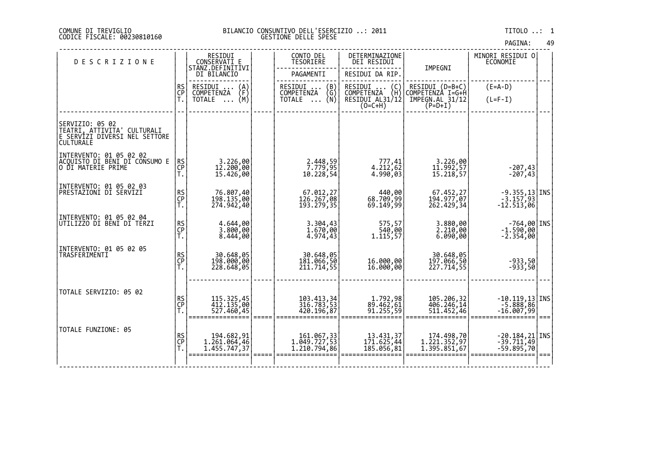| PAGINA: | 49 |
|---------|----|
|---------|----|

| <b>DESCRIZIONE</b>                                                                                  |                | RESIDUI<br>CONSERVATI E<br>STANZ.DEFINITIVI | CONTO DEL<br><b>TESORIERE</b>                                     | DETERMINAZIONE<br>DEI RESIDUI                                   | IMPEGNI                                          | MINORI RESIDUI O<br><b>ECONOMIE</b>                                          |      |
|-----------------------------------------------------------------------------------------------------|----------------|---------------------------------------------|-------------------------------------------------------------------|-----------------------------------------------------------------|--------------------------------------------------|------------------------------------------------------------------------------|------|
|                                                                                                     |                | DI BILANCIO                                 | PAGAMENTI                                                         | RESIDUI DA RIP.                                                 |                                                  |                                                                              |      |
|                                                                                                     | RS<br>CP       | RESIDUI<br>$\binom{A}{F}$<br>COMPETENZA     | RESIDUI<br><b>COMPETENZA</b>                                      |                                                                 | RESIDUI (D=B+C)                                  | $(E=A-D)$                                                                    |      |
|                                                                                                     | Ť.             | (M)<br>TOTALE                               | $\begin{pmatrix} B \\ G \\ N \end{pmatrix}$<br>TOTALE<br>$\cdots$ | RESIDUI  (C)<br>COMPETENZA (H)<br>RESIDUI AL31/12 <br>$(O=C+H)$ | COMPETENZA I=G+H<br>IMPEGN.AL 31/12<br>$(P=D+I)$ | $(L=F-I)$                                                                    |      |
| SERVIZIO: 05 02<br>TEATRI, ATTIVITA' CULTURALI<br>E SERVÍZI DIVERSI NEL SETTORE<br><b>CULTURALE</b> |                |                                             |                                                                   |                                                                 |                                                  |                                                                              |      |
| INTERVENTO: 01 05 02 02<br>ACQUISTO DI BENI DI CONSUMO E<br>O DI MATERIE PRIME                      | RS<br>CP<br>T. | 3.226,00<br>12.200,00<br>15.426,00          | 2.448,59<br>7.779,95<br>10.228,54                                 | 777,41<br>4.212,62<br>4.990,03                                  | 3.226,00<br>11.992,57<br>15.218,57               | $-207,43$<br>$-207,43$                                                       |      |
| INTERVENTO: 01 05 02 03<br>PRESTAZIONI DI SERVIZI                                                   | RS<br>CP<br>Ť. | 76.807,40<br>198.135,00<br>274.942,40       | 67.012,27<br>126.267,08<br>193.279,35                             | 00,048<br>09,99,99<br>69.149,99                                 | 67.452,27<br>194.977,07<br>262.429,34            | $\begin{bmatrix} -9.355, 13 \\ -3.157, 93 \end{bmatrix}$ INS<br>$-12.513,06$ |      |
| INTERVENTO: 01 05 02 04<br>UTILIZZO DI BENI DI TERZI                                                | RS<br>CP<br>T. | 4.644,00<br>$3.800,000$<br>8.444,00         | 3.304,43<br>1.670,00<br>$\bar{4}$ . 974, 43                       | 575,57<br>540,00<br>1.115,57                                    | 3.880,00<br>2.210,00<br>6.090,00                 | $-764,00$ INS<br>$-1.590,00$<br>$-2.354,00$                                  |      |
| INTERVENTO: 01 05 02 05<br>TRASFERIMENTI                                                            | RS<br>CP<br>T. | 30.648,05<br>198.000,00<br>228.648,05       | 30.648,05<br>181.066,50<br>$\overline{211.714,55}$                | 16.000,00<br>16.000,00                                          | 30.648,05<br>197.066,50<br>227.714,55            | -933,50<br>-933,50                                                           |      |
| TOTALE SERVIZIO: 05 02                                                                              | RS<br>CP<br>T. | 115.325,45<br>412.135,00<br>527.460,45      | 103.413,34<br>316.783,53<br>420.196,87                            | 1.792,98<br>89.462,61<br>91.255,59                              | 105.206,32<br>406.246,14<br>511.452,46           | $-10.119, 13$ INS<br>$-5.888,86$<br>$-16.007,99$                             | $==$ |
| TOTALE FUNZIONE: 05                                                                                 | RS<br>CP<br>T. | 194.682,91<br>1.261.064,46<br>1.455.747,37  | 161.067, 33<br>1.049.727, 53<br>1.210.794,86                      | 13.431,37<br>171.625,44<br>185.056,81                           | 174.498,70<br>1.221.352,97<br>1.395.851,67       | $-20.184, 21$ INS<br>$-39.711, 49$<br>$-59.895,70$                           |      |
|                                                                                                     |                |                                             |                                                                   |                                                                 |                                                  |                                                                              |      |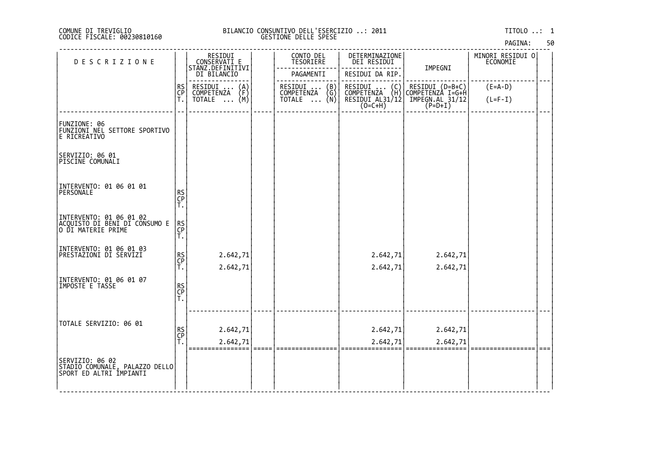|  | PAGINA: | 50 |
|--|---------|----|
|  |         |    |

| <b>DESCRIZIONE</b>                                                               |                | RESIDUI<br>CONSERVATI E                 | CONTO DEL<br>TESORIERE                  | DETERMINAZIONE<br>DEI RESIDUI                                   |                                         | MINORI RESIDUI 0<br>ECONOMIE |      |
|----------------------------------------------------------------------------------|----------------|-----------------------------------------|-----------------------------------------|-----------------------------------------------------------------|-----------------------------------------|------------------------------|------|
|                                                                                  |                | STĂNZ.DEFINITIVI<br>DI BILANCIO         | PAGAMENTI                               | RESIDUI DA RIP.                                                 | IMPEGNI                                 |                              |      |
|                                                                                  | RS<br>CP<br>T. | RESIDUI<br>$\binom{A}{F}$<br>COMPETENZA | RESIDUI<br>COMPETENZA<br>$\binom{B}{G}$ | RESIDUI<br>COMPETENZA<br>$\begin{pmatrix} C \\ H \end{pmatrix}$ | RESIDUI (D=B+C)<br>COMPETENZA I=G+H     | $(E=A-D)$                    |      |
|                                                                                  |                | TOTALE<br>(M)                           | (พั)<br>TOTALE                          | RESIDUI AL31/12                                                 | $\overline{IMPEGN.AL}$ 31/12<br>(P=D+I) | $(L=F-I)$                    |      |
|                                                                                  |                |                                         |                                         |                                                                 |                                         |                              |      |
| FUNZIONE: 06<br>FUNZIONI NEL SETTORE SPORTIVO<br>E RICREATIVO                    |                |                                         |                                         |                                                                 |                                         |                              |      |
| SERVIZIO: 06 01<br>PISCINE COMUNALI                                              |                |                                         |                                         |                                                                 |                                         |                              |      |
| INTERVENTO: 01 06 01 01<br>PERSONALE                                             | RS<br>CP<br>T. |                                         |                                         |                                                                 |                                         |                              |      |
| INTERVENTO: 01 06 01 02<br> ACQUISTO DI BENI DI CONSUMO E<br> O DI MATERIE PRIME | RS<br>CP<br>Ť. |                                         |                                         |                                                                 |                                         |                              |      |
| INTERVENTO: 01 06 01 03<br> PRESTAZIONI DI SERVIZI                               |                | 2.642,71                                |                                         | 2.642,71                                                        | 2.642,71                                |                              |      |
|                                                                                  | RS<br>CP<br>T. | 2.642,71                                |                                         | 2.642,71                                                        | 2.642,71                                |                              |      |
| INTERVENTO: 01 06 01 07<br>IMPOSTE E TASSE                                       | RS<br>CP<br>T. |                                         |                                         |                                                                 |                                         |                              |      |
|                                                                                  |                |                                         |                                         |                                                                 |                                         |                              |      |
| TOTALE SERVIZIO: 06 01                                                           | RS<br>CP<br>T. | 2.642,71                                |                                         | 2.642,71                                                        | 2.642,71                                |                              |      |
|                                                                                  |                | 2.642,71                                |                                         | 2.642,71                                                        | 2.642,71                                |                              | $==$ |
| SERVIZIO: 06 02<br> STADIO COMUNALE, PALAZZO DELLO <br> SPORT ED ALTRI IMPIANTI  |                |                                         |                                         |                                                                 |                                         |                              |      |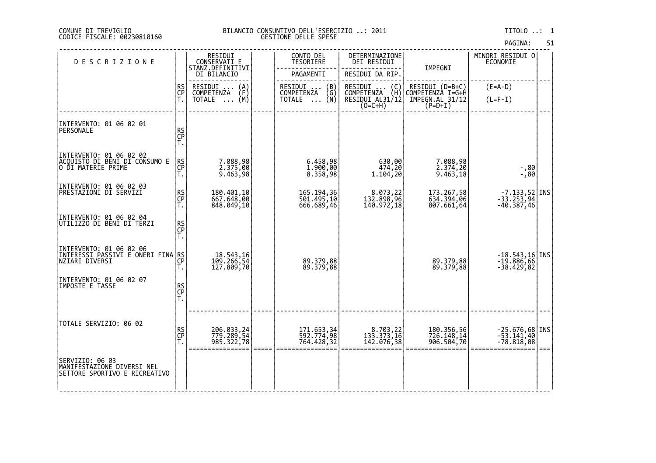| AGINA: |  | 51 |
|--------|--|----|
|        |  |    |

|                                                                                |                |                                                |                                         |                                                                 |                                      | PAGINA:                                       | 51 |
|--------------------------------------------------------------------------------|----------------|------------------------------------------------|-----------------------------------------|-----------------------------------------------------------------|--------------------------------------|-----------------------------------------------|----|
| <b>DESCRIZIONE</b>                                                             |                | RESIDUI<br>CONSERVATI E<br>STANZ.DEFINITIVI    | CONTO DEL<br><b>TESORIERE</b>           | DETERMINAZIONE<br>DEI RESIDUI                                   | IMPEGNI                              | MINORI RESIDUI O<br><b>ECONOMIE</b>           |    |
|                                                                                |                | DI BILANCIO                                    | PAGAMENTI                               | RESIDUI DA RIP.                                                 |                                      |                                               |    |
|                                                                                | RS<br>CP       | RESIDUI<br>$\binom{A}{F}$<br><b>COMPETENZA</b> | RESIDUI<br>$\binom{B}{G}$<br>COMPETENZA | RESIDUI<br>$\begin{pmatrix} C \\ H \end{pmatrix}$<br>COMPETENZA | RESIDUI (D=B+C)<br>COMPETENZA I=G+H  | $(E=A-D)$                                     |    |
|                                                                                | Ť.             | (M)<br>TOTALE                                  | (Ñ)<br><b>TOTALE</b><br>$\cdots$        | RESIDUI AL31/12<br>$(0=C+H)$                                    | $\tilde{IMPEGN.RL}$ 31/12<br>(P=D+I) | $(L=F-I)$                                     |    |
| INTERVENTO: 01 06 02 01<br>PERSONALE                                           | RS<br>CP<br>T. |                                                |                                         |                                                                 |                                      |                                               |    |
| INTERVENTO: 01 06 02 02<br> ACQUISTO_DI_BENI_DI CONSUMO E                      |                |                                                |                                         |                                                                 |                                      |                                               |    |
| O DI MATERIE PRIME                                                             | RS<br>CP<br>Ť. | 7.088,98<br>2.375,00<br>9.463,98               | 6.458,98<br>1.900,00<br>8.358,98        | 630,00<br>474,20<br>1.104, 20                                   | 7.088,98<br>2.374,20<br>9.463,18     | 80,-<br>80,-                                  |    |
| INTERVENTO: 01 06 02 03<br>PRESTAZIONI DI SERVIZI                              |                | 180.401,10<br>667.648,00                       | 165.194,36<br>501.495,10                | 8.073,22<br>132.898,96                                          | 173.267,58<br>634.394,06             | $-7.133,52$ INS<br>$-33.253,94$               |    |
|                                                                                | RS<br>CP<br>T. | 848.049,10                                     | 666.689,46                              | 140.972,18                                                      | 807.661,64                           | $-40.387,46$                                  |    |
| INTERVENTO: 01 06 02 04<br>UTILIZZO DI BENI DI TERZI                           | RS<br>CP<br>T. |                                                |                                         |                                                                 |                                      |                                               |    |
| INTERVENTO: 01 06 02 06<br>INTERESSI PASSIVI E ONERI FINA RS<br>NZIARI DIVERSI | CP<br>T.       | 18.543,16<br>109.266,54<br>127.809,70          | 89.379,88<br>89.379,88                  |                                                                 | 89.379,88<br>89.379,88               | $-18.543, 16$ INS<br>-19.886,66<br>-38.429,82 |    |
| INTERVENTO: 01 06 02 07<br>IMPOSTE E TASSE                                     |                |                                                |                                         |                                                                 |                                      |                                               |    |
|                                                                                | RS<br>CP<br>T. |                                                |                                         |                                                                 |                                      |                                               |    |
|                                                                                |                |                                                |                                         |                                                                 |                                      |                                               |    |
| TOTALE SERVIZIO: 06 02                                                         | RS<br>CP<br>T. | 206.033,24<br>779.289,54<br>985.322,78         | 171.653,34<br>592.774,98                | 8.703,22<br>133.373,16                                          | 180.356,56<br>726.148,14             | $-25.676,68$ INS<br>$-53.141,40$              |    |
|                                                                                |                |                                                | 764.428,32                              | 142.076,38                                                      | 906.504,70                           | $-78.818,08$                                  |    |
| SERVIZIO: 06 03<br>MANIFESTAZIŎNE DIVERSI NEL<br>SETTORE SPORTIVO E RICREATIVO |                |                                                |                                         |                                                                 |                                      |                                               |    |
|                                                                                |                |                                                |                                         |                                                                 |                                      |                                               |    |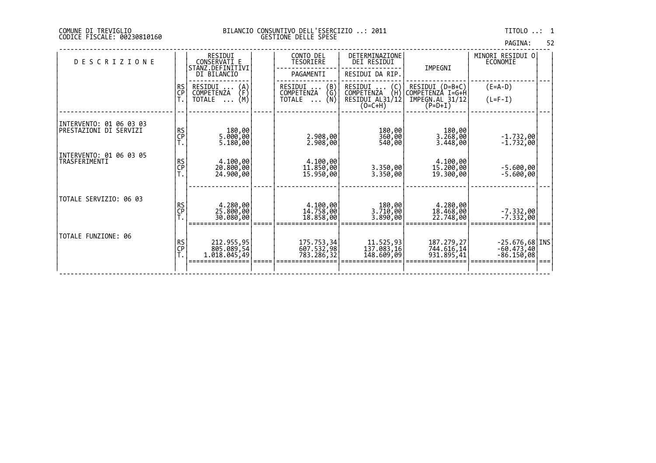| PAGINA: | 52 |
|---------|----|
|         |    |

| <b>DESCRIZIONE</b>                                |                | RESIDUI<br>CONSERVATI E<br>STANZ.DEFINITIVI<br>DI BILANCIO       | CONTO DEL<br>TESORIERE<br>PAGAMENTI                                  | DETERMINAZIONE<br>DEI RESIDUI<br>RESIDUI DA RIP.                    | IMPEGNI                                                             | MINORI RESIDUI 0 <br>ECONOMIE                    |      |
|---------------------------------------------------|----------------|------------------------------------------------------------------|----------------------------------------------------------------------|---------------------------------------------------------------------|---------------------------------------------------------------------|--------------------------------------------------|------|
|                                                   | RS<br>CP       | RESIDUI<br>(A)<br>(F)<br>COMPETENZA<br>(M)<br>TOTALE<br>$\cdots$ | $\binom{B}{G}$<br>RESIDUI<br>COMPETENZA<br>(N)<br>TOTALE<br>$\cdots$ | RESIDUI<br>(C)<br>∂Ĥ∖<br>COMPETENZA<br>RESIDUI AL31/12<br>$(0=CHH)$ | RESIDUI (D=B+C)<br>COMPETENZÀ I=G+H<br>IMPEGN.AL 31/12<br>$(P=D+I)$ | $(E=A-D)$<br>$(L=F-I)$                           |      |
| INTERVENTO: 01 06 03 03<br>PRESTAZIONI DI SERVIZI | RS<br>CP<br>T. | 180,00<br>5.000,00<br>5.180,00                                   | 2.908,00<br>2.908,00                                                 | 180,00<br>360,00<br>540,00                                          | 180,00<br>3.268,00<br>3.448,00                                      | $-1.732,00$<br>$-1.732,00$                       |      |
| INTERVENTO: 01 06 03 05<br>TRASFERIMENTI          | RS<br>CP<br>T. | 4.100,00<br>20.800,00<br>24.900,00                               | 4.100,00<br>11.850,00<br>15.950,00                                   | 3.350,00<br>3.350,00                                                | 4.100,00<br>15.200,00<br>19.300,00                                  | $-5.600,00$<br>$-5.600,00$                       |      |
| TOTALE SERVIZIO: 06 03                            | RS<br>CP<br>T. | 4.280,00<br>25.800,00<br>30.080,00                               | 4.100,00<br>14.758,00<br>18.858,00                                   | 180,00<br>3.710,00<br>3.890,00                                      | 4.280,00<br>18.468,00<br>22.748,00                                  | $-7.332,00$<br>$-7.332,00$                       |      |
| TOTALE FUNZIONE: 06                               | RS<br>CP<br>T. | 212.955,95<br>805.089,54<br>1.018.045,49                         | 175.753,34<br>607.532,98<br>783.286,32                               | 11.525,93<br>137.083,16<br>148.609,09                               | 187.279,27<br>744.616,14<br>931.895,41                              | $-25.676,68$ INS<br>$-60.473,40$<br>$-86.150,08$ | $==$ |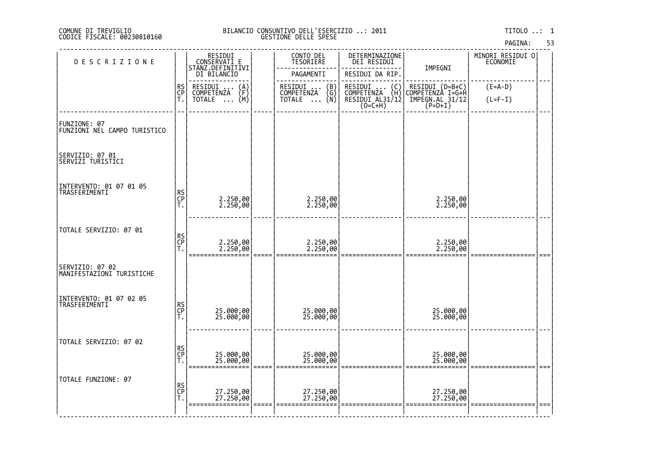# DI TREVIGLIO BILANCIO CONSUNTIVO DELL'ESERCIZIO ..: 2011 TITOLO ..: 1 FISCALE: 00230810160 GESTIONE DELLE SPESE

| <b>DESCRIZIONE</b>                            |                | RESIDUI<br>CONSERVATI E<br>STANZ.DEFINITIVI                              | CONTO DEL<br>TESORIERE                                                         | DETERMINAZIONE<br>DEI RESIDUI                                |                                                                   | MINORI RESIDUI 0<br>ECONOMIE |     |
|-----------------------------------------------|----------------|--------------------------------------------------------------------------|--------------------------------------------------------------------------------|--------------------------------------------------------------|-------------------------------------------------------------------|------------------------------|-----|
|                                               |                | DI BILANCIO                                                              | PAGAMENTI                                                                      | RESIDUI DA RIP.                                              | IMPEGNI                                                           |                              |     |
|                                               | RS<br>CP<br>T. | RESIDUI<br>COMPETENZA<br>$\cdot$                                         | RESIDUI<br>COMPETENZA<br>TOTALE<br>$\begin{pmatrix} B \\ G \\ N \end{pmatrix}$ |                                                              |                                                                   | $(E=A-D)$                    |     |
|                                               |                | $\begin{Bmatrix} A \\ F \\ M \end{Bmatrix}$<br><b>TOTALE</b><br>$\ddots$ |                                                                                | RESIDUI  (C)<br>COMPETENZA (H)<br>RESIDUI AL31/12<br>(O=C+H) | RESIDUI (D=B+C)<br>COMPETENZA I=G+H<br>IMPEGN.AL 31/12<br>(P=D+I) | $(L=F-I)$                    |     |
| FUNZIONE: 07<br>FUNZIONI NEL CAMPO TURISTICO  |                |                                                                          |                                                                                |                                                              |                                                                   |                              |     |
| SERVIZIO: 07 01<br>SERVIZI TURISTICI          |                |                                                                          |                                                                                |                                                              |                                                                   |                              |     |
| INTERVENTO: 01 07 01 05<br>TRASFERIMENTI      | RS<br>CP<br>T. | 2.250,00<br>2.250,00                                                     | 2.250,00<br>2.250,00                                                           |                                                              | 2.250,00<br>2.250,00                                              |                              |     |
| TOTALE SERVIZIO: 07 01                        | RS<br>CP<br>T. | 2.250,00<br>2.250,00                                                     | 2.250,00<br>2.250,00                                                           |                                                              | 2.250,00<br>2.250,00                                              |                              |     |
| SERVIZIO: 07 02<br> MANIFESTAZIONI TURISTICHE |                |                                                                          |                                                                                |                                                              |                                                                   |                              |     |
| INTERVENTO: 01 07 02 05<br>TRASFERIMENTI      | RS<br>CP<br>T. | 25.000,00<br>25.000,00                                                   | 25.000,00<br>25.000,00                                                         |                                                              | 25.000,00<br>25.000,00                                            |                              |     |
| TOTALE SERVIZIO: 07 02                        | RS<br>CP<br>T. | 25.000,00<br>25.000,00                                                   | 25.000,00<br>25.000,00                                                         |                                                              | 25.000,00<br>25.000,00                                            |                              |     |
| TOTALE FUNZIONE: 07                           | RS<br>CP<br>T. | 27.250,00<br>27.250,00                                                   | 27.250,00<br>27.250,00                                                         |                                                              | 27.250,00<br>27.250,00                                            |                              | === |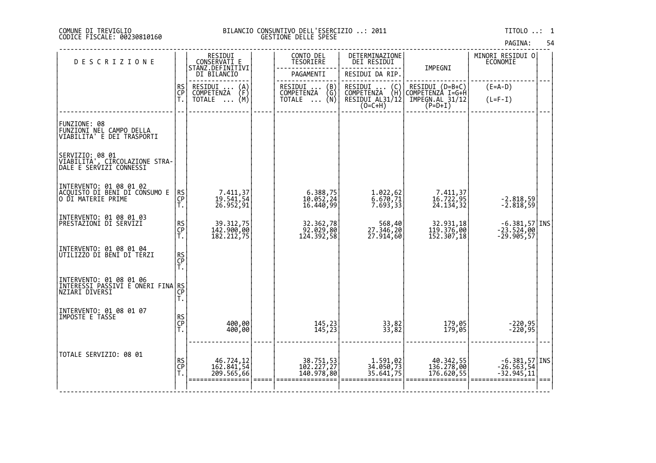|  | PAGINA: | 54 |
|--|---------|----|
|  |         |    |

| <b>DESCRIZIONE</b>                                                                                           |                  | RESIDUI<br>CONSERVATI E<br> STANZ.DEFINITIVI   | CONTO DEL<br>TESORIERE                                                      | DETERMINAZIONE<br>DEI RESIDUI    |                                       | MINORI RESIDUI O<br><b>ECONOMIE</b>       |      |
|--------------------------------------------------------------------------------------------------------------|------------------|------------------------------------------------|-----------------------------------------------------------------------------|----------------------------------|---------------------------------------|-------------------------------------------|------|
|                                                                                                              |                  | DI BILANCIO                                    | PAGAMENTI                                                                   | RESIDUI DA RIP                   | IMPEGNI                               |                                           |      |
|                                                                                                              | RS<br> CP<br> T. | RESIDUI<br>$\binom{A}{F}$<br><b>COMPETENZA</b> | RESIDUI<br>$\begin{pmatrix} B \\ G \\ N \end{pmatrix}$<br><b>COMPETENZA</b> |                                  | RESIDUI (D=B+C)<br>COMPETENZA I=G+H   | $(E=A-D)$                                 |      |
|                                                                                                              |                  | (M)<br><b>TOTALE</b><br>$\cdots$               | TOTALE<br>$\cdots$                                                          |                                  | IMPEGN.AL 31/12<br>$(P=D+I)$          | $(L=F-I)$                                 |      |
|                                                                                                              |                  |                                                |                                                                             |                                  |                                       |                                           |      |
| FUNZIONE: 08<br>FUNZIONI NEL CAMPO DELLA<br>VIABILITA' E DEI TRASPORTI                                       |                  |                                                |                                                                             |                                  |                                       |                                           |      |
| SERVIZIO: 08 01<br> VIABILITA <u>', CIRCOLAZION</u> E STRA-<br>DALE E SERVIZI CONNESSI                       |                  |                                                |                                                                             |                                  |                                       |                                           |      |
| INTERVENTO: 01 08 01 02<br>ACQUISTO DI BENI DI CONSUMO E<br> O DI MATERIE PRIME                              |                  |                                                |                                                                             |                                  |                                       |                                           |      |
|                                                                                                              | RS<br>CP<br>T.   | 7.411, 37<br>19.541, 54<br>26.952,91           | 6.388,75<br>10.052,24<br>16.440,99                                          | 1.022,62<br>6.670,71<br>7.693,33 | 7.411,37<br>16.722,95<br>24.134,32    | $-2.818,59$<br>$-2.818,59$                |      |
| INTERVENTO: 01 08 01 03                                                                                      |                  |                                                |                                                                             |                                  |                                       |                                           |      |
| PRESTAZIONI DI SERVIZI                                                                                       | RS<br>CP<br>T.   | 39.312,75<br>142.900,00<br>182.212,75          | 32.362,78<br>  92.029,80<br>  124.392,58                                    | 568,40<br>27.346,20<br>27.914,60 | 32.931,18<br>119.376,00<br>152.307,18 | -6.381,57 INS<br>-23.524,00<br>-29.905,57 |      |
|                                                                                                              |                  |                                                |                                                                             |                                  |                                       |                                           |      |
| INTERVENTO: 01 08 01 04<br> UTILIZZO DI BENI DI TERZI                                                        | RS<br>CP<br>T.   |                                                |                                                                             |                                  |                                       |                                           |      |
|                                                                                                              |                  |                                                |                                                                             |                                  |                                       |                                           |      |
| INTERVENTO: 01 08 01 06<br> INTERESSI PASSIVI E ONERI FINA RS <br> INTERESSI PASSIVI E ONERI FINA RS <br> T. |                  |                                                |                                                                             |                                  |                                       |                                           |      |
|                                                                                                              |                  |                                                |                                                                             |                                  |                                       |                                           |      |
| INTERVENTO: 01 08 01 07                                                                                      |                  |                                                |                                                                             |                                  |                                       |                                           |      |
| IMPOSTE E TASSE                                                                                              | RS<br>CP<br>T.   | 400,00<br>400,00                               | 145, 23<br>145, 23                                                          | 33,82<br>33,82                   | 179,05<br>179,05                      | -220,95<br>-220,95                        |      |
|                                                                                                              |                  |                                                |                                                                             |                                  |                                       |                                           |      |
| TOTALE SERVIZIO: 08 01                                                                                       |                  |                                                |                                                                             |                                  |                                       |                                           |      |
|                                                                                                              | RS<br>CP<br>T.   | 46.724,12<br>162.841,54                        | 38.751,53<br>102.227,27<br>140.978,80                                       | 1.591,02<br>34.050,73            | 40.342,55<br>136.278,00<br>176.620,55 | $-6.381,57$ INS<br>$-26.563,54$           |      |
|                                                                                                              |                  | 209.565,66                                     |                                                                             | 35.641,75                        |                                       | $-32.945,11$                              | $==$ |
|                                                                                                              |                  |                                                |                                                                             |                                  |                                       |                                           |      |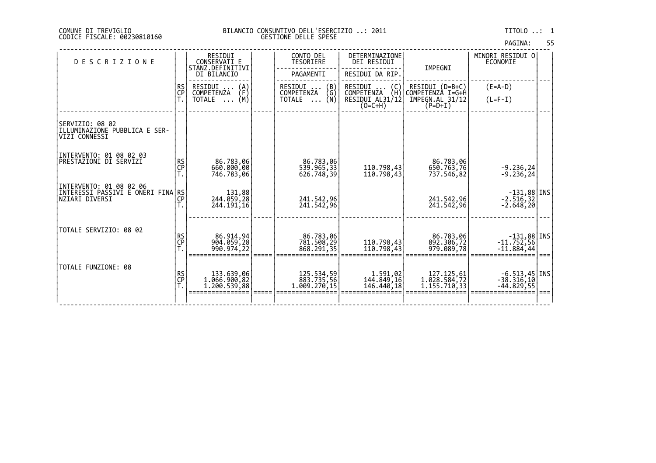|  | PAGINA: | 55 |
|--|---------|----|
|  |         |    |

| <b>DESCRIZIONE</b>                                                              |                | RESIDUI<br>CONSERVATI E                    | CONTO DEL<br>TESORIERE                   | DETERMINAZIONE<br>DEI RESIDUI        |                                            | MINORI RESIDUI O<br>ECONOMIE                    |  |
|---------------------------------------------------------------------------------|----------------|--------------------------------------------|------------------------------------------|--------------------------------------|--------------------------------------------|-------------------------------------------------|--|
|                                                                                 |                | STANZ.DEFINITIVI<br>DI BILANCIO            | PAGAMENTI                                | RESIDUI DA RIP.                      | IMPEGNI                                    |                                                 |  |
|                                                                                 | RS<br>CP       | RESIDUI<br>$\binom{A}{F}$<br>COMPETENZA    | RESIDUI<br>$\binom{B}{G}$<br>COMPETENZA  | RESIDUI<br>$\{C_H\}$<br>COMPETENZA   | RESIDUI (D=B+C)<br>COMPETENZÀ I=G+H        | $(E=A-D)$                                       |  |
|                                                                                 |                | (M)<br>TOTALE<br>$\cdots$                  | (N)<br>TOTALE                            | RESIDUI AL31/12<br>$(O=C+H)$         | IMPEGN.AL 31/12<br>$(P=D+I)$               | $(L=F-I)$                                       |  |
| SERVIZIO: 08 02<br>ILLUMINAZIONE PUBBLICA E SER-<br>VIZI CONNESSI               |                |                                            |                                          |                                      |                                            |                                                 |  |
| INTERVENTO: 01 08 02 03<br> PRESTAZIONI DI SERVIZI                              | RS<br>CP       | 86.783,06<br>660.000,00<br>746.783,06      | 86.783,06<br>539.965,33<br>626.748,39    | 110.798,43<br>110.798,43             | 86.783,06<br>650.763,76<br>737.546,82      | $-9.236,24$<br>$-9.236, 24$                     |  |
| INTERVENTO: 01 08 02 06<br>INTERESSI PASSIVI E ONERI FINA RS<br>INZIARI DIVERSI | <b>CP</b>      | 131,88<br>244.059,28<br>244.191,16         | 241.542.96<br>241.542,96                 |                                      | 241.542.96<br>241.542,96                   | $-131,88$ INS<br>$-2.516,32$<br>$-2.648,20$     |  |
| TOTALE SERVIZIO: 08 02                                                          | RS<br>CP<br>T. | 86.914,94<br>904.059,28<br>990.974,22      | 86.783,06<br>781.508,29<br>868.291,35    | 110.798,43<br>110.798,43             | 86.783,06<br>892.306,72<br>979.089,78      | $-131,88$ INS<br>$-11.752,56$<br>$-11.884,44$   |  |
| TOTALE FUNZIONE: 08                                                             | RS<br>CP<br>T. | 133.639,06<br>1.066.900,82<br>1.200.539,88 | 125.534,59<br>883.735,56<br>1.009.270,15 | 1.591,02<br>144.849,16<br>146.440,18 | 127.125,61<br>1.028.584,72<br>1.155.710,33 | $-6.513,45$ INS<br>$-38.316,10$<br>$-44.829,55$ |  |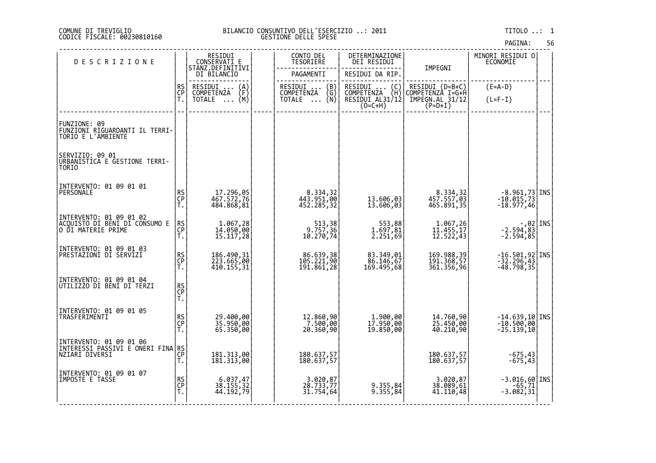# DI TREVIGLIO BILANCIO CONSUNTIVO DELL'ESERCIZIO ..: 2011 TITOLO ..: 1 FISCALE: 00230810160 GESTIONE DELLE SPESE

| <b>DESCRIZIONE</b>                                                              |                | RESIDUI<br>CONSERVATI E                 | CONTO DEL<br><b>TESORIERE</b>         | DETERMINAZIONE<br>DEI RESIDUI                                          | IMPEGNI                                                                           | MINORI RESIDUI 0<br>ECONOMIE                                                  |  |
|---------------------------------------------------------------------------------|----------------|-----------------------------------------|---------------------------------------|------------------------------------------------------------------------|-----------------------------------------------------------------------------------|-------------------------------------------------------------------------------|--|
|                                                                                 |                | STANZ.DEFINITIVI<br>DI BILANCIO         | PAGAMENTI                             | RESIDUI DA RIP.                                                        |                                                                                   |                                                                               |  |
|                                                                                 | RS<br>CP<br>T. | RESIDUI<br>COMPETENZA<br>$\binom{A}{F}$ | RESIDUI  (B)<br>COMPETENZA (G)        | RESIDUI<br>$\begin{pmatrix} C \\ H \end{pmatrix}$<br><b>COMPETENZA</b> | RESIDUI (D=B+C)<br>COMPETENZA I=G+H                                               | $(E=A-D)$                                                                     |  |
|                                                                                 |                | (M)<br><b>TOTALE</b><br>$\cdots$        | (Ñ)<br><b>TOTALE</b><br>$\cdots$      | RESIDUI AL31/12<br>$(0=C+H)$                                           | $\tilde{IMPEGN.RL}$ 31/12<br>(P=D+I)                                              | $(L=F-I)$                                                                     |  |
| FUNZIONE: 09<br>FUNZIONI RIGU <u>ARDAN</u> TI IL TERRI-<br>TORIO E L'AMBIENTE   |                |                                         |                                       |                                                                        |                                                                                   |                                                                               |  |
| SERVIZIO: 09 01<br>URBANISTICA E GESTIONE TERRI-<br>TORIO                       |                |                                         |                                       |                                                                        |                                                                                   |                                                                               |  |
| INTERVENTO: 01 09 01 01<br>PERSONALE                                            | RS<br>CP<br>T. | 17.296,05<br>467.572,76<br>484.868,81   | 8.334,32<br>443.951,00<br>452.285,32  | 13.606,03<br>13.606,03                                                 | 8.334,32<br>457.557,03<br>465.891,35                                              | $\begin{bmatrix} -8.961, 73 \\ -10.015, 73 \end{bmatrix}$ INS<br>$-18.977,46$ |  |
| INTERVENTO: 01 09 01 02<br> ACQUISTO_DI_BENI_DI CONSUMO E<br>O DI MATERIE PRIME | RS<br>CP<br>T. | 1.067,28<br>14.050,00<br>15.117,28      | 513, 38<br>9.757, 36<br>10.270, 74    | 553,88<br>1.697,81<br>2.251,69                                         | 1.067,26<br>11.455,17<br>$\overline{1}\overline{2}.5\overline{2}\overline{2}$ ,43 | 02 , - ,<br>  02 , 03 , 04 - 2 .<br>  08 , 05 , 05 - 2 .                      |  |
| INTERVENTO: 01 09 01 03<br> PRESTAZIONI DI SERVIZI                              | RS<br>CP<br>T. | 186.490,31<br>223.665,00<br>410.155,31  | 86.639,38<br>105.221,90<br>191.861,28 | 83.349,01<br>86.146,67<br>169.495,68                                   | 169.988,39<br>191.368,57<br>361.356,96                                            | $-16.501,92$ INS<br>$-32.296,43$<br>$-48.798,35$                              |  |
| INTERVENTO: 01 09 01 04<br> UTILIZZO DI BENI DI TERZI                           | RS<br>CP<br>T. |                                         |                                       |                                                                        |                                                                                   |                                                                               |  |
| INTERVENTO: 01 09 01 05<br>TRASFERIMENTI                                        | RS<br>CP<br>T. | 29.400,00<br>35.950,00<br>65.350,00     | 12.860,90<br>7.500,00<br>20.360,90    | 1.900,00<br>17.950,00<br>19.850,00                                     | 14.760,90<br>25.450,00<br>40.210,90                                               | $-14.639,10$ INS<br>$-10.500,00$<br>$-25.139,10$                              |  |
| INTERVENTO: 01 09 01 06<br>INTERESSI PASSIVI E ONERI FINA RS<br>NZIARI DIVERSI  | CP<br>T.       | 181.313,00<br>181.313,00                | 180.637,57<br>180.637,57              |                                                                        | 180.637,57<br>180.637,57                                                          | -675,43<br>-675,43                                                            |  |
| INTERVENTO: 01 09 01 07<br>IMPOSTE E TASSE                                      | RS<br>CP<br>T. | $6.037,47$<br>38.155,32<br>44.192,79    | 3.020,87<br>28.733,77<br>31.754,64    | 9.355,84<br>9.355,84                                                   | 3.020,87<br>38.089,61<br>41.110,48                                                | $-3.016,60$ INS<br>$-65,71$<br>$-3.082, 31$                                   |  |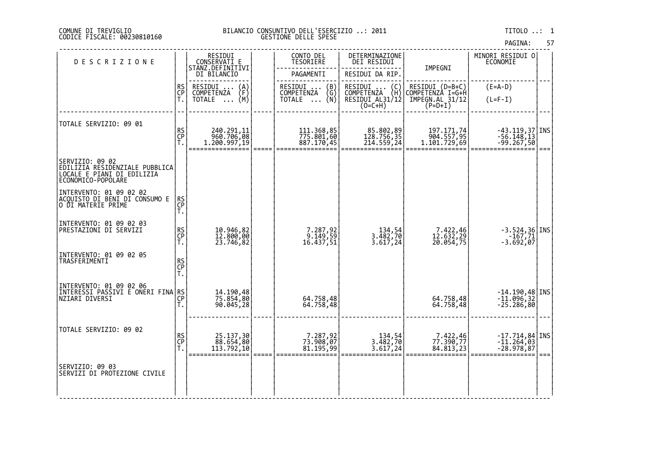|  | PAGINA: |  |  |
|--|---------|--|--|
|  |         |  |  |

| <b>DESCRIZIONE</b>                                                                                      |                       | RESIDUI<br>CONSERVATI E                                  | CONTO DEL<br>TESORIERE                                                                     | DETERMINAZIONE<br>DEI RESIDUI                                    |                                                                     | MINORI RESIDUI 0<br>ECONOMIE                       |      |
|---------------------------------------------------------------------------------------------------------|-----------------------|----------------------------------------------------------|--------------------------------------------------------------------------------------------|------------------------------------------------------------------|---------------------------------------------------------------------|----------------------------------------------------|------|
|                                                                                                         |                       | STANZ.DEFINITIVI<br>DI BILANCIO                          | PAGAMENTI                                                                                  | RESIDUI DA RIP.                                                  | IMPEGNI                                                             |                                                    |      |
|                                                                                                         | RS<br>CP<br>T.        | RESIDUI<br>$\binom{A}{F}$<br>COMPETENZA<br>(M)<br>TOTALE | RESIDUI<br>$\begin{pmatrix} B \\ G \\ N \end{pmatrix}$<br>COMPETENZA<br>TOTALE<br>$\cdots$ | RESIDUI<br>(C)<br>COMPETĒNZA (H)<br>RESIDUI AL31/12<br>$(O=C+H)$ | RESIDUI (D=B+C)<br>COMPETENZA I=G+H<br>IMPEGN.AL 31/12<br>$(P=D+I)$ | $(E=A-D)$<br>$(L=F-I)$                             |      |
| TOTALE SERVIZIO: 09 01                                                                                  | RS<br>CP<br>T.        | 240.291,11<br>960.706,08<br>1.200.997,19                 | 111.368,85<br>775.801,60<br>887.170,45                                                     | 85.802,89<br>128.756,35<br>214.559,24                            | 197.171,74<br>904.557,95<br>1.101.729,69                            | $-43.119,37$ INS<br>$-56.148,13$<br>$-99.267,50$   | ===  |
| SERVIZIO: 09 02<br> EDILIZIA RESIDENZIALE PUBBLICA <br>LOCALE E PIANI DI EDILIZIA<br>ECONOMICO-POPOLARE |                       |                                                          |                                                                                            |                                                                  |                                                                     |                                                    |      |
| INTERVENTO: 01 09 02 02<br>ACQUISTO DI BENI DI CONSUMO E<br>O DI MATERIE PRIME                          | <b>RS</b><br>CP<br>T. |                                                          |                                                                                            |                                                                  |                                                                     |                                                    |      |
| INTERVENTO: 01 09 02 03<br> PRESTAZIONI DI SERVIZI                                                      | RS<br>CP<br>T.        | 10.946,82<br>12.800,00<br>23.746,82                      | 7.287,92<br>9.149,59<br>16.437,51                                                          | 134,54<br>3.482,70<br>3.617,24                                   | 7.422,46<br>12.632,29<br>20.054,75                                  | $-3.524, 36$ INS<br>$-167,71$<br>$-3.692,07$       |      |
| INTERVENTO: 01 09 02 05<br>TRASFERIMENTI                                                                | RS<br>CP<br>T.        |                                                          |                                                                                            |                                                                  |                                                                     |                                                    |      |
| INTERVENTO: 01 09 02 06<br>INTERESSI PASSIVI E ONERI FINA RS<br>NZIARI DIVERSI                          | CP<br>Τ.              | 14.190,48<br>75.854,80<br>90.045,28                      | 64.758,48<br>64.758,48                                                                     |                                                                  | 64.758,48<br>64.758,48                                              | $-14.190,48$ INS<br>$-11.096, 32$<br>$-25.286, 80$ |      |
| TOTALE SERVIZIO: 09 02                                                                                  | RS<br>CP<br>T.        | 25.137,30<br>88.654,80<br>113.792,10                     | 7.287,92<br>73.908,07<br>81.195,99                                                         | 134, 54<br>3.482, 70<br>3.617, 24                                | 7.422,46<br>77.390,77<br>84.813,23                                  | $-17.714,84$ INS<br>$-11.264,03$<br>$-28.978,87$   | $==$ |
| SERVIZIO: 09 03<br>SERVIZI DI PROTEZIONE CIVILE                                                         |                       |                                                          |                                                                                            |                                                                  |                                                                     |                                                    |      |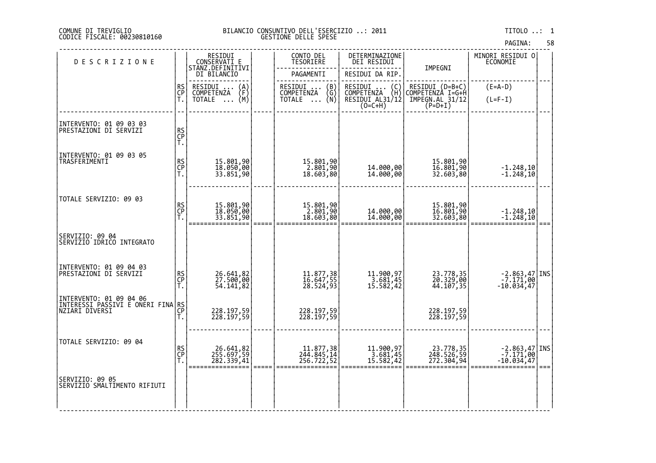# DI TREVIGLIO BILANCIO CONSUNTIVO DELL'ESERCIZIO ..: 2011 TITOLO ..: 1 FISCALE: 00230810160 GESTIONE DELLE SPESE

PAGINA: 58

| <b>DESCRIZIONE</b>                                 |                | RESIDUI<br>CONSERVATI E                                         | CONTO DEL<br><b>TESORIERE</b>                   | DETERMINAZIONE<br>DEI RESIDUI                                                                        |                                                                              | MINORI RESIDUI 0<br>ECONOMIE                                                |  |
|----------------------------------------------------|----------------|-----------------------------------------------------------------|-------------------------------------------------|------------------------------------------------------------------------------------------------------|------------------------------------------------------------------------------|-----------------------------------------------------------------------------|--|
|                                                    |                | STANZ.DEFINITIVI<br>DI BILANCIO                                 | PAGAMENTI                                       | RESIDUI DA RIP.                                                                                      | IMPEGNI                                                                      |                                                                             |  |
|                                                    | RS<br>CP<br>T. | RESIDUI<br>$\binom{A}{F}$<br><b>COMPETENZA</b><br>(M)<br>TOTALE | RESIDUI  (B)<br>COMPETENZA (G)<br>∖Ñ)<br>TOTALE | RESIDUI<br>$\begin{pmatrix} C \\ H \end{pmatrix}$<br><b>COMPETENZA</b><br>RESIDUI AL31/12<br>(O=C+H) | RESIDUI (D=B+C)<br>COMPETENZA I=G+H<br>$\tilde{T}$ MPEGN.AL 31/12<br>(P=D+I) | $(E=A-D)$<br>$(L=F-I)$                                                      |  |
| INTERVENTO: 01 09 03 03<br>PRESTAZIONI DI SERVIZI  | RS<br>CP<br>T. |                                                                 |                                                 |                                                                                                      |                                                                              |                                                                             |  |
| INTERVENTO: 01 09 03 05<br>TRASFERIMENTI           | RS<br>CP<br>Ť. | 15.801,90<br>18.050,00<br>33.851,90                             | 15.801,90<br>2.801,90<br>18.603,80              | 14.000,00<br>14.000,00                                                                               | 15.801,90<br>16.801,90<br>32.603,80                                          | $-1.248,10$<br>$-1.248,10$                                                  |  |
| TOTALE SERVIZIO: 09 03                             | RS<br>CP<br>T. | 15.801,90<br>18.050,00<br>33.851,90                             | 15.801,90<br>2.801,90<br>18.603,80              | 14.000,00<br>14.000,00                                                                               | 15.801,90<br>16.801,90<br>32.603,80                                          | $-1.248,10$<br>$-1.248,10$                                                  |  |
| SERVIZIO: 09 04<br>SERVIZIO IDRICO INTEGRATO       |                |                                                                 |                                                 |                                                                                                      |                                                                              |                                                                             |  |
| INTERVENTO: 01 09 04 03<br> PRESTAZIONI DI SERVIZI | RS<br>CP<br>T. | 26.641,82<br>27.500,00<br>54.141,82                             | 11.877,38<br>16.647,55<br>28.524,93             | 11.900,97<br>$\overline{3.681,45}$<br>15.582,42                                                      | 23.778,35<br>20.329,00<br>44.107,35                                          | $-2.863, 47$ INS<br>-7.171,00<br>10.034,47                                  |  |
|                                                    | Т.             | 228.197,59<br>228.197,59                                        | 228.197,59<br>228.197,59                        |                                                                                                      | 228.197,59<br>228.197,59                                                     |                                                                             |  |
| TOTALE SERVIZIO: 09 04                             | RS<br>CP<br>T. | 26.641,82<br>255.697,59<br>282.339,41                           | 11.877,38<br>244.845,14<br>256.722,52           | 11.900,97<br>$\frac{1}{3.681,45}$<br>15.582,42                                                       | 23.778,35<br>248.526,59<br>272.304,94                                        | $\begin{bmatrix} -2.863, 47 \\ -7.171, 00 \\ -10.034, 47 \end{bmatrix}$ INS |  |
| SERVIZIO: 09 05<br>SERVIZIO SMALTIMENTO RIFIUTI    |                |                                                                 |                                                 |                                                                                                      |                                                                              |                                                                             |  |

‐‐‐‐‐‐‐‐‐‐‐‐‐‐‐‐‐‐‐‐‐‐‐‐‐‐‐‐‐‐‐‐‐‐‐‐‐‐‐‐‐‐‐‐‐‐‐‐‐‐‐‐‐‐‐‐‐‐‐‐‐‐‐‐‐‐‐‐‐‐‐‐‐‐‐‐‐‐‐‐‐‐‐‐‐‐‐‐‐‐‐‐‐‐‐‐‐‐‐‐‐‐‐‐‐‐‐‐‐‐‐‐‐‐‐‐‐‐‐‐‐‐‐‐‐‐‐‐‐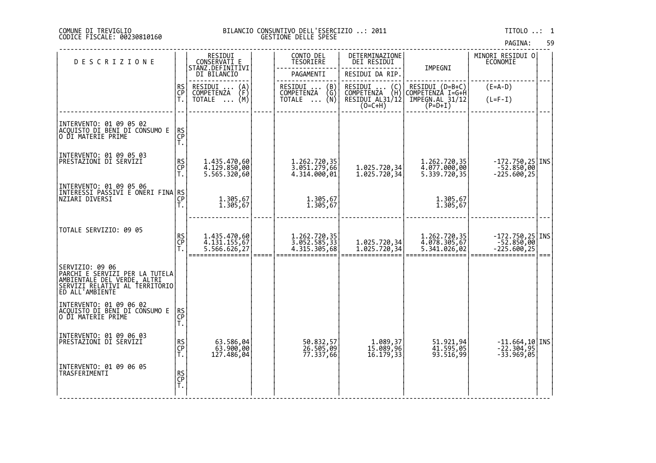# DI TREVIGLIO BILANCIO CONSUNTIVO DELL'ESERCIZIO ..: 2011 TITOLO ..: 1 FISCALE: 00230810160 GESTIONE DELLE SPESE

| <b>DESCRIZIONE</b>                                                                                                                                             |                | RESIDUI<br>CONSERVATI E                                         | CONTO DEL<br><b>TESORIERE</b>                            | DETERMINAZIONE<br>DEI RESIDUI                                                                                               |                                                                       | MINORI RESIDUI O<br>ECONOMIE                         |      |
|----------------------------------------------------------------------------------------------------------------------------------------------------------------|----------------|-----------------------------------------------------------------|----------------------------------------------------------|-----------------------------------------------------------------------------------------------------------------------------|-----------------------------------------------------------------------|------------------------------------------------------|------|
|                                                                                                                                                                |                | STANZ.DEFINITIVI<br>DI BILANCIO                                 | PAGAMENTI                                                | RESIDUI DA RIP.                                                                                                             | IMPEGNI                                                               |                                                      |      |
|                                                                                                                                                                | RS<br>CP<br>T. | RESIDUI<br>$\binom{A}{F}$<br><b>COMPETENZA</b><br>(M)<br>TOTALE | RESIDUI<br>(B)<br>COMPETENZA<br>$\binom{G}{N}$<br>TOTALE | RESIDUI<br>$\left(\begin{smallmatrix} C \\ H \end{smallmatrix}\right)$<br><b>COMPETENZA</b><br>RESIDUI AL31/12<br>$(O=C+H)$ | RESIDUI (D=B+C)<br> COMPETENZA I=G+H<br> IMPEGN.AL_31/12<br>$(P=D+I)$ | $(E=A-D)$<br>$(L=F-I)$                               |      |
| INTERVENTO: 01 09 05 02<br> ACQUISTO DI BENI DI CONSUMO E<br> O DI MATERIE PRIME                                                                               | RS<br>CP<br>T. |                                                                 |                                                          |                                                                                                                             |                                                                       |                                                      |      |
| INTERVENTO: 01 09 05 03<br>PRESTAZIONI DI SERVIZI                                                                                                              | RS<br>CP<br>Т. | 1.435.470,60<br>4.129.850,00<br>5.565.320,60                    | 1.262.720,35<br>3.051.279,66<br>4.314.000,01             | 1.025.720,34<br>1.025.720,34                                                                                                | 1.262.720,35<br>4.077.000,00<br>5.339.720,35                          | $-172.750,25$ INS<br>$-52.850,00$<br>$-225.600, 25$  |      |
| INTERVENTO: 01 09 05 06<br> INTERESSI PASSIVI E ONERI FINA RS <br> CP                                                                                          | T.             | 1.305,67<br>1.305,67                                            | 1.305,67<br>1.305,67                                     |                                                                                                                             | 1.305,67<br>1.305,67                                                  |                                                      |      |
| TOTALE SERVIZIO: 09 05                                                                                                                                         | RS<br>CP       | 1.435.470,60<br>4.131.155,67<br>5.566.626,27                    | 1.262.720,35<br>3.052.585,33<br>4.315.305,68             | 1.025.720,34<br>1.025.720,34                                                                                                | 1.262.720,35<br>4.078.305,67<br>5.341.026,02                          | $-172.750, 25$ INS<br>$-52.850, 00$<br>$-225.600,25$ | $==$ |
| <br> PARCHI E SERVIZI PER LA TUTELA<br> AMBIENTALE DEL VERDE, ALTRI<br> SERVIZI RELATIVI AL TERRITORIO <br> SERVIZI RELATIVI AL TERRITORIO <br>ED ALL'AMBIENTE |                |                                                                 |                                                          |                                                                                                                             |                                                                       |                                                      |      |
| INTERVENTO: 01 09 06 02<br> ACQUISTO DI BENI DI CONSUMO E<br>O DI MATERIE PRIME                                                                                | RS<br>CP<br>T. |                                                                 |                                                          |                                                                                                                             |                                                                       |                                                      |      |
| INTERVENTO: 01 09 06 03<br> PRESTAZIONI DI SERVIZI                                                                                                             | RS<br>CP<br>T. | 63.586,04<br>63.900,00<br>127.486,04                            | 50.832,57<br>26.505,09<br>77.337,66                      | 1.089,37<br>15.089,96<br>16.179,33                                                                                          | 51.921,94<br>41.595,05<br>93.516,99                                   | $-11.664, 10$ INS<br>$-22.304, 95$<br>$-33.969,05$   |      |
| INTERVENTO: 01 09 06 05<br>TRASFERIMENTI                                                                                                                       | RS<br>CP<br>T. |                                                                 |                                                          |                                                                                                                             |                                                                       |                                                      |      |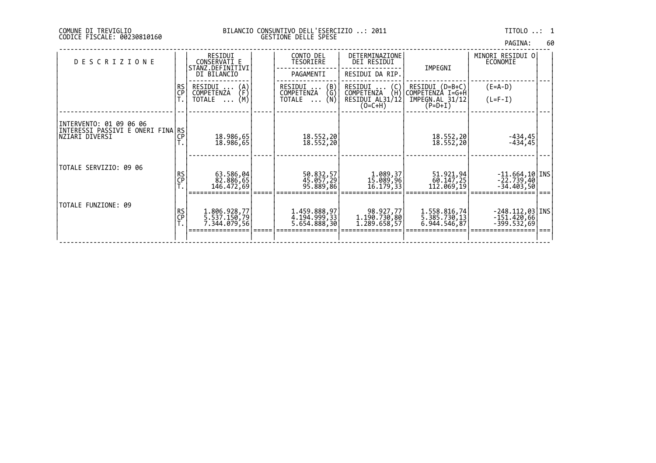| PAGINA: | 60 |
|---------|----|
|         |    |

| <b>DESCRIZIONE</b>                                                              |          | RESIDUI<br>CONSERVATI E<br>STANZ.DEFINITIVI<br>DI BILANCIO       | CONTO DEL<br>TESORIERE<br>PAGAMENTI                                         | DETERMINAZIONE<br>DEI RESIDUI<br>RESIDUI DA RIP.                           | IMPEGNI                                                             | MINORI RESIDUI O <br>ECONOMIE                              |  |
|---------------------------------------------------------------------------------|----------|------------------------------------------------------------------|-----------------------------------------------------------------------------|----------------------------------------------------------------------------|---------------------------------------------------------------------|------------------------------------------------------------|--|
|                                                                                 | RS<br>CP | RESIDUI<br>(A)<br>(F)<br>COMPETENZA<br>(M)<br>TOTALE<br>$\ddots$ | $\binom{B}{G}$<br>RESIDUI<br><b>COMPETENZA</b><br>(N)<br>TOTALE<br>$\cdots$ | RESIDUI<br>(C)<br><b>COMPETENZA</b><br>(H)<br>RESIDUI AL31/12<br>$(O=C+H)$ | $RESIDUI (D=B+C)$<br>COMPETENZÀ I=G+H<br>IMPEGN.AL 31/12<br>(P=D+I) | $(E=A-D)$<br>$(L=F-I)$                                     |  |
| INTERVENTO: 01 09 06 06<br>INTERESSI PASSIVI E ONERI FINA RS<br>INZIARI DIVERSI | СP       | 18.986,65<br>18.986,65                                           | 18.552,20<br>18.552,20                                                      |                                                                            | 18.552,20<br>18.552,20                                              | -434,45<br>-434,45                                         |  |
| TOTALE SERVIZIO: 09 06                                                          | RS<br>CP | 63.586,04<br>82.886,65<br>146.472,69                             | 50.832,57<br>45.057,29<br>95.889,86                                         | 1.089, 37<br>15.089,96<br>16.179,33                                        | 51.921,94<br>60.147, 25<br>112.069,19                               | $-11.664, 10$ INS<br>$-22.739,40$<br>$-34.403,50$          |  |
| TOTALE FUNZIONE: 09                                                             | RS<br>CP | 1.806.928,77<br>5.537.150,79<br>7.344.079,56                     | 1.459.888,97<br>4.194.999,33<br>5.654.888,30                                | 98.927,77<br>1.190.730,80<br>1.289.658,57                                  | 1.558.816,74<br>5.385.730,13<br>6.944.546,87                        | $-248.112,03$ <i>INS</i><br>$-151.420,66$<br>$-399.532,69$ |  |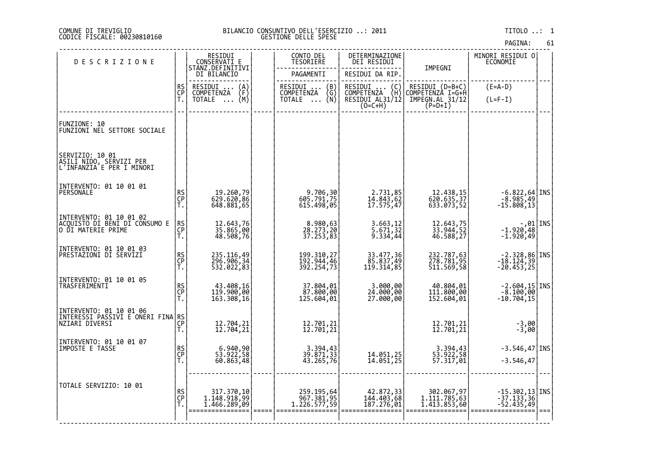# COMUNE DI TREVIGLIO BILANCIO CONSUNTIVO DELL'ESERCIZIO ..: 2011 TITOLO ..: 1 CODICE FISCALE: 00230810160 GESTIONE DELLE SPESE

| <b>DESCRIZIONE</b>                                                             |                | RESIDUI<br>CONSERVATI E<br>STANZ.DEFINITIVI | CONTO DEL<br>TESORIERE                                                   | DETERMINAZIONE<br>DEI RESIDUI           |                                            | MINORI RESIDUI O<br>ECONOMIE                                                                            |      |
|--------------------------------------------------------------------------------|----------------|---------------------------------------------|--------------------------------------------------------------------------|-----------------------------------------|--------------------------------------------|---------------------------------------------------------------------------------------------------------|------|
|                                                                                |                | DI BILANCIO                                 | PAGAMENTI                                                                | RESIDUI DA RIP                          | IMPEGNI                                    |                                                                                                         |      |
|                                                                                |                | RESIDUI<br>COMPETENZA<br>$\binom{A}{F}$     | RESIDUI<br>COMPETENZA                                                    | RESIDUI<br>COMPETENZA<br>$\binom{C}{H}$ | RESIDUI (D=B+C)<br>COMPETENZA I=G+H        | $(E=A-D)$                                                                                               |      |
|                                                                                | RS<br>CP<br>T. | (M)<br>TOTALE                               | $\begin{pmatrix} B \\ G \\ N \end{pmatrix}$<br><b>TOTALE</b><br>$\cdots$ | RESIDUI AL31/12<br>$(0=C+H)$            | IMPEGN.AL 31/12<br>$(P=D+I)$               | $(L=F-I)$                                                                                               |      |
| FUNZIONE: 10<br>FUNZIONI NEL SETTORE SOCIALE                                   |                |                                             |                                                                          |                                         |                                            |                                                                                                         |      |
| SERVIZIO: 10 01<br>ASILI NIDO, SERVIZI PER<br>L'INFANZIA'E PER I MINORI        |                |                                             |                                                                          |                                         |                                            |                                                                                                         |      |
| INTERVENTO: 01 10 01 01<br>PERSONALE                                           | RS<br>CP<br>T. | 19.260,79<br>629.620,86<br>648.881,65       | 9.706,30<br>605.791,75<br>615.498,05                                     | 2.731,85<br>14.843,62<br>17.575,47      | 12.438,15<br>620.635,37<br>633.073,52      | $\begin{bmatrix} -6.822, 64 \\ -8.985, 49 \end{bmatrix}$ INS<br>$-15.808,13$                            |      |
| INTERVENTO: 01 10 01 02<br>ACQUISTO DI BENI DI CONSUMO E<br>O DI MATERIE PRIME | RS<br>CP<br>T. | 12.643,76<br>35.865,00<br>48.508,76         | 8.980,63<br>28.273,20<br>37.253,83                                       | 3.663,12<br>5.671,32<br>9.334,44        | 12.643,75<br>33.944,52<br>46.588,27        | 01   01, -<br>  01, 020, 48. -1. -1. 920, 49. -1. 920, 49. -1. 920, 49. -1. 920, 49. -1. 920. 49. -1. 9 |      |
| INTERVENTO: 01 10 01 03<br>PRESTAZIONI DI SERVIZI                              | RS<br>CP<br>T. | 235.116,49<br>296.906,34<br>532.022,83      | 199.310,27<br>192.944,46<br>392.254,73                                   | 33.477,36<br>85.837,49<br>119.314,85    | 232.787,63<br>278.781,95<br>511.569,58     | $\begin{array}{c} -2.328,86 $ INS<br>-18.124, 39<br>-20.453, 25                                         |      |
| INTERVENTO: 01 10 01 05<br>TRASFERIMENTI                                       | RS<br>CP<br>T. | 43.408,16<br>119.900,00<br>163.308,16       | 37.804,01<br>87.800,00<br>125.604,01                                     | 3.000,00<br>24.000,00<br>27.000,00      | 40.804,01<br>111.800,00<br>152.604,01      | $\left[ -2.604, 15 \right]$ INS<br>$\left[ -8.100, 00 \right]$<br>$-10.704, 15$                         |      |
|                                                                                |                | 12.704,21<br>12.704,21                      | 12.701,21<br>12.701,21                                                   |                                         | 12.701,21<br>12.701,21                     | $-3,00$<br>$-3,00$                                                                                      |      |
| INTERVENTO: 01 10 01 07<br>IMPOSTE E TASSE                                     | RS<br>CP<br>T. | 6.940,90<br>53.922,58<br>60.863,48          | 3.394,43<br>39.871,33<br>43.265,76                                       | 14.051,25<br>14.051,25                  | 3.394,43<br>53.922,58<br>57.317,01         | $-3.546, 47$ INS<br>$-3.546, 47$                                                                        |      |
| TOTALE SERVIZIO: 10 01                                                         | RS<br>CP<br>T. | 317.370,10<br>1.148.918,99<br>1.466.289,09  | 259.195,64<br>967.381,95<br>1.226.577,59                                 | 42.872,33<br>144.403,68<br>187.276,01   | 302.067,97<br>1.111.785,63<br>1.413.853,60 | $-15.302, 13$ TNS<br>$-37.133, 36$<br>$-52.435,49$                                                      | $==$ |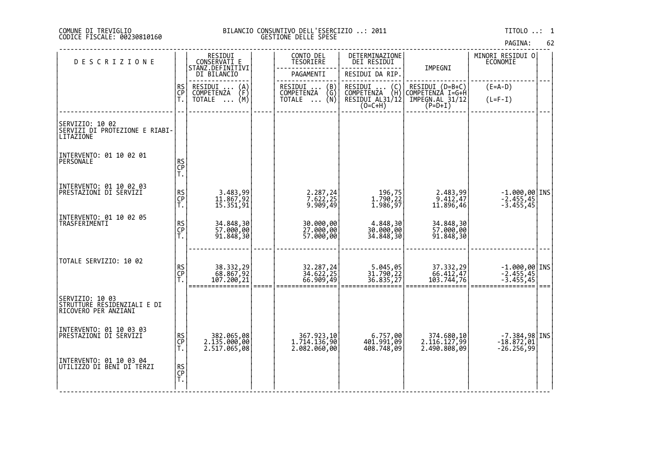# DI TREVIGLIO BILANCIO CONSUNTIVO DELL'ESERCIZIO ..: 2011 TITOLO ..: 1 FISCALE: 00230810160 GESTIONE DELLE SPESE

| <b>DESCRIZIONE</b>                                                     |                | RESIDUI<br>CONSERVATI E                        | CONTO DEL<br>TESORIERE                                                        | DETERMINAZIONE<br>DEI RESIDUI                    |                                            | MINORI RESIDUI 0<br><b>ECONOMIE</b>                                      |      |
|------------------------------------------------------------------------|----------------|------------------------------------------------|-------------------------------------------------------------------------------|--------------------------------------------------|--------------------------------------------|--------------------------------------------------------------------------|------|
|                                                                        |                | STANZ.DEFINITIVI<br>DI BILANCIO                | PAGAMENTI                                                                     | RESIDUI DA RIP.                                  | IMPEGNI                                    |                                                                          |      |
|                                                                        | RS<br>CP       | RESIDUI<br>$\binom{A}{F}$<br><b>COMPETENZA</b> | RESIDUI<br>$\begin{pmatrix} B \\ G \\ N \end{pmatrix}$<br>COMPETENZA          | RESIDUI (C)<br>COMPETENZA (H)<br>RESIDUI AL31/12 | RESIDUI (D=B+C)<br>COMPETENZÀ I=G+H        | $(E=A-D)$                                                                |      |
|                                                                        | Ť.             | (M)<br>TOTALE                                  | <b>TOTALE</b><br>$\cdots$                                                     | $(0=C+H)$                                        | IMPEGN.AL_31/12<br>$(P=D+I)$               | $(L=F-I)$                                                                |      |
|                                                                        |                |                                                |                                                                               |                                                  |                                            |                                                                          |      |
| SERVIZIO: 10 02<br>SERVIZI DI PROTEZIONE E RIABI-<br>LITAZIONE         |                |                                                |                                                                               |                                                  |                                            |                                                                          |      |
| INTERVENTO: 01 10 02 01                                                |                |                                                |                                                                               |                                                  |                                            |                                                                          |      |
| PERSONALE                                                              | RS<br>CP<br>T. |                                                |                                                                               |                                                  |                                            |                                                                          |      |
| INTERVENTO: 01 10 02 03<br>PRESTAZIONI DI SERVIZI                      |                |                                                |                                                                               |                                                  |                                            |                                                                          |      |
|                                                                        | RS<br>CP<br>T. | 3.483,99<br>11.867,92<br>15.351,91             | 2.287,24<br>7.622,25<br>9.909,49                                              | 1.790,22<br>1.986,97                             | 2.483,99<br>9.412,47<br>11.896,46          | $-1.000,00$ INS<br>$-2.455,45$<br>$-3.455,45$                            |      |
| INTERVENTO: 01 10 02 05                                                |                |                                                |                                                                               |                                                  |                                            |                                                                          |      |
| TRASFERIMENTI                                                          | RS<br>CP<br>T. | 34.848,30<br>57.000,00<br>91.848,30            | 30.000,00<br>$27.\tilde{0}\tilde{0}\tilde{0},\tilde{0}\tilde{0}$<br>57.000,00 | 4.848,30<br>30.000,00<br>34.848,30               | 34.848,30<br>57.000,00<br>91.848,30        |                                                                          |      |
|                                                                        |                |                                                |                                                                               |                                                  |                                            |                                                                          |      |
| TOTALE SERVIZIO: 10 02                                                 |                |                                                |                                                                               |                                                  |                                            |                                                                          |      |
|                                                                        | RS<br>CP<br>T. | 38.332,29<br>68.867,92<br>107.200,21           | 32.287,24<br>34.622,25<br>66.909,49                                           | 5.045,05<br>31.790,22<br>36.835,27               | 37.332,29<br>66.412,47<br>103.744,76       | $\begin{array}{c} -1.000,00 \end{array}$ INS<br>-2.455,45<br>$-3.455,45$ |      |
|                                                                        |                |                                                |                                                                               |                                                  |                                            |                                                                          | $==$ |
| SERVIZIO: 10 03<br>STRUTTURE RESIDENZIALI E DI<br>RICOVERO PER ANZIANI |                |                                                |                                                                               |                                                  |                                            |                                                                          |      |
| INTERVENTO: 01 10 03 03                                                |                |                                                |                                                                               |                                                  |                                            |                                                                          |      |
| PRESTAZIONI DI SERVIZI                                                 | RS<br>CP<br>T. | 382.065,08<br>2.135.000,00<br>2.517.065,08     | 367.923,10<br>1.714.136,90<br>2.082.060,00                                    | 6.757,00<br>401.991,09<br>408.748,09             | 374.680,10<br>2.116.127,99<br>2.490.808,09 | $-7.384,98$ INS<br>$-18.\overline{872}, \overline{01}$<br>$-26.256, 99$  |      |
| INTERVENTO: 01 10 03 04                                                |                |                                                |                                                                               |                                                  |                                            |                                                                          |      |
| UTILIZZO DI BENI DI TERZI                                              | RS<br>CP<br>T. |                                                |                                                                               |                                                  |                                            |                                                                          |      |
|                                                                        |                |                                                |                                                                               |                                                  |                                            |                                                                          |      |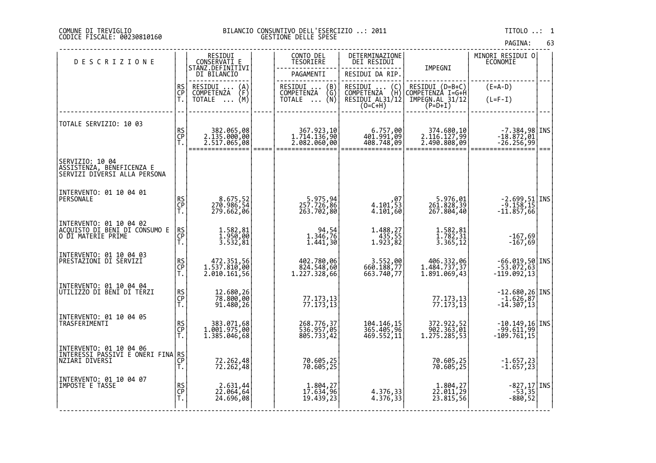| CONTO DEL<br>DETERMINAZIONE<br>MINORI RESIDUI O<br>RESIDUI<br>CONSERVATI E<br>STANZ.DEFINITIVI<br><b>DESCRIZIONE</b><br><b>TESORIERE</b><br>DEI RESIDUI<br>ECONOMIE<br>IMPEGNI                    |                                                                      |
|---------------------------------------------------------------------------------------------------------------------------------------------------------------------------------------------------|----------------------------------------------------------------------|
|                                                                                                                                                                                                   |                                                                      |
| DI BILANCIO<br>PAGAMENTI<br>RESIDUI DA RIP.                                                                                                                                                       |                                                                      |
| RS<br>CP<br>RESIDUI<br>RESIDUI (D=B+C)<br>$(E=A-D)$<br>RESIDUI<br>$\binom{B}{G}$<br>RESIDUI<br>COMPETENZA<br>$\binom{1}{1}$<br>$\binom{A}{F}$                                                     |                                                                      |
| COMPETENZA<br><b>COMPETENZA</b><br>COMPETENZA I=G+H<br>Ť.<br>(M)<br>TOTALE<br>(Ñ)<br>RESIDUI AL31/12<br>$(L=F-I)$<br>TOTALE<br>IMPEGN.AL 31/12<br>$(0=CHH)$<br>$(P=D+I)$                          |                                                                      |
|                                                                                                                                                                                                   |                                                                      |
| TOTALE SERVIZIO: 10 03<br>374.680,10                                                                                                                                                              | $-7.384,98$ INS                                                      |
| RS<br>CP<br>T.<br>367.923,10<br>1.714.136,90<br>2.082.060,00<br>6.757,00<br>401.991,09<br>408.748,09<br>382.065,08<br>2.135.000,00<br>2.517.065,08<br>2.116.127,99<br>2.490.808,09                | $-18.872,01$<br>$-26.256,99$                                         |
|                                                                                                                                                                                                   | $==$                                                                 |
| SERVIZIO: 10 04<br>ASSISTENZA, BENEFICENZA E<br>SERVIZI DIVERSI ALLA PERSONA                                                                                                                      |                                                                      |
| INTERVENTO: 01 10 04 01                                                                                                                                                                           |                                                                      |
| RS<br>CP<br>T.<br>5.975,94<br>257.726,86<br>263.702,80<br>5.976,01<br>261.828,39<br>267.804,40<br>PERSONALE<br>8.675,52<br>270.986,54<br>279.662,06<br>,07<br>4.101,53<br>4.101,60                | -2.699,51 INS<br>-9.158,15<br>-11.857,66                             |
|                                                                                                                                                                                                   |                                                                      |
| INTERVENTO: 01 10 04 02<br>ACQUISTO DI BENI DI CONSUMO E                                                                                                                                          |                                                                      |
| 1.582,81<br>1.950,00<br>3.532,81<br>RS<br>CP<br>94,54<br>1.346,76<br>1.488,27<br>435,55<br>1.923,82<br>1.582,81<br>1.782,31<br>3.365,12<br>O DI MATERIE PRIME<br>1.441,30<br>T.                   | $-167,69$                                                            |
|                                                                                                                                                                                                   | $-167,69$                                                            |
| INTERVENTO: 01 10 04 03<br>PRESTAZIONI DI SERVIZI<br>RS<br>CP<br>472.351,56<br>1.537.810,00<br>402.780,06<br>824.548,60<br>3.552,00<br>77, 660.188<br>406.332,06<br>1.484.737,37                  | $-66.019,50$ INS<br>$-53.072,63$                                     |
| T.<br>$1.\overline{2}\overline{2}\overline{7}.3\overline{2}\overline{8},\overline{6}\overline{6}$<br>663.740,77<br>1.891.069,43<br>$-119.092,13$<br>2.010.161,56                                  |                                                                      |
| INTERVENTO: 01 10 04 04<br>UTILIZZO DI BENI DI TERZI                                                                                                                                              |                                                                      |
| RS<br>CP<br>T.<br>12.680,26<br>78.800,00<br>91.480,26<br>77.173,13<br>77.173,13<br>77.173,13<br>77.173,13                                                                                         | $-12.680, 26$ INS<br>$-1.626, 87$<br>-14.307,13                      |
|                                                                                                                                                                                                   |                                                                      |
| INTERVENTO: 01 10 04 05<br>RS<br>CP<br>TRASFERIMENTI                                                                                                                                              |                                                                      |
| 383.071,68<br>1.001.975,00<br>268.776,37<br>536.957,05<br>104.146,15<br>365.405,96<br>372.922,52<br>902.363,01<br>1.275.285,53<br>Ť.<br>1.385.046,68<br>805.733,42<br>469.552,11<br>$-109.761,15$ | $\begin{array}{ c} -10.149, 16 \ \hline -99.611, 99 \end{array}$ INS |
| INTERVENTO: 01 10 04 06                                                                                                                                                                           |                                                                      |
| INTERESSI PAŠSIVI E ONERI FINA RS<br>NZIARI DIVERSI                                                                                                                                               |                                                                      |
| 72.262,48<br>72.262,48<br>70.605,25<br>70.605,25<br>70.605,25<br>70.605,25<br>Ť.                                                                                                                  | $-1.657, 23$<br>$-1.657, 23$                                         |
| INTERVENTO: 01 10 04 07<br>IMPOSTE E TASSE                                                                                                                                                        |                                                                      |
| RS<br>CP<br>T.<br>2.631,44<br>22.064,64<br>1.804,27<br>17.634,96<br>19.439,23<br>1.804,27<br>22.011,29<br>23.815,56<br>4.376,33<br>4.376,33<br>24.696,08                                          | -827,17 INS<br>-53,35<br>-880,52                                     |
|                                                                                                                                                                                                   |                                                                      |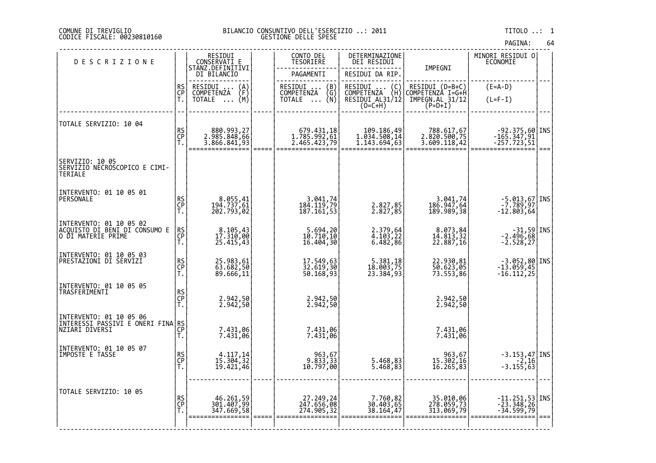#### DI TREVIGLIO BILANCIO CONSUNTIVO DELL'ESERCIZIO ..: 2011 TITOLO ..: 1 FISCALE: 00230810160 GESTIONE DELLE SPESE

| <b>DESCRIZIONE</b>                                                                          |                | RESIDUI<br>CONSERVATI E<br>STANZ.DEFINITIVI |                     | CONTO DEL<br><b>TESORIERE</b>              | DETERMINAZIONE<br>DEI RESIDUI                                                        |                                            | MINORI RESIDUI 0<br><b>ECONOMIE</b>                                   |      |
|---------------------------------------------------------------------------------------------|----------------|---------------------------------------------|---------------------|--------------------------------------------|--------------------------------------------------------------------------------------|--------------------------------------------|-----------------------------------------------------------------------|------|
|                                                                                             |                | DI BILANCIO                                 |                     | PAGAMENTI                                  | RESIDUI DA RIP.                                                                      | IMPEGNI                                    |                                                                       |      |
|                                                                                             | RS<br>CP       | RESIDUI<br>COMPETENZA<br>$\binom{A}{F}$     |                     | RESIDUI<br>COMPETENZA<br>$\binom{B}{G}$    | RESIDUI<br>COMPETENZA<br>$\left(\begin{smallmatrix} 0 \\ H \end{smallmatrix}\right)$ | RESIDUI (D=B+C)<br>COMPETENZA I=G+H        | $(E=A-D)$                                                             |      |
|                                                                                             | Ť.             | (M)<br><b>TOTALE</b><br>$\cdots$            |                     | (Ñ)<br><b>TOTALE</b><br>$\cdots$           | RESIDUI AL31/12<br>$(0=CHH)$                                                         | IMPEGN.AL 31/12<br>$(P=D+I)$               | $(L=F-I)$                                                             |      |
| TOTALE SERVIZIO: 10 04                                                                      | RS<br>CP<br>T. | 880.993,27<br>2.985.848,66<br>3.866.841,93  |                     | 679.431,18<br>1.785.992,61<br>2.465.423,79 | 109.186,49<br>1.034.508,14<br>1.143.694,63                                           | 788.617,67<br>2.820.500,75<br>3.609.118,42 | -92.375,60 INS<br>-165.347,91<br>-257.723,51                          |      |
|                                                                                             |                |                                             | $=$ $=$ $=$ $=$ $=$ |                                            |                                                                                      |                                            |                                                                       | $==$ |
| SERVIZIO: 10 05<br>SERVIZIO NECROSCOPICO E CIMI-<br><b>TERIALE</b>                          |                |                                             |                     |                                            |                                                                                      |                                            |                                                                       |      |
| INTERVENTO: 01 10 05 01<br>PERSONALE                                                        | RS<br>CP<br>Ť. | 8.055,41<br>194.737,61<br>202.793,02        |                     | 3.041,74<br>184.119,79<br>187.161,53       | 2.827,85<br>2.827,85                                                                 | 3.041,74<br>186.947,64<br>189.989,38       | -5.013,67 INS<br>-7.789,97<br>-12.803,64                              |      |
| INTERVENTO: 01 10 05 02<br>ACQUISTO DI BENI DI CONSUMO E<br>O DI MATERIE PRIME              | RS<br>CP<br>Ť. | 8.105,43<br>17.310,00<br>25.415,43          |                     | 5.694,20<br>10.710,10<br>16.404,30         | 2.379,64<br>4.103,22<br>6.482,86                                                     | 8.073,84<br>14.813,32<br>22.887,16         | -31,59 INS<br>-2.496,68<br>-2.528,27                                  |      |
| INTERVENTO: 01 10 05 03<br>PRESTAZIONI DI SERVIZI                                           | RS<br>CP<br>T. | 25.983,61<br>63.682,50<br>89.666,11         |                     | 17.549,63<br>32.619,30<br>50.168,93        | 5.381,18<br>18.003,75<br>23.384,93                                                   | 22.930,81<br>50.623,05<br>73.553,86        | -3.052,80 INS<br>-13.059,45<br>-16.112,25                             |      |
| INTERVENTO: 01 10 05 05<br>TRASFERIMENTI                                                    | RS<br>CP<br>T. | 2.942,50<br>2.942,50                        |                     | 2.942,50<br>2.942,50                       |                                                                                      | 2.942,50<br>2.942,50                       |                                                                       |      |
| <br> INTERVENTO: 01 10 05 06<br> I <u>NTERESSI PASS</u> IVI E ONERI FINA <br>NZIARI DIVERSI | RS<br>CP<br>Ť. | 7.431,06<br>7.431,06                        |                     | 7.431,06<br>7.431,06                       |                                                                                      | 7.431,06<br>7.431,06                       |                                                                       |      |
| INTERVENTO: 01 10 05 07<br>IMPOSTE E TASSE                                                  | RS<br>CP<br>T. | 4.117,14<br>15.304,32<br>19.421,46          |                     | 963,67<br>9.833,33<br>10.797,00            | 5.468,83<br>5.468,83                                                                 | 963,67<br>15.302,16<br>16.265,83           | $\begin{bmatrix} -3.153, 47 \\ -2.16 \\ -3.155, 63 \end{bmatrix}$ INS |      |
| TOTALE SERVIZIO: 10 05                                                                      | RS<br>CP<br>Ť. | 46.261,59<br>301.407,99<br>347.669,58       |                     | 27.249,24<br>247.656,08<br>274.905,32      | 7.760,82<br>30.403,65<br>38.164,47                                                   | 35.010,06<br>278.059,73<br>313.069,79      | -11.251,53 INS<br>-23.348,26<br>-34.599,79                            | $==$ |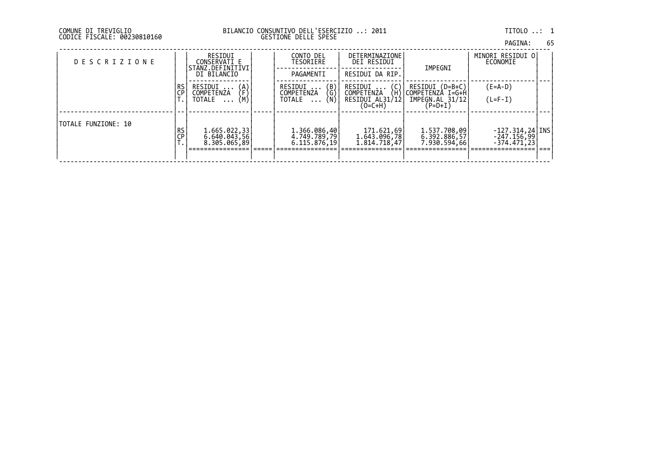| PAGINA: |  | 65 |
|---------|--|----|
|         |  |    |

| <b>DESCRIZIONE</b>  |               | RESIDUI<br>CONSERVATI E<br>STANZ.DEFINITIVI<br>DI BILANCIO                     | CONTO DEL<br>TESORIERE<br>PAGAMENTI                                            | <b>DETERMINAZIONE</b><br>DEI RESIDUI<br>RESIDUI DA RIP.             | IMPEGNI                                                           | MINORI RESIDUI O <br>ECONOMIE                       |  |
|---------------------|---------------|--------------------------------------------------------------------------------|--------------------------------------------------------------------------------|---------------------------------------------------------------------|-------------------------------------------------------------------|-----------------------------------------------------|--|
|                     | RS<br>CP<br>T | RESIDUI<br>$\begin{pmatrix} A \\ F \\ M \end{pmatrix}$<br>COMPETENZA<br>TOTALE | $\begin{pmatrix} B \\ G \\ N \end{pmatrix}$<br>RESIDUI<br>COMPETENZA<br>TOTALE | RESIDUI<br>(C)<br>COMPETENZA<br>(H)<br>RESIDUI AL31/12<br>$(O=C+H)$ | RESIDUI (D=B+C)<br>COMPETENZÀ I=G+H<br>IMPEGN.AL 31/12<br>(P=D+I) | $(E=A-D)$<br>$(L=F-I)$                              |  |
| TOTALE FUNZIONE: 10 | RS<br>CP      | 1.665.022,33<br>6.640.043,56<br>8.305.065,89                                   | 1.366.086,40<br>4.749.789,79<br>6.115.876,19                                   | 171.621,69<br>1.643.096,78<br>1.814.718,47                          | 1.537.708,09<br>6.392.886,57<br>7.930.594,66                      | $-127.314,24$   INS  <br>-247.156,99<br>-374.471,23 |  |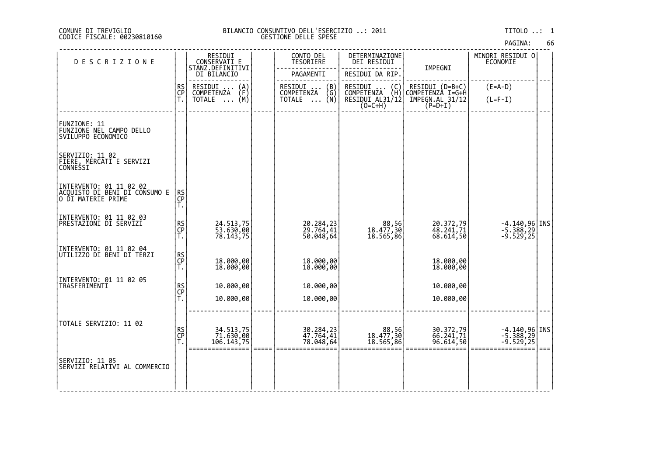| PAGINA: | 66 |
|---------|----|
|---------|----|

| <b>DESCRIZIONE</b>                                                               |                | RESIDUI<br>CONSERVATI E<br>STANZ.DEFINITIVI | CONTO DEL<br>TESORIERE                                               | DETERMINAZIONE<br>DEI RESIDUI                                  |                                     | MINORI RESIDUI O<br><b>ECONOMIE</b>     |      |
|----------------------------------------------------------------------------------|----------------|---------------------------------------------|----------------------------------------------------------------------|----------------------------------------------------------------|-------------------------------------|-----------------------------------------|------|
|                                                                                  |                | DI BILANCIO                                 | PAGAMENTI                                                            | RESIDUI DA RIP.                                                | IMPEGNI                             |                                         |      |
|                                                                                  | RS<br>CP<br>T. | RESIDUI<br>$\binom{A}{F}$<br>COMPETENZA     | RESIDUI<br>$\begin{pmatrix} B \\ G \\ N \end{pmatrix}$<br>COMPETENZA |                                                                | RESIDUI (D=B+C)<br>COMPETENZA I=G+H | $(E=A-D)$                               |      |
|                                                                                  |                | (M)<br>TOTALE                               | TOTALE                                                               | C)<br>UMPETĒNZA (H)<br>RESIDUI AL31/12<br>(O=C+H)<br>--------- | IMPEGN.AL_31/12<br>$(P=D+I)$        | $(L=F-I)$                               |      |
|                                                                                  |                |                                             |                                                                      |                                                                |                                     |                                         |      |
| FUNZIONE: 11<br> FUNZIONE NEL CAMPO DELLO<br>SVILUPPO ECONOMICO                  |                |                                             |                                                                      |                                                                |                                     |                                         |      |
| SERVIZIO: 11 02<br>FIERE, MERCATI E SERVIZI<br>CONNESSI                          |                |                                             |                                                                      |                                                                |                                     |                                         |      |
| INTERVENTO: 01 11 02 02<br> ACQUISTO DI BENI DI CONSUMO E<br> O DI MATERIE PRIME | RS<br>CP<br>T. |                                             |                                                                      |                                                                |                                     |                                         |      |
| INTERVENTO: 01 11 02 03<br>PRESTAZIONI DI SERVIZI                                | RS<br>CP<br>T. | 24.513,75<br>53.630,00<br>78.143,75         | 20.284,23<br>29.764,41<br>50.048,64                                  | 88,56<br>18.477,30<br>18.565,86                                | 20.372,79<br>48.241,71<br>68.614,50 | -4.140,96 INS<br>-5.388,29<br>-9.529,25 |      |
| INTERVENTO: 01 11 02 04<br> UTILIZZO DI BENI DI TERZI                            | RS<br>CP<br>T. | 18.000,00<br>18.000,00                      | 18.000,00<br>18.000,00                                               |                                                                | 18.000,00<br>18.000,00              |                                         |      |
| INTERVENTO: 01 11 02 05<br>TRASFERIMENTI                                         |                | 10.000,00                                   | 10.000,00                                                            |                                                                | 10.000,00                           |                                         |      |
|                                                                                  | RS<br>CP<br>T. | 10.000,00                                   | 10.000,00                                                            |                                                                | 10.000,00                           |                                         |      |
| TOTALE SERVIZIO: 11 02                                                           | RS<br>CP<br>T. | 34.513,75<br>71.630,00<br>106.143,75        | 30.284,23<br>47.764,41<br>78.048,64                                  | 88,56<br>18.477,30<br>18.565,86                                | 30.372,79<br>66.241,71<br>96.614,50 | -4.140,96 INS<br>-5.388,29<br>-9.529,25 |      |
| SERVIZIO: 11 05<br>SERVĪZĪ RELATIVI AL COMMERCIO                                 |                |                                             |                                                                      |                                                                |                                     |                                         | $==$ |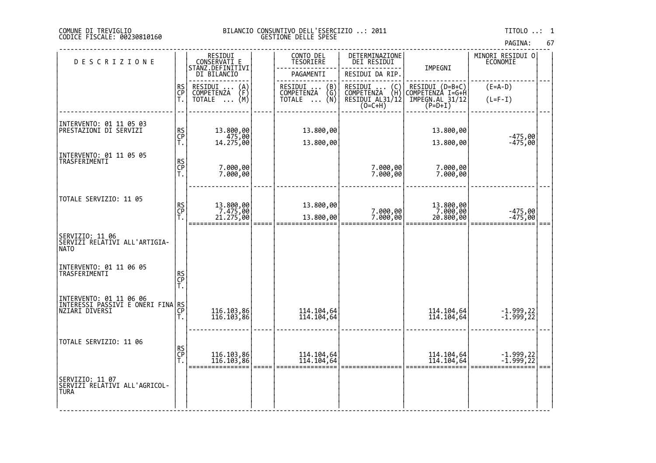|  | PAGINA: |  | 67 |
|--|---------|--|----|
|  |         |  |    |

| <b>DESCRIZIONE</b>                                                                    |                | RESIDUI<br>CONSERVATI E                                              | CONTO DEL<br>TESORIERE                                                           | DETERMINAZIONE<br><b>DEI RESIDUI</b>                                                          |                                                                  | MINORI RESIDUI 0<br>ECONOMIE |  |
|---------------------------------------------------------------------------------------|----------------|----------------------------------------------------------------------|----------------------------------------------------------------------------------|-----------------------------------------------------------------------------------------------|------------------------------------------------------------------|------------------------------|--|
|                                                                                       |                | STANZ.DEFINITIVI<br>DI BILANCIO                                      | PAGAMENTI                                                                        | RESIDUI DA RIP.                                                                               | IMPEGNI                                                          |                              |  |
|                                                                                       | RS<br>CP<br>T. | RESIDUI<br>COMPETENZA<br>$\binom{A}{F}$<br>(M)<br>TOTALE<br>$\cdots$ | RESIDUI  (B)<br>COMPETENZA (G)<br>$\overline{\left(\mathsf{N}\right)}$<br>TOTALE | RESIDUI<br>$\begin{pmatrix} C \\ H \end{pmatrix}$<br>COMPETENZA<br>RESIDUI AL31/12<br>(O=C+H) | RESIDUI (D=B+C)<br>COMPETENZA I=G+H<br>IMPEGN.AL 31/12<br>P=D+I) | $(E=A-D)$<br>$(L=F-I)$       |  |
| INTERVENTO: 01 11 05 03<br> PRESTAZIONI DI SERVIZI                                    | RS<br>CP<br>T. | 13.800,00<br>$13.805,00$<br>14.275,00                                | 13.800,00<br>13.800,00                                                           |                                                                                               | 13.800,00<br>13.800,00                                           | -475,00<br>-475,00           |  |
| INTERVENTO: 01 11 05 05<br>TRASFERIMENTI                                              | RS<br>CP<br>T. | 7.000,00<br>7.000,00                                                 |                                                                                  | 7.000,00<br>7.000,00                                                                          | 7.000,00<br>7.000,00                                             |                              |  |
| TOTALE SERVIZIO: 11 05                                                                |                |                                                                      |                                                                                  |                                                                                               |                                                                  |                              |  |
|                                                                                       | RS<br>CP<br>T. | 13.800,00<br>21.275,00                                               | 13.800,00<br>13.800,00                                                           | 7.000,00<br>7.000,00                                                                          | 13.800,00<br>7.000,00<br>20.800,00                               | -475,00<br>-475,00           |  |
| SERVIZIO: 11 06<br>SERVIZI RELATIVI ALL'ARTIGIA-<br>NATO                              |                |                                                                      |                                                                                  |                                                                                               |                                                                  |                              |  |
| INTERVENTO: 01 11 06 05<br>TRASFERIMENTI                                              | RS<br>CP<br>T. |                                                                      |                                                                                  |                                                                                               |                                                                  |                              |  |
| INTERVENTO: 01 11 06 06<br> <br> INTERESSI PAŠŠIVĪ Ĕ OŇĔRI FINA RS<br> NZIARI DIVERSI | Ť.             | 116.103,86<br>116.103,86                                             | 114.104,64<br>114.104,64                                                         |                                                                                               | 114.104,64<br>114.104,64                                         | $-1.999, 22$<br>$-1.999, 22$ |  |
| TOTALE SERVIZIO: 11 06                                                                | RS<br>CP<br>T. | 116.103,86<br>116.103,86                                             | 114.104,64<br>114.104,64                                                         |                                                                                               | 114.104,64<br>114.104,64                                         | $-1.999, 22$<br>$-1.999, 22$ |  |
| SERVIZIO: 11 07<br>SERVIZI RELATIVI ALL'AGRICOL-<br><b>TURA</b>                       |                |                                                                      |                                                                                  |                                                                                               |                                                                  |                              |  |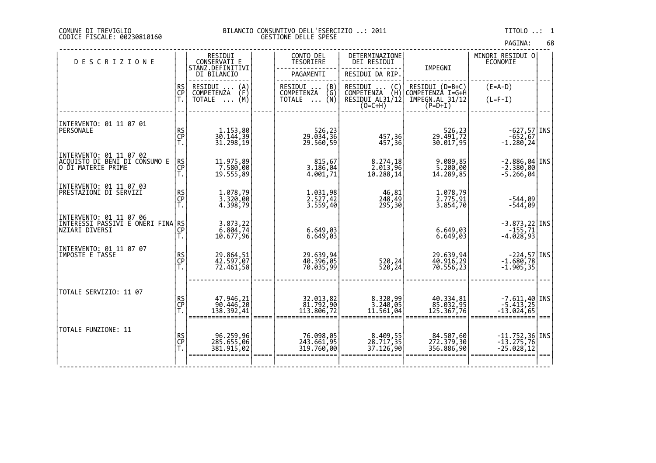| 68<br>PAGINA: |  |  |  |
|---------------|--|--|--|
|---------------|--|--|--|

| <b>DESCRIZIONE</b>                                   |                | RESIDUI<br>CONSERVATI E<br>STANZ.DEFINITIVI |      | CONTO DEL<br><b>TESORIERE</b>                                            | DETERMINAZIONE<br>DEI RESIDUI                     | IMPEGNI                               | MINORI RESIDUI O<br>ECONOMIE                                      |      |
|------------------------------------------------------|----------------|---------------------------------------------|------|--------------------------------------------------------------------------|---------------------------------------------------|---------------------------------------|-------------------------------------------------------------------|------|
|                                                      |                | DI BILANCIO                                 |      | PAGAMENTI                                                                | RESIDUI DA RIP.                                   |                                       |                                                                   |      |
|                                                      | RS<br>CP       | RESIDUI<br>$\binom{A}{F}$<br>COMPETENZA     |      | RESIDUI<br>COMPETENZA                                                    | RESIDUI  (C)<br>COMPETENZA (H)<br>RESIDUI AL31/12 | RESIDUI (D=B+C)<br>COMPETENZA I=G+H   | $(E=A-D)$                                                         |      |
|                                                      | Ť.             | (M)<br>TOTALE<br>$\cdots$                   |      | $\begin{pmatrix} B \\ G \\ N \end{pmatrix}$<br><b>TOTALE</b><br>$\cdots$ | $(O=C+H)$                                         | IMPEGN.AL 31/12<br>$(P=D+I)$          | $(L=F-I)$                                                         |      |
| INTERVENTO: 01 11 07 01                              |                |                                             |      |                                                                          |                                                   |                                       |                                                                   |      |
| PERSONALE                                            | RS<br>CP<br>T. | 1.153,80<br>30.144,39<br>31.298,19          |      | 526,23<br>29.034,36<br>29.560,59                                         | 457,36<br>457,36                                  | 526, 23<br>29.491, 22<br>30.017, 95   | $-627,57$ INS<br>$-652, 67$<br>-1.280,24                          |      |
| INTERVENTO: 01 11 07 02                              |                |                                             |      |                                                                          |                                                   |                                       |                                                                   |      |
| ACQUISTO DI BĒNĪ DI CŎÑSUMO E<br> O DI MATERIE PRIME | RS<br>CP<br>T. | 11.975,89<br>7.580,00<br>19.555,89          |      | 815,67<br>3.186,04<br>4.001,71                                           | 8.274,18<br>2.013,96<br>10.288,14                 | 9.089,85<br>5.200,00<br>14.289,85     | $-2.886,04$ INS<br>$-2.380,00$<br>$-5.266,04$                     |      |
| INTERVENTO: 01 11 07 03<br>PRESTAZIONI DI SERVIZI    |                |                                             |      |                                                                          |                                                   |                                       |                                                                   |      |
|                                                      | RS<br>CP<br>T. | 1.078,79<br>3.320,00<br>4.398,79            |      | 1.031,98<br>2.527,42<br>3.559,40                                         | 46,81<br>248,49<br>295,30                         | 1.078,79<br>2.775,91<br>3.854,70      | $-544,09$<br>$-544,09$                                            |      |
| INTERVENTO: 01 11 07 06                              |                |                                             |      |                                                                          |                                                   |                                       | $-3.873,22$ INS                                                   |      |
| ĪNTĒRESSI PAŠŠIVĪ Ē ONĒRI FINA RS<br> NZIARI DIVERSI | Ť.             | 3.873,22<br>6.804,74<br>10.677,96           |      | 6.649,03<br>6.649,03                                                     |                                                   | 6.649,03<br>6.649,03                  | $-155,71$<br>-4.028,93                                            |      |
| INTERVENTO: 01 11 07 07                              |                |                                             |      |                                                                          |                                                   |                                       |                                                                   |      |
| IMPOSTE E TASSE                                      | RS<br>CP<br>T. | 29.864,51<br>42.597,07<br>72.461,58         |      | 29.639,94<br>40.396,05<br>70.035,99                                      | 520,24<br>520,24                                  | 29.639,94<br>40.916,29<br>70.556,23   | $-224,57$ INS<br>$-1.\overline{680}$ , 78<br>$-1.905$ , 35        |      |
|                                                      |                |                                             |      |                                                                          |                                                   |                                       |                                                                   |      |
| TOTALE SERVIZIO: 11 07                               |                |                                             |      |                                                                          |                                                   |                                       |                                                                   |      |
|                                                      | RS<br>CP<br>T. | 47.946,21<br>90.446,20                      |      | 32.013,82<br>81.792,90                                                   | 8.320,99<br>3.240,05                              | 40.334,81<br>85.032,95                | $\begin{array}{c} -7.611,40 \ -5.413,25 \ -13.024,65 \end{array}$ |      |
|                                                      |                | 138.392,41                                  | ==== | 113.806,72                                                               | 11.561,04                                         | 125.367,76                            |                                                                   | $==$ |
| TOTALE FUNZIONE: 11                                  |                |                                             |      |                                                                          |                                                   |                                       |                                                                   |      |
|                                                      | RS<br>CP<br>T. | 96.259,96<br>285.655,06<br>381.915,02       |      | 76.098,05<br>243.661,95<br>319.760,00                                    | 8.409,55<br>28.717,35<br>37.126,90                | 84.507,60<br>272.379,30<br>356.886,90 | $-11.752,36$ INS<br>$-13.275,76$<br>$-25.028,12$                  |      |
|                                                      |                |                                             |      |                                                                          |                                                   |                                       |                                                                   |      |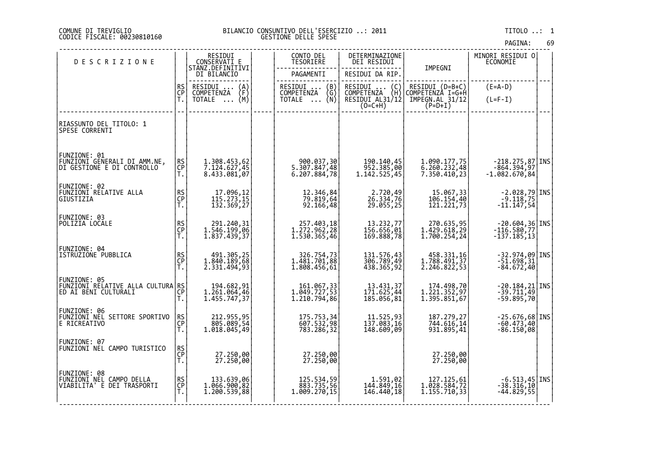## DI TREVIGLIO BILANCIO CONSUNTIVO DELL'ESERCIZIO ..: 2011 TITOLO ..: 1 FISCALE: 00230810160 GESTIONE DELLE SPESE

| <b>DESCRIZIONE</b>                                                                        |                | RESIDUI<br>CONSERVATI E                      | CONTO DEL<br>TESORIERE                       | DETERMINAZIONE<br>DEI RESIDUI                                                                                   |                                                 | MINORI RESIDUI O<br>ECONOMIE                                                     |  |
|-------------------------------------------------------------------------------------------|----------------|----------------------------------------------|----------------------------------------------|-----------------------------------------------------------------------------------------------------------------|-------------------------------------------------|----------------------------------------------------------------------------------|--|
|                                                                                           |                | STANZ.DEFINITIVI<br>DI BILANCIO              | PAGAMENTI                                    | RESIDUI DA RIP.                                                                                                 | IMPEGNI                                         |                                                                                  |  |
|                                                                                           | RS<br>CP       | RESIDUI<br>COMPETENZA<br>$\binom{A}{F}$      | RESIDUI  (B)<br>COMPETENZA (G)               | RESIDUI<br>$\left\{ \begin{smallmatrix} \mathsf{C}\ \mathsf{H} \end{smallmatrix} \right\}$<br><b>COMPETENZA</b> | RESIDUI (D=B+C)<br>COMPETENZA I=G+H             | $(E=A-D)$                                                                        |  |
|                                                                                           | Ť.             | $\overline{NOTALE} \dots (M)$                | ∖Ñ)<br>TOTALE                                | RESIDUI AL31/12<br>$(0=C+H)$                                                                                    | $\overline{IMPEGN.AL} \overline{31/12} (P=D+I)$ | $(L=F-I)$                                                                        |  |
| RIASSUNTO DEL TITOLO: 1<br>SPESE CORRENTI                                                 |                |                                              |                                              |                                                                                                                 |                                                 |                                                                                  |  |
| FUNZIONE: 01<br>FŬNZIONI GENERALI DI AMM.NE,<br>DI GESTIONE E DI CONTROLLO                | RS<br>CP<br>Ť. | 1.308.453,62<br>7.124.627,45<br>8.433.081,07 | 900.037,30<br>5.307.847,48<br>6.207.884,78   | 190.140,45<br>952.385,00<br>1.142.525,45                                                                        | 1.090.177,75<br>6.260.232,48<br>7.350.410,23    | $-218.275,87$ INS<br>$-864.394,97$<br>$-1.082.670,84$                            |  |
| FUNZIONE: 02<br>FUNZIONI RELATIVE ALLA<br><b>GIUSTIZIA</b>                                | RS<br>CP<br>Ť. | 17.096,12<br>115.273,15<br>132.369,27        | 12.346,84<br>79.819,64<br>92.166,48          | 2.720,49<br>26.334,76<br>29.055,25                                                                              | 15.067, 33<br>106.154, 40<br>121.221,73         | $\begin{bmatrix} -2.028,79 \\ -9.118,75 \end{bmatrix}$ INS<br>$-11.147,54$       |  |
| FUNZIONE: 03<br>POLIZIA LOCALE                                                            | RS<br>CP<br>T. | 291.240,31<br>1.546.199,06<br>1.837.439,37   | 257.403,18<br>1.272.962,28<br>1.530.365,46   | 13.232,77<br>156.656,01<br>169.888,78                                                                           | 270.635,95<br>1.429.618,29<br>1.700.254, 24     | $\begin{bmatrix} -20.604, 36 \\ -116.580, 77 \end{bmatrix}$ INS<br>$-137.185,13$ |  |
| FUNZIONE: 04<br>ISTRUZIONE PUBBLICA                                                       | RS<br>CP<br>T. | 491.305,25<br>1.840.189,68<br>2.331.494,93   | 326.754,73<br>1.481.701,88<br>1.808.456,61   | 131.576,43<br>306.789,49<br>438.365,92                                                                          | 458.331,16<br>1.788.491,37<br>2.246.822,53      | $-32.974,09$ INS<br>$-51.698, 31$<br>$-84.672, 40$                               |  |
| FUNZIONE: 05<br> EUNZIONI RELATIVE ALLA CULTURA RS <br> CUNZIONI RELATIVE ALLA CULTURA CP | T.             | 194.682,91<br>1.261.064,46<br>1.455.747,37   | 161.067, 33<br>1.049.727, 53<br>1.210.794,86 | 13.431,37<br>171.625,44<br>185.056,81                                                                           | 174.498,70<br>1.221.352,97<br>1.395.851,67      | $-20.184, 21$ INS<br>$-39.711, 49$<br>$-59.895,70$                               |  |
| FUNZIONE: 06<br>FUNZIONI NEL SETTORE SPORTIVO<br>E RICREATIVO                             | RS<br>CP<br>Ť. | 212.955,95<br>805.089,54<br>1.018.045,49     | 175.753,34<br>607.532,98<br>783.286,32       | 11.525,93<br>137.083,16<br>148.609,09                                                                           | 187.279,27<br>744.616,14<br>931.895,41          | $-25.676,68$ INS<br>$-60.473,40$<br>$-86.150,08$                                 |  |
| FUNZIONE: 07<br>FŪNZĪŎNĪ NĚL CAMPO TURISTICO                                              | RS<br>CP<br>T. | 27.250,00<br>27.250,00                       | 27.250,00<br>27.250,00                       |                                                                                                                 | 27.250,00<br>27.250,00                          |                                                                                  |  |
| FUNZIONE: 08<br>FUNZIONI NEL CAMPO DELLA<br>VIABILITA' E DEI TRASPORTI                    | RS<br>CP<br>Ť. | 133.639,06<br>1.066.900,82<br>1.200.539,88   | 125.534,59<br>883.735,56<br>1.009.270,15     | 1.591,02<br>144.849,16<br>146.440,18                                                                            | 127.125,61<br>1.028.584,72<br>1.155.710,33      | $\begin{bmatrix} -6.513, 45 \\ -38.316, 10 \end{bmatrix}$ INS<br>$-44.829,55$    |  |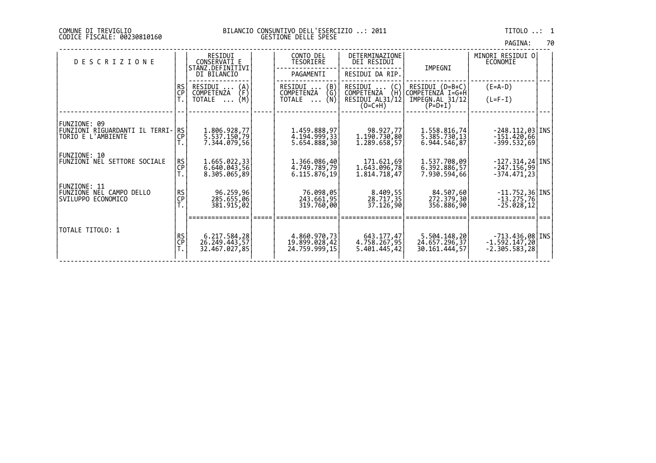|         | 70 |
|---------|----|
| PAGINA: |    |

| <b>DESCRIZIONE</b>                                                      |                        | RESIDUI<br>CONSERVATI E<br>STANZ.DEFINITIVI<br>DI BILANCIO       | CONTO DEL<br>TESORIERE<br>PAGAMENTI                      | DETERMINAZIONE<br>DEI RESIDUI<br>RESIDUI DA RIP.                    | IMPEGNI                                                               | MINORI RESIDUI O<br>ECONOMIE                                |  |
|-------------------------------------------------------------------------|------------------------|------------------------------------------------------------------|----------------------------------------------------------|---------------------------------------------------------------------|-----------------------------------------------------------------------|-------------------------------------------------------------|--|
|                                                                         | RS<br><b>CP</b>        | RESIDUI<br>(A)<br>(F)<br>COMPETENZA<br>(M)<br>TOTALE<br>$\cdots$ | $\binom{B}{G}$<br>RESIDUI<br>COMPETENZA<br>(N)<br>TOTALE | RESIDUI<br>(C)<br>(H)<br>COMPETENZA<br>RESIDUI AL31/12<br>$(O=C+H)$ | $RESIDUI (D=B+C)$<br>COMPETENZA I=G+H<br>IMPEGN.AL 31/12<br>$(P=D+I)$ | $(E=A-D)$<br>$(L=F-I)$                                      |  |
| FUNZIONE: 09<br>FUNZIONI RIGUARDANTI IL TERRI- RS<br>TORIO E L'AMBIENTE | <b>CP</b>              | 1.806.928,77<br>5.537.150,79<br>7.344.079,56                     | 1.459.888,97<br>4.194.999,33<br>5.654.888,30             | 98.927,77<br>1.190.730,80<br>1.289.658,57                           | 1.558.816,74<br>5.385.730,13<br>6.944.546,87                          | $-248.112,03$   INS<br>$-151.420,66$<br>-399.532,69         |  |
| FUNZIONE: 10<br><b>FUNZIONI NEL SETTORE SOCIALE</b>                     | <b>RS</b><br><b>CP</b> | 1.665.022,33<br>6.640.043,56<br>8.305.065,89                     | 1.366.086,40<br>4.749.789,79<br>6.115.876,19             | 171.621,69<br>1.643.096,78<br>1.814.718,47                          | 1.537.708,09<br>6.392.886, 57<br>7.930.594,66                         | $-127.314,24$ INS<br>$-247.156,99$<br>-374.471,231          |  |
| FUNZIONE: 11<br>FUNZIONE NEL CAMPO DELLO<br>SVILUPPO ECONOMICO          | $R$ S<br>CP            | 96.259,96<br>285.655,06<br>381.915,02                            | 76.098,05<br>243.661,95<br>319,760,00                    | 8.409,55<br>28,717,35<br>37.126,90                                  | 84.507,60<br>272.379,30<br>356.886,90                                 | $-11.752,36$ <i>INS</i><br>$-13.275,76$<br>$-25.028,12$     |  |
| TOTALE TITOLO: 1                                                        | <b>RS</b><br>CP        | 6.217.584,28<br>26.249.443,57<br>32.467.027,85                   | 4.860.970,73<br>19.899.028,42<br>24,759,999,15           | 643.177,47<br>4.758.267,95<br>5.401.445,42                          | 5.504.148,20<br>24.657.296,37<br>30.161.444,57                        | INS  68, 213.436, 28.<br>$-1.592.147,20$<br>$-2.305.583,28$ |  |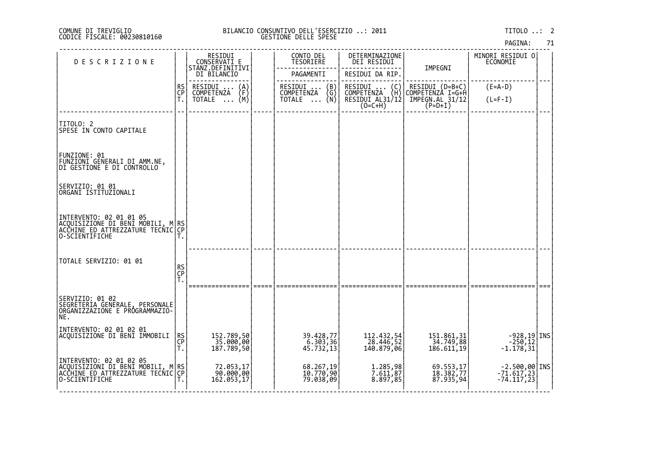| PAGINA: | 71 |
|---------|----|
|         |    |

| DESCRIZIONE                                                                                                                              |                | RESIDUI<br>CONSERVATI E                            | CONTO DEL<br>TESORIERE                                               | DETERMINAZIONE<br>DEI RESIDUI           |                                         | MINORI RESIDUI O<br>ECONOMIE                                                |  |
|------------------------------------------------------------------------------------------------------------------------------------------|----------------|----------------------------------------------------|----------------------------------------------------------------------|-----------------------------------------|-----------------------------------------|-----------------------------------------------------------------------------|--|
|                                                                                                                                          |                | STANZ.DEFINITIVI<br>DI BILANCIO                    | PAGAMENTI                                                            | RESIDUI DA RIP.                         | IMPEGNI                                 |                                                                             |  |
|                                                                                                                                          | RS<br>CP<br>T. | RESIDUI<br>$\binom{A}{F}$<br>COMPETENZA            | $\binom{B}{G}$<br>RESIDUI<br><b>COMPETENZA</b>                       | RESIDUI<br>COMPETENZA<br>$\binom{C}{H}$ | RESIDUI (D=B+C)<br>COMPETENZÀ I=G+H     | $(E=A-D)$                                                                   |  |
|                                                                                                                                          |                | (M)<br>TOTALE                                      | (Ñ)<br>TOTALE                                                        | RESIDUI AL31/12                         | IMPEGN.AL 31/12<br>$(P=D+I)$            | $(L=F-I)$                                                                   |  |
| TITOLO: 2<br>SPESE IN CONTO CAPITALE                                                                                                     |                |                                                    |                                                                      |                                         |                                         |                                                                             |  |
| FUNZIONE: 01<br>FUNZĪŎNĪ GĒNERALI DI AMM.NE,<br>DI GESTIONE E DI CONTROLLO                                                               |                |                                                    |                                                                      |                                         |                                         |                                                                             |  |
| SERVIZIO: 01 01<br>ORGANI ISTITUZIONALI                                                                                                  |                |                                                    |                                                                      |                                         |                                         |                                                                             |  |
| INTERVENTO: 02 01 01 05<br> ACQUISIZIONE DI BENI MOBILI, M RS<br> ACCHINE_ED_ATTREZZATURE TECNIC CP <br>O-SCIENTIFICHE                   |                |                                                    |                                                                      |                                         |                                         |                                                                             |  |
| TOTALE SERVIZIO: 01 01                                                                                                                   | RS<br>CP<br>T. |                                                    |                                                                      |                                         |                                         |                                                                             |  |
| SERVIZIO: 01 02<br> SEGRETERIA GENERALE, PERSONALE<br> ORGANIZZAZIONE E PROGRAMMAZIO-<br>NE.                                             |                |                                                    |                                                                      |                                         |                                         |                                                                             |  |
| INTERVENTO: 02 01 02 01<br>ACQUISIZIONE DI BENI IMMOBILI                                                                                 | RS<br>CP<br>T. | 152.789,50<br>$\frac{1}{35.000}$ ,00<br>187.789,50 | 39.428,77<br>$\begin{bmatrix} 6.303, 36 \\ 45.732, 13 \end{bmatrix}$ | 112.432,54<br>28.446,52<br>140.879,06   | 151.861, 31<br>34.749, 88<br>186.611,19 | $\left[\begin{array}{c} -928,19 \\ -250,12 \\ -1.178,31 \end{array}\right]$ |  |
| INTERVENTO: 02 01 02 05<br> ACQUISIZIONI DI BENI MOBILI, M RS<br> AC <u>CHINE ED ATT</u> REZZATURE TECNIC  <u>C</u> P <br>O-SCIENTIFICHE | Т.             | 72.053,17<br>90.000,00<br>162.053,17               | 68.267,19<br>10.770,90<br>79.038,09                                  | 1.285,98<br>7.611,87<br>8.897,85        | 69.553,17<br>18.382,77<br>87.935,94     | -2.500,00 INS<br>-71.617,23<br>-74.117,23                                   |  |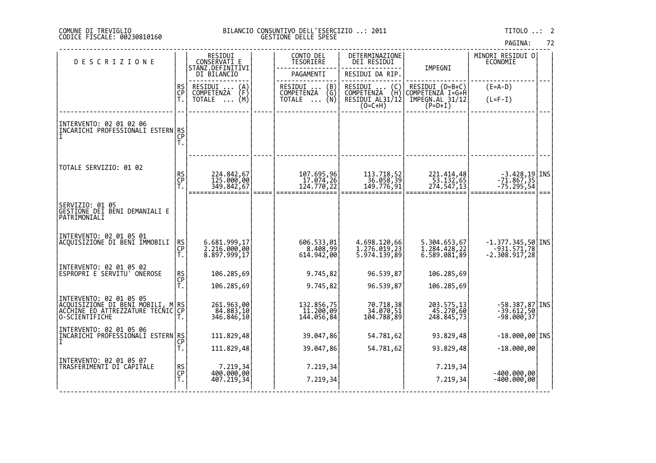# DI TREVIGLIO BILANCIO CONSUNTIVO DELL'ESERCIZIO ..: 2011 TITOLO ..: 2 FISCALE: 00230810160 GESTIONE DELLE SPESE

| <b>DESCRIZIONE</b>                                                                                                  |                | RESIDUI<br>CONSERVATI E                      | CONTO DEL<br>TESORIERE                       | DETERMINAZIONE<br>DEI RESIDUI                                                        |                                              | MINORI RESIDUI 0<br><b>ECONOMIE</b>                                                                       |      |
|---------------------------------------------------------------------------------------------------------------------|----------------|----------------------------------------------|----------------------------------------------|--------------------------------------------------------------------------------------|----------------------------------------------|-----------------------------------------------------------------------------------------------------------|------|
|                                                                                                                     |                | STANZ.DEFINITIVI<br>DI BILANCIO              | PAGAMENTI                                    | RESIDUI DA RIP.                                                                      | IMPEGNI                                      |                                                                                                           |      |
|                                                                                                                     | RS<br>CP<br>T. | RESIDUI<br>$\{A\}$<br>COMPETENZA             | RESIDUI<br>(B)<br>COMPETENZA<br>(G)          | RESIDUI<br>$\left(\begin{smallmatrix} C \\ H \end{smallmatrix}\right)$<br>COMPETENZA | RESIDUI (D=B+C)<br>COMPETENZÀ I=G+H          | $(E=A-D)$                                                                                                 |      |
|                                                                                                                     |                | (M)<br>TOTALE                                | (N)<br>TOTALE                                | RESIDUI AL31/12<br>$(O=C+H)$                                                         | IMPEGN.AL 31/12<br>$(P=D+I)$                 | $(L=F-I)$                                                                                                 |      |
| INTERVENTO: 02 01 02 06<br>INCĀRICHI PROFEŠSIONALI ESTERN RS                                                        | CP<br>T.       |                                              |                                              |                                                                                      |                                              |                                                                                                           |      |
| TOTALE SERVIZIO: 01 02                                                                                              | RS<br>CP<br>T. | 224.842,67<br>125.000,00<br>349.842,67       | 107.695,96<br>$\frac{17.074,26}{124.770,22}$ | 113.718,52<br>36.058,39<br>149.776,91                                                | 221.414,48<br>53.132,65<br>274.547,13        | $\begin{array}{c} -3.428,19 \ \textcolor{red}{\textbf{-71.867}},35 \ -75.295,54 \end{array} \textbf{INS}$ | $==$ |
| SERVIZIO: 01 05<br>GESTIONE DEI BENI DEMANIALI E<br>PATRIMONIALI                                                    |                |                                              |                                              |                                                                                      |                                              |                                                                                                           |      |
| INTERVENTO: 02 01 05 01<br>ACOUISIZIONE DI BENI IMMOBILI                                                            | RS<br>CP<br>Т. | 6.681.999,17<br>2.216.000,00<br>8.897.999,17 | 606.533,01<br>8.408,99<br>614.942,00         | 4.698.120,66<br>1.276.019,23<br>5.974.139,89                                         | 5.304.653,67<br>1.284.428,22<br>6.589.081,89 | $-1.377.345,50$ INS<br>$-531.571,78$<br>2.308.917,28                                                      |      |
| INTERVENTO: 02 01 05 02<br> ESPROPRI E SERVITU' ONEROSE                                                             | RS<br>CP       | 106.285,69                                   | 9.745,82                                     | 96.539,87                                                                            | 106.285,69                                   |                                                                                                           |      |
|                                                                                                                     |                | 106.285,69                                   | 9.745,82                                     | 96.539,87                                                                            | 106.285,69                                   |                                                                                                           |      |
| INTERVENTO: 02 01 05 05<br>ACQUISIZIONE DI BENI MOBILI, M RS<br>ACCHINE ED ATTREZZATURE TECNIC CP<br>O-SCIENTIFICHE |                | 261.963,00<br>84.883,10<br>346.846,10        | 132.856,75<br>11.200,09<br>144.056,84        | 70.718,38<br>34.070,51<br>104.788,89                                                 | 203.575,13<br>45.270,60<br>248.845,73        | $-58.387,87$ INS<br>$-39.612,50$<br>$-98.000, 37$                                                         |      |
| INTERVENTO: 02 01 05 06<br>ĬŇĊĂŔĬĊĤĬ PRŎĒEŠŜIŎŇAĽĬ ESTERN RS<br> I                                                  |                | 111.829,48                                   | 39.047,86                                    | 54.781,62                                                                            | 93.829,48                                    | $-18.000,00$ INS                                                                                          |      |
|                                                                                                                     | Т.             | 111.829,48                                   | 39.047,86                                    | 54.781,62                                                                            | 93.829,48                                    | $-18.000,00$                                                                                              |      |
| INTERVENTO: 02 01 05 07<br>TRASFERIMENTI DI CAPITALE                                                                | RS<br>CP<br>T. | 7.219,34<br>400.000,00<br>407.219,34         | 7.219,34<br>7.219,34                         |                                                                                      | 7.219,34<br>7.219,34                         | $-400.000.00$<br>$-400.000,00$                                                                            |      |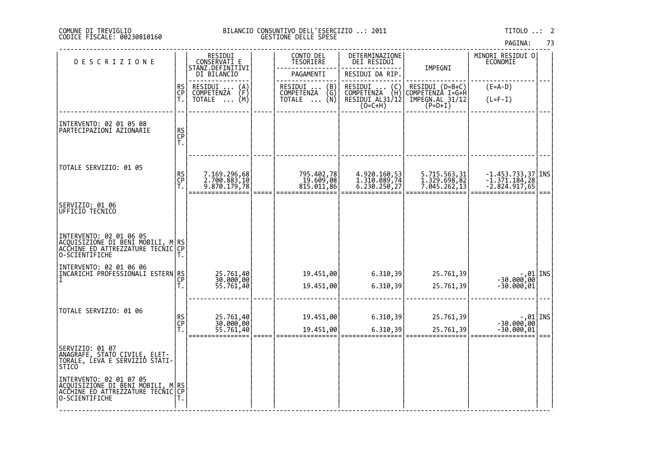|  | PAGINA: | 73 |
|--|---------|----|
|  |         |    |

| <b>DESCRIZIONE</b>                                                                                                     |                       | RESIDUI<br>CONSERVATI E<br>STANZ.DEFINITIVI<br>DI BILANCIO | CONTO DEL<br><b>TESORIERE</b><br>PAGAMENTI      | DETERMINAZIONE<br>DEI RESIDUI<br>RESIDUI DA RIP.                      | IMPEGNI                                                            | MINORI RESIDUI 0<br>ECONOMIE                        |  |
|------------------------------------------------------------------------------------------------------------------------|-----------------------|------------------------------------------------------------|-------------------------------------------------|-----------------------------------------------------------------------|--------------------------------------------------------------------|-----------------------------------------------------|--|
|                                                                                                                        | RS<br>CP<br>Τ.        | RESIDUI<br>$\binom{A}{F}$<br>COMPETENZA<br>(M)<br>TOTALE   | RESIDUI  (B)<br>COMPETENZA (G)<br>(Ñ)<br>TOTALE | RESIDUI<br>$\binom{C}{H}$<br>COMPETENZA<br>RESIDUI AL31/12<br>(O=C+H) | RESIDUI (D=B+C)<br>COMPETENZA I=G+H<br>IMPEGN.AL 31/12"<br>(P=D+I) | $(E=A-D)$<br>$(L=F-I)$                              |  |
| INTERVENTO: 02 01 05 08<br>PARTECIPAZIONI AZIONARIE                                                                    | RS<br>CP<br>T.        |                                                            |                                                 |                                                                       |                                                                    |                                                     |  |
| TOTALE SERVIZIO: 01 05                                                                                                 | RS<br>CP<br>T.        | 7.169.296,68<br>2.700.883,10<br>9.870.179,78               | 795.402,78<br>19.609,08<br>815.011,86           | 4.920.160,53<br>1.310.089,74<br>6.230.250,27                          | 5.715.563,31<br>1.329.698,82<br>7.045.262,13                       | -1.453.733,37 INS<br>-1.371.184,28<br>-2.824.917,65 |  |
| SERVIZIO: 01 06<br>UFFICIO TECNICO                                                                                     |                       |                                                            |                                                 |                                                                       |                                                                    |                                                     |  |
| INTERVENTO: 02 01 06 05<br> ACQUISIZIONE DI BENI MOBILI, M RS<br> ACCHINE ED ATTREZZATURE TECNIC CP<br> O-SCIENTIFICHE |                       |                                                            |                                                 |                                                                       |                                                                    |                                                     |  |
| INTERVENTO: 02 01 06 06<br> INCARICHI PROFESSIONALI ESTERN RS                                                          | $\overline{CP}$<br>Τ. | 25.761,40<br>30.000,00<br>55.761,40                        | 19.451,00<br>19.451,00                          | 6.310,39<br>6.310,39                                                  | 25.761,39<br>25.761,39                                             | -,01 INS<br>-30.000,00<br>-30.000,01                |  |
| TOTALE SERVIZIO: 01 06                                                                                                 | RS<br>CP<br>T.        | 25.761,40<br>30.000,00<br>55.761,40                        | 19.451,00<br>19.451,00                          | 6.310,39<br>6.310,39                                                  | 25.761,39<br>25.761,39                                             | $-30.000, 00$<br>-30.000,00<br>-30.000,01           |  |
| SERVIZIO: 01 07<br> <br> ANAGRAFE, ŠTAŤO CIVILE, ELET-<br> TORALE, LEVA E SERVIZIO STATI-<br>STIC <sub>0</sub>         |                       |                                                            |                                                 |                                                                       |                                                                    |                                                     |  |
| INTERVENTO: 02 01 07 05<br>ACQUISIZIONE DI BENI MOBILI, M RS<br>ACCHINE ED ATTREZZATURE TECNIC CP <br>O-SCIENTIFICHE   |                       |                                                            |                                                 |                                                                       |                                                                    |                                                     |  |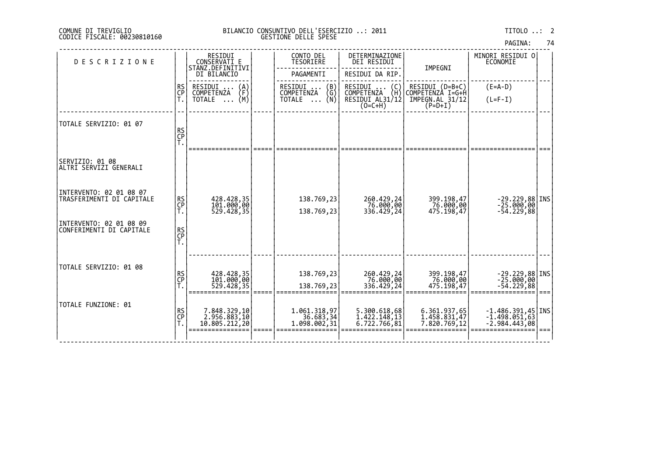|  | PAGINA: | 74 |
|--|---------|----|
|  |         |    |

| <b>DESCRIZIONE</b>                                  |                | RESIDUI<br>CONSERVATI E<br>STANZ.DEFINITIVI   | CONTO DEL<br>TESORIERE                        | DETERMINAZIONE<br>DEI RESIDUI                             | IMPEGNI                                      | MINORI RESIDUI 0<br>ECONOMIE                                     |  |
|-----------------------------------------------------|----------------|-----------------------------------------------|-----------------------------------------------|-----------------------------------------------------------|----------------------------------------------|------------------------------------------------------------------|--|
|                                                     |                | DI BILANCIO                                   | PAGAMENTI                                     | RESIDUI DA RIP.                                           |                                              |                                                                  |  |
|                                                     | RS<br>CP       | RESIDUI<br>$\binom{A}{F}$<br>COMPETENZA       | RESIDUI                                       | RESIDUI<br>$\binom{C}{H}$<br>COMPETENZA                   | RESIDUI (D=B+C)<br>COMPETENZÀ I=G+H          | $(E=A-D)$                                                        |  |
|                                                     | Ť.             | (M)<br>TOTALE                                 | RESIDUI  (B)<br>COMPETENZA (G)<br>TOTALE  (N) | RESIDUI AL31/12<br>$(O=C+H)$                              | IMPEGN.AL_31/12<br>$(P=D+I)$                 | $(L=F-I)$                                                        |  |
| TOTALE SERVIZIO: 01 07                              |                |                                               |                                               |                                                           |                                              |                                                                  |  |
|                                                     | RS<br>CP<br>T. |                                               |                                               |                                                           |                                              |                                                                  |  |
| SERVIZIO: 01 08                                     |                |                                               |                                               |                                                           |                                              |                                                                  |  |
| ALTRI SERVIZI GENERALI                              |                |                                               |                                               |                                                           |                                              |                                                                  |  |
| INTERVENTO: 02 01 08 07                             |                |                                               |                                               |                                                           |                                              |                                                                  |  |
| TRASFERIMENTI DI CAPITALE                           | RS<br>CP<br>T. | 428.428,35<br>101.000,00<br>529.428,35        | 138.769,23                                    | 260.429,24<br>76.000,00                                   | 399.198,47<br>76.000,00                      | $-29.229,88$ INS<br>$-25.000,00$<br>$-54.229,88$                 |  |
|                                                     |                |                                               | 138.769,23                                    | 336.429,24                                                | 475.198,47                                   |                                                                  |  |
| INTERVENTO: 02 01 08 09<br>CONFERIMENTI DI CAPITALE | RS<br>CP<br>T. |                                               |                                               |                                                           |                                              |                                                                  |  |
|                                                     |                |                                               |                                               |                                                           |                                              |                                                                  |  |
| TOTALE SERVIZIO: 01 08                              |                |                                               |                                               |                                                           |                                              |                                                                  |  |
|                                                     | RS<br>CP<br>T. | 428.428,35<br>101.000,00                      | 138.769,23                                    | 260.429,24<br>76.000,00                                   | 399.198,47<br>76.000,00                      | $-29.229,88$ INS<br>$-25.000,00$                                 |  |
|                                                     |                | 529.428,35                                    | 138.769,23                                    | 336.429,24                                                | 475.198,47                                   | $-54.229,88$                                                     |  |
| TOTALE FUNZIONE: 01                                 |                |                                               |                                               |                                                           |                                              |                                                                  |  |
|                                                     | RS<br>CP<br>T. | 7.848.329,10<br>2.956.883,10<br>10.805.212,20 | 1.061.318,97<br> 36.683,34<br> 1.098.002,31   | 5.300.618,68<br>1.422.148,13<br>$\overline{6.722.766,81}$ | 6.361.937,65<br>1.458.831,47<br>7.820.769,12 | $-1.486.391,45$ <i>INS</i><br>$-1.498.051,63$<br>$-2.984.443,08$ |  |
|                                                     |                |                                               |                                               |                                                           |                                              |                                                                  |  |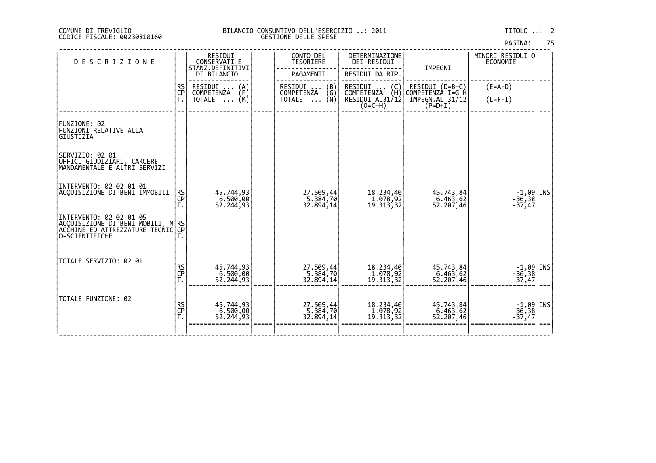|  | PAGINA: | 75 |
|--|---------|----|
|  |         |    |

| <b>DESCRIZIONE</b>                                                                                                   |                | RESIDUI<br>CONSERVATI E<br>STANZ.DEFINITIVI                       | CONTO DEL<br>TESORIERE                                                                | DETERMINAZIONE<br><b>DEI RESIDUI</b>                           | IMPEGNI                             | MINORI RESIDUI O<br>ECONOMIE                                      |  |
|----------------------------------------------------------------------------------------------------------------------|----------------|-------------------------------------------------------------------|---------------------------------------------------------------------------------------|----------------------------------------------------------------|-------------------------------------|-------------------------------------------------------------------|--|
|                                                                                                                      |                | DI BILANCIO                                                       | PAGAMENTI                                                                             | RESIDUI DA RIP.                                                |                                     |                                                                   |  |
|                                                                                                                      | RS<br>CP<br>T. | RESIDUI<br>COMPETENZA                                             | RESIDUI<br>$\begin{pmatrix} B \\ G \\ N \end{pmatrix}$<br>$\cdot \cdot$<br>COMPETENZA |                                                                | RESIDUI (D=B+C)<br>COMPETENZÀ I=G+H | $(E=A-D)$                                                         |  |
|                                                                                                                      |                | $\begin{pmatrix} A \\ F \\ M \end{pmatrix}$<br>TOTALE<br>$\cdots$ | <b>TOTALE</b><br>$\cdots$                                                             | RESIDUI  (C)<br>COMPETENZA (H)<br>RESIDUI AL31/12<br>$(O=C+H)$ | $\text{IMPEGN.AL}$ 31/12<br>(P=D+I) | $(L=F-I)$                                                         |  |
| FUNZIONE: 02<br>FUNZIONI RELATIVE ALLA<br>GIUSTIZIA                                                                  |                |                                                                   |                                                                                       |                                                                |                                     |                                                                   |  |
| SERVIZIO: 02 01<br> ŬFFICI ĞIUĎĪZIĀRI, CARCERE<br> MANDAMENTALE E ALTRI SERVIZI                                      |                |                                                                   |                                                                                       |                                                                |                                     |                                                                   |  |
| INTERVENTO: 02 02 01 01<br>ACQUISIZIONE DI BENI IMMOBILI                                                             | RS<br>CP       | 45.744,93<br>$6.500,00$<br>52.244,93                              | 27.509,44<br>5.384,70<br>32.894,14                                                    | 18.234,40<br>1.078,92<br>19.313,32                             | 45.743,84<br>6.463,62<br>52.207,46  | $\begin{array}{c} -1,09 \\ -36,38 \end{array}$ TNS<br>$-37,47$    |  |
| INTERVENTO: 02 02 01 05<br>ACQUISIZIONE DI BENI MOBILI, M RS<br> ACCHINE ED ATTREZZATURE TECNIC CP<br>O-SCIENTIFICHE |                |                                                                   |                                                                                       |                                                                |                                     |                                                                   |  |
| TOTALE SERVIZIO: 02 01                                                                                               |                |                                                                   |                                                                                       |                                                                |                                     |                                                                   |  |
|                                                                                                                      | RS<br>CP<br>T. | 45.744,93<br>6.500,00<br>52.244,93                                | 27.509,44<br>5.384,70<br>32.894,14                                                    | 18.234,40<br>1.078,92<br>19.313,32                             | 45.743,84<br>6.463, 62<br>52.207,46 | $\begin{bmatrix} -1, 09 \\ -36, 38 \end{bmatrix}$ INS<br>$-37,47$ |  |
| TOTALE FUNZIONE: 02                                                                                                  |                | 45.744,93                                                         |                                                                                       | 18.234,40                                                      | 45.743,84                           |                                                                   |  |
|                                                                                                                      | RS<br>CP<br>T. | $6.500,00$<br>52.244,93                                           | 27.509,44<br>32.894,14                                                                | $\frac{1.078}{92}$<br>19.313,32                                | 6.463, 62<br>52.207,46              | $\begin{bmatrix} -1, 09 \\ -36, 38 \end{bmatrix}$ INS<br>$-37,47$ |  |
|                                                                                                                      |                |                                                                   |                                                                                       |                                                                |                                     |                                                                   |  |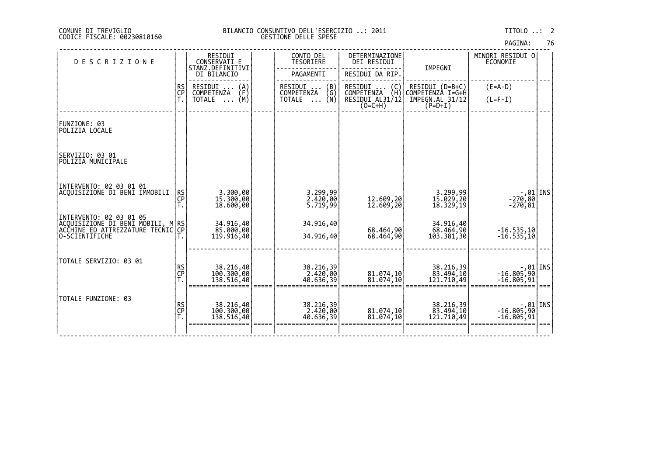| PAGINA: | 76 |
|---------|----|

| <b>DESCRIZIONE</b>                                                                                                      |                | RESIDUI<br>CONSERVATI E                 | CONTO DEL<br>TESORIERE                                                           | DETERMINAZIONE<br>DEI RESIDUI                                                      | IMPEGNI                               | MINORI RESIDUI O<br>ECONOMIE                                                   |  |
|-------------------------------------------------------------------------------------------------------------------------|----------------|-----------------------------------------|----------------------------------------------------------------------------------|------------------------------------------------------------------------------------|---------------------------------------|--------------------------------------------------------------------------------|--|
|                                                                                                                         |                | STANZ.DEFINITIVI<br>DI BILANCIO         | PAGAMENTI                                                                        | RESIDUI DA RIP.                                                                    |                                       |                                                                                |  |
|                                                                                                                         | RS<br>CP<br>T. | RESIDUI<br>$\binom{A}{F}$<br>COMPETENZA | RESIDUI<br>$\begin{pmatrix} B \\ G \\ N \end{pmatrix}$<br>$\cdots$<br>COMPETENZA | RESIDUI<br>$\begin{pmatrix} 0 \\ H \end{pmatrix}$<br>$\cdots$<br><b>COMPETENZA</b> | $RESIDUI (D=B+C)$<br>COMPETENZA I=G+H | $(E=A-D)$                                                                      |  |
|                                                                                                                         |                | (M)<br><b>TOTALE</b><br>$\ddots$        | <b>TOTALE</b><br>$\cdots$                                                        | RESIDUI AL31/12<br>$(O=C+H)$                                                       | IMPEGN.AL 31/12<br>$(P=D+I)$          | $(L=F-I)$                                                                      |  |
| FUNZIONE: 03<br>POLIZIA LOCALE                                                                                          |                |                                         |                                                                                  |                                                                                    |                                       |                                                                                |  |
| SERVIZIO: 03 01<br><b>POLIZIA MUNICIPALE</b>                                                                            |                |                                         |                                                                                  |                                                                                    |                                       |                                                                                |  |
| INTERVENTO: 02 03 01 01<br>ACOUISIZIONE DI BENI IMMOBILI                                                                | RS<br>CP       | 3.300,00<br>15.300,00<br>18.600,00      | 3.299,99<br>2.420,00<br>5.719,99                                                 | 12.609,20<br>12.609,20                                                             | 3.299,99<br>15.029,20<br>18.329,19    | $\begin{bmatrix} 01 \\ -270 \\ 80 \end{bmatrix}$ INS<br>$-270,81$              |  |
| INTERVENTO: 02 03 01 05<br> ACQUISIZIONE DI BENĪ MOBILI, M RS <br> ACCHINE ED ATTREZZATURE TECNIC CP <br>O-SCIENTIFICHE |                | 34.916,40<br>85.000,00<br>119.916,40    | 34.916,40<br>34.916,40                                                           | 68.464,90<br>68.464,90                                                             | 34.916,40<br>68.464,90<br>103.381,30  | $-16.535,10$<br>$-16.535,10$                                                   |  |
| TOTALE SERVIZIO: 03 01                                                                                                  | RS<br>CP<br>T. | 38.216,40<br>100.300,00<br>138.516,40   | 38.216,39<br>2.420,00<br>40.636,39                                               | 81.074,10<br>81.074,10                                                             | 38.216,39<br>83.494,10<br>121.710,49  | $\begin{bmatrix} . & 01 \\ -16. & 805 \\ 90 \end{bmatrix}$ TNS<br>$-16.805,91$ |  |
| TOTALE FUNZIONE: 03                                                                                                     | RS<br>CP<br>T. | 38.216,40<br>100.300,00<br>138.516,40   | 38.216,39<br>2.420,00<br>40.636,39                                               | 81.074,10<br>81.074,10                                                             | 38.216,39<br>83.494,10<br>121.710,49  | $-16.805,90$   INS<br>  16.805,90<br>$-16.805,91$                              |  |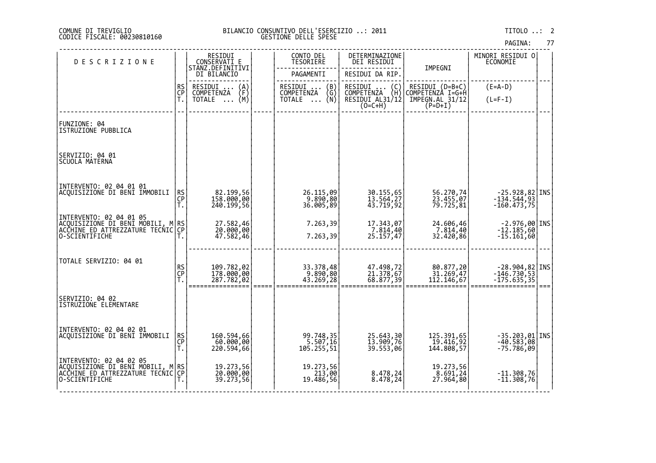| PAGINA: |  |
|---------|--|
|         |  |

| <b>DESCRIZIONE</b>                                                                                                           |                      | RESIDUI<br>CONSERVATI E                 | CONTO DEL<br>TESORIERE               | DETERMINAZIONE<br>DEI RESIDUI                                                        |                                                  | MINORI RESIDUI 0<br><b>ECONOMIE</b>              |  |
|------------------------------------------------------------------------------------------------------------------------------|----------------------|-----------------------------------------|--------------------------------------|--------------------------------------------------------------------------------------|--------------------------------------------------|--------------------------------------------------|--|
|                                                                                                                              |                      | STANZ.DEFINITIVI<br>DI BILANCIO         | PAGAMENTI                            | RESIDUI DA RIP.                                                                      | IMPEGNI                                          |                                                  |  |
|                                                                                                                              | RS<br>CP             | RESIDUI<br>$\binom{A}{F}$<br>COMPETENZA | RESIDUI<br>(B)<br>COMPETENZA<br>(G)  | RESIDUI<br>$\left(\begin{smallmatrix} C \\ H \end{smallmatrix}\right)$<br>COMPETENZA | RESIDUI (D=B+C)<br>COMPETENZÀ I=G+H              | $(E=A-D)$                                        |  |
|                                                                                                                              | Ť.                   | (M)<br>TOTALE                           | (Ñ)<br>TOTALE<br>$\cdots$            | RESIDUI AL31/12<br>$(0=C+H)$                                                         | IMPEGN.AL 31/12<br>$(P=D+I)$                     | $(L=F-I)$                                        |  |
|                                                                                                                              |                      |                                         |                                      |                                                                                      |                                                  |                                                  |  |
| FUNZIONE: 04<br>ISTRUZIONE PUBBLICA                                                                                          |                      |                                         |                                      |                                                                                      |                                                  |                                                  |  |
| SERVIZIO: 04 01<br>SCUOLA MATERNA                                                                                            |                      |                                         |                                      |                                                                                      |                                                  |                                                  |  |
| INTERVENTO: 02 04 01 01<br>ACQUISIZIONE DI BENI IMMOBILI                                                                     | R <sub>S</sub><br>CP | 82.199,56<br>158.000,00                 | 26.115,09<br>9.890,80                | 30.155,65<br>13.564,27                                                               | 56.270,74<br>23.455,07                           | $-25.928,82$ INS<br>$-134.544,93$                |  |
|                                                                                                                              | T.                   | 240.199,56                              | 36.005,89                            | 43.719,92                                                                            | 79.725,81                                        | $-160.473,75$                                    |  |
| INTERVENTO: 02 04 01 05<br> <br> ACQUISIZIONE DI BENI MOBILI, M RS <br> ACCHINE ED ATTREZZATURE TECNIC CP <br>O-SCIENTIFICHE |                      | 27.582,46<br>20.000,00<br>47.582,46     | 7.263,39<br>7.263,39                 | 17.343,07<br>$7.814,40$<br>25.157,47                                                 | 24.606,46<br>$7.\overline{814}, 40$<br>32.420,86 | $-2.976,00$ INS<br>$-12.185,60$<br>$-15.161,60$  |  |
|                                                                                                                              |                      |                                         |                                      |                                                                                      |                                                  |                                                  |  |
| TOTALE SERVIZIO: 04 01                                                                                                       |                      |                                         |                                      |                                                                                      |                                                  |                                                  |  |
|                                                                                                                              | RS<br>CP<br>T.       | 109.782,02<br>178.000,00                | 33.378,48<br>9.890,80                | 47.498,72<br>21.378,67                                                               | 80.877,20<br>31.269,47                           | $-28.904, 82$ INS<br>$-146.730, 53$              |  |
|                                                                                                                              |                      | 287.782,02                              | 43.269,28                            | 68.877,39                                                                            | 112.146,67                                       | $-175.635,35$                                    |  |
| SERVIZIO: 04 02<br>ISTRUZIONE ELEMENTARE                                                                                     |                      |                                         |                                      |                                                                                      |                                                  |                                                  |  |
|                                                                                                                              |                      |                                         |                                      |                                                                                      |                                                  |                                                  |  |
| INTERVENTO: 02 04 02 01<br>ACQUISIZIONE DI BENI IMMOBILI                                                                     | RS<br>CP<br>T.       | 160.594,66<br>60.000,00<br>220.594,66   | 99.748,35<br>5.507,16<br>105.255, 51 | 25.643,30<br>13.909,76<br>39.553,06                                                  | 125.391,65<br>19.416,92<br>144.808,57            | $-35.203,01$ TNS<br>$-40.583,08$<br>$-75.786,09$ |  |
| INTERVENTO: 02 04 02 05<br> ACQUISIZIONE DI BENI MOBILI, M RS<br> ACCHINE_ED_ATTREZZATURE TECNIC CP                          |                      |                                         |                                      |                                                                                      | 19.273,56                                        |                                                  |  |
| O-SCIENTIFICHE                                                                                                               |                      | 19.273,56<br>20.000,00<br>39.273,56     | 19.273,56<br>213,00<br>19.486,56     | 8.478,24<br>8.478,24                                                                 | 8.691,24<br>27.964,80                            | $-11.308,76$<br>$-11.308,76$                     |  |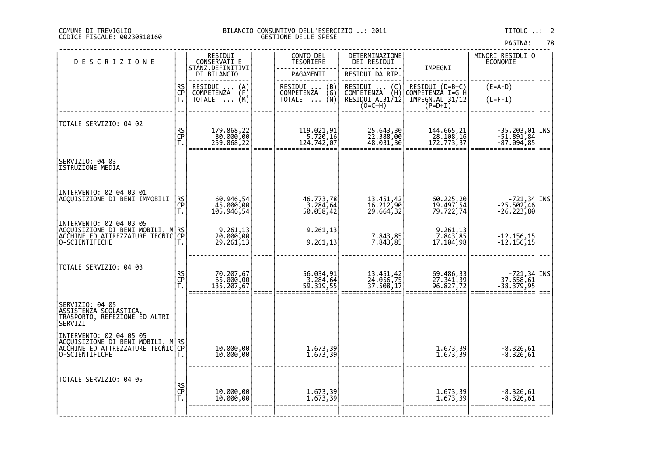# DI TREVIGLIO BILANCIO CONSUNTIVO DELL'ESERCIZIO ..: 2011 TITOLO ..: 2 FISCALE: 00230810160 GESTIONE DELLE SPESE

| <b>DESCRIZIONE</b>                                                                                                    |                      | RESIDUI<br>CONSERVATI E<br>STANZ.DEFINITIVI   | CONTO DEL<br><b>TESORIERE</b>                                        | DETERMINAZIONE<br>DEI RESIDUI                                                        | IMPEGNI                                                                                   | MINORI RESIDUI 0<br>ECONOMIE     |      |
|-----------------------------------------------------------------------------------------------------------------------|----------------------|-----------------------------------------------|----------------------------------------------------------------------|--------------------------------------------------------------------------------------|-------------------------------------------------------------------------------------------|----------------------------------|------|
|                                                                                                                       |                      | DI BILANCIO                                   | PAGAMENTI                                                            | RESIDUI DA RIP.                                                                      |                                                                                           |                                  |      |
|                                                                                                                       | RS<br>CP<br>T.       | RESIDUI<br>COMPETENZA<br>$\binom{A}{F}$       | RESIDUI<br>COMPETENZA<br>$\begin{pmatrix} B \\ G \\ N \end{pmatrix}$ | RESIDUI<br>COMPETENZA<br>$\left(\begin{smallmatrix} 0 \\ H \end{smallmatrix}\right)$ | RESIDUI (D=B+C)<br>COMPETENZA I=G+H                                                       | $(E=A-D)$                        |      |
|                                                                                                                       |                      | (M)<br><b>TOTALE</b><br>$\dddot{\phantom{0}}$ | <b>TOTALE</b><br>$\ldots$                                            | RESIDUI AL31/12<br>$(0=C+H)$                                                         | $\begin{array}{c}\n\text{IMPEGN. AL} \\ \text{IMPEGN. AL} \\ \text{(P=D+I)}\n\end{array}$ | $(L=F-I)$                        |      |
|                                                                                                                       |                      |                                               |                                                                      |                                                                                      |                                                                                           |                                  |      |
| TOTALE SERVIZIO: 04 02                                                                                                |                      | 179.868,22                                    |                                                                      | 25.643,30<br>22.388,00                                                               | 144.665,21                                                                                | $-35.203,01$ INS<br>$-51.891,84$ |      |
|                                                                                                                       | RS<br>CP<br>T.       | 80.000,00<br>259.868,22                       | 119.021,91<br>5.720,16<br>124.742,07                                 | 48.031,30                                                                            | 28.108,16<br>172.773,37                                                                   | $-87.094, 85$                    | $==$ |
| SERVIZIO: 04 03<br>ISTRUZIONE MEDIA                                                                                   |                      |                                               |                                                                      |                                                                                      |                                                                                           |                                  |      |
|                                                                                                                       |                      |                                               |                                                                      |                                                                                      |                                                                                           |                                  |      |
| INTERVENTO: 02 04 03 01<br>ACQUISIZIONE DI BENI IMMOBILI                                                              |                      | 60.946,54<br>45.000,00                        |                                                                      |                                                                                      |                                                                                           | $-721,34$ INS                    |      |
|                                                                                                                       | RS<br>CP<br>T.       | 105.946,54                                    | 46.773,78<br>3.284,64<br>50.058,42                                   | 13.451,42<br>16.212,90<br>29.664,32                                                  | 60.225,20<br>19.497,54<br>79.722,74                                                       | $-25.502,46$<br>$-26.223,80$     |      |
| INTERVENTO: 02 04 03 05<br>ACQUISIZIONE DI BENI MOBILI,                                                               |                      |                                               | 9.261,13                                                             |                                                                                      |                                                                                           |                                  |      |
| ACCHINE ED ATTREZZATURE TECNIC<br>O-SCIENTIFICHE                                                                      | _M RS<br>IC CP<br>Τ. | 9.261,13<br>20.000,00<br>29.261,13            | 9.261,13                                                             | 7.843,85<br>7.843,85                                                                 | 9.261,13<br>7.843,85<br>17.104,98                                                         | $-12.156, 15$<br>$-12.156,15$    |      |
|                                                                                                                       |                      |                                               |                                                                      |                                                                                      |                                                                                           |                                  |      |
| TOTALE SERVIZIO: 04 03                                                                                                |                      |                                               |                                                                      |                                                                                      |                                                                                           | INS -721,34<br>-37.658,61        |      |
|                                                                                                                       | RS<br>CP<br>T.       | 70.207,67<br>65.000,00<br>135.207,67          | 56.034,91<br>3.284,64<br>59.319,55                                   | 13.451,42<br>24.056,75<br>37.508,17                                                  | 69.486,33<br>27.341,39<br>96.827,72                                                       | $-38.379,95$                     |      |
| SERVIZIO: 04 05<br>ASSISTENZA SCOLASTICA,<br><b>TRASPORTO, REFEZIONE ED ALTRI</b><br>SERVIZI                          |                      |                                               |                                                                      |                                                                                      |                                                                                           |                                  |      |
| INTERVENTO: 02 04 05 05<br> ACQUISIZIONE DI BENI MOBILI, M RS<br> ACCHINE_ED_ATTREZZATURE TECNIC CP<br>O-SCIENTIFICHE |                      | 10.000,00<br>10.000,00                        | 1.673,39<br>1.673,39                                                 |                                                                                      | 1.673,39<br>1.673,39                                                                      | $-8.326,61$<br>$-8.326,61$       |      |
| TOTALE SERVIZIO: 04 05                                                                                                | RS<br>CP<br>T.       | 10.000,00<br>10.000,00                        | 1.673, 39<br>1.673, 39                                               |                                                                                      | 1.673,39<br>1.673,39                                                                      | -8.326,61<br>-8.326,61           |      |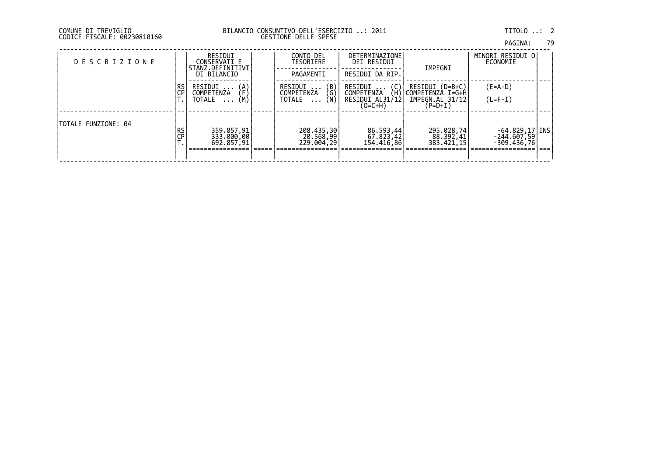|  | PAGINA: | 79 |
|--|---------|----|
|  |         |    |

| <b>DESCRIZIONE</b>  |          | RESIDUI<br>CONSERVATI E<br>STANZ.DEFINITIVI<br>DI BILANCIO                                               | CONTO DEL<br>TESORIERE<br>PAGAMENTI                  | <b>DETERMINAZIONE</b><br>DEI RESIDUI<br>RESIDUI DA RIP.             | IMPEGNI                                                           | MINORI RESIDUI O <br>ECONOMIE                       |  |
|---------------------|----------|----------------------------------------------------------------------------------------------------------|------------------------------------------------------|---------------------------------------------------------------------|-------------------------------------------------------------------|-----------------------------------------------------|--|
|                     | RS<br>CP | RESIDUI<br>$\begin{array}{c} \text{(A)} \\ \text{(F)} \\ \text{(M)} \end{array}$<br>COMPETENZA<br>TOTALE | RESIDUI<br>(B)<br>(G)<br>(N)<br>COMPETENZA<br>TOTALE | RESIDUI<br>(C)<br>COMPETENZA<br>(H)<br>RESIDUI AL31/12<br>$(O=C+H)$ | RESIDUI (D=B+C)<br>COMPETENZA I=G+H<br>IMPEGN.AL 31/12<br>(P=D+I) | $(E=A-D)$<br>$(L=F-I)$                              |  |
| TOTALE FUNZIONE: 04 | RS<br>CP | 359.857,91<br>333.000,00<br>692.857,91                                                                   | 208.435,30<br>20.568,99<br> 229.004,29               | 86.593,44<br>  67.823,42<br>  154.416,86                            | 295.028,74<br>88.392,41<br>383.421,15                             | $-64.829, 17$ INS<br>$-244.607,59$<br>$-309.436,76$ |  |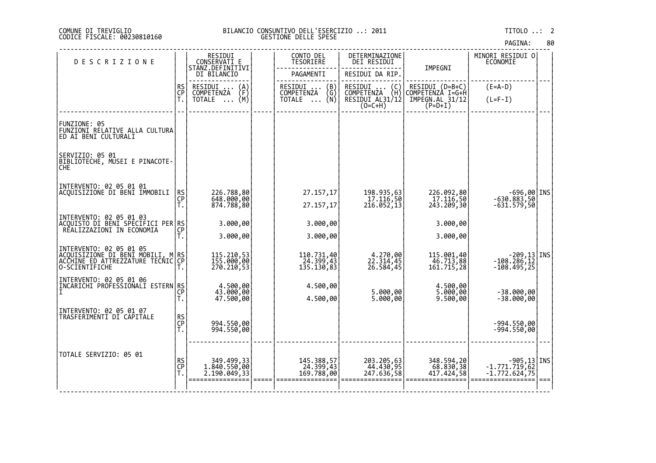| PAGINA: | 80 |
|---------|----|
|---------|----|

| <b>DESCRIZIONE</b>                                                                                                     |                | RESIDUI<br>CONSERVATI E<br>STANZ.DEFINITIVI    | CONTO DEL<br>TESORIERE                                          | DETERMINAZIONE<br>DEI RESIDUI                                                          |                                       | MINORI RESIDUI 0<br><b>ECONOMIE</b>            |      |
|------------------------------------------------------------------------------------------------------------------------|----------------|------------------------------------------------|-----------------------------------------------------------------|----------------------------------------------------------------------------------------|---------------------------------------|------------------------------------------------|------|
|                                                                                                                        |                | DI BILANCIO                                    | PAGAMENTI                                                       | RESIDUI DA RIP.                                                                        | IMPEGNI                               |                                                |      |
|                                                                                                                        | <b>RS</b>      | RESIDUI<br>$\binom{A}{F}$<br><b>COMPETENZA</b> | RESIDUI<br>$\begin{pmatrix} B \\ G \end{pmatrix}$<br>COMPETENZA | RESIDUI<br>$\left\{\begin{smallmatrix} C \\ H \end{smallmatrix}\right\}$<br>COMPETENZA | RESIDUI (D=B+C)<br>COMPETENZA I=G+H   | $(E=A-D)$                                      |      |
|                                                                                                                        | CP<br>T.       | (M)<br>TOTALE                                  | (Ñ)<br>TOTALE                                                   | RESIDUI AL31/12<br>$(0=C+H)$                                                           | IMPEGN.AL 31/12<br>$(P=D+I)$          | $(L=F-I)$                                      |      |
|                                                                                                                        |                |                                                |                                                                 |                                                                                        |                                       |                                                |      |
| FUNZIONE: 05<br>FUNZIONI RELATIVE ALLA CULTURA<br>ED AI BENI CULTURALI                                                 |                |                                                |                                                                 |                                                                                        |                                       |                                                |      |
| SERVIZIO: 05 01<br>BIBLIOTĚCHĚ, MŪSEI E PINACOTE-<br><b>CHE</b>                                                        |                |                                                |                                                                 |                                                                                        |                                       |                                                |      |
| INTERVENTO: 02 05 01 01<br>ACQUISIZIONE DI BENI IMMOBILI                                                               |                |                                                | 27.157,17                                                       |                                                                                        |                                       |                                                |      |
|                                                                                                                        | RS<br>CP<br>T. | 226.788,80<br>648.000,00<br>874.788,80         | 27.157,17                                                       | 198.935,63<br>17.116,50<br>216.052,13                                                  | 226.092,80<br>17.116,50<br>243.209,30 | $-696, 00$ INS<br>-630.883,50<br>$-631.579,50$ |      |
| INTERVENTO: 02 05 01 03                                                                                                |                |                                                |                                                                 |                                                                                        |                                       |                                                |      |
| NILLISTO DI BENI SPĒCIFICI PER  RS<br>  ACQUISTO DI BENI SPĒCIFICI PER  RS<br>   REALIZZAZIONI IN ECONOMIA             |                | 3.000,00                                       | 3.000,00                                                        |                                                                                        | 3.000,00                              |                                                |      |
|                                                                                                                        |                | 3.000,00                                       | 3.000,00                                                        |                                                                                        | 3.000,00                              |                                                |      |
| INTERVENTO: 02 05 01 05<br> ACQUISIZIONE DI BENI MOBILI, M RS<br> ACCHINE ED ATTREZZATURE TECNIC CP<br> O-SCIENTIFICHE |                |                                                |                                                                 | 4.270,00                                                                               | 115.001,40                            |                                                |      |
|                                                                                                                        |                | 115.210,53<br>155.000,00<br>270.210,53         | 110.731,40<br>24.399,43<br>135.130,83                           | 22.314,45<br>26.584,45                                                                 | 46.713,88<br>161.715,28               | -209,13 INS<br>-108.286,12<br>-108.495,25      |      |
| INTERVENTO: 02 05 01 06                                                                                                |                | 4.500,00                                       | 4.500,00                                                        |                                                                                        |                                       |                                                |      |
| ĬĨŇĹĹŇĹĹĤĬ <sup>Ŏ</sup> ŔŎĔĔŠŠIŎÑAĽĬ ESTERN RS<br> I                                                                   | Т.             | 43.000,00<br>47.500,00                         | 4.500,00                                                        | 5.000,00<br>5.000,00                                                                   | 4.500,00<br>5.000,00<br>9.500,00      | $-38.000,00$<br>$-38.000,00$                   |      |
| INTERVENTO: 02 05 01 07                                                                                                |                |                                                |                                                                 |                                                                                        |                                       |                                                |      |
| TRASFERIMENTI DI CAPITALE                                                                                              | RS<br>CP<br>T. | 994.550,00<br>994.550,00                       |                                                                 |                                                                                        |                                       | -994.550,00<br>-994.550,00                     |      |
|                                                                                                                        |                |                                                |                                                                 |                                                                                        |                                       |                                                |      |
| TOTALE SERVIZIO: 05 01                                                                                                 |                |                                                |                                                                 |                                                                                        |                                       |                                                |      |
|                                                                                                                        | RS<br>CP<br>T. | 349.499,33<br>1.840.550,00                     | 145.388,57<br>24.399,43                                         | 203.205,63<br>44.430,95                                                                | 348.594,20<br>68.830,38               | $-905,13$ INS<br>$-1.771.719,62$               |      |
|                                                                                                                        |                | 2.190.049,33                                   | 169.788,00                                                      | 247.636,58                                                                             | 417.424,58                            | $-1.772.624,75$                                | $==$ |
|                                                                                                                        |                |                                                |                                                                 |                                                                                        |                                       |                                                |      |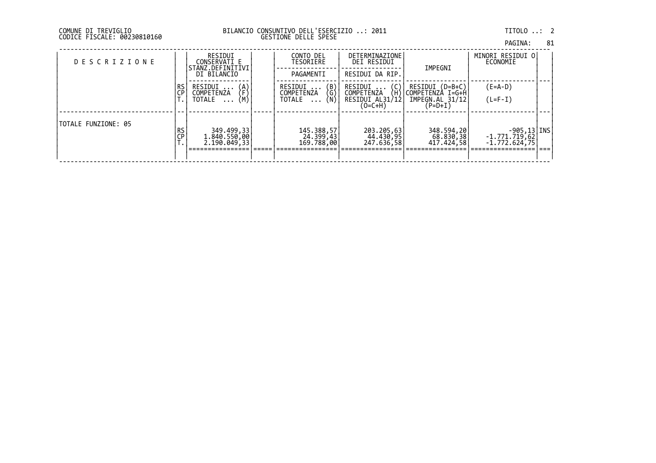DI TREVIGLIO BILANCIO CONSUNTIVO DELL'ESERCIZIO ..: 2011 TITOLO ..: 2 FISCALE: 00230810160 GESTIONE DELLE SPESE

| COMUNE DI TREVIGLIO |                             |
|---------------------|-----------------------------|
|                     | CODICE FISCALE: 00230810160 |

| <b>DESCRIZIONE</b>  |          | RESIDUI<br>CONSERVATI E<br>STANZ.DEFINITIVI<br>DI BILANCIO | CONTO DEL<br>TESORIERE<br>PAGAMENTI                                            | <b>DETERMINAZIONE</b><br>DEI RESIDUI<br>RESIDUI DA RIP.      | IMPEGNI                                                                 | MINORI RESIDUI O<br>ECONOMIE                           |  |
|---------------------|----------|------------------------------------------------------------|--------------------------------------------------------------------------------|--------------------------------------------------------------|-------------------------------------------------------------------------|--------------------------------------------------------|--|
|                     | RS<br>CP | RESIDUI<br>(A)<br>(F)<br>COMPETENZA<br>(M)<br>TOTALE       | $\begin{pmatrix} B \\ G \\ N \end{pmatrix}$<br>RESIDUI<br>COMPETENZA<br>TOTALE | RESIDUI<br>COMPETENZA<br>(H)<br>RESIDUI AL31/12<br>$(O=C+H)$ | RESIDUI (D=B+C)<br> COMPETENZÀ I=G+H <br>IMPEGN.AL 31/12<br>(P=D+I)     | $(E=A-D)$<br>$(L=F-I)$                                 |  |
| TOTALE FUNZIONE: 05 | RS<br>CP | 349.499,33<br>1.840.550,00<br>2.190.049,33                 | 145.388,57<br>$\begin{bmatrix} 24.399, 43 \\ 169.788, 00 \end{bmatrix}$        | 203.205,63<br>44.430,95<br>247.636,58                        | 348.594,20<br>$\begin{bmatrix} 68.830, 38 \\ 417.424, 58 \end{bmatrix}$ | $-905, 13$  INS <br>$-1.771.719,62$<br>$-1.772.624,75$ |  |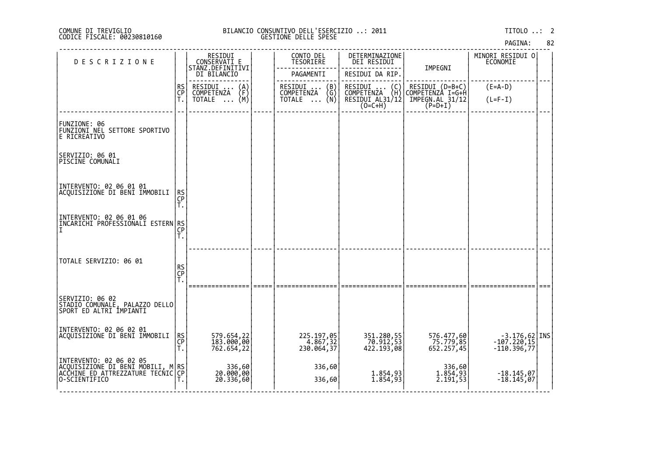| 82<br>PAGINA: |  |  |
|---------------|--|--|
|---------------|--|--|

| <b>DESCRIZIONE</b>                                                           |                | RESIDUI<br>CONSERVATI E                 |     | CONTO DEL<br>TESORIERE                         | DETERMINAZIONE<br>DEI RESIDUI                                                        |                                       | MINORI RESIDUI O<br>ECONOMIE                                                    |  |
|------------------------------------------------------------------------------|----------------|-----------------------------------------|-----|------------------------------------------------|--------------------------------------------------------------------------------------|---------------------------------------|---------------------------------------------------------------------------------|--|
|                                                                              |                | STANZ.DEFINITIVI<br>DI BILANCIO         |     | PAGAMENTI                                      | RESIDUI DA RIP                                                                       | IMPEGNI                               |                                                                                 |  |
|                                                                              | RS<br>CP<br>T. | RESIDUI<br>$\binom{A}{F}$<br>COMPETENZA |     | RESIDUI<br>$\binom{B}{G}$<br><b>COMPETENZA</b> | RESIDUI<br>COMPETENZA<br>$\left(\begin{smallmatrix} C \\ H \end{smallmatrix}\right)$ | $RESIDUI (D=B+C)$<br>COMPETENZA I=G+H | $(E=A-D)$                                                                       |  |
|                                                                              |                | (M)<br>TOTALE                           |     | TOTALE  (N)                                    | RESIDUI AL31/12<br>$(0=CHH)$                                                         | IMPEGN.AL 31/12<br>$(P=D+I)$          | $(L=F-I)$                                                                       |  |
|                                                                              |                |                                         |     |                                                |                                                                                      |                                       |                                                                                 |  |
| FUNZIONE: 06<br>FUNZIONI NEL SETTORE SPORTIVO<br>E RICREATIVO                |                |                                         |     |                                                |                                                                                      |                                       |                                                                                 |  |
| SERVIZIO: 06 01<br><b>PISCINE COMUNALI</b>                                   |                |                                         |     |                                                |                                                                                      |                                       |                                                                                 |  |
| INTERVENTO: 02 06 01 01<br>ACQUISIZIONE DI BENI IMMOBILI                     | RS<br>CP       |                                         |     |                                                |                                                                                      |                                       |                                                                                 |  |
|                                                                              | Ť.             |                                         |     |                                                |                                                                                      |                                       |                                                                                 |  |
| INTERVENTO: 02 06 01 06<br> INCARICHI PROFEŠŠIONALI ESTERN RS<br> I<br> T.   |                |                                         |     |                                                |                                                                                      |                                       |                                                                                 |  |
|                                                                              |                |                                         |     |                                                |                                                                                      |                                       |                                                                                 |  |
| TOTALE SERVIZIO: 06 01                                                       |                |                                         |     |                                                |                                                                                      |                                       |                                                                                 |  |
|                                                                              | RS<br>CP<br>T. |                                         |     |                                                |                                                                                      |                                       |                                                                                 |  |
|                                                                              |                |                                         | === |                                                |                                                                                      |                                       |                                                                                 |  |
| SERVIZIO: 06 02<br>STADIO COMUNALE, PALAZZO DELLO<br>SPORT ED ALTRI IMPIANTI |                |                                         |     |                                                |                                                                                      |                                       |                                                                                 |  |
| INTERVENTO: 02 06 02 01                                                      |                |                                         |     |                                                |                                                                                      |                                       |                                                                                 |  |
| ACQUISIZIONE DI BENI IMMOBILI                                                | RS<br>CP<br>T. | 579.654,22<br>183.000,00<br>762.654,22  |     | 225.197,05<br>4.867,32<br>230.064,37           | 351.280,55<br>422.193,08                                                             | 576.477,60<br>75.779,85<br>652.257,45 | $\begin{array}{c} -3.176,62  \text{INS} - 107.220,15   -110.396,77 \end{array}$ |  |
| <br> ACQUISIZIONE DI BENI MOBILI, M RS<br> ACCHINE ED ATTREZZATURE TECNIC CP |                |                                         |     | 336,60                                         |                                                                                      |                                       |                                                                                 |  |
| O-SCIENTIFICO                                                                |                | 83,68<br>00,000,09<br>20.336,60         |     | 336,60                                         | 1.854,93<br>1.854,93                                                                 | 336,60<br>1.854,93<br>2.191,53        | 07, 145–18.<br>18, 145–18.                                                      |  |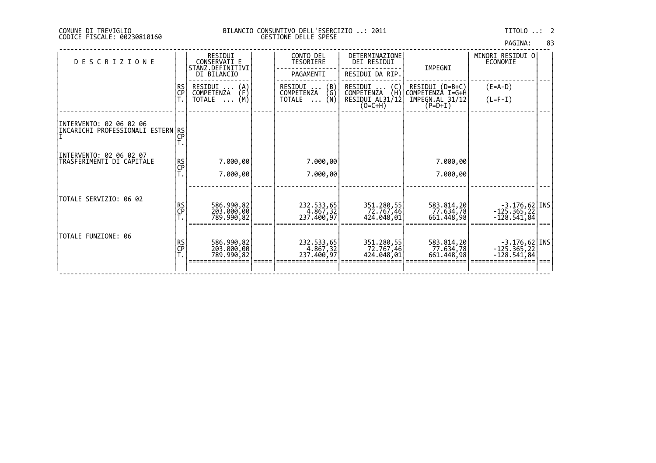| PAGINA: | 83 |
|---------|----|
|         |    |

| <b>DESCRIZIONE</b>                                           |                | RESIDUI<br>CONSERVATI E<br>STANZ.DEFINITIVI<br>DI BILANCIO       | CONTO DEL<br>TESORIERE<br>PAGAMENTI                                                                          | DETERMINAZIONE<br>DEI RESIDUI<br>RESIDUI DA RIP.                         | IMPEGNI                                                                 | MINORI RESIDUI O<br>ECONOMIE                                                                                     |      |
|--------------------------------------------------------------|----------------|------------------------------------------------------------------|--------------------------------------------------------------------------------------------------------------|--------------------------------------------------------------------------|-------------------------------------------------------------------------|------------------------------------------------------------------------------------------------------------------|------|
|                                                              | RS<br>CP       | RESIDUI<br>(A)<br>(F)<br>COMPETENZA<br>(M)<br>TOTALE<br>$\cdots$ | $\begin{pmatrix} B \\ G \end{pmatrix}$<br>$RESIDUI$ <sub></sub> .<br>COMPETENZA<br>(N)<br>TOTALE<br>$\cdots$ | RESIDUI<br>$\{C \}$<br><b>COMPETENZA</b><br>RESIDUI AL31/12<br>$(O=C+H)$ | RESIDUI (D=B+C)<br>COMPETENZÀ I=G+H<br>IMPEGN.AL 31/12<br>$(P=D+I)$     | $(E=A-D)$<br>$(L=F-I)$                                                                                           |      |
| INTERVENTO: 02 06 02 06<br>INCARICHI PROFESSIONALI ESTERN RS |                |                                                                  |                                                                                                              |                                                                          |                                                                         |                                                                                                                  |      |
| INTERVENTO: 02 06 02 07<br>TRASFERIMENTI DI CAPITALE         | RS<br>CP<br>T. | 7.000,00<br>7.000,00                                             | 7.000,00<br>7.000,00                                                                                         |                                                                          | 7.000,00<br>7.000,00                                                    |                                                                                                                  |      |
| TOTALE SERVIZIO: 06 02                                       | RS<br>CP       | 586.990,82<br>203.000,00<br>789.990,82                           | 232.533,65<br>4.867,32<br>237.400,97                                                                         | 351.280,55<br>72.767,46<br>424.048,01                                    | 583.814,20<br>$\begin{bmatrix} 77.634, 78 \\ 661.448, 98 \end{bmatrix}$ | $-3.176,62$   INS<br>$-125.365,22$<br>$-128.541,84$                                                              |      |
| TOTALE FUNZIONE: 06                                          | RS<br>CP<br>T. | 586.990,82<br>203.000,00<br>789.990,82                           | 232.533,65<br>4.867, 32<br>237.400,97                                                                        | 351.280,55<br>72.767,46<br>424.048,01                                    | 583.814,20<br>77.634,78<br>661.448,98                                   | $-3.176,62$ INS<br>$-12\overline{5}\cdot\overline{3}6\overline{5}\cdot\overline{2}\overline{2}$<br>$-128.541,84$ | $==$ |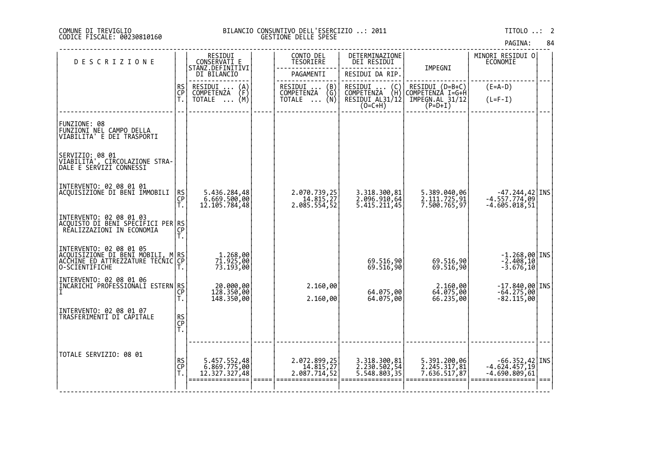| PAGINA: | 84 |
|---------|----|
|---------|----|

| <b>DESCRIZIONE</b>                                                                                                  |                | RESIDUI<br>CONSERVATI E<br>STANZ.DEFINITIVI   | CONTO DEL<br>TESORIERE                    | DETERMINAZIONE<br>DEI RESIDUI                                                        |                                              | MINORI RESIDUI 0<br>ECONOMIE                                                     |  |
|---------------------------------------------------------------------------------------------------------------------|----------------|-----------------------------------------------|-------------------------------------------|--------------------------------------------------------------------------------------|----------------------------------------------|----------------------------------------------------------------------------------|--|
|                                                                                                                     |                | DI BILANCIO                                   | PAGAMENTI                                 | RESIDUI DA RIP.                                                                      | IMPEGNI                                      |                                                                                  |  |
|                                                                                                                     | RS<br>CP       | RESIDUI<br>$\binom{A}{F}$<br>COMPETENZA       | RESIDUI<br>(B)<br>(G)<br>COMPETENZA       | RESIDUI<br>$\left(\begin{smallmatrix} C \\ H \end{smallmatrix}\right)$<br>COMPETENZA | RESIDUI (D=B+C)<br>COMPETENZÀ I=G+H          | $(E=A-D)$                                                                        |  |
|                                                                                                                     | Ť.             | (M)<br>TOTALE                                 | _ (Ñ)<br>TOTALE                           | RESIDUI AL31/12<br>$(0=C+H)$                                                         | IMPEGN.AL 31/12<br>$(P=D+I)$                 | $(L=F-I)$                                                                        |  |
|                                                                                                                     |                |                                               |                                           |                                                                                      |                                              |                                                                                  |  |
| FUNZIONE: 08<br>FUNZIONI NĚL CAMPO DELLA<br>VIABILITA' E DEI TRASPORTI                                              |                |                                               |                                           |                                                                                      |                                              |                                                                                  |  |
| SERVIZIO: 08 01<br>VIABILITA', CIRCOLAZIONE STRA-<br>DALE E SERVIZI CONNESSI                                        |                |                                               |                                           |                                                                                      |                                              |                                                                                  |  |
| INTERVENTO: 02 08 01 01<br>ACQUISIZIONE DI BENI IMMOBILI                                                            | RS<br>CP<br>Т. | 5.436.284,48<br>6.669.500,00<br>12.105.784,48 | 2.070.739,25<br>14.815,27<br>2.085.554,52 | 3.318.300,81<br>2.096.910,64<br>5.415.211,45                                         | 5.389.040,06<br>2.111.725,91<br>7.500.765,97 | $-47.244, 42$ INS<br>$-4.557.774,09$<br>$-4.605.018,51$                          |  |
| INTERVENTO: 02 08 01 03<br> ACQUISTO DI BENÍ SPECÍFICI PER RS<br>  REALIZZAZIONI IN ECONOMIA      CP                |                |                                               |                                           |                                                                                      |                                              |                                                                                  |  |
| INTERVENTO: 02 08 01 05<br>ACQUISIZIONE DI BENI MOBILI, M RS<br>ACCHINE ED ATTREZZATURE TECNIC CP<br>O-SCIENTIFICHE |                | 1.268,00<br>71.925,00<br>73.193,00            |                                           | 69.516,90<br>69.516,90                                                               | 69.516,90<br>69.516,90                       | $-1.268,00$ INS<br>$-2.\overline{408}, \overline{10}$<br>$-3.676, \overline{10}$ |  |
| INTERVENTO: 02 08 01 06<br>INCARICHI PROFESSIONALI ESTERN RS                                                        | СP<br>T.       | 20.000,00<br>128.350,00<br>148.350,00         | 2.160,00<br>2.160,00                      | 64.075,00<br>64.075,00                                                               | 2.160,00<br>64.075,00<br>66.235,00           | $-17.840,00$ INS<br>$-64.275,00$<br>$-82.115,00$                                 |  |
| INTERVENTO: 02 08 01 07<br>TRASFERIMENTI DI CAPITALE                                                                | RS<br>CP<br>T. |                                               |                                           |                                                                                      |                                              |                                                                                  |  |
| TOTALE SERVIZIO: 08 01                                                                                              | RS<br>CP<br>T. | 5.457.552,48<br>6.869.775,00<br>12.327.327,48 | 2.072.899,25<br>14.815,27<br>2.087.714,52 | 3.318.300,81<br>2.230.502,54<br>5.548.803,35                                         | 5.391.200,06<br>2.245.317,81<br>7.636.517,87 | $-66.352,42$ INS<br>$-4.624.457,19$<br>$-4.690.809,61$                           |  |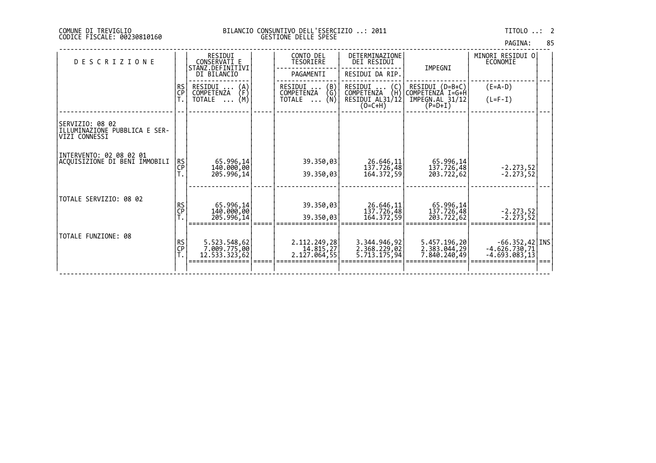| PAGINA: | 85 |
|---------|----|
|         |    |

| <b>DESCRIZIONE</b>                                                |                 | RESIDUI<br>CONSERVATI E<br>STANZ.DEFINITIVI<br>DI BILANCIO       | CONTO DEL<br>TESORIERE<br>PAGAMENTI                                  | DETERMINAZIONE<br>DEI RESIDUI<br>RESIDUI DA RIP.                    | IMPEGNI                                                             | MINORI RESIDUI 0<br>ECONOMIE                           |  |
|-------------------------------------------------------------------|-----------------|------------------------------------------------------------------|----------------------------------------------------------------------|---------------------------------------------------------------------|---------------------------------------------------------------------|--------------------------------------------------------|--|
|                                                                   | RS<br>CP        | RESIDUI<br>(A)<br>(F)<br>COMPETENZA<br>(M)<br>TOTALE<br>$\cdots$ | $\binom{B}{G}$<br>RESIDUI<br>COMPETENZA<br>(N)<br>TOTALE<br>$\cdots$ | RESIDUI<br>(C)<br>COMPETENZA<br>(H)<br>RESIDUI AL31/12<br>$(O=C+H)$ | RESIDUI (D=B+C)<br>COMPETENZÀ I=G+H<br>IMPEGN.AL 31/12<br>$(P=D+I)$ | $(E=A-D)$<br>$(L=F-I)$                                 |  |
| SERVIZIO: 08 02<br>ILLUMINAZIONE PUBBLICA E SER-<br>VIZI CONNESSI |                 |                                                                  |                                                                      |                                                                     |                                                                     |                                                        |  |
| INTERVENTO: 02 08 02 01<br>ACQUISIZIONE DI BENI IMMOBILI          | <b>RS</b><br>CP | 65.996,14<br>140.000,00<br>205.996,14                            | 39.350,03<br>39.350,03                                               | 26.646,11<br>137.726,48<br>164.372,59                               | 65.996, 14<br>137.726,48<br>203.722,62                              | $-2.273,52$<br>$-2.273,52$                             |  |
| TOTALE SERVIZIO: 08 02                                            | RS<br>CP        | 65.996,14<br>140.000,00<br>205.996,14                            | 39.350,03<br>39.350,03                                               | 26.646,11<br>137.726,48<br>164.372,59                               | 65.996, 14<br>137.726,48<br>203.722,62                              | $-2.273,52$<br>$-2.273,52$                             |  |
| TOTALE FUNZIONE: 08                                               | RS<br>CP<br>T.  | 5.523.548,62<br>7.009.775,00<br>12.533.323,62                    | 2.112.249,28<br>14.815,27<br>2.127.064,55                            | 3.344.946,92<br>2.368.229,02<br>5.713.175,94                        | 5.457.196,20<br>2.383.044,29<br>7.840.240,49                        | $-66.352,42$ INS<br>$-4.626.730,71$<br>$-4.693.083,13$ |  |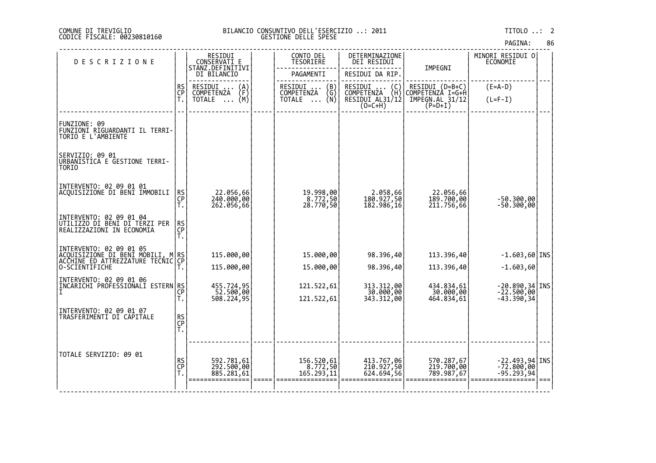| PAGINA: | 86 |
|---------|----|
|---------|----|

| <b>DESCRIZIONE</b>                                                                    |                | RESIDUI<br>CONSERVATI E                 | CONTO DEL<br>TESORIERE                 | DETERMINAZIONE<br>DEI RESIDUI                                                        |                                        | MINORI RESIDUI 0<br>ECONOMIE                 |  |
|---------------------------------------------------------------------------------------|----------------|-----------------------------------------|----------------------------------------|--------------------------------------------------------------------------------------|----------------------------------------|----------------------------------------------|--|
|                                                                                       |                | STANZ.DEFINITIVI<br>DI BILANCIO         | PAGAMENTI                              | RESIDUI DA RIP.                                                                      | IMPEGNI                                |                                              |  |
|                                                                                       | RS<br>CP<br>T. | RESIDUI<br>$\binom{A}{F}$<br>COMPETENZA | RESIDUI<br>(B)<br>COMPETENZA<br>(G)    | RESIDUI<br>$\left(\begin{smallmatrix} 0 \\ H \end{smallmatrix}\right)$<br>COMPETENZA | RESIDUI (D=B+C)<br>COMPETENZÀ I=G+H    | $(E=A-D)$                                    |  |
|                                                                                       |                | (M)<br>TOTALE                           | $\overline{\cdots}$ (N)<br>TOTALE      | RESIDUI AL31/12<br>$(O=C+H)$                                                         | IMPEGN.AL 31/12<br>$(P=D+I)$           | $(L=F-I)$                                    |  |
|                                                                                       |                |                                         |                                        |                                                                                      |                                        |                                              |  |
| <br> FUNZIONE: 09<br> FUNZIONI RIGUARDANTI IL TERRI-<br>TORIO E L'AMBIENTE            |                |                                         |                                        |                                                                                      |                                        |                                              |  |
| SERVIZIO: 09 01<br>URBANISTICA E GESTIONE TERRI-<br>TORIO                             |                |                                         |                                        |                                                                                      |                                        |                                              |  |
| INTERVENTO: 02 09 01 01<br>ACQUISIZIONE DI BENI IMMOBILI                              | RS<br>CP<br>Т. | 22.056,66<br>240.000,00<br>262.056,66   | 19.998,00<br>8.772,50<br>28.770,50     | 2.058,66<br>180.927,50<br>182,986,16                                                 | 22.056,66<br>189.700,00<br>211,756,66  | $-50.300,00$<br>$-50.300,00$                 |  |
| INTERVENTO: 02 09 01 04<br>UTILIZZO DI BENI DI TERZI PER<br>REALIZZAZIONI IN ECONOMIA | RS<br>CP       |                                         |                                        |                                                                                      |                                        |                                              |  |
| INTERVENTO: 02 09 01 05<br>ACQUISIZIONE DI BENI MOBILI, M RS                          |                | 115.000,00                              | 15.000,00                              | 98.396,40                                                                            | 113.396,40                             | $-1.603,60$ INS                              |  |
| ACCHINE ED ATTREZZATURE TECNIC<br>O-SCIENTIFICHE                                      | <b>CP</b>      | 115.000,00                              | 15.000,00                              | 98.396,40                                                                            | 113.396,40                             | $-1.603,60$                                  |  |
| INTERVENTO: 02 09 01 06<br>ĪNCĀRICHI PROFEŠŠIONALI ESTERN RS<br>I                     |                | 455.724,95<br>52.500,00                 | 121.522,61                             | 313.312,00<br>30.000,00                                                              | 434.834,61                             | -20.890,34 INS<br>-22.500,00                 |  |
|                                                                                       | T.             | 508.224,95                              | 121.522,61                             | 343.312,00                                                                           | 30.000,00<br>464.834,61                | $-43.390,34$                                 |  |
| INTERVENTO: 02 09 01 07<br>TRASFERIMENTI DI CAPITALE                                  | RS<br>CP<br>T. |                                         |                                        |                                                                                      |                                        |                                              |  |
|                                                                                       |                |                                         |                                        |                                                                                      |                                        |                                              |  |
| TOTALE SERVIZIO: 09 01                                                                | RS<br>CP<br>T. | 592.781,61<br>292.500,00<br>885.281,61  | 156.520,61<br>8.772,50<br>165, 293, 11 | 413.767,06<br>210.927,50<br>624.694,56                                               | 570.287,67<br>219.700,00<br>789,987,67 | -22.493,94 INS<br>-72.800,00<br>$-95.293,94$ |  |
|                                                                                       |                |                                         |                                        |                                                                                      |                                        |                                              |  |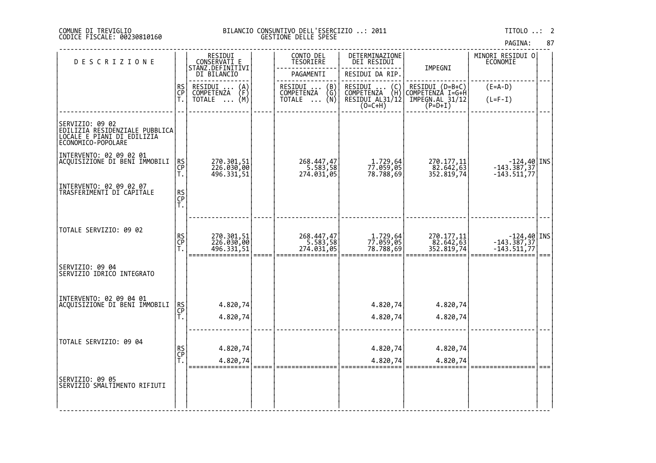|  | PAGINA: | 87 |
|--|---------|----|
|  |         |    |

| <b>DESCRIZIONE</b>                                                                                    |                | RESIDUI<br>CONSERVATI E                | CONTO DEL<br>TESORIERE               | DETERMINAZIONE<br>DEI RESIDUI                                   |                                                                   | MINORI RESIDUI O<br>ECONOMIE                    |  |
|-------------------------------------------------------------------------------------------------------|----------------|----------------------------------------|--------------------------------------|-----------------------------------------------------------------|-------------------------------------------------------------------|-------------------------------------------------|--|
|                                                                                                       |                | STANZ.DEFINITIVI<br>DI BILANCIO        | PAGAMENTI                            | RESIDUI DA RIP.                                                 | IMPEGNI                                                           |                                                 |  |
|                                                                                                       | RS<br>CP<br>T. | RESIDUI<br>COMPETENZA<br>$\{A\}$       | RESIDUI  (B)<br>COMPETENZA (G)       | $\begin{pmatrix} C \\ H \end{pmatrix}$<br>RESIDUI<br>COMPETENZA |                                                                   | $(E=A-D)$                                       |  |
|                                                                                                       |                | (M)<br>TOTALE<br>$\cdots$              | (N)<br>TOTALE                        | RESIDUI AL31/12                                                 | RESIDUI (D=B+C)<br>COMPETENZA I=G+H<br>IMPEGN.AL 31/12<br>(P=D+I) | $(L=F-I)$                                       |  |
| SERVIZIO: 09 02<br>EDILIZIA RESIDENZIALE PUBBLICA<br>LOCALE E PIANI DI EDILIZIA<br>ECONOMICO-POPOLARE |                |                                        |                                      |                                                                 |                                                                   |                                                 |  |
| INTERVENTO: 02 09 02 01<br> ACQUISIZIONE DI BENI IMMOBILI                                             | RS<br>CP<br>Т. | 270.301,51<br>226.030,00<br>496.331,51 | 268.447,47<br>5.583,58<br>274.031,05 | 1.729,64<br>77.059,05<br>78.788,69                              | 270.177,11<br>82.642,63<br>352.819,74                             | $-124,40$ INS<br>-143.387,37<br>$-143.511,77$   |  |
| INTERVENTO: 02 09 02 07<br>TRASFERIMENTI DI CAPITALE                                                  | RS<br>CP<br>T. |                                        |                                      |                                                                 |                                                                   |                                                 |  |
| TOTALE SERVIZIO: 09 02                                                                                | RS<br>CP<br>T. | 270.301,51<br>226.030,00<br>496.331,51 | 268.447,47<br>5.583,58<br>274.031,05 | 1.729,64<br>77.059,05<br>78.788,69                              | 270.177,11<br>82.642,63<br>352.819,74                             | $-124,40$ INS<br>$-143.387,37$<br>$-143.511,77$ |  |
| SERVIZIO: 09 04<br>SERVIZIO IDRICO INTEGRATO                                                          |                |                                        |                                      |                                                                 |                                                                   |                                                 |  |
| INTERVENTO: 02 09 04 01<br>ACQUISIZIONE DI BENI IMMOBILI                                              | RS<br>CP       | 4.820,74                               |                                      | 4.820,74                                                        | 4.820,74                                                          |                                                 |  |
|                                                                                                       | Τ.             | 4.820,74                               |                                      | 4.820,74                                                        | 4.820,74                                                          |                                                 |  |
| TOTALE SERVIZIO: 09 04                                                                                |                | 4.820,74                               |                                      | 4.820,74                                                        | 4.820,74                                                          |                                                 |  |
|                                                                                                       | RS<br>CP<br>T. | 4.820,74                               |                                      | 4.820,74                                                        | 4.820,74                                                          |                                                 |  |
| SERVIZIO: 09 05<br> SERVIZIO SMALTIMENTO RIFIUTI                                                      |                |                                        |                                      |                                                                 |                                                                   |                                                 |  |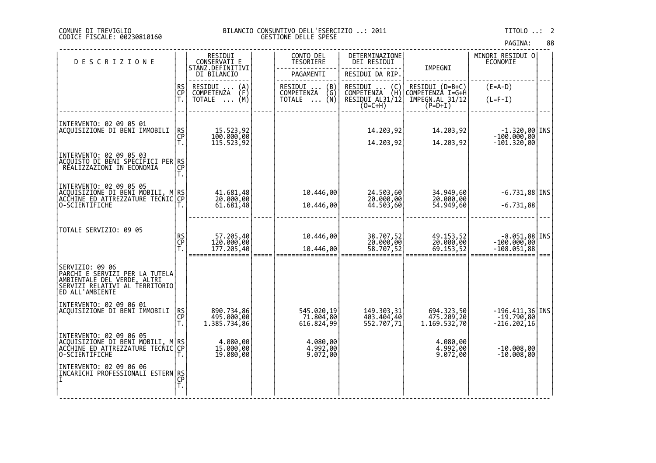# DI TREVIGLIO BILANCIO CONSUNTIVO DELL'ESERCIZIO ..: 2011 TITOLO ..: 2 FISCALE: 00230810160 GESTIONE DELLE SPESE

| <b>DESCRIZIONE</b>                                                                                                                    |                       | RESIDUI<br>CONSERVATI E                                  | CONTO DEL<br>TESORIERE                                           | DETERMINAZIONE<br>DEI RESIDUI                                    |                                                                     | MINORI RESIDUI 0<br>ECONOMIE                       |  |
|---------------------------------------------------------------------------------------------------------------------------------------|-----------------------|----------------------------------------------------------|------------------------------------------------------------------|------------------------------------------------------------------|---------------------------------------------------------------------|----------------------------------------------------|--|
|                                                                                                                                       |                       | STANZ.DEFINITIVI<br>DI BILANCIO                          | PAGAMENTI                                                        | RESIDUI DA RIP.                                                  | IMPEGNI                                                             |                                                    |  |
|                                                                                                                                       | <b>RS</b><br>CP<br>Ť. | RESIDUI<br>$\binom{A}{F}$<br>COMPETENZA<br>(M)<br>TOTALE | RESIDUI<br>(B)<br>ĒNŻA (Ğ)<br>(N)<br>COMPETENZA<br><b>TOTALE</b> | RESIDUI<br>(C)<br>COMPETENZA (H)<br>RESIDUI AL31/12<br>$(O=C+H)$ | RESIDUI (D=B+C)<br>COMPETENZA I=G+H<br>IMPEGN.AL 31/12<br>$(P=D+I)$ | $(E=A-D)$<br>$(L=F-I)$                             |  |
| INTERVENTO: 02 09 05 01<br>ACQUISIZIONE DI BENI IMMOBILI                                                                              | RS<br>CP<br>T.        | 15.523,92<br>100.000,00<br>115.523,92                    |                                                                  | 14.203,92<br>14.203,92                                           | 14.203,92<br>14.203,92                                              | $-1.320,00$ INS<br>$-100.000,00$<br>$-101.320,00$  |  |
| INTERVENTO: 02 09 05 03<br> <br> ACQUISTO DI BENI SPECIFICI PER RS<br>  REALIZZAZIONI IN ECONOMIA      CP                             | Т.                    |                                                          |                                                                  |                                                                  |                                                                     |                                                    |  |
| INTERVENTO: 02 09 05 05<br>ACQUISIZIONE DI BENI MOBILI,<br>ACCHINE ED ATTREZZATURE TECNIC<br>O-SCIENTIFICHE                           | M RS<br>IC CP         | 41.681,48<br>20.000,00<br>61.681,48                      | 10.446,00<br>10.446,00                                           | 24.503,60<br>20.000,00<br>44.503,60                              | 34.949,60<br>20.000,00<br>54.949,60                                 | $-6.731,88$ INS<br>$-6.731,88$                     |  |
| TOTALE SERVIZIO: 09 05                                                                                                                | RS<br>CP              | 57.205,40<br>120.000,00<br>177.205,40                    | 10.446,00<br>10.446,00                                           | 38.707,52<br>20.000,00<br>58.707,52                              | 49.153,52<br>20.000,00<br>69.153,52                                 | $-8.051,88$ INS<br>$-100.000,00$<br>$-108.051,88$  |  |
| SERVIZIO: 09 06<br>PARCHI E SERVIZI PER LA TUTELA<br>AMBIENTALE DEL VERDE, ALTRI<br>SERVIZI RELATIVI AL TERRITORIO<br>ED ALL'AMBIENTE |                       |                                                          |                                                                  |                                                                  |                                                                     |                                                    |  |
| INTERVENTO: 02 09 06 01<br>ACQUISIZIONE DI BENI IMMOBILI                                                                              | ŖS<br>CP              | 890.734,86<br>495.000,00<br>1.385.734,86                 | 545.020,19<br>71.804,80<br>616.824,99                            | 149.303,31<br>403.404,40<br>552.707,71                           | 694.323,50<br>475.209,20<br>1.169.532,70                            | $-196.411,36$ INS<br>$-19.790,80$<br>$-216.202,16$ |  |
| INTERVENTO: 02 09 06 05<br>ACQUISIZIONE DI BENI MOBILI,<br>ACCHINE ED ATTREZZATURE TECNIC<br>O-SCIENTIFICHE                           | M RS<br>l CP          | 4.080,00<br>15.000,00<br>19.080,00                       | 4.080,00<br>4.992,00<br>9.072,00                                 |                                                                  | 4.080,00<br>4.992,00<br>9.072,00                                    | $-10.008,00$<br>$-10.008,00$                       |  |
| INTERVENTO: 02 09 06 06<br>INLENVENI PRŎFEŠŠIŎŇAĽĬ ESTERN RS<br> T                                                                    | T.                    |                                                          |                                                                  |                                                                  |                                                                     |                                                    |  |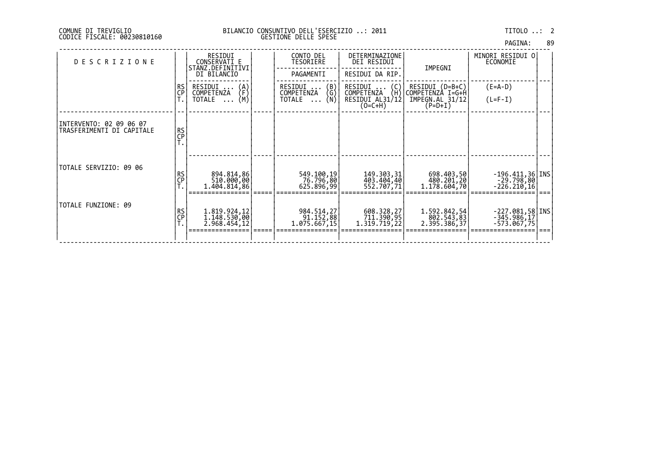| PAGINA: | 89 |
|---------|----|
|         |    |

| <b>DESCRIZIONE</b>                                   |          | RESIDUI<br>CONSERVATI E<br>STANZ.DEFINITIVI<br>DI BILANCIO           | CONTO DEL<br>TESORIERE<br>PAGAMENTI                      | DETERMINAZIONE<br>DEI RESIDUI<br>RESIDUI DA RIP.                    | IMPEGNI                                                             | MINORI RESIDUI O<br>ECONOMIE                          |  |
|------------------------------------------------------|----------|----------------------------------------------------------------------|----------------------------------------------------------|---------------------------------------------------------------------|---------------------------------------------------------------------|-------------------------------------------------------|--|
|                                                      | RS<br>CP | $\binom{A}{F}$<br>RESIDUI<br>COMPETENZA<br>(M)<br>TOTALE<br>$\cdots$ | $\binom{B}{G}$<br>RESIDUI<br>COMPETENZA<br>(N)<br>TOTALE | RESIDUI<br>(C)<br>(H)<br>COMPETENZA<br>RESIDUI AL31/12<br>$(O=C+H)$ | RESIDUI (D=B+C)<br>COMPETENZÀ I=G+H<br>IMPEGN.AL 31/12<br>$(P=D+I)$ | $(E=A-D)$<br>$(L=F-I)$                                |  |
| INTERVENTO: 02 09 06 07<br>TRASFERIMENTI DI CAPITALE | RS<br>CP |                                                                      |                                                          |                                                                     |                                                                     |                                                       |  |
| TOTALE SERVIZIO: 09 06                               | RS<br>CP | 894.814,86<br>510.000,00<br>1.404.814,86                             | 549.100,19<br>76.796,80<br>625.896,99                    | 149.303,31<br>403.404,40<br>552.707,71                              | 698.403,50<br>480.201,20<br>1.178.604,70                            | -196.411,36   INS<br>$-29.798,80$<br>-226.210,16      |  |
| TOTALE FUNZIONE: 09                                  | RS<br>CP | 1.819.924,12<br>1.148.530,00<br>2.968.454,12                         | 984.514,27<br>91.152,88<br>1.075.667,15                  | 608.328,27<br>711.390,95<br>1.319.719,22                            | 1.592.842,54<br>802.543,83<br>2.395.386,37                          | $-227.081,58$ [INS]<br>$-345.986,17$<br>$-573.067,75$ |  |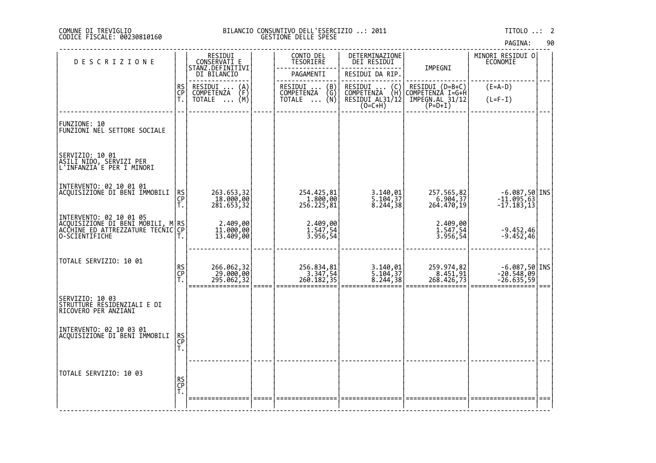# DI TREVIGLIO BILANCIO CONSUNTIVO DELL'ESERCIZIO ..: 2011 TITOLO ..: 2 FISCALE: 00230810160 GESTIONE DELLE SPESE

|  | PAGINA: | 90 |
|--|---------|----|
|  |         |    |

| <b>DESCRIZIONE</b>                                                                                                     |                | RESIDUI<br>CONSERVATI E<br>STANZ.DEFINITIVI    | CONTO DEL<br><b>TESORIERE</b>        | DETERMINAZIONE<br>DEI RESIDUI                                   | IMPEGNI                                                           | MINORI RESIDUI 0<br>ECONOMIE                                                  |  |
|------------------------------------------------------------------------------------------------------------------------|----------------|------------------------------------------------|--------------------------------------|-----------------------------------------------------------------|-------------------------------------------------------------------|-------------------------------------------------------------------------------|--|
|                                                                                                                        |                | DI BILANCIO                                    | PAGAMENTI                            | RESIDUI DA RIP.                                                 |                                                                   |                                                                               |  |
|                                                                                                                        | RS<br>CP       | RESIDUI<br>$\binom{A}{F}$<br><b>COMPETENZA</b> | RESIDUI  (B)<br>COMPETENZA (G)       | RESIDUI<br>COMPETENZA<br>$\begin{pmatrix} 0 \\ H \end{pmatrix}$ |                                                                   | $(E=A-D)$                                                                     |  |
|                                                                                                                        | Ť.             | (M)<br>TOTALE<br>$\cdots$                      | TOTALE  (N)                          | RESIDUI AL31/12<br>(O=C+H)                                      | RESIDUI (D=B+C)<br>COMPETENZA I=G+H<br>IMPEGN.AL 31/12<br>(P=D+I) | $(L=F-I)$                                                                     |  |
| FUNZIONE: 10<br>FUNZIONI NEL SETTORE SOCIALE                                                                           |                |                                                |                                      |                                                                 |                                                                   |                                                                               |  |
| SERVIZIO: 10 01<br> ASILI NIDO, SERVIZI PER<br> L'INFANZIA E PER I MINORI                                              |                |                                                |                                      |                                                                 |                                                                   |                                                                               |  |
| INTERVENTO: 02 10 01 01<br>ACQUISIZIONE DI BENI IMMOBILI                                                               | RS<br>CP<br>Т. | 263.653,32<br>18.000,00<br>281.653,32          | 254.425,81<br>1.800,00<br>256.225,81 | 3.140,01<br>5.104,37<br>8.244,38                                | 257.565,82<br>6.904,37<br>264.470,19                              | $-6.087,50$ INS<br>$-11.095,63$<br>$-17.183,13$                               |  |
| INTERVENTO: 02 10 01 05<br> ACQUISIZIONE DI BENI MOBILI, M RS<br> ACCHINE_ED_ATTREZZATURE TECNIC CP <br>O-SCIENTIFICHE |                | 2.409,00<br>11.000,00<br>13.409,00             | 2.409,00<br>1.547,54<br>3.956,54     |                                                                 | 2.409,00<br>1.547,54<br>3.956,54                                  | $-9.452,46$<br>$-9.452,46$                                                    |  |
| TOTALE SERVIZIO: 10 01                                                                                                 | RS<br>CP<br>Ť. | 266.062,32<br>29.000,00<br>295.062,32          | 256.834,81<br>3.347,54<br>260.182,35 | 3.140,01<br>5.104,37<br>8.244,38                                | 259.974,82<br>8.451,91<br>268.426,73                              | $\begin{bmatrix} -6.087, 50 \\ -20.548, 09 \end{bmatrix}$ INS<br>$-26.635,59$ |  |
| <br> SIRUTTURE_RESIDENZIALI E DI<br> SIRUTTURE_RESIDENZIALI E DI<br>RICOVERO PER ANZIANI                               |                |                                                |                                      |                                                                 |                                                                   |                                                                               |  |
| INTERVENTO: 02 10 03 01<br>ACQUISIZIONE DI BENI IMMOBILI                                                               | RS<br>CP<br>T. |                                                |                                      |                                                                 |                                                                   |                                                                               |  |
| TOTALE SERVIZIO: 10 03                                                                                                 | RS<br>CP<br>T. |                                                |                                      |                                                                 |                                                                   |                                                                               |  |
|                                                                                                                        |                |                                                |                                      |                                                                 |                                                                   |                                                                               |  |

‐‐‐‐‐‐‐‐‐‐‐‐‐‐‐‐‐‐‐‐‐‐‐‐‐‐‐‐‐‐‐‐‐‐‐‐‐‐‐‐‐‐‐‐‐‐‐‐‐‐‐‐‐‐‐‐‐‐‐‐‐‐‐‐‐‐‐‐‐‐‐‐‐‐‐‐‐‐‐‐‐‐‐‐‐‐‐‐‐‐‐‐‐‐‐‐‐‐‐‐‐‐‐‐‐‐‐‐‐‐‐‐‐‐‐‐‐‐‐‐‐‐‐‐‐‐‐‐‐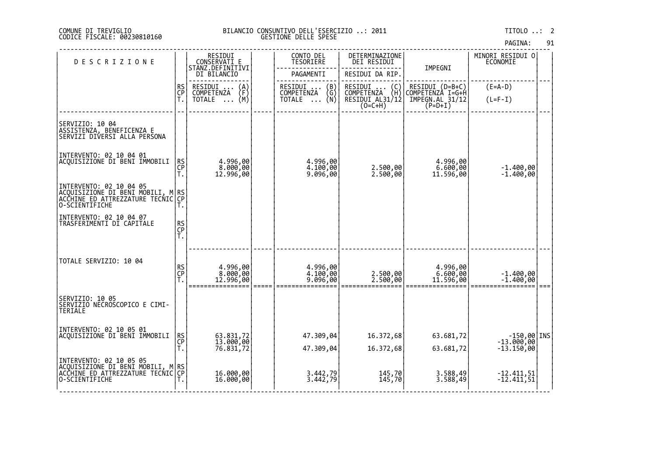|  | PAGINA: |  | 91 |
|--|---------|--|----|
|--|---------|--|----|

| <b>DESCRIZIONE</b>                                                                                                    |                | RESIDUI<br>CONSERVATI E<br>STANZ.DEFINITIVI | CONTO DEL<br>TESORIERE                  | DETERMINAZIONE<br>DEI RESIDUI                                                               |                                     | MINORI RESIDUI O<br><b>ECONOMIE</b>         |  |
|-----------------------------------------------------------------------------------------------------------------------|----------------|---------------------------------------------|-----------------------------------------|---------------------------------------------------------------------------------------------|-------------------------------------|---------------------------------------------|--|
|                                                                                                                       |                | DI BILANCIO                                 | PAGAMENTI                               | RESIDUI DA RIP.                                                                             | IMPEGNI                             |                                             |  |
|                                                                                                                       | <b>RS</b>      | RESIDUI<br>$\binom{A}{F}$<br>COMPETENZA     | RESIDUI<br>$\binom{B}{G}$<br>COMPETENZA | RESIDUI<br>$\left(\begin{smallmatrix} C \\ H \end{smallmatrix}\right)$<br><b>COMPETENZA</b> | RESIDUI (D=B+C)<br>COMPETENZA I=G+H | $(E=A-D)$                                   |  |
|                                                                                                                       | CP<br>T.       | (M)<br>TOTALE                               | (Ñ)<br>TOTALE                           | RESIDUI AL31/12<br>$(0=C+H)$                                                                | IMPEGN.AL 31/12<br>$(P=D+I)$        | $(L=F-I)$                                   |  |
| SERVIZIO: 10 04<br> ASSISTENZA, BENEFICENZA E<br>SERVIZI DIVERSI ALLA PERSONA                                         |                |                                             |                                         |                                                                                             |                                     |                                             |  |
| INTERVENTO: 02 10 04 01<br>ACQUISIZIONE DI BENI IMMOBILI                                                              | RS<br>CP<br>T. | 4.996,00<br>8.000,00<br>12.996,00           | 4.996,00<br>4.100,00<br>9.096,00        | 2.500,00<br>2.500,00                                                                        | 4.996,00<br>6.600,00<br>11.596,00   | $-1.400,00$<br>$-1.400,00$                  |  |
| INTERVENTO: 02 10 04 05<br> ACQUISIZIONE DI BENI MOBILI, M RS<br> ACCHINE ED ATTREZZATURE TECNIC CP<br>O-SCIENTIFICHE | T.             |                                             |                                         |                                                                                             |                                     |                                             |  |
| INTERVENTO: 02 10 04 07<br>TRASFERIMENTI DI CAPITALE                                                                  | RS<br>CP<br>T. |                                             |                                         |                                                                                             |                                     |                                             |  |
| TOTALE SERVIZIO: 10 04                                                                                                | RS<br>CP<br>T. | 4.996,00<br>8.000,00<br>12.996,00           | 4.996,00<br>4.100,00<br>9.096,00        | 2.500,00<br>2.500,00                                                                        | 4.996,00<br>6.600,00<br>11.596,00   | $-1.400,00$<br>$-1.400,00$                  |  |
| SERVIZIO: 10 05<br>SERVIZIO NECROSCOPICO E CIMI-<br>TERIALE                                                           |                |                                             |                                         |                                                                                             |                                     |                                             |  |
| INTERVENTO: 02 10 05 01<br>ACQUISIZIONE DI BENI IMMOBILI                                                              | RS<br>CP<br>T. | 63.831,72<br>13.000,00<br>76.831,72         | 47.309,04<br>47.309,04                  | 16.372,68<br>16.372,68                                                                      | 63.681,72<br>63.681,72              | $-150,00$ INS<br>-13.000,00<br>$-13.150,00$ |  |
| INTERVENTO: 02 10 05 05<br> ACQUISIZIONE DI BENI MOBILI, M RS<br> ACCHINE_ED_ATTREZZATURE TECNIC CP<br>O-SCIENTIFICHE |                | 16.000,00<br>16.000,00                      | 3.442,79<br>3.442,79                    | 145,70<br>145,70                                                                            | 3.588,49<br>3.588,49                | $-12.411,51$<br>$-12.411,51$                |  |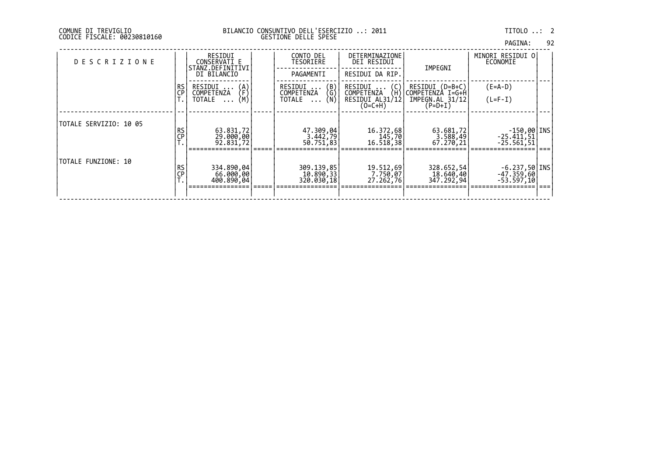| PAGINA: | 92 |
|---------|----|
|         |    |

| <b>DESCRIZIONE</b>     |                  | RESIDUI<br>CONSERVATI E<br>STANZ.DEFINITIVI | CONTO DEL<br>TESORIERE                  | DETERMINAZIONE<br>DEI RESIDUI       | IMPEGNI                             | MINORI RESIDUI OI<br>ECONOMIE |  |
|------------------------|------------------|---------------------------------------------|-----------------------------------------|-------------------------------------|-------------------------------------|-------------------------------|--|
|                        |                  | DI BILANCIO                                 | PAGAMENTI                               | RESIDUI DA RIP.                     |                                     |                               |  |
|                        | RS<br>CP         | RESIDUI<br>$\binom{A}{F}$<br>COMPETENZA     | RESIDUI<br>$\binom{B}{G}$<br>COMPETENZA | RESIDUI<br>(C)<br>COMPETENZA<br>(H) | RESIDUI (D=B+C)<br>COMPETENZÀ I=G+H | $(E=A-D)$                     |  |
|                        |                  | (M)<br>TOTALE<br>$\cdots$                   | (Ñ)<br>TOTALE<br>$\cdots$               | RESIDUI AL31/12<br>$(O=C+H)$        | IMPEGN.AL 31/12<br>(P=D+I)          | $(L=F-I)$                     |  |
|                        |                  |                                             |                                         |                                     |                                     |                               |  |
| TOTALE SERVIZIO: 10 05 | <b>RS</b>        | 63.831,72                                   | 47.309,04                               | 16.372,68                           | 63.681,72                           | -150,00 INS                   |  |
|                        | $C$ P            | 29,000,00<br>92.831,72                      | 3.442,79<br>50.751,83                   | 145,70<br>16.518,38                 | 3.588,49<br>67.270, 21              | $-25.411,51$<br>$-25.561,51$  |  |
|                        |                  |                                             |                                         |                                     |                                     |                               |  |
| TOTALE FUNZIONE: 10    | RS               | 334.890,04                                  | 309.139,85                              | 19.512,69                           | 328.652,54                          | $-6.237,50$ INS               |  |
|                        | $C_{\mathsf{F}}$ | 66.000,00<br>400.890,04                     | 10.890, 33<br>320.030,18                | 7.750,07<br>27.262,76               | 18.640,40<br>347.292,941            | $-47.359,60$<br>$-53.597,10$  |  |
|                        |                  |                                             |                                         |                                     |                                     |                               |  |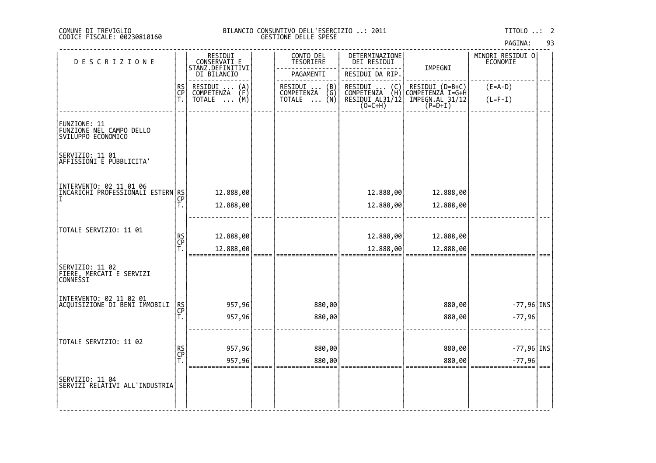# DI TREVIGLIO BILANCIO CONSUNTIVO DELL'ESERCIZIO ..: 2011 TITOLO ..: 2 FISCALE: 00230810160 GESTIONE DELLE SPESE

| <b>DESCRIZIONE</b>                                                    |                | RESIDUI<br>CONSERVATI E                 | CONTO DEL<br>TESORIERE                  | DETERMINAZIONE<br>DEI RESIDUI           |                                     | MINORI RESIDUI 0<br><b>ECONOMIE</b> |  |
|-----------------------------------------------------------------------|----------------|-----------------------------------------|-----------------------------------------|-----------------------------------------|-------------------------------------|-------------------------------------|--|
|                                                                       |                | STANZ.DEFINITIVI<br>DI BILANCIO         | PAGAMENTI                               | RESIDUI DA RIP.                         | IMPEGNI                             |                                     |  |
|                                                                       | RS<br>CP<br>T. | RESIDUI<br>$\binom{A}{F}$<br>COMPETENZA | RESIDUI  (B)<br>COMPETENZA (G)          | RESIDUI<br>COMPETENZA<br>$\binom{C}{H}$ | RESIDUI (D=B+C)<br>COMPETENZA I=G+H | $(E=A-D)$                           |  |
|                                                                       |                | (M)<br>TOTALE                           | $\overline{\left( N\right) }$<br>TOTALE | RESIDUI AL31/12<br>(O=C+H)              | IMPEGN.AL 31/12<br>P=D+I)           | $(L=F-I)$                           |  |
| FUNZIONE: 11<br> FUNZIONE NEL CAMPO DELLO<br>SVILUPPO ECONOMICO       |                |                                         |                                         |                                         |                                     |                                     |  |
| SERVIZIO: 11 01<br> AFFISSIONI E PUBBLICITA'                          |                |                                         |                                         |                                         |                                     |                                     |  |
| INTERVENTO: 02 11 01 06<br> INCARICHI PROFESSIONALI ESTERN RS <br> CP |                | 12.888,00                               |                                         | 12.888,00                               | 12.888,00                           |                                     |  |
|                                                                       | Т.             | 12.888,00                               |                                         | 12.888,00                               | 12.888,00                           |                                     |  |
|                                                                       |                |                                         |                                         |                                         |                                     |                                     |  |
| TOTALE SERVIZIO: 11 01                                                | RS<br>CP<br>T. | 12.888,00                               |                                         | 12.888,00                               | 12.888,00                           |                                     |  |
|                                                                       |                | 12.888,00                               |                                         | 12.888,00                               | 12.888,00                           |                                     |  |
| SERVIZIO: 11 02<br> FIERĒ, MĖRČĀTĬ E SERVIZI<br> CONNESSI             |                |                                         |                                         |                                         |                                     |                                     |  |
| INTERVENTO: 02 11 02 01<br>ACQUISIZIONE DI BENI IMMOBILI              |                | 957,96                                  | 880,00                                  |                                         | 880,00                              | $-77,96$ INS                        |  |
|                                                                       | RS<br>CP<br>T. | 957,96                                  | 880,00                                  |                                         | 880,00                              | $-77,96$                            |  |
|                                                                       |                |                                         |                                         |                                         |                                     |                                     |  |
| TOTALE SERVIZIO: 11 02                                                | RS<br>CP<br>T. | 957,96                                  | 880,00                                  |                                         | 880,00                              | $-77,96$ INS                        |  |
|                                                                       |                | 957,96                                  | 880,00                                  |                                         | 880,00                              | $-77,96$                            |  |
| SERVIZIO: 11 04<br> SERVIZI RELATIVI ALL'INDUSTRIA                    |                |                                         |                                         |                                         |                                     |                                     |  |
|                                                                       |                |                                         |                                         |                                         |                                     |                                     |  |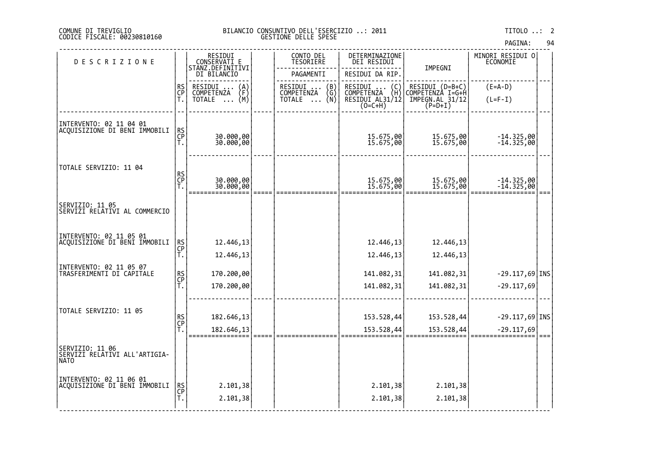# DI TREVIGLIO BILANCIO CONSUNTIVO DELL'ESERCIZIO ..: 2011 TITOLO ..: 2 FISCALE: 00230810160 GESTIONE DELLE SPESE

PAGINA: 94

| <b>DESCRIZIONE</b>                                       |                | RESIDUI<br>CONSERVATI E                        | CONTO DEL<br>TESORIERE         | DETERMINAZIONE<br>DEI RESIDUI                                                        |                                     | MINORI RESIDUI O<br>ECONOMIE |  |
|----------------------------------------------------------|----------------|------------------------------------------------|--------------------------------|--------------------------------------------------------------------------------------|-------------------------------------|------------------------------|--|
|                                                          |                | STANZ.DEFINITIVI<br>DI BILANCIO                | PAGAMENTI                      | RESIDUI DA RIP.                                                                      | IMPEGNI                             |                              |  |
|                                                          | RS<br>CP<br>T. | RESIDUI<br>$\binom{A}{F}$<br><b>COMPETENZA</b> | RESIDUI  (B)<br>COMPETENZA (G) | RESIDUI<br>$\left(\begin{smallmatrix} C \\ H \end{smallmatrix}\right)$<br>COMPETENZA | RESIDUI (D=B+C)<br>COMPETENZA I=G+H | $(E=A-D)$                    |  |
|                                                          |                | (M)<br>TOTALE                                  | (Ñ)<br>TOTALE                  | RESIDUI AL31/12<br>(O=C+H)                                                           | $\text{IMPEGN.AL}$ 31/12<br>(P=D+I) | $(L=F-I)$                    |  |
|                                                          |                |                                                |                                |                                                                                      |                                     |                              |  |
| INTERVENTO: 02 11 04 01<br>ACQUISIZIONE DI BENI IMMOBILI | RS<br>CP       | 30.000,00<br>30.000,00                         |                                | 15.675,00<br>15.675,00                                                               | 15.675,00<br>15.675,00              | -14.325,00<br>-14.325,00     |  |
|                                                          | Τ.             |                                                |                                |                                                                                      |                                     |                              |  |
| TOTALE SERVIZIO: 11 04                                   |                |                                                |                                |                                                                                      |                                     |                              |  |
|                                                          | RS<br>CP<br>T. | 30.000,00                                      |                                | 15.675,00<br>15.675,00                                                               | 15.675,00<br>15.675,00              | -14.325,00<br>-14.325,00     |  |
|                                                          |                | 30.000,00                                      |                                |                                                                                      |                                     |                              |  |
| SERVIZIO: 11 05<br>SERVIZI RELATIVI AL COMMERCIO         |                |                                                |                                |                                                                                      |                                     |                              |  |
|                                                          |                |                                                |                                |                                                                                      |                                     |                              |  |
| INTERVENTO: 02_11_05 01<br>ACQUISIZIONE DI BENI IMMOBILI |                | 12.446,13                                      |                                | 12.446,13                                                                            | 12.446,13                           |                              |  |
|                                                          | RS<br>CP<br>T. | 12.446,13                                      |                                | 12.446,13                                                                            | 12.446,13                           |                              |  |
| INTERVENTO: 02 11 05 07<br>TRASFERIMENTI DI CAPITALE     |                | 170.200,00                                     |                                | 141.082,31                                                                           | 141.082,31                          | $-29.117,69$ INS             |  |
|                                                          | RS<br>CP<br>T. | 170.200,00                                     |                                | 141.082,31                                                                           | 141.082,31                          | $-29.117,69$                 |  |
|                                                          |                |                                                |                                |                                                                                      |                                     |                              |  |
| TOTALE SERVIZIO: 11 05                                   |                | 182.646,13                                     |                                | 153.528,44                                                                           | 153.528,44                          | $-29.117,69$ INS             |  |
|                                                          | RS<br>CP<br>T. | 182.646,13                                     |                                | 153.528,44                                                                           | 153.528,44                          | $-29.117,69$                 |  |
| SERVIZIO: 11 06                                          |                |                                                |                                |                                                                                      |                                     |                              |  |
| SERVIZI RELATIVI ALL'ARTIGIA-<br> NATO                   |                |                                                |                                |                                                                                      |                                     |                              |  |
| INTERVENTO: 02_11_06 01                                  |                |                                                |                                |                                                                                      |                                     |                              |  |
| ACQUISIZIONE DI BENI IMMOBILI                            | RS<br>CP<br>T. | 2.101,38                                       |                                | 2.101,38                                                                             | 2.101,38                            |                              |  |
|                                                          |                | 2.101,38                                       |                                | 2.101,38                                                                             | 2.101,38                            |                              |  |

‐‐‐‐‐‐‐‐‐‐‐‐‐‐‐‐‐‐‐‐‐‐‐‐‐‐‐‐‐‐‐‐‐‐‐‐‐‐‐‐‐‐‐‐‐‐‐‐‐‐‐‐‐‐‐‐‐‐‐‐‐‐‐‐‐‐‐‐‐‐‐‐‐‐‐‐‐‐‐‐‐‐‐‐‐‐‐‐‐‐‐‐‐‐‐‐‐‐‐‐‐‐‐‐‐‐‐‐‐‐‐‐‐‐‐‐‐‐‐‐‐‐‐‐‐‐‐‐‐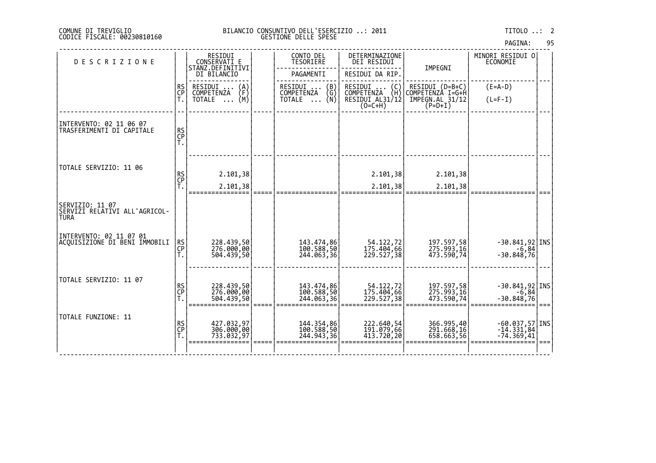| PAGINA: | 95 |
|---------|----|
|---------|----|

| <b>DESCRIZIONE</b>                                              |                | RESIDUI<br>CONSERVATI E<br>STANZ.DEFINITIVI | CONTO DEL<br><b>TESORIERE</b>                                   | DETERMINAZIONE<br>DEI RESIDUI                                  | IMPEGNI                                                | MINORI RESIDUI O<br>ECONOMIE                                             |       |
|-----------------------------------------------------------------|----------------|---------------------------------------------|-----------------------------------------------------------------|----------------------------------------------------------------|--------------------------------------------------------|--------------------------------------------------------------------------|-------|
|                                                                 |                | DI BILANCIO                                 | PAGAMENTI                                                       | RESIDUI DA RIP.                                                |                                                        |                                                                          |       |
|                                                                 | RS<br>CP       | RESIDUI<br>COMPETENZA<br>$\binom{A}{F}$     | RESIDUI<br>COMPETENZA<br>$\begin{pmatrix} B \\ G \end{pmatrix}$ |                                                                | RESIDUI (D=B+C)<br>COMPETENZA I=G+H                    | $(E=A-D)$                                                                |       |
|                                                                 |                | (M)<br>TOTALE<br>$\ddots$                   | (Ñ)<br>TOTALE                                                   | RESIDUI  (C)<br>COMPETENZA (H)<br>RESIDUI AL31/12<br>$(0=C+H)$ | $\text{IMPEGN.AL}$ $\overline{31/12}$ $(\text{P=D+I})$ | $(L=F-I)$                                                                |       |
| INTERVENTO: 02 11 06 07                                         |                |                                             |                                                                 |                                                                |                                                        |                                                                          |       |
| TRASFERIMENTI DI CAPITALE                                       | RS<br>CP<br>T. |                                             |                                                                 |                                                                |                                                        |                                                                          |       |
|                                                                 |                |                                             |                                                                 |                                                                |                                                        |                                                                          |       |
| TOTALE SERVIZIO: 11 06                                          | RS<br>CP<br>T. | 2.101,38                                    |                                                                 | 2.101,38                                                       | 2.101,38                                               |                                                                          |       |
|                                                                 |                | 2.101,38                                    |                                                                 | 2.101,38                                                       | 2.101,38                                               |                                                                          |       |
| SERVIZIO: 11 07<br>SERVIZI RELATIVI ALL'AGRICOL-<br><b>TURA</b> |                |                                             |                                                                 |                                                                |                                                        |                                                                          |       |
| INTERVENTO: 02 11 07 01<br>ACQUISIZIONE DI BENI IMMOBILI        | RS<br>CP<br>T. | 228.439,50<br>276.000,00<br>504.439,50      | 143.474,86<br>100.588,50<br>244.063,36                          | 54.122,72<br>175.404,66<br>229.527,38                          | 197.597,58<br>275.993,16<br>473.590,74                 | $\begin{bmatrix} -30.841, 92 \\ -6, 84 \\ -30.848, 76 \end{bmatrix}$ INS |       |
| TOTALE SERVIZIO: 11 07                                          | RS<br>CP<br>Ť. | 228.439,50<br>276.000,00<br>504.439,50      | 143.474,86<br>100.588,50<br>244.063,36                          | 54.122,72<br>175.404,66<br>229.527,38                          | 197.597,58<br>275.993,16<br>473.590,74                 | $-30.841,92$ INS<br>$-6,84$<br>$-30.848,76$                              |       |
|                                                                 |                |                                             |                                                                 |                                                                |                                                        |                                                                          | l === |
| TOTALE FUNZIONE: 11                                             | RS<br>CP<br>Ť. | 427.032,97<br>306.000,00<br>733.032,97      | 144.354,86<br>100.588,50<br>244.943,36                          | 222.640,54<br>191.079,66<br>413.720,20                         | 366.995,40<br>291.668,16<br>658.663,56                 | -60.037,57 INS<br>-14.331,84<br>-74.369,41                               |       |
|                                                                 |                |                                             |                                                                 |                                                                |                                                        |                                                                          |       |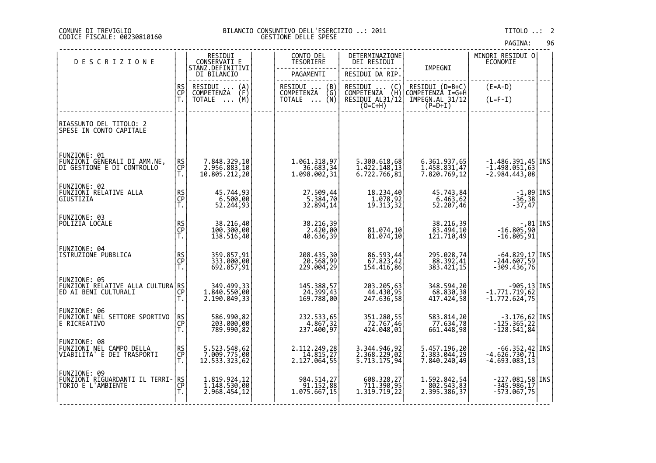# DI TREVIGLIO BILANCIO CONSUNTIVO DELL'ESERCIZIO ..: 2011 TITOLO ..: 2 FISCALE: 00230810160 GESTIONE DELLE SPESE

| <b>DESCRIZIONE</b>                                                                        |                       | RESIDUI<br>CONSERVATI E                       | CONTO DEL<br><b>TESORIERE</b>                   | DETERMINAZIONE<br>DEI RESIDUI                                                              |                                               | MINORI RESIDUI 0 <br>ECONOMIE                                 |  |
|-------------------------------------------------------------------------------------------|-----------------------|-----------------------------------------------|-------------------------------------------------|--------------------------------------------------------------------------------------------|-----------------------------------------------|---------------------------------------------------------------|--|
|                                                                                           |                       | STANZ.DEFINITIVI<br>DI BILANCIO               | PAGAMENTI                                       | RESIDUI DA RIP.                                                                            | IMPEGNI                                       |                                                               |  |
|                                                                                           | RS<br>CP              | RESIDUI<br>COMPETENZA<br>$\{A\}$              | RESIDUI  (B)<br>COMPETENZA (G)                  | RESIDUI<br>$\left(\begin{smallmatrix} C \ H \end{smallmatrix}\right)$<br><b>COMPETENZA</b> | RESIDUI (D=B+C)<br>COMPETENZA I=G+H           | $(E=A-D)$                                                     |  |
|                                                                                           | Ť.                    | $\overline{NOTALE} \dots (M)$                 | ∖Ñ)<br>TOTALE                                   | RESIDUI AL31/12<br>$(0=C+H)$                                                               | IMPEGN.AL 31/12<br>(P=D+I)                    | $(L=F-I)$                                                     |  |
| RIASSUNTO DEL TITOLO: 2<br>SPESE IN CONTO CAPITALE                                        |                       |                                               |                                                 |                                                                                            |                                               |                                                               |  |
| FUNZIONE: 01<br>FUNZIONI GENERALI DI AMM.NE,<br>DI GESTIONE E DI CONTROLLO                | RS<br>CP<br>Ť.        | 7.848.329,10<br>2.956.883,10<br>10.805.212,20 | 1.061.318,97<br>36.683,34<br>1.098.002,31       | 5.300.618,68<br>1.422.148,13<br>6.722.766,81                                               | 6.361.937,65<br>1.458.831,47<br>7.820.769,12  | $-1.486.391,45$ INS<br>$-1.498.051,63$<br>$-2.984.443,08$     |  |
| FUNZIONE: 02<br>FUNZIONI RELATIVE ALLA<br>GIUSTIZIA                                       | RS<br>CP<br>Ť.        | 45.744,93<br>6.500,00<br>52.244,93            | 27.509,44<br>32.894,14                          | 18.234,40<br>1.078,92<br>19.313,32                                                         | 45.743,84<br>6.463,62<br>52.207,46            | $\begin{bmatrix} -1,09 \\ -36,38 \\ -37,47 \end{bmatrix}$ TNS |  |
| FUNZIONE: 03<br>POLIZIA LOCALE                                                            | RS<br>CP<br>T.        | 38.216,40<br>100.300,00<br>138.516,40         | 38.216,39<br>40.636,39                          | 81.074,10<br>81.074, 10                                                                    | 38.216,39<br>83.494,10<br>121.710,49          | 01   01, -<br>  16.805, 90 -16.805<br>  16.805, 16.           |  |
| FUNZIONE: 04<br>ISTRUZIONE PUBBLICA                                                       | RS<br>CP<br>T.        | 359.857,91<br>333.000,00<br>692.857,91        | 208.435,30<br>20.568,99<br>229.004,29           | 86.593,44<br>67.823,42<br>154.416,86                                                       | 295.028,74<br>$\frac{586.392,41}{383.421,15}$ | $-64.829, 17$ INS<br>$-244.607,59$<br>$-309.436,76$           |  |
| FUNZIONE: 05<br> EUNZIONI RELATIVE ALLA CULTURA RS <br> CP                                | T.                    | 349.499,33<br>1.840.550,00<br>2.190.049,33    | 145.388,57<br>24.399,43<br>169.788,00           | 203.205,63<br>44.430,95<br>247.636,58                                                      | 348.594,20<br>68.830,38<br>417.424,58         | $-905,13$   INS<br>$-1.771.719,62$  <br>$-1.772.624,75$       |  |
| FUNZIONE: 06<br>FUNZIONI NEL SETTORE SPORTIVO<br>E RICREATIVO                             | RS<br>CP<br>Ť.        | 586.990,82<br>203.000,00<br>789.990,82        | $232.533,65$<br>4.867,32<br>237.400,97          | 351.280,55<br>72.767,46<br>424.048,01                                                      | 583.814,20<br>77.634,78<br>661.448,98         | $-3.176,62$ INS<br>-125.365,22<br>-128.541,84                 |  |
| FUNZIONE: 08<br>FUNZIONI NEL CAMPO DELLA<br>VIABILITA' E DEI TRASPORTI                    | <b>RS</b><br>CP<br>T. | 5.523.548,62<br>7.009.775,00<br>12.533.323,62 | 2.112.249,28<br>$7.714.815, 27$<br>2.127.064,55 | 3.344.946,92<br>2.368.229,02<br>5.713.175,94                                               | 5.457.196,20<br>2.383.044,29<br>7.840.240,49  | $-66.352,42$ INS<br>$-4.626.730, 71$<br>$-4.693.083, 13$      |  |
| FUNZIONE: 09<br> EUNZIONI RIGUARDANTI IL TERRI- RS <br> EUNZIONI RIGUARDANTI IL TERRI- RS | Ť.                    | 1.819.924,12<br>1.148.530,00<br>2.968.454,12  | 984.514,27<br>91.152,88<br>1.075.667,15         | 608.328,27<br>711.390,95<br>1.319.719,22                                                   | 1.592.842,54<br>802.543,83<br>2.395.386,37    | $-227.081,58$ INS<br>$-345.986,17$<br>$-573.067,75$           |  |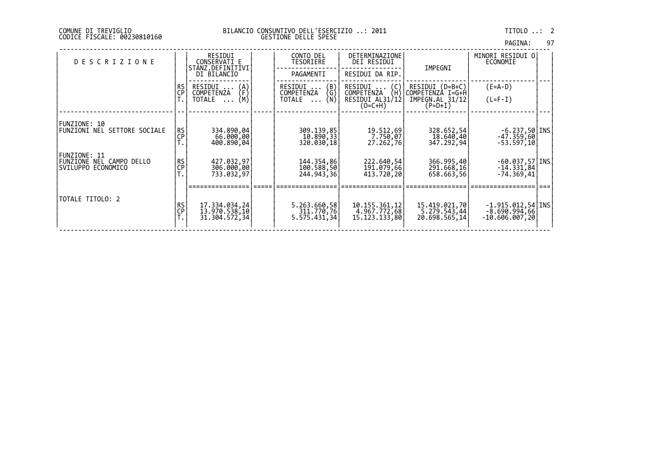# DI TREVIGLIO BILANCIO CONSUNTIVO DELL'ESERCIZIO ..: 2011 TITOLO ..: 2 FISCALE: 00230810160 GESTIONE DELLE SPESE

97

| <b>DESCRIZIONE</b>                                  |           | RESIDUI<br>CONSERVATI E<br>STANZ.DEFINITIVI | CONTO DEL<br>TESORIERE                  | <b>DETERMINAZIONE</b><br>DEI RESIDUI       | IMPEGNI                                              | MINORI RESIDUI OI<br>ECONOMIE      |  |
|-----------------------------------------------------|-----------|---------------------------------------------|-----------------------------------------|--------------------------------------------|------------------------------------------------------|------------------------------------|--|
|                                                     |           | DI BILANCIO                                 | PAGAMENTI                               | RESIDUI DA RIP.                            |                                                      |                                    |  |
|                                                     | RS<br>CP  | $\binom{A}{F}$<br>RESIDUI<br>COMPETENZA     | $\binom{B}{G}$<br>RESIDUI<br>COMPETENZA | (C)<br>RESIDUI<br>(H)<br><b>COMPETENZA</b> | $RESIDUI (D=B+C)$                                    | $(E=A-D)$                          |  |
|                                                     |           | (M)<br>TOTALE<br>$\ddots$                   | (N)<br>TOTALE                           | RESIDUI AL31/12<br>$(O=C+H)$               | COMPETENZA I=G+H<br>IMPEGN.AL 31/12<br>$($ P=D+I $)$ | $(L=F-I)$                          |  |
|                                                     |           |                                             |                                         |                                            |                                                      |                                    |  |
| FUNZIONE: 10<br><b>FUNZIONI NEL SETTORE SOCIALE</b> | <b>RS</b> | 334.890,04                                  | 309.139,85                              | 19.512,69                                  | 328.652,541                                          | $-6.237,50$ <i>INS</i>             |  |
|                                                     | CP        | 66.000,00<br>400.890,04                     | 10.890, 33<br>320.030,18                | 7.750,07<br>27.262,76                      | 18.640,40<br>347.292,941                             | $-47.359,60$<br>$-53.597,10$       |  |
| FUNZIONE: 11<br>FUNZIONE NEL CAMPO DELLO            |           |                                             |                                         |                                            | 366,995,40                                           |                                    |  |
| SVILUPPO ECONOMICO                                  | RS<br>CP  | 427.032,97<br>306.000,00                    | 144.354,86<br>100.588,50                | 222.640,54<br>191.079,66                   | 291.668,16                                           | -60.037,57 INS<br>$-14.331,84$     |  |
|                                                     |           | 733.032,97                                  | 244.943,36                              | 413.720,20                                 | 658.663,56                                           | $-74.369,41$                       |  |
|                                                     |           |                                             |                                         |                                            |                                                      |                                    |  |
| TOTALE TITOLO: 2                                    | RS<br>CP  | 17.334.034,24                               | 5.263.660,58                            | 10.155.361,12<br>4.967.772,68              | 15.419.021,70                                        | $-1.915.012,54$ INS                |  |
|                                                     |           | $\overline{13.970.538,10}$<br>31.304.572,34 | 311.770,76<br>5.575.431,341             | 15.123.133,80                              | $\left[5.279.543,44\right]$<br>20.698.565,14         | $-8.690.994.661$<br>-10.606.007,20 |  |
|                                                     |           |                                             |                                         |                                            |                                                      |                                    |  |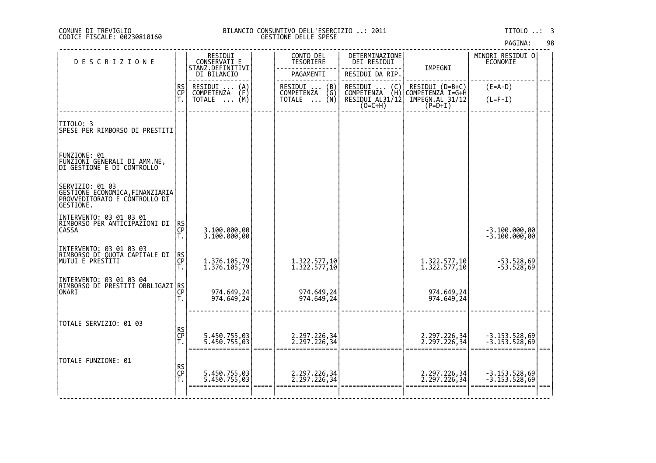|  |  | PAGINA: |  | 98 |
|--|--|---------|--|----|
|--|--|---------|--|----|

|                                                                  | RESIDUI<br>CONSERVATI E      |                                                                                                                            | CONTO DEL<br>TESORIERE       | DETERMINAZIONE<br>DEI RESIDUI |                                                                   | MINORI RESIDUI O<br>ECONOMIE                                |                              |
|------------------------------------------------------------------|------------------------------|----------------------------------------------------------------------------------------------------------------------------|------------------------------|-------------------------------|-------------------------------------------------------------------|-------------------------------------------------------------|------------------------------|
|                                                                  | DI BILANCIO                  |                                                                                                                            | PAGAMENTI                    | RESIDUI DA RIP.               |                                                                   |                                                             |                              |
|                                                                  | RESIDUI                      |                                                                                                                            | RESIDUI<br>(B)               | RESIDUI                       |                                                                   | $(E=A-D)$                                                   |                              |
|                                                                  | TOTALE $\ldots$ (M)          |                                                                                                                            | TOTALE $\ldots$ (N)          | RESIDUI AL31/12               | IMPEGN.AL 31/12                                                   | $(L=F-I)$                                                   |                              |
| SPESE PER RIMBORSO DI PRESTITI                                   |                              |                                                                                                                            |                              |                               |                                                                   |                                                             |                              |
|                                                                  |                              |                                                                                                                            |                              |                               |                                                                   |                                                             |                              |
| GESTIONE ECONOMICA,FINANZIARIA<br> PROVVEDITORATO E CONTROLLO DI |                              |                                                                                                                            |                              |                               |                                                                   |                                                             |                              |
| RS<br>CP<br>T.                                                   | 3.100.000,00<br>3.100.000,00 |                                                                                                                            |                              |                               |                                                                   | $-3.100.000,00$<br>$-3.100.000,00$                          |                              |
| RS<br>CP<br>T.                                                   | 1.376.105,79<br>1.376.105,79 |                                                                                                                            | 1.322.577,10<br>1.322.577,10 |                               | 1.322.577,10<br>1.322.577,10                                      | -53.528,69<br>-53.528,69                                    |                              |
| T.                                                               | 974.649,24<br>974.649,24     |                                                                                                                            | 974.649,24<br>974.649,24     |                               | 974.649,24<br>974.649,24                                          |                                                             |                              |
| RS<br>CP                                                         | 5.450.755,03<br>5.450.755,03 |                                                                                                                            | 2.297.226,34<br>2.297.226,34 |                               |                                                                   | -3.153.528,69<br>-3.153.528,69                              |                              |
| RS<br>CP<br>T.                                                   | 5.450.755,03<br>5.450.755,03 |                                                                                                                            | 2.297.226,34<br>2.297.226,34 |                               | 2.297.226,34<br>2.297.226,34                                      | $-3.153.528,69$<br>$-3.153.528,69$                          |                              |
|                                                                  | RS<br>CP<br>T.               | STANZ.DEFINITIVI<br>$\binom{A}{F}$<br>COMPETENZA<br> INTERVENTO: 03 01 03 04<br> RIMBORSO DI PRESTITI OBBLIGAZI RS <br> CP |                              | (Ğ)<br>COMPETENZA             | $\begin{pmatrix} C \\ H \end{pmatrix}$<br>COMPETENZA<br>$(O=C+H)$ | IMPEGNI<br>RESIDUI (D=B+C)<br>COMPETENZA I=G+H<br>$(P=D+I)$ | 2.297.226,34<br>2.297.226,34 |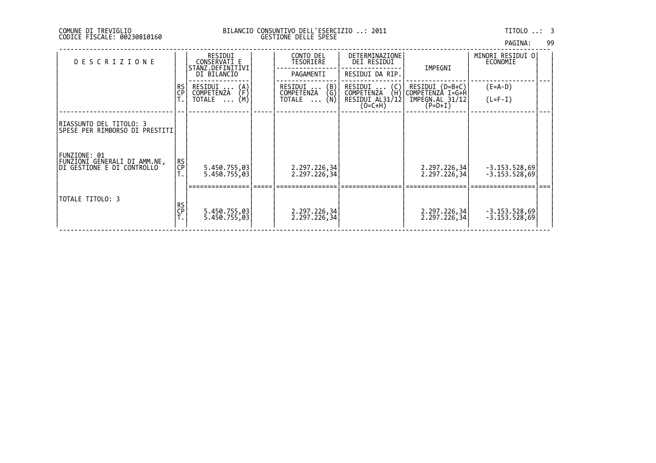| PAGINA: | 99 |
|---------|----|
|         |    |

| <b>DESCRIZIONE</b>                                                          |                 | RESIDUI<br>CONSERVATI E<br>STANZ.DEFINITIVI     | CONTO DEL<br>TESORIERE                                                       | DETERMINAZIONE<br>DEI RESIDUI                           | IMPEGNI                              | MINORI RESIDUI 0 <br>ECONOMIE      |  |
|-----------------------------------------------------------------------------|-----------------|-------------------------------------------------|------------------------------------------------------------------------------|---------------------------------------------------------|--------------------------------------|------------------------------------|--|
|                                                                             | RS<br>CP        | DI BILANCIO<br>RESIDUI<br>$\{A\}$<br>COMPETENZA | PAGAMENTI<br>$\begin{pmatrix} B \\ G \end{pmatrix}$<br>RESIDUI<br>COMPETENZA | RESIDUI DA RIP.<br>$RESIDUI$ $(C)$<br>(H)<br>COMPETENZA | RESIDUI (D=B+C)<br> COMPETENZÀ I=G+Ĥ | $(E=A-D)$                          |  |
|                                                                             |                 | (M)<br>TOTALE<br>$\cdots$                       | (N)<br>TOTALE                                                                | RESIDUI AL31/12<br>$(O=C+H)$                            | IMPEGN.AL 31/12<br>$(P=D+I)$         | $(L=F-I)$                          |  |
| RIASSUNTO DEL TITOLO: 3<br>SPESE PER RIMBORSO DI PRESTITI                   |                 |                                                 |                                                                              |                                                         |                                      |                                    |  |
| FUNZIONE: 01<br>FUNZIONI GENERALI DI AMM.NE,<br>IDI GESTIONE E DI CONTROLLO | <b>RS</b><br>CP | 5.450.755,03<br>5.450.755,03                    | 2.297.226,34<br>2, 297, 226, 34                                              |                                                         | 2.297.226,34<br>2.297.226,34         | $-3.153.528,69$<br>$-3.153.528,69$ |  |
| TOTALE TITOLO: 3                                                            | RS<br>CP        | 5.450.755,03<br>5.450.755,03                    | 2.297.226,34<br>2.297.226,34                                                 |                                                         | 2.297.226,34<br>2.297.226,34         | -3.153.528,69<br>-3.153.528,69     |  |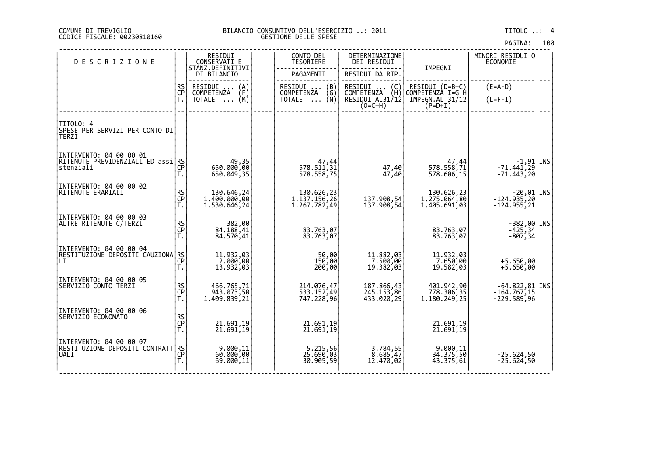| PAGINA: | 100 |
|---------|-----|
|---------|-----|

| <b>DESCRIZIONE</b>                                   |                | RESIDUI<br>CONSERVATI E                            | CONTO DEL<br>TESORIERE                         | DETERMINAZIONE<br>DEI RESIDUI                                          | IMPEGNI                             | MINORI RESIDUI 0<br>ECONOMIE                                         |  |
|------------------------------------------------------|----------------|----------------------------------------------------|------------------------------------------------|------------------------------------------------------------------------|-------------------------------------|----------------------------------------------------------------------|--|
|                                                      |                | STANZ.DEFINITIVI<br>DI BILANCIO                    | PAGAMENTI                                      | RESIDUI DA RIP.                                                        |                                     |                                                                      |  |
|                                                      | RS<br>CP       | RESIDUI<br>$\binom{A}{F}$<br>COMPETENZA            | RESIDUI<br>$\binom{B}{G}$<br><b>COMPETENZA</b> | RESIDUI<br>$\begin{pmatrix} 0 \\ H \end{pmatrix}$<br><b>COMPETENZA</b> | RESIDUI (D=B+C)<br>COMPETENZA I=G+H | $(E=A-D)$                                                            |  |
|                                                      |                | $\overline{NOTALE} \dots (M)$                      | TOTALE $\ldots$ (N)                            | RESIDUI AL31/12<br>$\overline{O}$ =C+H)                                | IMPEGN.AL 31/12<br>$(P=D+I)$        | $(L=F-I)$                                                            |  |
|                                                      |                |                                                    |                                                |                                                                        |                                     |                                                                      |  |
| TITOLO: 4<br>SPESE PER SERVIZI PER CONTO DI<br>TERZI |                |                                                    |                                                |                                                                        |                                     |                                                                      |  |
| INTERVENTO: 04 00 00 01                              |                |                                                    |                                                |                                                                        |                                     |                                                                      |  |
| RITENUTE PREVIDENZIĂLI ED assi RS<br> stenziali      |                | 49,35<br>650.000,00                                | 47,44<br>578.511,31                            | 47,40                                                                  | 47,44<br>578.558,71                 | $\begin{array}{c} -1,91 \\ -71.441,29 \\ -71.443,20 \end{array}$ INS |  |
|                                                      | T.             | 650.049,35                                         | 578.558,75                                     | 47,40                                                                  | 578.606,15                          |                                                                      |  |
| INTERVENTO: 04 00 00 02<br>RITENUTE ERARIALI         | RS<br>CP       | 130.646,24<br>$1.\overline{400}.000,\overline{00}$ | 130.626,23<br>1.137.156,26                     | 137.908,54                                                             | 130.626,23<br>1.275.064,80          | $\begin{bmatrix} -20.01 \\ -124.935,20 \end{bmatrix}$ INS            |  |
|                                                      | T.             | 1.530.646, 24                                      | 1.267.782,49                                   | 137.908,54                                                             | 1.405.691,03                        | $-124.955,21$                                                        |  |
| INTERVENTO: 04 00 00 03<br>IALTRE RITENUTE C/TERZI   |                |                                                    |                                                |                                                                        |                                     |                                                                      |  |
|                                                      | RS<br>CP<br>T. | 382,00<br>84.188,41<br>84.570,41                   | 83.763,07<br>83.763.07                         |                                                                        | 83.763,07<br>83.763,07              | -382,00 INS<br>-425,34<br>-807,34                                    |  |
| INTERVENTO: 04 00 00 04                              |                |                                                    |                                                |                                                                        |                                     |                                                                      |  |
| RESTITUZIONE DEPOSITI CAUZIONA RS<br>LI              | CP<br>T.       | 11.932,03<br>2.000,00<br>13.932,03                 | 50,00<br>150,00<br>200,00                      | 11.882,03<br>7.500,00                                                  | 11.932,03<br>7.650,00               | $+5.650,00$                                                          |  |
|                                                      |                |                                                    |                                                | 19.382,03                                                              | 19.582,03                           | $+5.650,00$                                                          |  |
| INTERVENTO: 04 00 00 05<br>SERVIZIO CONTO TERZI      | RS<br>CP<br>T. | 466.765,71<br>943.073,50                           | 214.076,47<br>533.152,49                       | 187.866,43<br>245.153,86                                               | 401.942,90<br>778.306,35            | $-64.822, 81$ INS<br>$-164.767, 15$                                  |  |
|                                                      |                | 1.409.839,21                                       | 747.228,96                                     | 433.020,29                                                             | 1.180.249,25                        | $-229.589,96$                                                        |  |
| INTERVENTO: 04 00 00 06<br>ISERVIZIO ECONOMATO       |                |                                                    |                                                |                                                                        |                                     |                                                                      |  |
|                                                      | RS<br>CP<br>T. | 21.691,19<br>21.691,19                             | 21.691,19<br>21.691,19                         |                                                                        | 21.691,19<br>21.691,19              |                                                                      |  |
| INTERVENTO: 04 00 00 07                              |                |                                                    |                                                |                                                                        |                                     |                                                                      |  |
| RËSTITUZIŎNE DEPŎSITI ĆONTRATT RS<br> UALI<br> T.    |                | 9.000,11<br>60.000,00                              | 5.215,56<br>25.690,03<br>30.905,59             | 3.784,55<br>$8.685,47$<br>12.470,02                                    | 9.000,11                            |                                                                      |  |
|                                                      |                | 69.000,11                                          |                                                |                                                                        | 34.375,50<br>43.375,61              | $-25.624,50$<br>$-25.624,50$                                         |  |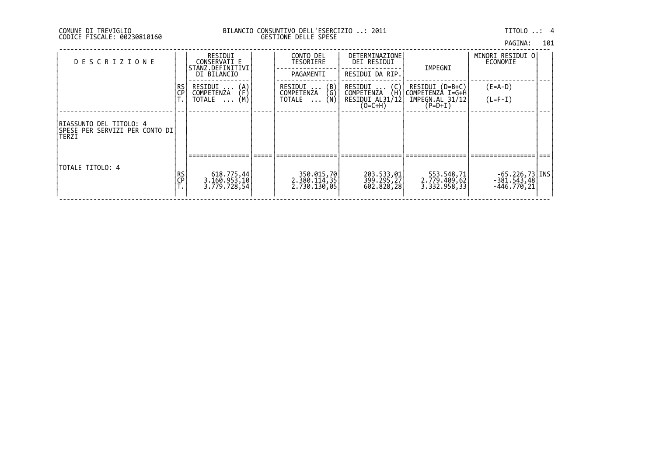| PAGINA: | 101 |
|---------|-----|
|         |     |

| <b>DESCRIZIONE</b>                                                    |          | RESIDUI<br>CONSERVATI E<br>STANZ.DEFINITIVI<br>DI BILANCIO       | CONTO DEL<br>TESORIERE<br>PAGAMENTI                                              | <b>DETERMINAZIONE</b><br>DEI RESIDUI<br>RESIDUI DA RIP.              | IMPEGNI                                                             | MINORI RESIDUI O<br>ECONOMIE                         |  |
|-----------------------------------------------------------------------|----------|------------------------------------------------------------------|----------------------------------------------------------------------------------|----------------------------------------------------------------------|---------------------------------------------------------------------|------------------------------------------------------|--|
|                                                                       | RS<br>CP | RESIDUI<br>(A)<br>(F)<br>COMPETENZA<br>(M)<br>TOTALE<br>$\cdots$ | $\begin{pmatrix} B \\ G \end{pmatrix}$<br>RESIDUI<br>COMPETENZA<br>(Ñ∖<br>TOTALE | $RESIDUI$ $(C)$<br>(H)<br>COMPETENZA<br>RESIDUI AL31/12<br>$(O=C+H)$ | RESIDUI (D=B+C)<br>COMPETENZÀ I=G+H<br>IMPEGN.AL 31/12<br>$(P=D+I)$ | $(E=A-D)$<br>$(L=F-I)$                               |  |
| IRIASSUNTO DEL TITOLO: 4<br> SPESE PER SERVIZI PER CONTO DI <br>TERZI |          |                                                                  |                                                                                  |                                                                      |                                                                     |                                                      |  |
|                                                                       |          |                                                                  |                                                                                  |                                                                      |                                                                     |                                                      |  |
| TOTALE TITOLO: 4                                                      | RS<br>CP | $618.775,44$<br>3.160.953,10<br>3.779.728,54                     | 350.015,70<br> 2.380.114,35<br>2.730.130,05                                      | 203.533,01<br>399.295,27<br>602.828,28                               | 553.548,71<br>2.779.409,62<br>3.332.958,33                          | $-65.226,73$ [INS]<br>$-381.543,48$<br>$-446.770,21$ |  |